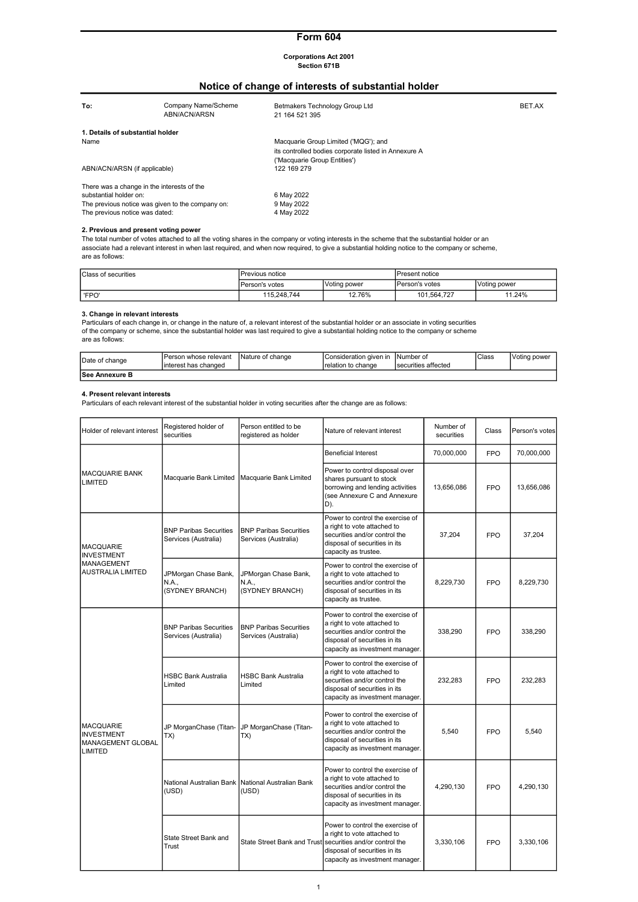# Form 604

#### Corporations Act 2001 Section 671B

# Notice of change of interests of substantial holder

| To:                                              | Company Name/Scheme<br>ABN/ACN/ARSN | Betmakers Technology Group Ltd<br>21 164 521 395     | BET.AX |
|--------------------------------------------------|-------------------------------------|------------------------------------------------------|--------|
| 1. Details of substantial holder                 |                                     |                                                      |        |
| Name                                             |                                     | Macquarie Group Limited ('MQG'); and                 |        |
|                                                  |                                     | its controlled bodies corporate listed in Annexure A |        |
|                                                  |                                     | ('Macquarie Group Entities')                         |        |
| ABN/ACN/ARSN (if applicable)                     |                                     | 122 169 279                                          |        |
| There was a change in the interests of the       |                                     |                                                      |        |
| substantial holder on:                           |                                     | 6 May 2022                                           |        |
| The previous notice was given to the company on: |                                     | 9 May 2022                                           |        |
| The previous notice was dated:                   |                                     | 4 May 2022                                           |        |

#### 2. Previous and present voting power

The total number of votes attached to all the voting shares in the company or voting interests in the scheme that the substantial holder or an<br>associate had a relevant interest in when last required, and when now required, are as follows:

| <b>Class of securities</b> | Previous notice |              | IPresent notice |              |
|----------------------------|-----------------|--------------|-----------------|--------------|
|                            | Person's votes  | Voting power | IPerson's votes | Voting power |
| 'FPO'                      | 115.248.744     | 12.76%       | 101.564.727     | 11.24%       |

#### 3. Change in relevant interests

Particulars of each change in, or change in the nature of, a relevant interest of the substantial holder or an associate in voting securities<br>of the company or scheme, since the substantial holder was last required to give are as follows:

| Date of change  | IPerson whose relevant<br>linterest has changed | Nature of change | IConsideration given in<br>Trelation to change | INumber of<br>I securities affected | Class | Voting power |
|-----------------|-------------------------------------------------|------------------|------------------------------------------------|-------------------------------------|-------|--------------|
| lSee Annexure B |                                                 |                  |                                                |                                     |       |              |

#### 4. Present relevant interests

Particulars of each relevant interest of the substantial holder in voting securities after the change are as follows:

| Holder of relevant interest                                                  | Registered holder of<br>securities                    | Person entitled to be<br>registered as holder         | Nature of relevant interest                                                                                                                                          | Number of<br>securities | Class      | Person's votes |
|------------------------------------------------------------------------------|-------------------------------------------------------|-------------------------------------------------------|----------------------------------------------------------------------------------------------------------------------------------------------------------------------|-------------------------|------------|----------------|
|                                                                              |                                                       |                                                       | <b>Beneficial Interest</b>                                                                                                                                           | 70,000,000              | FPO.       | 70,000,000     |
| <b>MACQUARIE BANK</b><br>LIMITED                                             | Macquarie Bank Limited                                | Macquarie Bank Limited                                | Power to control disposal over<br>shares pursuant to stock<br>borrowing and lending activities<br>(see Annexure C and Annexure<br>D).                                | 13,656,086              | <b>FPO</b> | 13,656,086     |
| <b>MACQUARIE</b><br><b>INVESTMENT</b>                                        | <b>BNP Paribas Securities</b><br>Services (Australia) | <b>BNP Paribas Securities</b><br>Services (Australia) | Power to control the exercise of<br>a right to vote attached to<br>securities and/or control the<br>disposal of securities in its<br>capacity as trustee.            | 37,204                  | <b>FPO</b> | 37,204         |
| <b>MANAGEMENT</b><br><b>AUSTRALIA LIMITED</b>                                | JPMorgan Chase Bank,<br>N.A<br>(SYDNEY BRANCH)        | JPMorgan Chase Bank,<br>N.A.,<br>(SYDNEY BRANCH)      | Power to control the exercise of<br>a right to vote attached to<br>securities and/or control the<br>disposal of securities in its<br>capacity as trustee.            | 8,229,730               | <b>FPO</b> | 8.229.730      |
|                                                                              | <b>BNP Paribas Securities</b><br>Services (Australia) | <b>BNP Paribas Securities</b><br>Services (Australia) | Power to control the exercise of<br>a right to vote attached to<br>securities and/or control the<br>disposal of securities in its<br>capacity as investment manager. | 338,290                 | <b>FPO</b> | 338,290        |
|                                                                              | <b>HSBC Bank Australia</b><br>Limited                 | <b>HSBC Bank Australia</b><br>Limited                 | Power to control the exercise of<br>a right to vote attached to<br>securities and/or control the<br>disposal of securities in its<br>capacity as investment manager. | 232,283                 | <b>FPO</b> | 232.283        |
| <b>MACQUARIE</b><br><b>INVESTMENT</b><br><b>MANAGEMENT GLOBAL</b><br>LIMITED | JP MorganChase (Titan-<br>TX)                         | JP MorganChase (Titan-<br>TX)                         | Power to control the exercise of<br>a right to vote attached to<br>securities and/or control the<br>disposal of securities in its<br>capacity as investment manager. | 5.540                   | <b>FPO</b> | 5.540          |
|                                                                              | National Australian Bank<br>(USD)                     | National Australian Bank<br>(USD)                     | Power to control the exercise of<br>a right to vote attached to<br>securities and/or control the<br>disposal of securities in its<br>capacity as investment manager. | 4,290,130               | <b>FPO</b> | 4,290,130      |
|                                                                              | State Street Bank and<br>Trust                        | State Street Bank and Trust                           | Power to control the exercise of<br>a right to vote attached to<br>securities and/or control the<br>disposal of securities in its<br>capacity as investment manager. | 3,330,106               | <b>FPO</b> | 3,330,106      |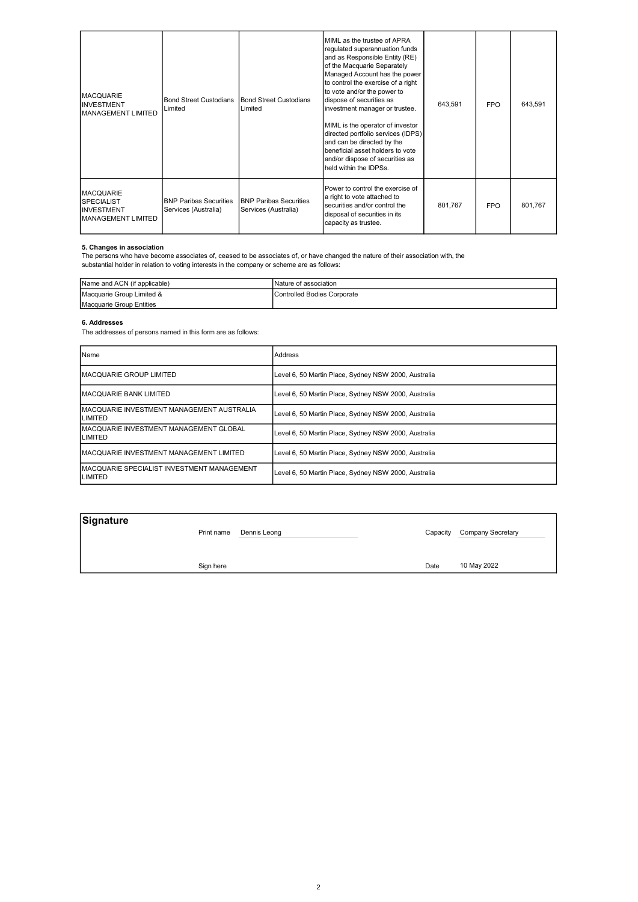| <b>MACQUARIE</b><br><b>INVESTMENT</b><br><b>MANAGEMENT LIMITED</b>                      | Bond Street Custodians<br>Limited                      | Bond Street Custodians<br>Limited                     | MIML as the trustee of APRA<br>regulated superannuation funds<br>and as Responsible Entity (RE)<br>of the Macquarie Separately<br>Managed Account has the power<br>to control the exercise of a right<br>to vote and/or the power to<br>dispose of securities as<br>investment manager or trustee.<br>MIML is the operator of investor<br>directed portfolio services (IDPS)<br>and can be directed by the<br>beneficial asset holders to vote<br>and/or dispose of securities as<br>held within the IDPSs. | 643,591 | <b>FPO</b> | 643,591 |
|-----------------------------------------------------------------------------------------|--------------------------------------------------------|-------------------------------------------------------|-------------------------------------------------------------------------------------------------------------------------------------------------------------------------------------------------------------------------------------------------------------------------------------------------------------------------------------------------------------------------------------------------------------------------------------------------------------------------------------------------------------|---------|------------|---------|
| <b>MACQUARIE</b><br><b>SPECIALIST</b><br><b>INVESTMENT</b><br><b>MANAGEMENT LIMITED</b> | <b>IBNP Paribas Securities</b><br>Services (Australia) | <b>BNP Paribas Securities</b><br>Services (Australia) | Power to control the exercise of<br>a right to vote attached to<br>securities and/or control the<br>disposal of securities in its<br>capacity as trustee.                                                                                                                                                                                                                                                                                                                                                   | 801.767 | <b>FPO</b> | 801.767 |

#### 5. Changes in association

The persons who have become associates of, ceased to be associates of, or have changed the nature of their association with, the substantial holder in relation to voting interests in the company or scheme are as follows:

| Name and ACN (if applicable) | INature of association               |
|------------------------------|--------------------------------------|
| Macquarie Group Limited &    | <b>I</b> Controlled Bodies Corporate |
| Macquarie Group Entities     |                                      |

# 6. Addresses

The addresses of persons named in this form are as follows:

| Name                                                   | Address                                              |
|--------------------------------------------------------|------------------------------------------------------|
| <b>IMACQUARIE GROUP LIMITED</b>                        | Level 6, 50 Martin Place, Sydney NSW 2000, Australia |
| <b>IMACQUARIE BANK LIMITED</b>                         | Level 6, 50 Martin Place, Sydney NSW 2000, Australia |
| IMACQUARIE INVESTMENT MANAGEMENT AUSTRALIA<br>LIMITED  | Level 6, 50 Martin Place, Sydney NSW 2000, Australia |
| IMACQUARIE INVESTMENT MANAGEMENT GLOBAL<br>LIMITED     | Level 6, 50 Martin Place, Sydney NSW 2000, Australia |
| <b>IMACQUARIE INVESTMENT MANAGEMENT LIMITED</b>        | Level 6, 50 Martin Place, Sydney NSW 2000, Australia |
| IMACQUARIE SPECIALIST INVESTMENT MANAGEMENT<br>LIMITED | Level 6, 50 Martin Place, Sydney NSW 2000, Australia |

| Signature | Print name | Dennis Leong | Capacity | Company Secretary |
|-----------|------------|--------------|----------|-------------------|
|           | Sign here  |              | Date     | 10 May 2022       |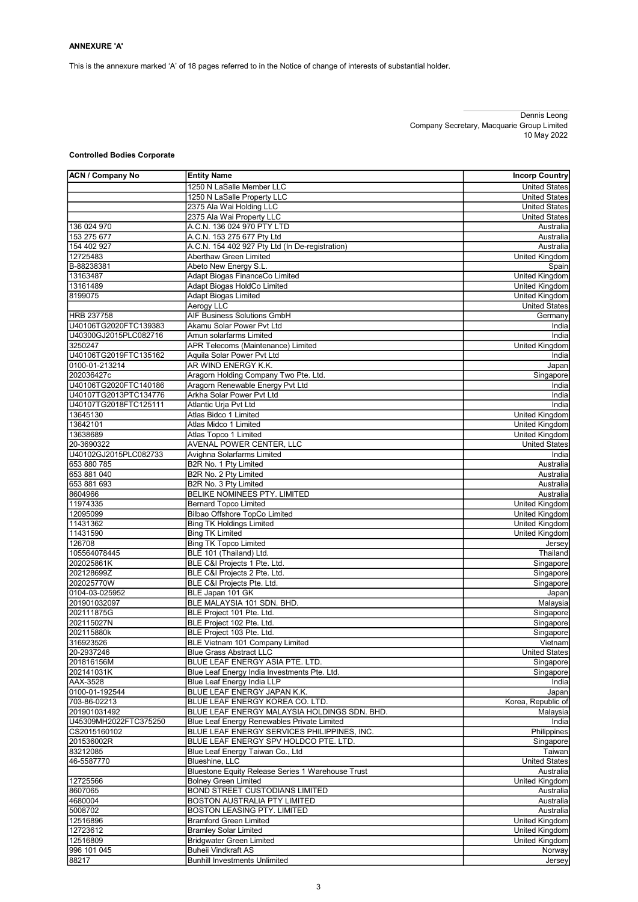This is the annexure marked 'A' of 18 pages referred to in the Notice of change of interests of substantial holder.

#### Dennis Leong Company Secretary, Macquarie Group Limited 10 May 2022

# Controlled Bodies Corporate

| <b>ACN / Company No</b>                        | <b>Entity Name</b>                                  | <b>Incorp Country</b>  |
|------------------------------------------------|-----------------------------------------------------|------------------------|
|                                                | 1250 N LaSalle Member LLC                           | <b>United States</b>   |
|                                                | 1250 N LaSalle Property LLC                         | <b>United States</b>   |
|                                                | 2375 Ala Wai Holding LLC                            | <b>United States</b>   |
|                                                | 2375 Ala Wai Property LLC                           | <b>United States</b>   |
| 136 024 970                                    | A.C.N. 136 024 970 PTY LTD                          | Australia              |
| 153 275 677                                    | A.C.N. 153 275 677 Pty Ltd                          | Australia              |
| 154 402 927                                    | A.C.N. 154 402 927 Pty Ltd (In De-registration)     | Australia              |
| 12725483                                       | Aberthaw Green Limited                              | <b>United Kingdom</b>  |
| B-88238381                                     | Abeto New Energy S.L.                               | Spain                  |
| 13163487                                       | Adapt Biogas FinanceCo Limited                      | <b>United Kingdom</b>  |
| 13161489                                       | Adapt Biogas HoldCo Limited                         | United Kingdom         |
| 8199075                                        | <b>Adapt Biogas Limited</b>                         | United Kingdom         |
|                                                | Aerogy LLC                                          | <b>United States</b>   |
| <b>HRB 237758</b>                              | <b>AIF Business Solutions GmbH</b>                  | Germany                |
| U40106TG2020FTC139383                          | Akamu Solar Power Pyt Ltd                           | India                  |
| U40300GJ2015PLC082716                          | Amun solarfarms Limited                             | India                  |
| 3250247                                        | APR Telecoms (Maintenance) Limited                  | <b>United Kingdom</b>  |
| U40106TG2019FTC135162                          | Aquila Solar Power Pvt Ltd                          | India                  |
| 0100-01-213214                                 | AR WIND ENERGY K.K.                                 | Japan                  |
| 202036427c                                     | Aragorn Holding Company Two Pte. Ltd.               | Singapore              |
| U40106TG2020FTC140186<br>U40107TG2013PTC134776 | Aragorn Renewable Energy Pvt Ltd                    | India                  |
|                                                | Arkha Solar Power Pvt Ltd                           | India                  |
| U40107TG2018FTC125111                          | Atlantic Urja Pvt Ltd                               | India                  |
| 13645130                                       | Atlas Bidco 1 Limited                               | United Kingdom         |
| 13642101                                       | Atlas Midco 1 Limited                               | United Kingdom         |
| 13638689<br>20-3690322                         | Atlas Topco 1 Limited                               | United Kingdom         |
| U40102GJ2015PLC082733                          | AVENAL POWER CENTER, LLC                            | <b>United States</b>   |
| 653 880 785                                    | Avighna Solarfarms Limited<br>B2R No. 1 Pty Limited | India                  |
| 653 881 040                                    | B2R No. 2 Pty Limited                               | Australia              |
| 653 881 693                                    | B2R No. 3 Pty Limited                               | Australia<br>Australia |
| 8604966                                        | BELIKE NOMINEES PTY. LIMITED                        | Australia              |
| 11974335                                       | <b>Bernard Topco Limited</b>                        | <b>United Kingdom</b>  |
| 12095099                                       | <b>Bilbao Offshore TopCo Limited</b>                | <b>United Kingdom</b>  |
| 11431362                                       | <b>Bing TK Holdings Limited</b>                     | United Kingdom         |
| 11431590                                       | <b>Bing TK Limited</b>                              | <b>United Kingdom</b>  |
| 126708                                         | <b>Bing TK Topco Limited</b>                        | Jersey                 |
| 105564078445                                   | BLE 101 (Thailand) Ltd.                             | Thailand               |
| 202025861K                                     | BLE C&I Projects 1 Pte. Ltd.                        | Singapore              |
| 202128699Z                                     | BLE C&I Projects 2 Pte. Ltd.                        | Singapore              |
| 202025770W                                     | BLE C&I Projects Pte. Ltd.                          | Singapore              |
| 0104-03-025952                                 | BLE Japan 101 GK                                    | Japan                  |
| 201901032097                                   | BLE MALAYSIA 101 SDN. BHD.                          | Malaysia               |
| 202111875G                                     | BLE Project 101 Pte. Ltd.                           | Singapore              |
| 202115027N                                     | BLE Project 102 Pte. Ltd.                           | Singapore              |
| 202115880k                                     | BLE Project 103 Pte. Ltd.                           | Singapore              |
| 316923526                                      | <b>BLE Vietnam 101 Company Limited</b>              | Vietnam                |
| 20-2937246                                     | Blue Grass Abstract LLC                             | United States          |
| 201816156M                                     | BLUE LEAF ENERGY ASIA PTE. LTD.                     | Singapore              |
| 202141031K                                     | Blue Leaf Energy India Investments Pte. Ltd.        | Singapore              |
| AAX-3528                                       | Blue Leaf Energy India LLP                          | India                  |
| 0100-01-192544                                 | BLUE LEAF ENERGY JAPAN K.K.                         | Japan                  |
| 703-86-02213                                   | BLUE LEAF ENERGY KOREA CO. LTD.                     | Korea, Republic of     |
| 201901031492                                   | BLUE LEAF ENERGY MALAYSIA HOLDINGS SDN. BHD.        | Malaysia               |
| U45309MH2022FTC375250                          | Blue Leaf Energy Renewables Private Limited         | India                  |
| CS2015160102                                   | BLUE LEAF ENERGY SERVICES PHILIPPINES, INC.         | Philippines            |
| 201536002R                                     | BLUE LEAF ENERGY SPV HOLDCO PTE. LTD.               | Singapore              |
| 83212085                                       | Blue Leaf Energy Taiwan Co., Ltd                    | Taiwan                 |
| 46-5587770                                     | <b>Blueshine, LLC</b>                               | <b>United States</b>   |
|                                                | Bluestone Equity Release Series 1 Warehouse Trust   | Australia              |
| 12725566                                       | <b>Bolney Green Limited</b>                         | United Kingdom         |
| 8607065                                        | <b>BOND STREET CUSTODIANS LIMITED</b>               | Australia              |
| 4680004                                        | BOSTON AUSTRALIA PTY LIMITED                        | Australia              |
| 5008702                                        | BOSTON LEASING PTY. LIMITED                         | Australia              |
| 12516896                                       | <b>Bramford Green Limited</b>                       | United Kingdom         |
| 12723612                                       | <b>Bramley Solar Limited</b>                        | United Kingdom         |
| 12516809                                       | <b>Bridgwater Green Limited</b>                     | United Kingdom         |
| 996 101 045                                    | <b>Buheii Vindkraft AS</b>                          | Norway                 |
| 88217                                          | <b>Bunhill Investments Unlimited</b>                | Jersey                 |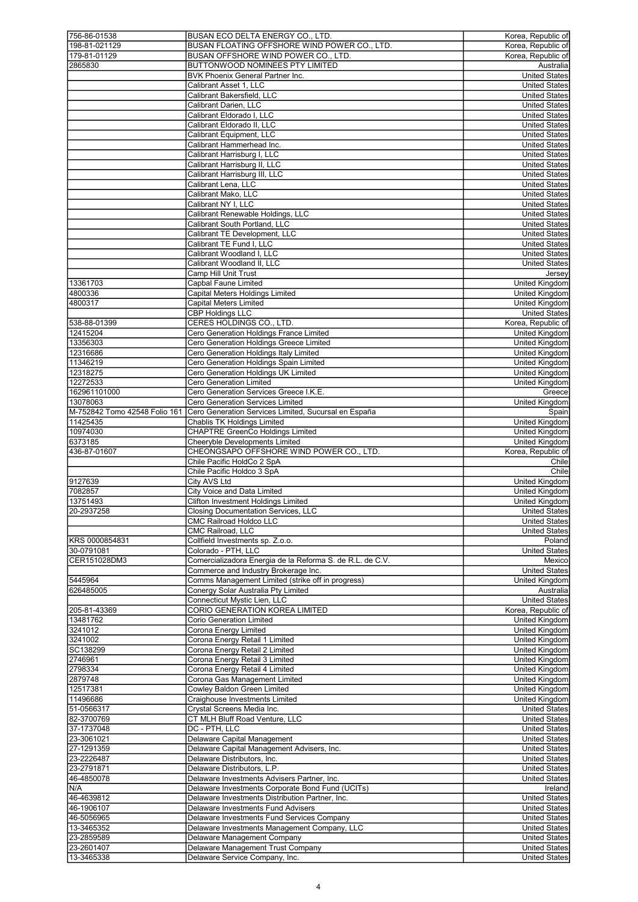| 756-86-01538                  | BUSAN ECO DELTA ENERGY CO., LTD.                                    | Korea, Republic of             |
|-------------------------------|---------------------------------------------------------------------|--------------------------------|
| 198-81-021129                 | BUSAN FLOATING OFFSHORE WIND POWER CO., LTD.                        | Korea, Republic of             |
| 179-81-01129                  | BUSAN OFFSHORE WIND POWER CO., LTD.                                 | Korea, Republic of             |
| 2865830                       | BUTTONWOOD NOMINEES PTY LIMITED                                     | Australia                      |
|                               |                                                                     |                                |
|                               | BVK Phoenix General Partner Inc.                                    | <b>United States</b>           |
|                               | Calibrant Asset 1, LLC                                              | <b>United States</b>           |
|                               | Calibrant Bakersfield, LLC                                          | <b>United States</b>           |
|                               |                                                                     |                                |
|                               | Calibrant Darien, LLC                                               | <b>United States</b>           |
|                               | Calibrant Eldorado I, LLC                                           | <b>United States</b>           |
|                               | Calibrant Eldorado II, LLC                                          |                                |
|                               |                                                                     | <b>United States</b>           |
|                               | Calibrant Equipment, LLC                                            | <b>United States</b>           |
|                               | Calibrant Hammerhead Inc.                                           | United States                  |
|                               | Calibrant Harrisburg I, LLC                                         |                                |
|                               |                                                                     | <b>United States</b>           |
|                               | Calibrant Harrisburg II, LLC                                        | <b>United States</b>           |
|                               | Calibrant Harrisburg III, LLC                                       | <b>United States</b>           |
|                               |                                                                     |                                |
|                               | Calibrant Lena, LLC                                                 | <b>United States</b>           |
|                               | Calibrant Mako, LLC                                                 | <b>United States</b>           |
|                               | Calibrant NY I, LLC                                                 | <b>United States</b>           |
|                               |                                                                     |                                |
|                               | Calibrant Renewable Holdings, LLC                                   | <b>United States</b>           |
|                               | Calibrant South Portland, LLC                                       | <b>United States</b>           |
|                               | Calibrant TE Development, LLC                                       | <b>United States</b>           |
|                               |                                                                     |                                |
|                               | Calibrant TE Fund I, LLC                                            | <b>United States</b>           |
|                               | Calibrant Woodland I, LLC                                           | <b>United States</b>           |
|                               | Calibrant Woodland II, LLC                                          | <b>United States</b>           |
|                               |                                                                     |                                |
|                               | Camp Hill Unit Trust                                                | Jersey                         |
| 13361703                      | Capbal Faune Limited                                                | United Kingdom                 |
| 4800336                       | <b>Capital Meters Holdings Limited</b>                              | <b>United Kingdom</b>          |
|                               |                                                                     |                                |
| 4800317                       | <b>Capital Meters Limited</b>                                       | United Kingdom                 |
|                               | <b>CBP Holdings LLC</b>                                             | <b>United States</b>           |
| 538-88-01399                  | CERES HOLDINGS CO., LTD.                                            | Korea, Republic of             |
|                               |                                                                     |                                |
| 12415204                      | Cero Generation Holdings France Limited                             | United Kingdom                 |
| 13356303                      | Cero Generation Holdings Greece Limited                             | <b>United Kingdom</b>          |
|                               |                                                                     |                                |
| 12316686                      | Cero Generation Holdings Italy Limited                              | <b>United Kingdom</b>          |
| 11346219                      | Cero Generation Holdings Spain Limited                              | United Kingdom                 |
| 12318275                      | Cero Generation Holdings UK Limited                                 | <b>United Kingdom</b>          |
| 12272533                      | <b>Cero Generation Limited</b>                                      |                                |
|                               |                                                                     | United Kingdom                 |
| 162961101000                  | Cero Generation Services Greece I.K.E.                              | Greece                         |
| 13078063                      | Cero Generation Services Limited                                    | United Kingdom                 |
|                               |                                                                     |                                |
| M-752842 Tomo 42548 Folio 161 | Cero Generation Services Limited, Sucursal en España                | Spain                          |
| 11425435                      | Chablis TK Holdings Limited                                         | United Kingdom                 |
| 10974030                      | <b>CHAPTRE GreenCo Holdings Limited</b>                             | <b>United Kingdom</b>          |
|                               |                                                                     |                                |
| 6373185                       | Cheeryble Developments Limited                                      | United Kingdom                 |
| 436-87-01607                  | CHEONGSAPO OFFSHORE WIND POWER CO., LTD.                            | Korea, Republic of             |
|                               |                                                                     |                                |
|                               |                                                                     |                                |
|                               | Chile Pacific HoldCo 2 SpA                                          | Chile                          |
|                               | Chile Pacific Holdco 3 SpA                                          | Chile                          |
|                               |                                                                     |                                |
| 9127639                       | <b>City AVS Ltd</b>                                                 | United Kingdom                 |
| 7082857                       | <b>City Voice and Data Limited</b>                                  | <b>United Kingdom</b>          |
| 13751493                      | <b>Clifton Investment Holdings Limited</b>                          | <b>United Kingdom</b>          |
|                               |                                                                     |                                |
| 20-2937258                    | <b>Closing Documentation Services, LLC</b>                          | <b>United States</b>           |
|                               | <b>CMC Railroad Holdco LLC</b>                                      | <b>United States</b>           |
|                               | CMC Railroad, LLC                                                   | <b>United States</b>           |
|                               |                                                                     |                                |
| KRS 0000854831                | Collfield Investments sp. Z.o.o.                                    | Poland                         |
| 30-0791081                    | Colorado - PTH, LLC                                                 | <b>United States</b>           |
| CER151028DM3                  | Comercializadora Energia de la Reforma S. de R.L. de C.V.           | Mexico                         |
|                               |                                                                     |                                |
|                               | Commerce and Industry Brokerage Inc.                                | <b>United States</b>           |
| 5445964                       | Comms Management Limited (strike off in progress)                   | United Kingdom                 |
| 626485005                     | Conergy Solar Australia Pty Limited                                 | Australia                      |
|                               |                                                                     |                                |
|                               | Connecticut Mystic Lien, LLC                                        | <b>United States</b>           |
| 205-81-43369                  | <b>CORIO GENERATION KOREA LIMITED</b>                               | Korea, Republic of             |
| 13481762                      | <b>Corio Generation Limited</b>                                     | <b>United Kinadom</b>          |
| 3241012                       | Corona Energy Limited                                               | United Kingdom                 |
|                               |                                                                     |                                |
| 3241002                       | Corona Energy Retail 1 Limited                                      | <b>United Kinadom</b>          |
| SC138299                      | Corona Energy Retail 2 Limited                                      | United Kingdom                 |
| 2746961                       | Corona Energy Retail 3 Limited                                      | United Kingdom                 |
|                               |                                                                     |                                |
| 2798334                       | Corona Energy Retail 4 Limited                                      | United Kingdom                 |
| 2879748                       | Corona Gas Management Limited                                       | United Kingdom                 |
| 12517381                      | Cowley Baldon Green Limited                                         | United Kingdom                 |
|                               |                                                                     |                                |
| 11496686                      | Craighouse Investments Limited                                      | United Kingdom                 |
| 51-0566317                    | Crystal Screens Media Inc.                                          | <b>United States</b>           |
|                               | CT MLH Bluff Road Venture, LLC                                      | <b>United States</b>           |
| 82-3700769                    |                                                                     |                                |
| 37-1737048                    | DC - PTH, LLC                                                       | <b>United States</b>           |
| 23-3061021                    | Delaware Capital Management                                         | <b>United States</b>           |
|                               |                                                                     | <b>United States</b>           |
| 27-1291359                    | Delaware Capital Management Advisers, Inc.                          |                                |
| 23-2226487                    | Delaware Distributors, Inc.                                         | <b>United States</b>           |
| 23-2791871                    | Delaware Distributors, L.P.                                         | <b>United States</b>           |
|                               |                                                                     |                                |
| 46-4850078                    | Delaware Investments Advisers Partner, Inc.                         | <b>United States</b>           |
| N/A                           | Delaware Investments Corporate Bond Fund (UCITs)                    | Ireland                        |
| 46-4639812                    | Delaware Investments Distribution Partner, Inc.                     | <b>United States</b>           |
|                               |                                                                     |                                |
| 46-1906107                    | Delaware Investments Fund Advisers                                  | <b>United States</b>           |
| 46-5056965                    | Delaware Investments Fund Services Company                          | <b>United States</b>           |
| 13-3465352                    | Delaware Investments Management Company, LLC                        | <b>United States</b>           |
|                               |                                                                     |                                |
| 23-2859589                    | Delaware Management Company                                         | United States                  |
| 23-2601407<br>13-3465338      | Delaware Management Trust Company<br>Delaware Service Company, Inc. | United States<br>United States |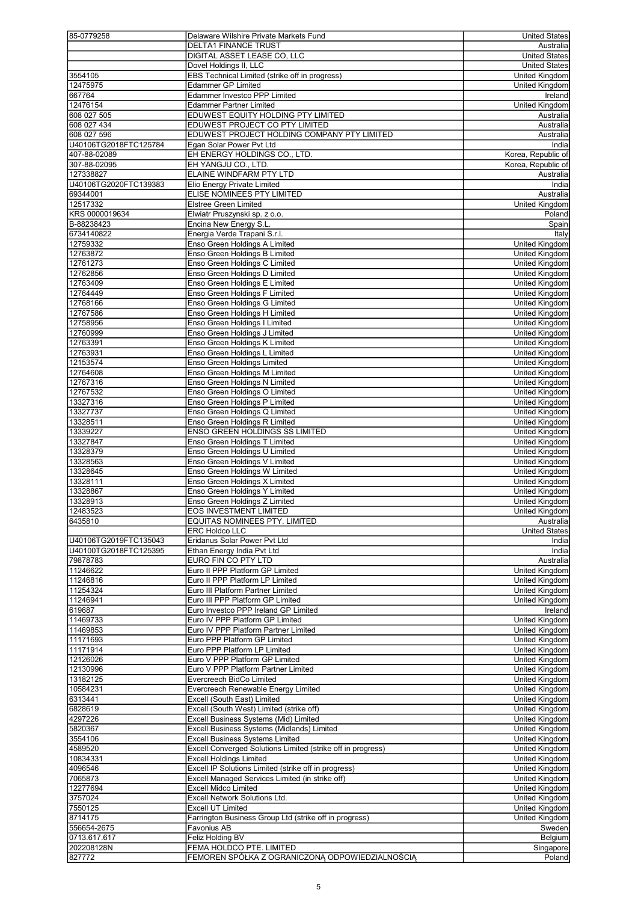| 85-0779258            | Delaware Wilshire Private Markets Fund                      | <b>United States</b>  |
|-----------------------|-------------------------------------------------------------|-----------------------|
|                       | <b>DELTA1 FINANCE TRUST</b>                                 | Australia             |
|                       | DIGITAL ASSET LEASE CO, LLC                                 | <b>United States</b>  |
|                       | Dovel Holdings II, LLC                                      | <b>United States</b>  |
| 3554105               | EBS Technical Limited (strike off in progress)              |                       |
|                       |                                                             | United Kingdom        |
| 12475975              | <b>Edammer GP Limited</b>                                   | United Kingdom        |
| 667764                | <b>Edammer Investco PPP Limited</b>                         | Ireland               |
| 12476154              | <b>Edammer Partner Limited</b>                              | <b>United Kingdom</b> |
| 608 027 505           | EDUWEST EQUITY HOLDING PTY LIMITED                          | Australia             |
| 608 027 434           | EDUWEST PROJECT CO PTY LIMITED                              | Australia             |
| 608 027 596           | EDUWEST PROJECT HOLDING COMPANY PTY LIMITED                 | Australia             |
| U40106TG2018FTC125784 | Egan Solar Power Pvt Ltd                                    | India                 |
| 407-88-02089          | EH ENERGY HOLDINGS CO., LTD.                                | Korea, Republic of    |
| 307-88-02095          | EH YANGJU CO., LTD.                                         | Korea, Republic of    |
| 127338827             | ELAINE WINDFARM PTY LTD                                     | Australia             |
|                       |                                                             |                       |
| U40106TG2020FTC139383 | Elio Energy Private Limited                                 | India                 |
| 69344001              | ELISE NOMINEES PTY LIMITED                                  | Australia             |
| 12517332              | <b>Elstree Green Limited</b>                                | <b>United Kingdom</b> |
| KRS 0000019634        | Elwiatr Pruszynski sp. z o.o.                               | Poland                |
| B-88238423            | Encina New Energy S.L.                                      | Spain                 |
| 6734140822            | Energia Verde Trapani S.r.l.                                | Italy                 |
| 12759332              | Enso Green Holdings A Limited                               | <b>United Kingdom</b> |
| 12763872              | Enso Green Holdings B Limited                               | United Kingdom        |
|                       |                                                             |                       |
| 12761273              | Enso Green Holdings C Limited                               | <b>United Kingdom</b> |
| 12762856              | Enso Green Holdings D Limited                               | United Kingdom        |
| 12763409              | Enso Green Holdings E Limited                               | <b>United Kingdom</b> |
| 12764449              | Enso Green Holdings F Limited                               | <b>United Kingdom</b> |
| 12768166              | Enso Green Holdings G Limited                               | <b>United Kingdom</b> |
| 12767586              | Enso Green Holdings H Limited                               | United Kingdom        |
| 12758956              | Enso Green Holdings I Limited                               | <b>United Kingdom</b> |
|                       |                                                             |                       |
| 12760999              | Enso Green Holdings J Limited                               | <b>United Kingdom</b> |
| 12763391              | Enso Green Holdings K Limited                               | <b>United Kingdom</b> |
| 12763931              | Enso Green Holdings L Limited                               | <b>United Kingdom</b> |
| 12153574              | Enso Green Holdings Limited                                 | United Kingdom        |
| 12764608              | <b>Enso Green Holdings M Limited</b>                        | <b>United Kingdom</b> |
| 12767316              | Enso Green Holdings N Limited                               | United Kingdom        |
| 12767532              | Enso Green Holdings O Limited                               | United Kingdom        |
|                       |                                                             |                       |
| 13327316              | Enso Green Holdings P Limited                               | United Kingdom        |
| 13327737              | Enso Green Holdings Q Limited                               | United Kingdom        |
| 13328511              | Enso Green Holdings R Limited                               | United Kingdom        |
| 13339227              | ENSO GREEN HOLDINGS SS LIMITED                              | <b>United Kingdom</b> |
| 13327847              | Enso Green Holdings T Limited                               | United Kingdom        |
| 13328379              | Enso Green Holdings U Limited                               | United Kingdom        |
|                       |                                                             |                       |
| 13328563              | Enso Green Holdings V Limited                               | United Kingdom        |
| 13328645              | Enso Green Holdings W Limited                               | <b>United Kingdom</b> |
| 13328111              | Enso Green Holdings X Limited                               | <b>United Kingdom</b> |
| 13328867              | Enso Green Holdings Y Limited                               | <b>United Kingdom</b> |
| 13328913              | Enso Green Holdings Z Limited                               | <b>United Kingdom</b> |
| 12483523              | <b>EOS INVESTMENT LIMITED</b>                               | <b>United Kingdom</b> |
| 6435810               | EQUITAS NOMINEES PTY. LIMITED                               |                       |
|                       |                                                             | Australia             |
|                       | ERC Holdco LLC                                              | <b>United States</b>  |
| U40106TG2019FTC135043 | Eridanus Solar Power Pvt Ltd                                | India                 |
| U40100TG2018FTC125395 | Ethan Energy India Pvt Ltd                                  | India                 |
| 79878783              | EURO FIN CO PTY LTD                                         | Australia             |
| 11246622              | Euro II PPP Platform GP Limited                             | United Kingdom        |
| 11246816              | Euro II PPP Platform LP Limited                             | United Kingdom        |
| 11254324              | Euro III Platform Partner Limited                           | <b>United Kinadom</b> |
| 11246941              | Euro III PPP Platform GP Limited                            | United Kingdom        |
|                       |                                                             |                       |
| 619687                | Euro Investco PPP Ireland GP Limited                        | Ireland               |
| 11469733              | Euro IV PPP Platform GP Limited                             | United Kingdom        |
| 11469853              | Euro IV PPP Platform Partner Limited                        | United Kingdom        |
| 11171693              | Euro PPP Platform GP Limited                                | <b>United Kingdom</b> |
| 11171914              | Euro PPP Platform LP Limited                                | United Kingdom        |
| 12126026              | Euro V PPP Platform GP Limited                              | <b>United Kingdom</b> |
| 12130996              | Euro V PPP Platform Partner Limited                         | United Kingdom        |
|                       |                                                             |                       |
| 13182125              | Evercreech BidCo Limited                                    | United Kingdom        |
| 10584231              | Evercreech Renewable Energy Limited                         | <b>United Kingdom</b> |
| 6313441               | Excell (South East) Limited                                 | United Kingdom        |
| 6828619               | Excell (South West) Limited (strike off)                    | <b>United Kingdom</b> |
| 4297226               | Excell Business Systems (Mid) Limited                       | United Kingdom        |
| 5820367               | Excell Business Systems (Midlands) Limited                  | United Kingdom        |
| 3554106               | <b>Excell Business Systems Limited</b>                      | United Kingdom        |
|                       |                                                             |                       |
| 4589520               | Excell Converged Solutions Limited (strike off in progress) | <b>United Kingdom</b> |
| 10834331              | <b>Excell Holdings Limited</b>                              | United Kingdom        |
| 4096546               | Excell IP Solutions Limited (strike off in progress)        | United Kingdom        |
| 7065873               | Excell Managed Services Limited (in strike off)             | United Kingdom        |
| 12277694              | <b>Excell Midco Limited</b>                                 | United Kingdom        |
| 3757024               | Excell Network Solutions Ltd.                               | United Kingdom        |
|                       |                                                             |                       |
| 7550125               | <b>Excell UT Limited</b>                                    | United Kingdom        |
| 8714175               | Farrington Business Group Ltd (strike off in progress)      | United Kingdom        |
| 556654-2675           | Favonius AB                                                 | Sweden                |
| 0713.617.617          | Feliz Holding BV                                            | Belgium               |
| 202208128N            | FEMA HOLDCO PTE. LIMITED                                    | Singapore             |
| 827772                | FEMOREN SPÓŁKA Z OGRANICZONĄ ODPOWIEDZIALNOŚCIĄ             | Poland                |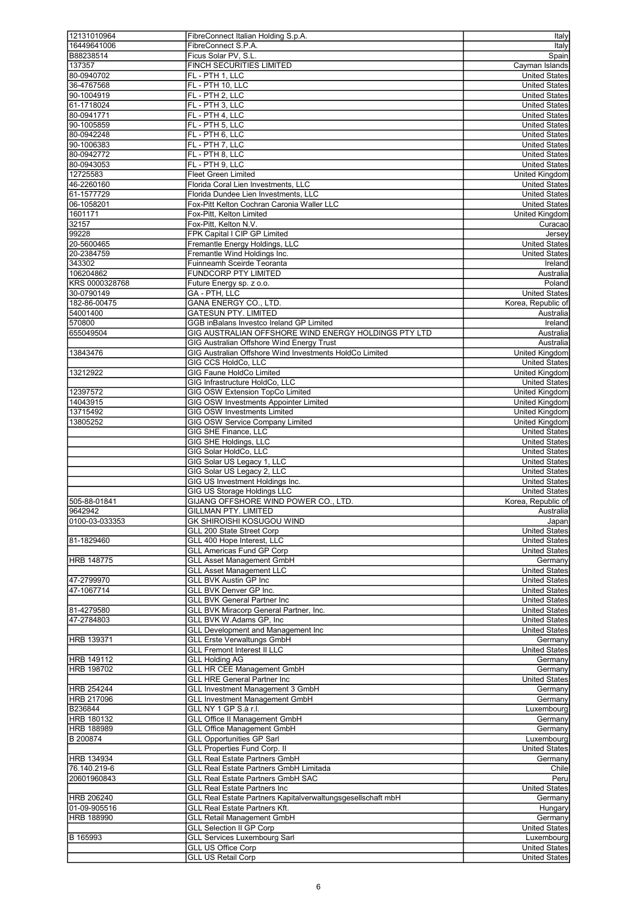| 12131010964       | FibreConnect Italian Holding S.p.A.                         | <b>Italy</b>                          |
|-------------------|-------------------------------------------------------------|---------------------------------------|
| 16449641006       | FibreConnect S.P.A.                                         | Italy                                 |
| B88238514         | Ficus Solar PV, S.L.                                        | Spain                                 |
| 137357            | <b>FINCH SECURITIES LIMITED</b>                             | Cayman Islands                        |
|                   |                                                             |                                       |
| 80-0940702        | FL - PTH 1, LLC                                             | United States                         |
| 36-4767568        | FL - PTH 10, LLC                                            | <b>United States</b>                  |
| 90-1004919        | FL - PTH 2, LLC                                             | <b>United States</b>                  |
| 61-1718024        | FL - PTH 3, LLC                                             | <b>United States</b>                  |
|                   |                                                             | <b>United States</b>                  |
| 80-0941771        | FL - PTH 4, LLC                                             |                                       |
| 90-1005859        | FL - PTH 5, LLC                                             | <b>United States</b>                  |
| 80-0942248        | FL - PTH 6, LLC                                             | <b>United States</b>                  |
| 90-1006383        | FL - PTH 7. LLC                                             | <b>United States</b>                  |
| 80-0942772        |                                                             | <b>United States</b>                  |
|                   | FL - PTH 8, LLC                                             |                                       |
| 80-0943053        | FL - PTH 9, LLC                                             | <b>United States</b>                  |
| 12725583          | <b>Fleet Green Limited</b>                                  | United Kingdom                        |
| 46-2260160        | Florida Coral Lien Investments, LLC                         | <b>United States</b>                  |
|                   |                                                             |                                       |
| 61-1577729        | Florida Dundee Lien Investments, LLC                        | <b>United States</b>                  |
| 06-1058201        | Fox-Pitt Kelton Cochran Caronia Waller LLC                  | <b>United States</b>                  |
| 1601171           | Fox-Pitt, Kelton Limited                                    | United Kingdom                        |
| 32157             | Fox-Pitt, Kelton N.V.                                       | Curacao                               |
|                   |                                                             |                                       |
| 99228             | FPK Capital I CIP GP Limited                                | Jersey                                |
| 20-5600465        | Fremantle Energy Holdings, LLC                              | <b>United States</b>                  |
| 20-2384759        | Fremantle Wind Holdings Inc.                                | <b>United States</b>                  |
| 343302            | Fuinneamh Sceirde Teoranta                                  | Ireland                               |
|                   |                                                             |                                       |
| 106204862         | <b>FUNDCORP PTY LIMITED</b>                                 | Australia                             |
| KRS 0000328768    | Future Energy sp. z o.o.                                    | Poland                                |
| 30-0790149        | GA - PTH, LLC                                               | <b>United States</b>                  |
| 182-86-00475      | GANA ENERGY CO., LTD.                                       | Korea, Republic of                    |
|                   |                                                             |                                       |
| 54001400          | <b>GATESUN PTY, LIMITED</b>                                 | Australia                             |
| 570800            | GGB inBalans Investco Ireland GP Limited                    | Ireland                               |
| 655049504         | GIG AUSTRALIAN OFFSHORE WIND ENERGY HOLDINGS PTY LTD        | Australia                             |
|                   | <b>GIG Australian Offshore Wind Energy Trust</b>            | Australia                             |
|                   |                                                             |                                       |
| 13843476          | GIG Australian Offshore Wind Investments HoldCo Limited     | <b>United Kingdom</b>                 |
|                   | GIG CCS HoldCo, LLC                                         | <b>United States</b>                  |
| 13212922          | <b>GIG Faune HoldCo Limited</b>                             | United Kingdom                        |
|                   |                                                             |                                       |
|                   | GIG Infrastructure HoldCo, LLC                              | <b>United States</b>                  |
| 12397572          | GIG OSW Extension TopCo Limited                             | United Kingdom                        |
| 14043915          | GIG OSW Investments Appointer Limited                       | United Kingdom                        |
| 13715492          | <b>GIG OSW Investments Limited</b>                          | United Kingdom                        |
|                   |                                                             |                                       |
| 13805252          | GIG OSW Service Company Limited                             | United Kingdom                        |
|                   | GIG SHE Finance, LLC                                        | <b>United States</b>                  |
|                   | GIG SHE Holdings, LLC                                       | <b>United States</b>                  |
|                   | GIG Solar HoldCo, LLC                                       | <b>United States</b>                  |
|                   |                                                             | <b>United States</b>                  |
|                   |                                                             |                                       |
|                   | GIG Solar US Legacy 1, LLC                                  |                                       |
|                   | GIG Solar US Legacy 2, LLC                                  | <b>United States</b>                  |
|                   |                                                             |                                       |
|                   | GIG US Investment Holdings Inc.                             | <b>United States</b>                  |
|                   | GIG US Storage Holdings LLC                                 | <b>United States</b>                  |
| 505-88-01841      | GIJANG OFFSHORE WIND POWER CO., LTD                         | Korea, Republic of                    |
| 9642942           | <b>GILLMAN PTY, LIMITED</b>                                 | <b>Australia</b>                      |
|                   |                                                             |                                       |
| 0100-03-033353    | GK SHIROISHI KOSUGOU WIND                                   | Japan                                 |
|                   | GLL 200 State Street Corp                                   | <b>United States</b>                  |
| 81-1829460        | GLL 400 Hope Interest, LLC                                  | <b>United States</b>                  |
|                   | <b>GLL Americas Fund GP Corp</b>                            | <b>United States</b>                  |
|                   |                                                             |                                       |
| <b>HRB 148775</b> | <b>GLL Asset Management GmbH</b>                            | Germany                               |
|                   | <b>GLL Asset Management LLC</b>                             | <b>United States</b>                  |
| 47-2799970        | <b>GLL BVK Austin GP Inc</b>                                | <b>United States</b>                  |
| 47-1067714        | GLL BVK Denver GP Inc.                                      | <b>United States</b>                  |
|                   | <b>GLL BVK General Partner Inc</b>                          |                                       |
|                   |                                                             | <b>United States</b>                  |
| 81-4279580        | GLL BVK Miracorp General Partner, Inc.                      | <b>United States</b>                  |
| 47-2784803        | GLL BVK W.Adams GP, Inc                                     | <b>United States</b>                  |
|                   | <b>GLL Development and Management Inc</b>                   | <b>United States</b>                  |
| <b>HRB 139371</b> | <b>GLL Erste Verwaltungs GmbH</b>                           | Germany                               |
|                   |                                                             |                                       |
|                   | <b>GLL Fremont Interest II LLC</b>                          | <b>United States</b>                  |
| <b>HRB 149112</b> | <b>GLL Holding AG</b>                                       | Germany                               |
| HRB 198702        | <b>GLL HR CEE Management GmbH</b>                           | Germany                               |
|                   | <b>GLL HRE General Partner Inc</b>                          | <b>United States</b>                  |
|                   |                                                             |                                       |
| <b>HRB 254244</b> | <b>GLL Investment Management 3 GmbH</b>                     | Germany                               |
| <b>HRB 217096</b> | <b>GLL Investment Management GmbH</b>                       | Germany                               |
| B236844           | GLL NY 1 GP S.à r.l.                                        | Luxembourg                            |
| <b>HRB 180132</b> | <b>GLL Office II Management GmbH</b>                        | Germany                               |
|                   |                                                             |                                       |
| <b>HRB 188989</b> | <b>GLL Office Management GmbH</b>                           | Germany                               |
| B 200874          | <b>GLL Opportunities GP Sarl</b>                            | Luxembourg                            |
|                   | <b>GLL Properties Fund Corp. II</b>                         | <b>United States</b>                  |
| <b>HRB 134934</b> | <b>GLL Real Estate Partners GmbH</b>                        | Germany                               |
|                   |                                                             |                                       |
| 76.140.219-6      | <b>GLL Real Estate Partners GmbH Limitada</b>               | Chile                                 |
| 20601960843       | <b>GLL Real Estate Partners GmbH SAC</b>                    | Peru                                  |
|                   | <b>GLL Real Estate Partners Inc</b>                         | <b>United States</b>                  |
| <b>HRB 206240</b> | GLL Real Estate Partners Kapitalverwaltungsgesellschaft mbH | Germany                               |
|                   |                                                             |                                       |
| 01-09-905516      | GLL Real Estate Partners Kft.                               | Hungary                               |
| <b>HRB 188990</b> | <b>GLL Retail Management GmbH</b>                           | Germany                               |
|                   | <b>GLL Selection II GP Corp</b>                             | <b>United States</b>                  |
| B 165993          | <b>GLL Services Luxembourg Sarl</b>                         | Luxembourg                            |
|                   |                                                             |                                       |
|                   | <b>GLL US Office Corp</b><br><b>GLL US Retail Corp</b>      | <b>United States</b><br>United States |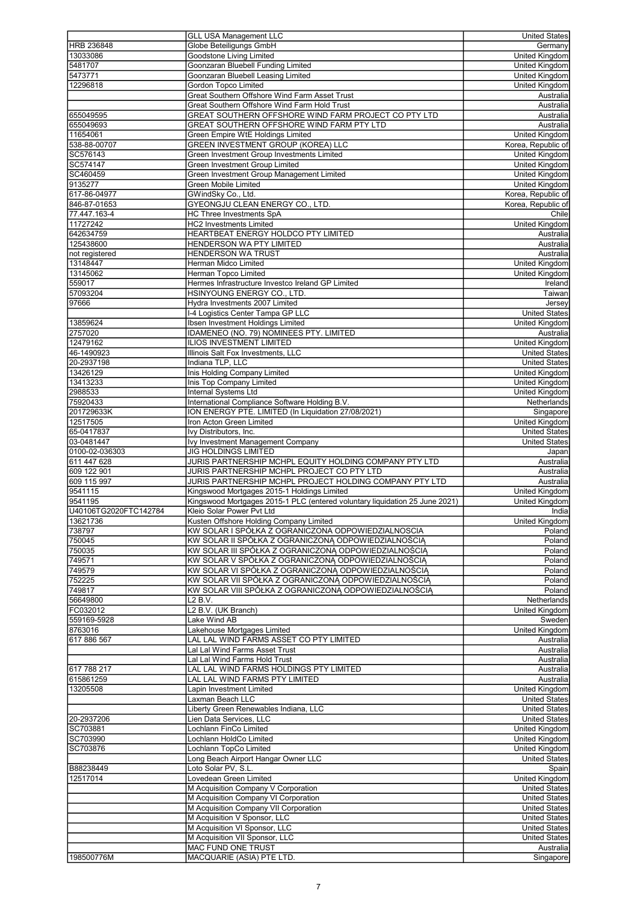|                       | <b>GLL USA Management LLC</b>                                                                        | <b>United States</b>   |
|-----------------------|------------------------------------------------------------------------------------------------------|------------------------|
| <b>HRB 236848</b>     | Globe Beteiligungs GmbH                                                                              | Germany                |
| 13033086              | Goodstone Living Limited                                                                             | United Kingdom         |
| 5481707               | Goonzaran Bluebell Funding Limited                                                                   | <b>United Kingdom</b>  |
|                       |                                                                                                      |                        |
| 5473771               | Goonzaran Bluebell Leasing Limited                                                                   | <b>United Kingdom</b>  |
| 12296818              | <b>Gordon Topco Limited</b>                                                                          | United Kingdom         |
|                       | Great Southern Offshore Wind Farm Asset Trust                                                        | Australia              |
|                       | Great Southern Offshore Wind Farm Hold Trust                                                         | Australia              |
| 655049595             | GREAT SOUTHERN OFFSHORE WIND FARM PROJECT CO PTY LTD                                                 | Australia              |
| 655049693             | GREAT SOUTHERN OFFSHORE WIND FARM PTY LTD                                                            | Australia              |
| 11654061              | Green Empire WtE Holdings Limited                                                                    | United Kingdom         |
| 538-88-00707          | GREEN INVESTMENT GROUP (KOREA) LLC                                                                   | Korea, Republic of     |
| SC576143              | Green Investment Group Investments Limited                                                           | <b>United Kingdom</b>  |
| SC574147              | Green Investment Group Limited                                                                       | <b>United Kingdom</b>  |
|                       |                                                                                                      |                        |
| SC460459              | Green Investment Group Management Limited                                                            | <b>United Kingdom</b>  |
| 9135277               | <b>Green Mobile Limited</b>                                                                          | <b>United Kingdom</b>  |
| 617-86-04977          | GWindSky Co., Ltd.                                                                                   | Korea, Republic of     |
| 846-87-01653          | <b>GYEONGJU CLEAN ENERGY CO., LTD.</b>                                                               | Korea, Republic of     |
| 77.447.163-4          | <b>HC Three Investments SpA</b>                                                                      | Chile                  |
| 11727242              | <b>HC2 Investments Limited</b>                                                                       | <b>United Kingdom</b>  |
| 642634759             | HEARTBEAT ENERGY HOLDCO PTY LIMITED                                                                  | Australia              |
| 125438600             | HENDERSON WA PTY LIMITED                                                                             | Australia              |
| not registered        | HENDERSON WA TRUST                                                                                   | Australia              |
|                       | Herman Midco Limited                                                                                 |                        |
| 13148447              |                                                                                                      | <b>United Kingdom</b>  |
| 13145062              | Herman Topco Limited                                                                                 | United Kingdom         |
| 559017                | Hermes Infrastructure Investco Ireland GP Limited                                                    | Ireland                |
| 57093204              | HSINYOUNG ENERGY CO., LTD.                                                                           | Taiwan                 |
| 97666                 | Hydra Investments 2007 Limited                                                                       | Jersey                 |
|                       | I-4 Logistics Center Tampa GP LLC                                                                    | <b>United States</b>   |
| 13859624              | Ibsen Investment Holdings Limited                                                                    | <b>United Kingdom</b>  |
| 2757020               | IDAMENEO (NO. 79) NOMINEES PTY. LIMITED                                                              | Australia              |
| 12479162              | <b>ILIOS INVESTMENT LIMITED</b>                                                                      | <b>United Kingdom</b>  |
| 46-1490923            | Illinois Salt Fox Investments, LLC                                                                   | <b>United States</b>   |
|                       |                                                                                                      |                        |
| 20-2937198            | Indiana TLP, LLC                                                                                     | <b>United States</b>   |
| 13426129              | Inis Holding Company Limited                                                                         | <b>United Kingdom</b>  |
| 13413233              | Inis Top Company Limited                                                                             | United Kingdom         |
| 2988533               | Internal Systems Ltd                                                                                 | <b>United Kingdom</b>  |
| 75920433              | International Compliance Software Holding B.V.                                                       | Netherlands            |
| 201729633K            | ION ENERGY PTE. LIMITED (In Liquidation 27/08/2021)                                                  | Singapore              |
| 12517505              | Iron Acton Green Limited                                                                             | <b>United Kingdom</b>  |
| 65-0417837            | Ivy Distributors, Inc.                                                                               | <b>United States</b>   |
| 03-0481447            | Ivy Investment Management Company                                                                    | <b>United States</b>   |
| 0100-02-036303        | <b>JIG HOLDINGS LIMITED</b>                                                                          |                        |
|                       |                                                                                                      | Japan                  |
| 611 447 628           | JURIS PARTNERSHIP MCHPL EQUITY HOLDING COMPANY PTY LTD<br>JURIS PARTNERSHIP MCHPL PROJECT CO PTY LTD | Australia              |
|                       |                                                                                                      | Australia              |
| 609 122 901           |                                                                                                      |                        |
| 609 115 997           | JURIS PARTNERSHIP MCHPL PROJECT HOLDING COMPANY PTY LTD                                              | Australia              |
| 9541115               | Kingswood Mortgages 2015-1 Holdings Limited                                                          | <b>United Kingdom</b>  |
| 9541195               | Kingswood Mortgages 2015-1 PLC (entered voluntary liquidation 25 June 2021)                          | <b>United Kingdom</b>  |
| U40106TG2020FTC142784 | Kleio Solar Power Pvt Ltd                                                                            | India                  |
|                       | Kusten Offshore Holding Company Limited                                                              | United Kingdom         |
| 13621736              |                                                                                                      |                        |
| 738797                | KW SOLAR I SPÓŁKA Z OGRANICZONA ODPOWIEDZIALNOSCIA                                                   | Poland                 |
| 750045                | KW SOLAR II SPÓŁKA Z OGRANICZONA ODPOWIEDZIALNOŚCIA                                                  | Poland                 |
| 750035                | KW SOLAR III SPÓŁKA Z OGRANICZONĄ ODPOWIEDZIALNOŚCIĄ                                                 | Poland                 |
| 749571                | KW SOLAR V SPÓŁKA Z OGRANICZONĄ ODPOWIEDZIALNOŚCIĄ                                                   | Poland                 |
| 749579                | KW SOLAR VI SPÓŁKA Z OGRANICZONA ODPOWIEDZIALNOŚCIA                                                  | Poland                 |
| 752225                | KW SOLAR VII SPÓŁKA Z OGRANICZONA ODPOWIEDZIALNOŚCIA                                                 | Poland                 |
| 749817                | KW SOLAR VIII SPÓŁKA Z OGRANICZONA ODPOWIEDZIALNOŚCIA                                                | Poland                 |
| 56649800              | L2 B.V.                                                                                              | Netherlands            |
| FC032012              | L2 B.V. (UK Branch)                                                                                  | United Kingdom         |
|                       | Lake Wind AB                                                                                         |                        |
| 559169-5928           |                                                                                                      | Sweden                 |
| 8763016               | Lakehouse Mortgages Limited                                                                          | <b>United Kingdom</b>  |
| 617 886 567           | LAL LAL WIND FARMS ASSET CO PTY LIMITED                                                              | Australia              |
|                       | Lal Lal Wind Farms Asset Trust                                                                       | Australia              |
|                       | Lal Lal Wind Farms Hold Trust                                                                        | Australia              |
| 617 788 217           | LAL LAL WIND FARMS HOLDINGS PTY LIMITED                                                              | Australia              |
| 615861259             | LAL LAL WIND FARMS PTY LIMITED                                                                       | Australia              |
| 13205508              | Lapin Investment Limited                                                                             | <b>United Kingdom</b>  |
|                       | Laxman Beach LLC                                                                                     | <b>United States</b>   |
|                       | Liberty Green Renewables Indiana, LLC                                                                | <b>United States</b>   |
|                       | Lien Data Services, LLC                                                                              | <b>United States</b>   |
| 20-2937206            |                                                                                                      |                        |
| SC703881              | Lochlann FinCo Limited                                                                               | United Kingdom         |
| SC703990              | Lochlann HoldCo Limited                                                                              | United Kingdom         |
| SC703876              | Lochlann TopCo Limited                                                                               | <b>United Kingdom</b>  |
|                       | Long Beach Airport Hangar Owner LLC                                                                  | <b>United States</b>   |
| B88238449             | Loto Solar PV, S.L.                                                                                  | Spain                  |
| 12517014              | Lovedean Green Limited                                                                               | <b>United Kingdom</b>  |
|                       | M Acquisition Company V Corporation                                                                  | <b>United States</b>   |
|                       | M Acquisition Company VI Corporation                                                                 | <b>United States</b>   |
|                       |                                                                                                      | <b>United States</b>   |
|                       | M Acquisition Company VII Corporation                                                                |                        |
|                       | M Acquisition V Sponsor, LLC                                                                         | <b>United States</b>   |
|                       | M Acquisition VI Sponsor, LLC                                                                        | <b>United States</b>   |
|                       | M Acquisition VII Sponsor, LLC                                                                       | <b>United States</b>   |
| 198500776M            | MAC FUND ONE TRUST<br>MACQUARIE (ASIA) PTE LTD.                                                      | Australia<br>Singapore |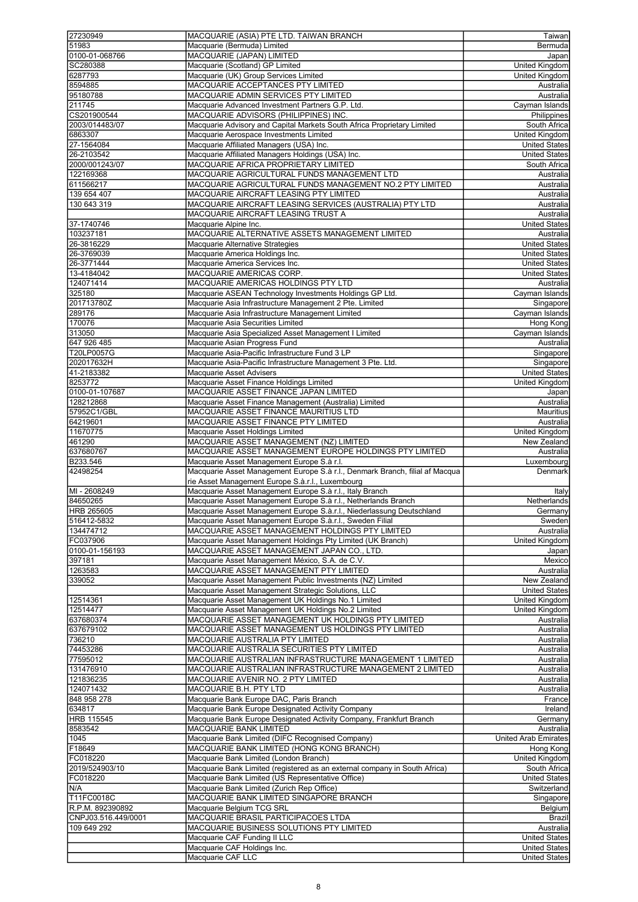| 27230949            | MACQUARIE (ASIA) PTE LTD. TAIWAN BRANCH                                      | Taiwan                                |
|---------------------|------------------------------------------------------------------------------|---------------------------------------|
| 51983               | Macquarie (Bermuda) Limited                                                  |                                       |
|                     |                                                                              | Bermuda                               |
| 0100-01-068766      | MACQUARIE (JAPAN) LIMITED                                                    | Japan                                 |
| SC280388            | Macquarie (Scotland) GP Limited                                              | United Kingdom                        |
| 6287793             | Macquarie (UK) Group Services Limited                                        | United Kingdom                        |
| 8594885             | MACQUARIE ACCEPTANCES PTY LIMITED                                            | Australia                             |
| 95180788            | MACQUARIE ADMIN SERVICES PTY LIMITED                                         | Australia                             |
|                     |                                                                              |                                       |
| 211745              | Macquarie Advanced Investment Partners G.P. Ltd.                             | Cayman Islands                        |
| CS201900544         | MACQUARIE ADVISORS (PHILIPPINES) INC.                                        | Philippines                           |
| 2003/014483/07      | Macquarie Advisory and Capital Markets South Africa Proprietary Limited      | South Africa                          |
| 6863307             | Macquarie Aerospace Investments Limited                                      | United Kingdom                        |
| 27-1564084          | Macquarie Affiliated Managers (USA) Inc.                                     | <b>United States</b>                  |
| 26-2103542          |                                                                              | <b>United States</b>                  |
|                     | Macquarie Affiliated Managers Holdings (USA) Inc.                            |                                       |
| 2000/001243/07      | MACQUARIE AFRICA PROPRIETARY LIMITED                                         | South Africa                          |
| 122169368           | MACQUARIE AGRICULTURAL FUNDS MANAGEMENT LTD                                  | Australia                             |
| 611566217           | MACQUARIE AGRICULTURAL FUNDS MANAGEMENT NO.2 PTY LIMITED                     | Australia                             |
| 139 654 407         | MACQUARIE AIRCRAFT LEASING PTY LIMITED                                       | Australia                             |
| 130 643 319         | MACQUARIE AIRCRAFT LEASING SERVICES (AUSTRALIA) PTY LTD                      | Australia                             |
|                     |                                                                              |                                       |
|                     | MACQUARIE AIRCRAFT LEASING TRUST A                                           | Australia                             |
| 37-1740746          | Macquarie Alpine Inc.                                                        | <b>United States</b>                  |
| 103237181           | MACQUARIE ALTERNATIVE ASSETS MANAGEMENT LIMITED                              | Australia                             |
| 26-3816229          | Macquarie Alternative Strategies                                             | <b>United States</b>                  |
| 26-3769039          | Macquarie America Holdings Inc.                                              | <b>United States</b>                  |
|                     | Macquarie America Services Inc.                                              | <b>United States</b>                  |
| 26-3771444          |                                                                              |                                       |
| 13-4184042          | MACQUARIE AMERICAS CORP.                                                     | <b>United States</b>                  |
| 124071414           | MACQUARIE AMERICAS HOLDINGS PTY LTD                                          | Australia                             |
| 325180              | Macquarie ASEAN Technology Investments Holdings GP Ltd.                      | Cayman Islands                        |
| 201713780Z          | Macquarie Asia Infrastructure Management 2 Pte. Limited                      | Singapore                             |
| 289176              | Macquarie Asia Infrastructure Management Limited                             | Cayman Islands                        |
|                     |                                                                              |                                       |
| 170076              | Macquarie Asia Securities Limited                                            | Hong Kong                             |
| 313050              | Macquarie Asia Specialized Asset Management I Limited                        | Cayman Islands                        |
| 647 926 485         | Macquarie Asian Progress Fund                                                | Australia                             |
| T20LP0057G          | Macquarie Asia-Pacific Infrastructure Fund 3 LP                              | Singapore                             |
| 202017632H          | Macquarie Asia-Pacific Infrastructure Management 3 Pte. Ltd.                 | Singapore                             |
|                     |                                                                              |                                       |
| 41-2183382          | Macquarie Asset Advisers                                                     | <b>United States</b>                  |
| 8253772             | Macquarie Asset Finance Holdings Limited                                     | United Kingdom                        |
| 0100-01-107687      | MACQUARIE ASSET FINANCE JAPAN LIMITED                                        | Japan                                 |
| 128212868           | Macquarie Asset Finance Management (Australia) Limited                       | Australia                             |
| 57952C1/GBL         | MACQUARIE ASSET FINANCE MAURITIUS LTD                                        | Mauritius                             |
|                     |                                                                              |                                       |
| 64219601            | MACQUARIE ASSET FINANCE PTY LIMITED                                          | Australia                             |
| 11670775            | Macquarie Asset Holdings Limited                                             | United Kingdom                        |
| 461290              | MACQUARIE ASSET MANAGEMENT (NZ) LIMITED                                      | New Zealand                           |
| 637680767           | MACQUARIE ASSET MANAGEMENT EUROPE HOLDINGS PTY LIMITED                       | Australia                             |
| B233.546            | Macquarie Asset Management Europe S.à r.l.                                   | Luxembourg                            |
|                     |                                                                              |                                       |
| 42498254            | Macquarie Asset Management Europe S.à r.l., Denmark Branch, filial af Macqua | Denmark                               |
|                     | rie Asset Management Europe S.à.r.l., Luxembourg                             |                                       |
| MI - 2608249        | Macquarie Asset Management Europe S.à r.l., Italy Branch                     |                                       |
|                     | Macquarie Asset Management Europe S.à r.l., Netherlands Branch               | Italy                                 |
|                     |                                                                              |                                       |
| 84650265            |                                                                              | Netherlands                           |
| HRB 265605          | Macquarie Asset Management Europe S.a.r.l., Niederlassung Deutschland        | Germany                               |
| 516412-5832         | Macquarie Asset Management Europe S.à.r.l., Sweden Filial                    | Sweden                                |
| 134474712           | MACQUARIE ASSET MANAGEMENT HOLDINGS PTY LIMITED                              | Australia                             |
| FC037906            | Macquarie Asset Management Holdings Pty Limited (UK Branch)                  | United Kingdom                        |
|                     |                                                                              |                                       |
| 0100-01-156193      | MACQUARIE ASSET MANAGEMENT JAPAN CO., LTD.                                   | Japan                                 |
| 397181              | Macquarie Asset Management México, S.A. de C.V.                              | Mexico                                |
| 1263583             | MACQUARIE ASSET MANAGEMENT PTY LIMITED                                       | Australia                             |
| 339052              | Macquarie Asset Management Public Investments (NZ) Limited                   | New Zealand                           |
|                     | Macquarie Asset Management Strategic Solutions, LLC                          | <b>United States</b>                  |
| 12514361            | Macquarie Asset Management UK Holdings No.1 Limited                          | United Kingdom                        |
|                     |                                                                              |                                       |
| 12514477            | Macquarie Asset Management UK Holdings No.2 Limited                          | United Kingdom                        |
| 637680374           | MACQUARIE ASSET MANAGEMENT UK HOLDINGS PTY LIMITED                           | Australia                             |
| 637679102           | MACQUARIE ASSET MANAGEMENT US HOLDINGS PTY LIMITED                           | Australia                             |
| 736210              | MACQUARIE AUSTRALIA PTY LIMITED                                              | Australia                             |
| 74453286            | MACQUARIE AUSTRALIA SECURITIES PTY LIMITED                                   | Australia                             |
| 77595012            | MACQUARIE AUSTRALIAN INFRASTRUCTURE MANAGEMENT 1 LIMITED                     | Australia                             |
|                     |                                                                              |                                       |
| 131476910           | MACQUARIE AUSTRALIAN INFRASTRUCTURE MANAGEMENT 2 LIMITED                     | Australia                             |
| 121836235           | MACQUARIE AVENIR NO. 2 PTY LIMITED                                           | Australia                             |
| 124071432           | MACQUARIE B.H. PTY LTD                                                       | Australia                             |
| 848 958 278         | Macquarie Bank Europe DAC, Paris Branch                                      | France                                |
| 634817              | Macquarie Bank Europe Designated Activity Company                            | Ireland                               |
|                     |                                                                              |                                       |
| <b>HRB 115545</b>   | Macquarie Bank Europe Designated Activity Company, Frankfurt Branch          | Germany                               |
| 8583542             | MACQUARIE BANK LIMITED                                                       | Australia                             |
| 1045                | Macquarie Bank Limited (DIFC Recognised Company)                             | <b>United Arab Emirates</b>           |
| F18649              | MACQUARIE BANK LIMITED (HONG KONG BRANCH)                                    | Hong Kong                             |
| FC018220            | Macquarie Bank Limited (London Branch)                                       | <b>United Kingdom</b>                 |
| 2019/524903/10      | Macquarie Bank Limited (registered as an external company in South Africa)   | South Africa                          |
|                     |                                                                              |                                       |
| FC018220            | Macquarie Bank Limited (US Representative Office)                            | <b>United States</b>                  |
| N/A                 | Macquarie Bank Limited (Zurich Rep Office)                                   | Switzerland                           |
| T11FC0018C          | MACQUARIE BANK LIMITED SINGAPORE BRANCH                                      | Singapore                             |
| R.P.M. 892390892    | Macquarie Belgium TCG SRL                                                    | <b>Belgium</b>                        |
|                     |                                                                              |                                       |
| CNPJ03.516.449/0001 | MACQUARIE BRASIL PARTICIPACOES LTDA                                          | <b>Brazil</b>                         |
| 109 649 292         | MACQUARIE BUSINESS SOLUTIONS PTY LIMITED                                     | Australia                             |
|                     | Macquarie CAF Funding II LLC                                                 | <b>United States</b>                  |
|                     | Macquarie CAF Holdings Inc.<br>Macquarie CAF LLC                             | <b>United States</b><br>United States |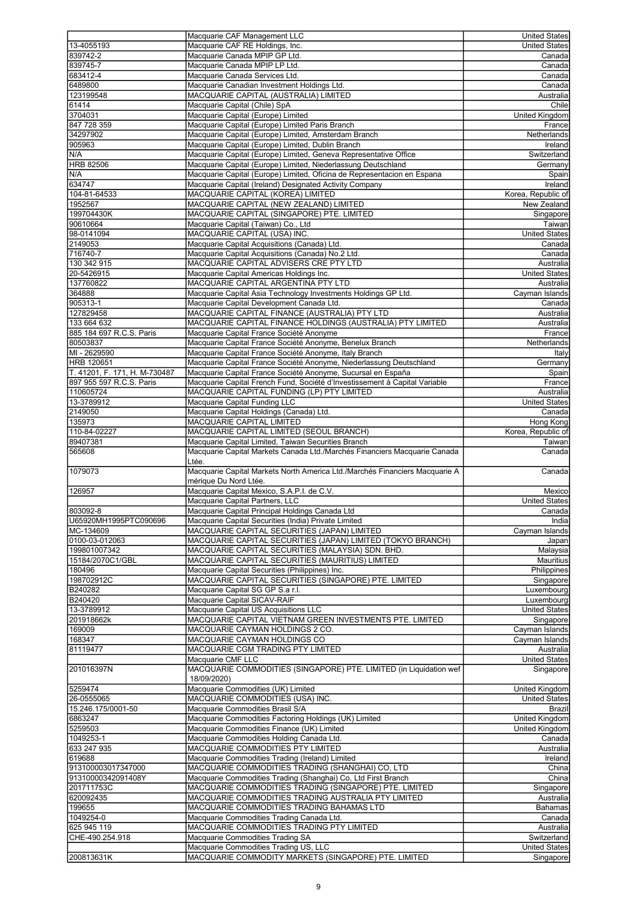| 13-4055193                    |                                                                             | <b>United States</b>  |
|-------------------------------|-----------------------------------------------------------------------------|-----------------------|
|                               | Macquarie CAF Management LLC                                                |                       |
|                               | Macquarie CAF RE Holdings, Inc.                                             | <b>United States</b>  |
| 839742-2                      | Macquarie Canada MPIP GP Ltd.                                               | Canada                |
| 839745-7                      | Macquarie Canada MPIP LP Ltd.                                               | Canada                |
|                               |                                                                             |                       |
| 683412-4                      | Macquarie Canada Services Ltd.                                              | Canada                |
| 6489800                       | Macquarie Canadian Investment Holdings Ltd.                                 | Canada                |
| 123199548                     | MACQUARIE CAPITAL (AUSTRALIA) LIMITED                                       | Australia             |
|                               |                                                                             |                       |
| 61414                         | Macquarie Capital (Chile) SpA                                               | Chile                 |
| 3704031                       | Macquarie Capital (Europe) Limited                                          | United Kingdom        |
| 847 728 359                   |                                                                             |                       |
|                               | Macquarie Capital (Europe) Limited Paris Branch                             | France                |
| 34297902                      | Macquarie Capital (Europe) Limited, Amsterdam Branch                        | Netherlands           |
| 905963                        | Macquarie Capital (Europe) Limited, Dublin Branch                           | Ireland               |
|                               |                                                                             | Switzerland           |
| N/A                           | Macquarie Capital (Europe) Limited, Geneva Representative Office            |                       |
| HRB 82506                     | Macquarie Capital (Europe) Limited, Niederlassung Deutschland               | Germany               |
| N/A                           | Macquarie Capital (Europe) Limited, Oficina de Representacion en Espana     | Spain                 |
|                               |                                                                             |                       |
| 634747                        | Macquarie Capital (Ireland) Designated Activity Company                     | Ireland               |
| 104-81-64533                  | MACQUARIE CAPITAL (KOREA) LIMITED                                           | Korea, Republic of    |
|                               |                                                                             |                       |
| 1952567                       | MACQUARIE CAPITAL (NEW ZEALAND) LIMITED                                     | <b>New Zealand</b>    |
| 199704430K                    | MACQUARIE CAPITAL (SINGAPORE) PTE. LIMITED                                  | Singapore             |
| 90610664                      | Macquarie Capital (Taiwan) Co., Ltd                                         | Taiwan                |
|                               |                                                                             |                       |
| 98-0141094                    | MACQUARIE CAPITAL (USA) INC.                                                | <b>United States</b>  |
| 2149053                       | Macquarie Capital Acquisitions (Canada) Ltd.                                | Canada                |
|                               |                                                                             |                       |
| 716740-7                      | Macquarie Capital Acquisitions (Canada) No.2 Ltd.                           | Canada                |
| 130 342 915                   | MACQUARIE CAPITAL ADVISERS CRE PTY LTD                                      | Australia             |
| 20-5426915                    | Macquarie Capital Americas Holdings Inc.                                    | <b>United States</b>  |
|                               |                                                                             |                       |
| 137760822                     | MACQUARIE CAPITAL ARGENTINA PTY LTD                                         | Australia             |
| 364888                        | Macquarie Capital Asia Technology Investments Holdings GP Ltd.              | Cayman Islands        |
|                               |                                                                             |                       |
| 905313-1                      | Macquarie Capital Development Canada Ltd.                                   | Canada                |
| 127829458                     | MACQUARIE CAPITAL FINANCE (AUSTRALIA) PTY LTD                               | Australia             |
|                               | MACQUARIE CAPITAL FINANCE HOLDINGS (AUSTRALIA) PTY LIMITED                  | Australia             |
| 133 664 632                   |                                                                             |                       |
| 885 184 697 R.C.S. Paris      | Macquarie Capital France Société Anonyme                                    | France                |
| 80503837                      | Macquarie Capital France Société Anonyme, Benelux Branch                    | Netherlands           |
|                               |                                                                             |                       |
| MI - 2629590                  | Macquarie Capital France Société Anonyme, Italy Branch                      | Italy                 |
| <b>HRB 120651</b>             | Macquarie Capital France Société Anonyme, Niederlassung Deutschland         | Germany               |
|                               |                                                                             |                       |
| T. 41201, F. 171, H. M-730487 | Macquarie Capital France Société Anonyme, Sucursal en España                | Spain                 |
| 897 955 597 R.C.S. Paris      | Macquarie Capital French Fund, Société d'Investissement à Capital Variable  | France                |
| 110605724                     | MACQUARIE CAPITAL FUNDING (LP) PTY LIMITED                                  | Australia             |
|                               |                                                                             |                       |
| 13-3789912                    | Macquarie Capital Funding LLC                                               | <b>United States</b>  |
| 2149050                       | Macquarie Capital Holdings (Canada) Ltd.                                    | Canada                |
|                               |                                                                             |                       |
| 135973                        | MACQUARIE CAPITAL LIMITED                                                   | Hong Kong             |
| 110-84-02227                  | MACQUARIE CAPITAL LIMITED (SEOUL BRANCH)                                    | Korea, Republic of    |
|                               |                                                                             |                       |
| 89407381                      | Macquarie Capital Limited, Taiwan Securities Branch                         | Taiwan                |
| 565608                        | Macquarie Capital Markets Canada Ltd./Marchés Financiers Macquarie Canada   | Canada                |
|                               | Ltée.                                                                       |                       |
|                               |                                                                             |                       |
| 1079073                       | Macquarie Capital Markets North America Ltd./Marchés Financiers Macquarie A | Canada                |
|                               | mérique Du Nord Ltée.                                                       |                       |
|                               |                                                                             |                       |
| 126957                        | Macquarie Capital Mexico, S.A.P.I. de C.V.                                  | Mexico                |
|                               | Macquarie Capital Partners, LLC                                             | United States         |
| 803092-8                      | Macquarie Capital Principal Holdings Canada Ltd                             |                       |
|                               |                                                                             |                       |
|                               |                                                                             | Canada                |
| U65920MH1995PTC090696         | Macquarie Capital Securities (India) Private Limited                        | India                 |
|                               |                                                                             |                       |
| MC-134609                     | MACQUARIE CAPITAL SECURITIES (JAPAN) LIMITED                                | Cayman Islands        |
| 0100-03-012063                | MACQUARIE CAPITAL SECURITIES (JAPAN) LIMITED (TOKYO BRANCH)                 | Japan                 |
| 199801007342                  | MACQUARIE CAPITAL SECURITIES (MALAYSIA) SDN. BHD.                           | Malaysia              |
|                               |                                                                             |                       |
| 15184/2070C1/GBL              | MACQUARIE CAPITAL SECURITIES (MAURITIUS) LIMITED                            | Mauritius             |
| 180496                        | Macquarie Capital Securities (Philippines) Inc.                             | Philippines           |
|                               |                                                                             | Singapore             |
| 198702912C                    | MACQUARIE CAPITAL SECURITIES (SINGAPORE) PTE. LIMITED                       |                       |
| B240282                       | Macquarie Capital SG GP S.a r.l.                                            | Luxembourg            |
| B240420                       | Macquarie Capital SICAV-RAIF                                                | Luxembourg            |
|                               |                                                                             |                       |
| 13-3789912                    | Macquarie Capital US Acquisitions LLC                                       | <b>United States</b>  |
| 201918662k                    | MACQUARIE CAPITAL VIETNAM GREEN INVESTMENTS PTE. LIMITED                    | Singapore             |
| 169009                        | MACQUARIE CAYMAN HOLDINGS 2 CO.                                             | Cayman Islands        |
|                               |                                                                             |                       |
| 168347                        | MACQUARIE CAYMAN HOLDINGS CO                                                | Cayman Islands        |
| 81119477                      | MACQUARIE CGM TRADING PTY LIMITED                                           | Australia             |
|                               |                                                                             |                       |
|                               | Macquarie CMF LLC                                                           | <b>United States</b>  |
| 201016397N                    | MACQUARIE COMMODITIES (SINGAPORE) PTE. LIMITED (in Liquidation wef          | Singapore             |
|                               | 18/09/2020)                                                                 |                       |
|                               |                                                                             |                       |
| 5259474                       | Macquarie Commodities (UK) Limited                                          | <b>United Kingdom</b> |
| 26-0555065                    | MACQUARIE COMMODITIES (USA) INC.                                            | <b>United States</b>  |
| 15.246.175/0001-50            | Macquarie Commodities Brasil S/A                                            | Brazil                |
|                               |                                                                             |                       |
| 6863247                       | Macquarie Commodities Factoring Holdings (UK) Limited                       | <b>United Kingdom</b> |
| 5259503                       | Macquarie Commodities Finance (UK) Limited                                  | United Kingdom        |
|                               |                                                                             |                       |
| 1049253-1                     | Macquarie Commodities Holding Canada Ltd.                                   | Canada                |
| 633 247 935                   | MACQUARIE COMMODITIES PTY LIMITED                                           | Australia             |
|                               |                                                                             |                       |
| 619688                        | Macquarie Commodities Trading (Ireland) Limited                             | Ireland               |
| 913100003017347000            | MACQUARIE COMMODITIES TRADING (SHANGHAI) CO, LTD                            | China                 |
|                               |                                                                             | China                 |
| 91310000342091408Y            | Macquarie Commodities Trading (Shanghai) Co, Ltd First Branch               |                       |
| 201711753C                    | MACQUARIE COMMODITIES TRADING (SINGAPORE) PTE. LIMITED                      | Singapore             |
| 620092435                     | MACQUARIE COMMODITIES TRADING AUSTRALIA PTY LIMITED                         | Australia             |
|                               |                                                                             |                       |
| 199655                        | MACQUARIE COMMODITIES TRADING BAHAMAS LTD                                   | Bahamas               |
| 1049254-0                     | Macquarie Commodities Trading Canada Ltd.                                   | $\overline{Canada}$   |
| 625 945 119                   | MACQUARIE COMMODITIES TRADING PTY LIMITED                                   | Australia             |
|                               |                                                                             |                       |
| CHE-490.254.918               | Macquarie Commodities Trading SA                                            | Switzerland           |
|                               | Macquarie Commodities Trading US, LLC                                       | United States         |
| 200813631K                    | MACQUARIE COMMODITY MARKETS (SINGAPORE) PTE. LIMITED                        | Singapore             |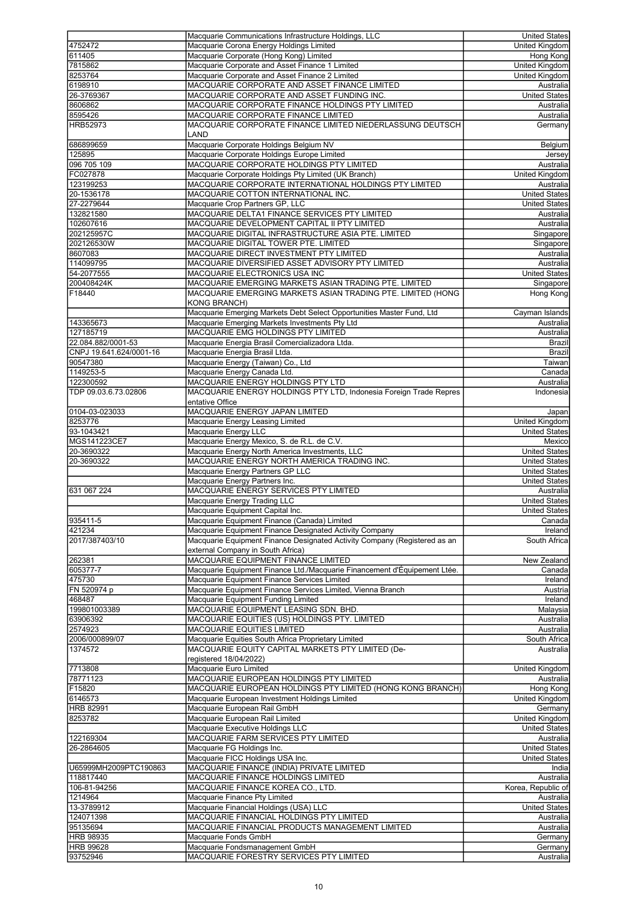|                              | Macquarie Communications Infrastructure Holdings, LLC                     | <b>United States</b>  |
|------------------------------|---------------------------------------------------------------------------|-----------------------|
|                              |                                                                           |                       |
| 4752472                      | Macquarie Corona Energy Holdings Limited                                  | United Kingdom        |
| 611405                       | Macquarie Corporate (Hong Kong) Limited                                   | Hong Kong             |
| 7815862                      | Macquarie Corporate and Asset Finance 1 Limited                           | <b>United Kingdom</b> |
|                              |                                                                           |                       |
| 8253764                      | Macquarie Corporate and Asset Finance 2 Limited                           | United Kingdom        |
| 6198910                      | MACQUARIE CORPORATE AND ASSET FINANCE LIMITED                             | Australia             |
| 26-3769367                   | MACQUARIE CORPORATE AND ASSET FUNDING INC.                                | <b>United States</b>  |
|                              | MACQUARIE CORPORATE FINANCE HOLDINGS PTY LIMITED                          |                       |
| 8606862                      |                                                                           | Australia             |
| 8595426                      | MACQUARIE CORPORATE FINANCE LIMITED                                       | Australia             |
| HRB52973                     | MACQUARIE CORPORATE FINANCE LIMITED NIEDERLASSUNG DEUTSCH                 | Germany               |
|                              |                                                                           |                       |
|                              | LAND                                                                      |                       |
| 686899659                    | Macquarie Corporate Holdings Belgium NV                                   | Belgium               |
| 125895                       | Macquarie Corporate Holdings Europe Limited                               | Jersey                |
|                              |                                                                           |                       |
| 096 705 109                  | MACQUARIE CORPORATE HOLDINGS PTY LIMITED                                  | Australia             |
| FC027878                     | Macquarie Corporate Holdings Pty Limited (UK Branch)                      | United Kingdom        |
| 123199253                    | MACQUARIE CORPORATE INTERNATIONAL HOLDINGS PTY LIMITED                    | Australia             |
|                              |                                                                           |                       |
| 20-1536178                   | MACQUARIE COTTON INTERNATIONAL INC.                                       | <b>United States</b>  |
| 27-2279644                   | Macquarie Crop Partners GP, LLC                                           | <b>United States</b>  |
| 132821580                    | MACQUARIE DELTA1 FINANCE SERVICES PTY LIMITED                             | Australia             |
|                              |                                                                           |                       |
| 102607616                    | MACQUARIE DEVELOPMENT CAPITAL II PTY LIMITED                              | Australia             |
| 202125957C                   | MACQUARIE DIGITAL INFRASTRUCTURE ASIA PTE. LIMITED                        | Singapore             |
|                              | MACQUARIE DIGITAL TOWER PTE. LIMITED                                      |                       |
| 202126530W                   |                                                                           | Singapore             |
| 8607083                      | MACQUARIE DIRECT INVESTMENT PTY LIMITED                                   | Australia             |
| 114099795                    | MACQUARIE DIVERSIFIED ASSET ADVISORY PTY LIMITED                          | Australia             |
|                              |                                                                           |                       |
| 54-2077555                   | MACQUARIE ELECTRONICS USA INC                                             | <b>United States</b>  |
| 200408424K                   | MACQUARIE EMERGING MARKETS ASIAN TRADING PTE. LIMITED                     | Singapore             |
| F18440                       | MACQUARIE EMERGING MARKETS ASIAN TRADING PTE. LIMITED (HONG               | Hong Kong             |
|                              |                                                                           |                       |
|                              | <b>KONG BRANCH)</b>                                                       |                       |
|                              | Macquarie Emerging Markets Debt Select Opportunities Master Fund, Ltd     | Cayman Islands        |
| 143365673                    | Macquarie Emerging Markets Investments Pty Ltd                            | Australia             |
|                              |                                                                           |                       |
| 127185719                    | MACQUARIE EMG HOLDINGS PTY LIMITED                                        | Australia             |
| 22.084.882/0001-53           | Macquarie Energia Brasil Comercializadora Ltda.                           | Brazil                |
|                              |                                                                           |                       |
| CNPJ 19.641.624/0001-16      | Macquarie Energia Brasil Ltda.                                            | <b>Brazil</b>         |
| 90547380                     | Macquarie Energy (Taiwan) Co., Ltd                                        | Taiwan                |
| 1149253-5                    | Macquarie Energy Canada Ltd.                                              | Canada                |
|                              |                                                                           |                       |
| 122300592                    | MACQUARIE ENERGY HOLDINGS PTY LTD                                         | Australia             |
| TDP 09.03.6.73.02806         | MACQUARIE ENERGY HOLDINGS PTY LTD, Indonesia Foreign Trade Repres         | Indonesia             |
|                              |                                                                           |                       |
|                              | entative Office                                                           |                       |
| 0104-03-023033               | MACQUARIE ENERGY JAPAN LIMITED                                            | Japan                 |
| 8253776                      | Macquarie Energy Leasing Limited                                          | United Kingdom        |
|                              |                                                                           |                       |
| 93-1043421                   | Macquarie Energy LLC                                                      | <b>United States</b>  |
| MGS141223CE7                 | Macquarie Energy Mexico, S. de R.L. de C.V.                               | Mexico                |
|                              |                                                                           |                       |
| 20-3690322                   | Macquarie Energy North America Investments, LLC                           | <b>United States</b>  |
| 20-3690322                   | MACQUARIE ENERGY NORTH AMERICA TRADING INC.                               | <b>United States</b>  |
|                              | Macquarie Energy Partners GP LLC                                          | <b>United States</b>  |
|                              |                                                                           |                       |
|                              | Macquarie Energy Partners Inc.                                            | <b>United States</b>  |
| 631 067 224                  | MACQUARIE ENERGY SERVICES PTY LIMITED                                     | Australia             |
|                              |                                                                           |                       |
|                              | Macquarie Energy Trading LLC                                              | <b>United States</b>  |
|                              | Macquarie Equipment Capital Inc.                                          | <b>United States</b>  |
| 935411-5                     | Macquarie Equipment Finance (Canada) Limited                              | Canada                |
|                              |                                                                           |                       |
| 421234                       | Macquarie Equipment Finance Designated Activity Company                   | Ireland               |
| 2017/387403/10               | Macquarie Equipment Finance Designated Activity Company (Registered as an | South Africa          |
|                              | external Company in South Africa)                                         |                       |
|                              |                                                                           |                       |
| 262381                       | MACQUARIE EQUIPMENT FINANCE LIMITED                                       | New Zealand           |
| 605377-7                     | Macquarie Equipment Finance Ltd./Macquarie Financement d'Équipement Ltée. | Canada                |
| 475730                       | Macquarie Equipment Finance Services Limited                              | <b>Ireland</b>        |
|                              |                                                                           |                       |
| FN 520974 p                  | Macquarie Equipment Finance Services Limited, Vienna Branch               | Austria               |
| 468487                       | Macquarie Equipment Funding Limited                                       | Ireland               |
| 199801003389                 | MACQUARIE EQUIPMENT LEASING SDN. BHD.                                     | Malaysia              |
|                              |                                                                           |                       |
| 63906392                     | MACQUARIE EQUITIES (US) HOLDINGS PTY. LIMITED                             | Australia             |
| 2574923                      | MACQUARIE EQUITIES LIMITED                                                | Australia             |
|                              |                                                                           |                       |
| 2006/000899/07               | Macquarie Equities South Africa Proprietary Limited                       | South Africa          |
| 1374572                      | MACQUARIE EQUITY CAPITAL MARKETS PTY LIMITED (De-                         | Australia             |
|                              | registered 18/04/2022)                                                    |                       |
| 7713808                      |                                                                           |                       |
|                              | Macquarie Euro Limited                                                    | <b>United Kingdom</b> |
| 78771123                     | MACQUARIE EUROPEAN HOLDINGS PTY LIMITED                                   | Australia             |
| F15820                       | MACQUARIE EUROPEAN HOLDINGS PTY LIMITED (HONG KONG BRANCH)                | Hong Kong             |
|                              |                                                                           |                       |
| 6146573                      | Macquarie European Investment Holdings Limited                            | United Kingdom        |
| <b>HRB 82991</b>             | Macquarie European Rail GmbH                                              | Germany               |
| 8253782                      | Macquarie European Rail Limited                                           | United Kingdom        |
|                              |                                                                           |                       |
|                              | Macquarie Executive Holdings LLC                                          | <b>United States</b>  |
| 122169304                    | MACQUARIE FARM SERVICES PTY LIMITED                                       | Australia             |
|                              |                                                                           |                       |
| 26-2864605                   | Macquarie FG Holdings Inc.                                                | <b>United States</b>  |
|                              |                                                                           | <b>United States</b>  |
|                              | Macquarie FICC Holdings USA Inc.                                          |                       |
|                              |                                                                           |                       |
| U65999MH2009PTC190863        | MACQUARIE FINANCE (INDIA) PRIVATE LIMITED                                 | India                 |
| 118817440                    | MACQUARIE FINANCE HOLDINGS LIMITED                                        | Australia             |
|                              |                                                                           |                       |
| 106-81-94256                 | MACQUARIE FINANCE KOREA CO., LTD.                                         | Korea, Republic of    |
| 1214964                      | Macquarie Finance Pty Limited                                             | Australia             |
| 13-3789912                   | Macquarie Financial Holdings (USA) LLC                                    | <b>United States</b>  |
|                              |                                                                           |                       |
| 124071398                    | MACQUARIE FINANCIAL HOLDINGS PTY LIMITED                                  | Australia             |
| 95135694                     | MACQUARIE FINANCIAL PRODUCTS MANAGEMENT LIMITED                           | Australia             |
|                              |                                                                           |                       |
| <b>HRB 98935</b>             | Macquarie Fonds GmbH                                                      | Germany               |
| <b>HRB 99628</b><br>93752946 | Macquarie Fondsmanagement GmbH<br>MACQUARIE FORESTRY SERVICES PTY LIMITED | Germany<br>Australia  |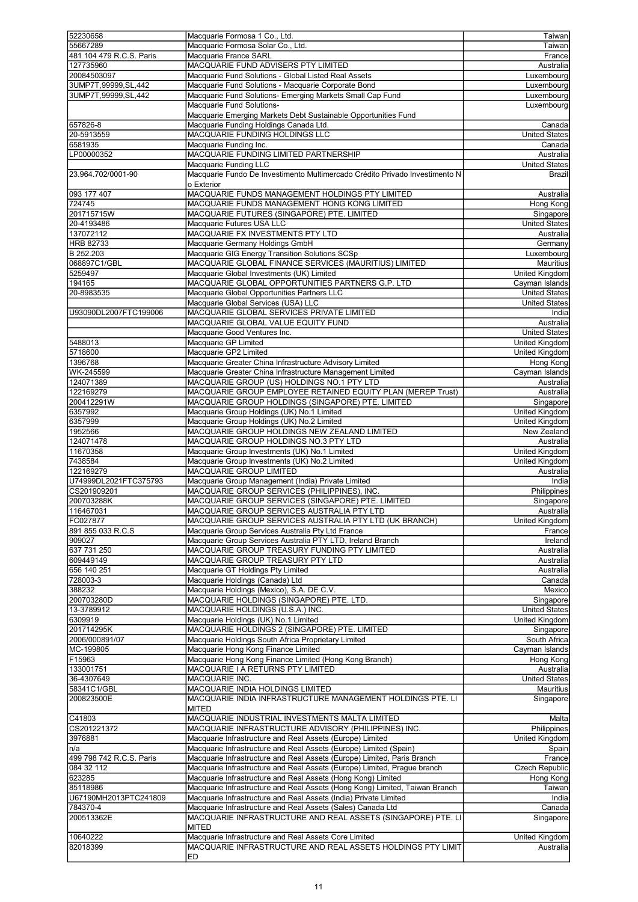| 52230658                 | Macquarie Formosa 1 Co., Ltd.                                                              | Taiwan                |
|--------------------------|--------------------------------------------------------------------------------------------|-----------------------|
| 55667289                 | Macquarie Formosa Solar Co., Ltd.                                                          | Taiwan                |
|                          |                                                                                            |                       |
| 481 104 479 R.C.S. Paris | Macquarie France SARL                                                                      | France                |
| 127735960                | MACQUARIE FUND ADVISERS PTY LIMITED                                                        | Australia             |
| 20084503097              | Macquarie Fund Solutions - Global Listed Real Assets                                       | Luxembourg            |
| 3UMP7T,99999,SL,442      | Macquarie Fund Solutions - Macquarie Corporate Bond                                        | Luxembourg            |
| 3UMP7T,99999,SL,442      | Macquarie Fund Solutions- Emerging Markets Small Cap Fund                                  | Luxembourg            |
|                          | Macquarie Fund Solutions-                                                                  | Luxembourg            |
|                          | Macquarie Emerging Markets Debt Sustainable Opportunities Fund                             |                       |
| 657826-8                 | Macquarie Funding Holdings Canada Ltd.                                                     | Canada                |
|                          |                                                                                            |                       |
| 20-5913559               | MACQUARIE FUNDING HOLDINGS LLC                                                             | <b>United States</b>  |
| 6581935                  | Macquarie Funding Inc.                                                                     | Canada                |
| LP00000352               | MACQUARIE FUNDING LIMITED PARTNERSHIP                                                      | Australia             |
|                          | Macquarie Funding LLC                                                                      | <b>United States</b>  |
| 23.964.702/0001-90       | Macquarie Fundo De Investimento Multimercado Crédito Privado Investimento N                | <b>Brazil</b>         |
|                          | o Exterior                                                                                 |                       |
| 093 177 407              | MACQUARIE FUNDS MANAGEMENT HOLDINGS PTY LIMITED                                            | Australia             |
| 724745                   | MACQUARIE FUNDS MANAGEMENT HONG KONG LIMITED                                               | Hong Kong             |
| 201715715W               | MACQUARIE FUTURES (SINGAPORE) PTE. LIMITED                                                 | Singapore             |
|                          |                                                                                            |                       |
| 20-4193486               | Macquarie Futures USA LLC                                                                  | <b>United States</b>  |
| 137072112                | MACQUARIE FX INVESTMENTS PTY LTD                                                           | Australia             |
| <b>HRB 82733</b>         | Macquarie Germany Holdings GmbH                                                            | Germany               |
| B 252.203                | Macquarie GIG Energy Transition Solutions SCSp                                             | Luxembourg            |
| 068897C1/GBL             | MACQUARIE GLOBAL FINANCE SERVICES (MAURITIUS) LIMITED                                      | <b>Mauritius</b>      |
| 5259497                  | Macquarie Global Investments (UK) Limited                                                  | <b>United Kingdom</b> |
| 194165                   | MACQUARIE GLOBAL OPPORTUNITIES PARTNERS G.P. LTD                                           | Cayman Islands        |
| 20-8983535               | Macquarie Global Opportunities Partners LLC                                                | <b>United States</b>  |
|                          | Macquarie Global Services (USA) LLC                                                        | <b>United States</b>  |
|                          |                                                                                            |                       |
| U93090DL2007FTC199006    | MACQUARIE GLOBAL SERVICES PRIVATE LIMITED                                                  | India                 |
|                          | MACQUARIE GLOBAL VALUE EQUITY FUND                                                         | Australia             |
|                          | Macquarie Good Ventures Inc.                                                               | <b>United States</b>  |
| 5488013                  | Macquarie GP Limited                                                                       | United Kingdom        |
| 5718600                  | Macquarie GP2 Limited                                                                      | United Kingdom        |
| 1396768                  | Macquarie Greater China Infrastructure Advisory Limited                                    | Hong Kong             |
| WK-245599                | Macquarie Greater China Infrastructure Management Limited                                  | Cayman Islands        |
| 124071389                | MACQUARIE GROUP (US) HOLDINGS NO.1 PTY LTD                                                 | Australia             |
| 122169279                | MACQUARIE GROUP EMPLOYEE RETAINED EQUITY PLAN (MEREP Trust)                                | Australia             |
| 200412291W               | MACQUARIE GROUP HOLDINGS (SINGAPORE) PTE. LIMITED                                          | Singapore             |
| 6357992                  | Macquarie Group Holdings (UK) No.1 Limited                                                 | <b>United Kingdom</b> |
| 6357999                  |                                                                                            | United Kingdom        |
|                          | Macquarie Group Holdings (UK) No.2 Limited<br>MACQUARIE GROUP HOLDINGS NEW ZEALAND LIMITED |                       |
| 1952566                  |                                                                                            | New Zealand           |
| 124071478                | MACQUARIE GROUP HOLDINGS NO.3 PTY LTD                                                      | Australia             |
| 11670358                 | Macquarie Group Investments (UK) No.1 Limited                                              | United Kingdom        |
| 7438584                  | Macquarie Group Investments (UK) No.2 Limited                                              | United Kingdom        |
| 122169279                | MACQUARIE GROUP LIMITED                                                                    | Australia             |
| U74999DL2021FTC375793    | Macquarie Group Management (India) Private Limited                                         | India                 |
| CS201909201              | MACQUARIE GROUP SERVICES (PHILIPPINES), INC.                                               | Philippines           |
| 200703288K               | MACQUARIE GROUP SERVICES (SINGAPORE) PTE. LIMITED                                          | Singapore             |
| 116467031                | MACQUARIE GROUP SERVICES AUSTRALIA PTY LTD                                                 | Australia             |
| FC027877                 | MACQUARIE GROUP SERVICES AUSTRALIA PTY LTD (UK BRANCH)                                     | United Kingdom        |
| 891 855 033 R.C.S        | Macquarie Group Services Australia Pty Ltd France                                          | France                |
| 909027                   | Macquarie Group Services Australia PTY LTD, Ireland Branch                                 | Ireland               |
| 637 731 250              | MACQUARIE GROUP TREASURY FUNDING PTY LIMITED                                               | Australia             |
| 609449149                | MACQUARIE GROUP TREASURY PTY LTD                                                           | Australia             |
| 656 140 251              | Macquarie GT Holdings Pty Limited                                                          | Australia             |
| 728003-3                 |                                                                                            | Canada                |
|                          | Macquarie Holdings (Canada) Ltd                                                            |                       |
| 388232                   | Macquarie Holdings (Mexico), S.A. DE C.V.                                                  | Mexico                |
| 200703280D               | MACQUARIE HOLDINGS (SINGAPORE) PTE. LTD.                                                   | Singapore             |
| 13-3789912               | MACQUARIE HOLDINGS (U.S.A.) INC.                                                           | <b>United States</b>  |
| 6309919                  | Macquarie Holdings (UK) No.1 Limited                                                       | United Kingdom        |
| 201714295K               | MACQUARIE HOLDINGS 2 (SINGAPORE) PTE. LIMITED                                              | Singapore             |
| 2006/000891/07           | Macquarie Holdings South Africa Proprietary Limited                                        | South Africa          |
| MC-199805                | Macquarie Hong Kong Finance Limited                                                        | Cayman Islands        |
| F15963                   | Macquarie Hong Kong Finance Limited (Hong Kong Branch)                                     | Hong Kong             |
| 133001751                | MACQUARIE I A RETURNS PTY LIMITED                                                          | Australia             |
| 36-4307649               | MACQUARIE INC.                                                                             | <b>United States</b>  |
| 58341C1/GBL              | MACQUARIE INDIA HOLDINGS LIMITED                                                           | Mauritius             |
| 200823500E               | MACQUARIE INDIA INFRASTRUCTURE MANAGEMENT HOLDINGS PTE. LI                                 | Singapore             |
|                          | <b>MITED</b>                                                                               |                       |
| C41803                   | MACQUARIE INDUSTRIAL INVESTMENTS MALTA LIMITED                                             | Malta                 |
| CS201221372              | MACQUARIE INFRASTRUCTURE ADVISORY (PHILIPPINES) INC.                                       | Philippines           |
| 3976881                  | Macquarie Infrastructure and Real Assets (Europe) Limited                                  | United Kingdom        |
|                          |                                                                                            |                       |
| n/a                      | Macquarie Infrastructure and Real Assets (Europe) Limited (Spain)                          | Spain                 |
| 499 798 742 R.C.S. Paris | Macquarie Infrastructure and Real Assets (Europe) Limited, Paris Branch                    | France                |
| 084 32 112               | Macquarie Infrastructure and Real Assets (Europe) Limited, Prague branch                   | Czech Republic        |
| 623285                   | Macquarie Infrastructure and Real Assets (Hong Kong) Limited                               | Hong Kong             |
| 85118986                 | Macquarie Infrastructure and Real Assets (Hong Kong) Limited, Taiwan Branch                | Taiwan                |
| U67190MH2013PTC241809    | Macquarie Infrastructure and Real Assets (India) Private Limited                           | India                 |
| 784370-4                 | Macquarie Infrastructure and Real Assets (Sales) Canada Ltd                                | Canada                |
| 200513362E               | MACQUARIE INFRASTRUCTURE AND REAL ASSETS (SINGAPORE) PTE. LI                               | Singapore             |
|                          | <b>MITED</b>                                                                               |                       |
| 10640222                 | Macquarie Infrastructure and Real Assets Core Limited                                      | United Kingdom        |
| 82018399                 | MACQUARIE INFRASTRUCTURE AND REAL ASSETS HOLDINGS PTY LIMIT                                | Australia             |
|                          | ED                                                                                         |                       |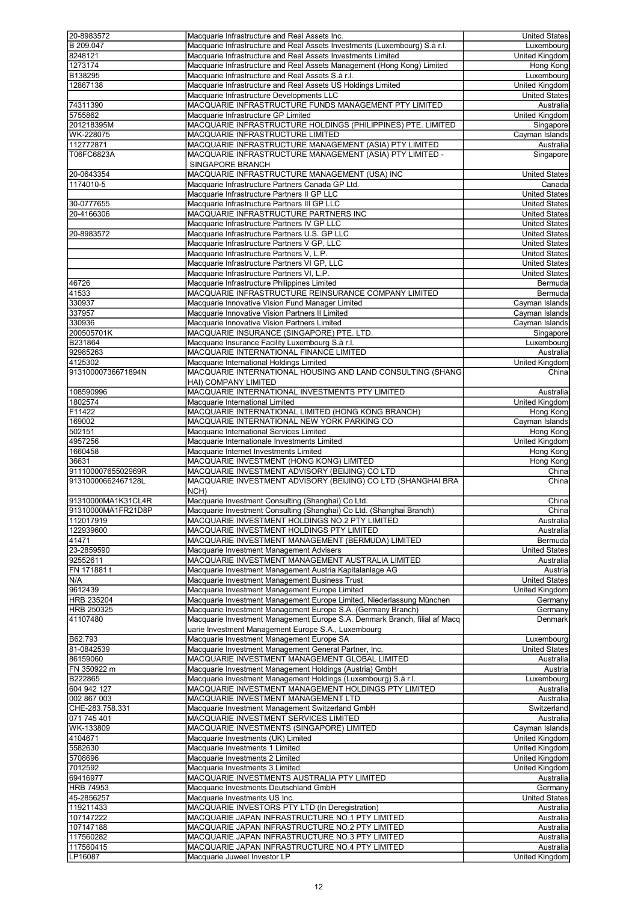| 20-8983572         | Macquarie Infrastructure and Real Assets Inc.                              | <b>United States</b>  |
|--------------------|----------------------------------------------------------------------------|-----------------------|
| B 209.047          | Macquarie Infrastructure and Real Assets Investments (Luxembourg) S.à r.l. | Luxembourg            |
| 8248121            | Macquarie Infrastructure and Real Assets Investments Limited               | United Kingdom        |
| 1273174            | Macquarie Infrastructure and Real Assets Management (Hong Kong) Limited    | Hong Kong             |
|                    |                                                                            |                       |
| B138295            | Macquarie Infrastructure and Real Assets S.à r.l.                          | Luxembourg            |
| 12867138           | Macquarie Infrastructure and Real Assets US Holdings Limited               | <b>United Kingdom</b> |
|                    | Macquarie Infrastructure Developments LLC                                  | <b>United States</b>  |
|                    |                                                                            |                       |
| 74311390           | MACQUARIE INFRASTRUCTURE FUNDS MANAGEMENT PTY LIMITED                      | Australia             |
| 5755862            | Macquarie Infrastructure GP Limited                                        | United Kingdom        |
| 201218395M         | MACQUARIE INFRASTRUCTURE HOLDINGS (PHILIPPINES) PTE. LIMITED               | Singapore             |
| WK-228075          | MACQUARIE INFRASTRUCTURE LIMITED                                           | Cayman Islands        |
|                    |                                                                            |                       |
| 112772871          | MACQUARIE INFRASTRUCTURE MANAGEMENT (ASIA) PTY LIMITED                     | Australia             |
| T06FC6823A         | MACQUARIE INFRASTRUCTURE MANAGEMENT (ASIA) PTY LIMITED -                   | Singapore             |
|                    | SINGAPORE BRANCH                                                           |                       |
|                    | MACQUARIE INFRASTRUCTURE MANAGEMENT (USA) INC                              | <b>United States</b>  |
| 20-0643354         |                                                                            |                       |
| 1174010-5          | Macquarie Infrastructure Partners Canada GP Ltd.                           | Canada                |
|                    | Macquarie Infrastructure Partners II GP LLC                                | <b>United States</b>  |
| 30-0777655         | Macquarie Infrastructure Partners III GP LLC                               | <b>United States</b>  |
|                    |                                                                            |                       |
| 20-4166306         | MACQUARIE INFRASTRUCTURE PARTNERS INC                                      | <b>United States</b>  |
|                    | Macquarie Infrastructure Partners IV GP LLC                                | <b>United States</b>  |
| 20-8983572         |                                                                            | <b>United States</b>  |
|                    | Macquarie Infrastructure Partners U.S. GP LLC                              |                       |
|                    | Macquarie Infrastructure Partners V GP, LLC                                | <b>United States</b>  |
|                    | Macquarie Infrastructure Partners V, L.P.                                  | <b>United States</b>  |
|                    | Macquarie Infrastructure Partners VI GP, LLC                               | <b>United States</b>  |
|                    |                                                                            |                       |
|                    | Macquarie Infrastructure Partners VI, L.P.                                 | <b>United States</b>  |
| 46726              | Macquarie Infrastructure Philippines Limited                               | Bermuda               |
| 41533              | MACQUARIE INFRASTRUCTURE REINSURANCE COMPANY LIMITED                       | Bermuda               |
|                    |                                                                            |                       |
| 330937             | Macquarie Innovative Vision Fund Manager Limited                           | Cayman Islands        |
| 337957             | Macquarie Innovative Vision Partners II Limited                            | Cayman Islands        |
| 330936             | Macquarie Innovative Vision Partners Limited                               | Cayman Islands        |
| 200505701K         | MACQUARIE INSURANCE (SINGAPORE) PTE. LTD.                                  | Singapore             |
|                    |                                                                            |                       |
| B231864            | Macquarie Insurance Facility Luxembourg S.à r.l.                           | Luxembourg            |
| 92985263           | MACQUARIE INTERNATIONAL FINANCE LIMITED                                    | Australia             |
| 4125302            | Macquarie International Holdings Limited                                   | <b>United Kingdom</b> |
|                    |                                                                            |                       |
| 91310000736671894N | MACQUARIE INTERNATIONAL HOUSING AND LAND CONSULTING (SHANG                 | China                 |
|                    | HAI) COMPANY LIMITED                                                       |                       |
| 108590996          | MACQUARIE INTERNATIONAL INVESTMENTS PTY LIMITED                            | Australia             |
|                    |                                                                            |                       |
| 1802574            | Macquarie International Limited                                            | <b>United Kingdom</b> |
| F11422             | MACQUARIE INTERNATIONAL LIMITED (HONG KONG BRANCH)                         | Hong Kong             |
| 169002             | MACQUARIE INTERNATIONAL NEW YORK PARKING CO                                | Cayman Islands        |
|                    |                                                                            |                       |
| 502151             | Macquarie International Services Limited                                   | Hong Kong             |
| 4957256            | Macquarie Internationale Investments Limited                               | <b>United Kingdom</b> |
| 1660458            | Macquarie Internet Investments Limited                                     | Hong Kong             |
|                    |                                                                            |                       |
| 36631              | MACQUARIE INVESTMENT (HONG KONG) LIMITED                                   | Hong Kong             |
| 91110000765502969R | MACQUARIE INVESTMENT ADVISORY (BEIJING) CO LTD                             | China                 |
| 91310000662467128L | MACQUARIE INVESTMENT ADVISORY (BEIJING) CO LTD (SHANGHAI BRA               | China                 |
|                    |                                                                            |                       |
|                    | NCH)                                                                       |                       |
| 91310000MA1K31CL4R | Macquarie Investment Consulting (Shanghai) Co Ltd.                         | China                 |
| 91310000MA1FR21D8P | Macquarie Investment Consulting (Shanghai) Co Ltd. (Shanghai Branch)       | China                 |
| 112017919          | MACQUARIE INVESTMENT HOLDINGS NO.2 PTY LIMITED                             | Australia             |
|                    |                                                                            |                       |
| 122939600          | MACQUARIE INVESTMENT HOLDINGS PTY LIMITED                                  | Australia             |
| 41471              | MACQUARIE INVESTMENT MANAGEMENT (BERMUDA) LIMITED                          | Bermuda               |
| 23-2859590         | Macquarie Investment Management Advisers                                   | <b>United States</b>  |
|                    |                                                                            |                       |
| 92552611           | MACQUARIE INVESTMENT MANAGEMENT AUSTRALIA LIMITED                          | Australia             |
| FN 171881 t        | Macquarie Investment Management Austria Kapitalanlage AG                   | Austrial              |
| N/A                | Macquarie Investment Management Business Trust                             | <b>United States</b>  |
| 9612439            | Macquarie Investment Management Europe Limited                             | United Kingdom        |
|                    |                                                                            |                       |
| HRB 235204         | Macquarie Investment Management Europe Limited, Niederlassung München      | Germany               |
| HRB 250325         | Macquarie Investment Management Europe S.A. (Germany Branch)               | Germany               |
| 41107480           | Macquarie Investment Management Europe S.A. Denmark Branch, filial af Macq | Denmark               |
|                    | uarie Investment Management Europe S.A., Luxembourg                        |                       |
|                    |                                                                            |                       |
| B62.793            | Macquarie Investment Management Europe SA                                  | Luxembourg            |
| 81-0842539         | Macquarie Investment Management General Partner, Inc.                      | <b>United States</b>  |
| 86159060           | MACQUARIE INVESTMENT MANAGEMENT GLOBAL LIMITED                             | Australia             |
|                    |                                                                            |                       |
| FN 350922 m        | Macquarie Investment Management Holdings (Austria) GmbH                    | Austria               |
| B222865            | Macquarie Investment Management Holdings (Luxembourg) S.à r.l.             | Luxembourg            |
| 604 942 127        | MACQUARIE INVESTMENT MANAGEMENT HOLDINGS PTY LIMITED                       | Australia             |
| 002 867 003        |                                                                            |                       |
|                    | MACQUARIE INVESTMENT MANAGEMENT LTD                                        | Australia             |
| CHE-283.758.331    | Macquarie Investment Management Switzerland GmbH                           | Switzerland           |
| 071 745 401        | MACQUARIE INVESTMENT SERVICES LIMITED                                      | Australia             |
| WK-133809          | MACQUARIE INVESTMENTS (SINGAPORE) LIMITED                                  | Cayman Islands        |
|                    |                                                                            |                       |
| 4104671            | Macquarie Investments (UK) Limited                                         | <b>United Kingdom</b> |
| 5582630            | Macquarie Investments 1 Limited                                            | United Kingdom        |
| 5708696            | Macquarie Investments 2 Limited                                            | <b>United Kingdom</b> |
|                    |                                                                            |                       |
| 7012592            | Macquarie Investments 3 Limited                                            | United Kingdom        |
| 69416977           | MACQUARIE INVESTMENTS AUSTRALIA PTY LIMITED                                | Australia             |
| <b>HRB 74953</b>   | Macquarie Investments Deutschland GmbH                                     | Germany               |
|                    |                                                                            |                       |
| 45-2856257         | Macquarie Investments US Inc.                                              | <b>United States</b>  |
| 119211433          | MACQUARIE INVESTORS PTY LTD (In Deregistration)                            | Australia             |
| 107147222          | MACQUARIE JAPAN INFRASTRUCTURE NO.1 PTY LIMITED                            | Australia             |
| 107147188          | MACQUARIE JAPAN INFRASTRUCTURE NO.2 PTY LIMITED                            |                       |
|                    |                                                                            | Australia             |
| 117560282          | MACQUARIE JAPAN INFRASTRUCTURE NO.3 PTY LIMITED                            | Australia             |
| 117560415          | MACQUARIE JAPAN INFRASTRUCTURE NO.4 PTY LIMITED                            | Australia             |
|                    |                                                                            |                       |
| LP16087            | Macquarie Juweel Investor LP                                               | United Kingdom        |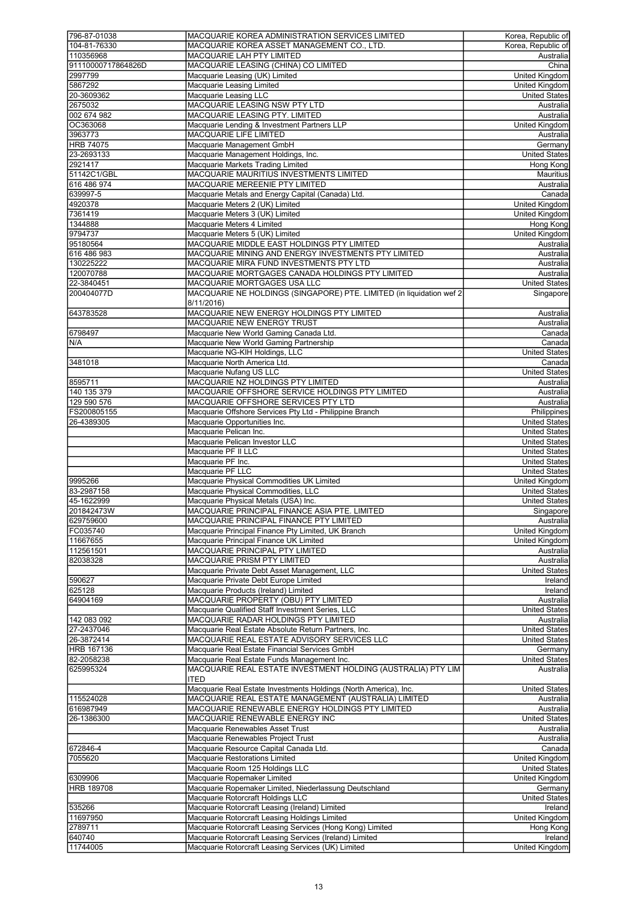| 796-87-01038            | MACQUARIE KOREA ADMINISTRATION SERVICES LIMITED                                             | Korea, Republic of              |
|-------------------------|---------------------------------------------------------------------------------------------|---------------------------------|
| 104-81-76330            | MACQUARIE KOREA ASSET MANAGEMENT CO., LTD.                                                  | Korea, Republic of              |
| 110356968               | MACQUARIE LAH PTY LIMITED                                                                   | Australia                       |
| 91110000717864826D      | MACQUARIE LEASING (CHINA) CO LIMITED                                                        | China                           |
| 2997799                 | Macquarie Leasing (UK) Limited                                                              | United Kingdom                  |
| 5867292                 | Macquarie Leasing Limited                                                                   | <b>United Kingdom</b>           |
| 20-3609362              | Macquarie Leasing LLC                                                                       | <b>United States</b>            |
| 2675032                 | MACQUARIE LEASING NSW PTY LTD                                                               | Australia                       |
| 002 674 982<br>OC363068 | MACQUARIE LEASING PTY. LIMITED                                                              | Australia                       |
| 3963773                 | Macquarie Lending & Investment Partners LLP<br>MACQUARIE LIFE LIMITED                       | United Kingdom<br>Australia     |
| <b>HRB 74075</b>        | Macquarie Management GmbH                                                                   | Germany                         |
| 23-2693133              | Macquarie Management Holdings, Inc.                                                         | <b>United States</b>            |
| 2921417                 | Macquarie Markets Trading Limited                                                           | Hong Kong                       |
| 51142C1/GBL             | MACQUARIE MAURITIUS INVESTMENTS LIMITED                                                     | <b>Mauritius</b>                |
| 616 486 974             | MACQUARIE MEREENIE PTY LIMITED                                                              | Australia                       |
| 639997-5                | Macquarie Metals and Energy Capital (Canada) Ltd.                                           | Canada                          |
| 4920378                 | Macquarie Meters 2 (UK) Limited                                                             | United Kingdom                  |
| 7361419                 | Macquarie Meters 3 (UK) Limited                                                             | United Kingdom                  |
| 1344888                 | Macquarie Meters 4 Limited                                                                  | Hong Kong                       |
| 9794737                 | Macquarie Meters 5 (UK) Limited                                                             | <b>United Kingdom</b>           |
| 95180564                | MACQUARIE MIDDLE EAST HOLDINGS PTY LIMITED                                                  | Australia                       |
| 616 486 983             | MACQUARIE MINING AND ENERGY INVESTMENTS PTY LIMITED                                         | Australia                       |
| 130225222               | MACQUARIE MIRA FUND INVESTMENTS PTY LTD                                                     | Australia                       |
| 120070788               | MACQUARIE MORTGAGES CANADA HOLDINGS PTY LIMITED                                             | Australia                       |
| 22-3840451              | MACQUARIE MORTGAGES USA LLC                                                                 | <b>United States</b>            |
| 200404077D              | MACQUARIE NE HOLDINGS (SINGAPORE) PTE. LIMITED (in liquidation wef 2                        | Singapore                       |
|                         | 8/11/2016)                                                                                  |                                 |
| 643783528               | MACQUARIE NEW ENERGY HOLDINGS PTY LIMITED                                                   | Australia                       |
|                         | MACQUARIE NEW ENERGY TRUST                                                                  | Australia                       |
| 6798497                 | Macquarie New World Gaming Canada Ltd.                                                      | Canada                          |
| N/A                     | Macquarie New World Gaming Partnership                                                      | Canada                          |
|                         | Macquarie NG-KIH Holdings, LLC<br>Macquarie North America Ltd.                              | <b>United States</b><br>Canada  |
| 3481018                 | Macquarie Nufang US LLC                                                                     | <b>United States</b>            |
| 8595711                 | MACQUARIE NZ HOLDINGS PTY LIMITED                                                           | Australia                       |
| 140 135 379             | MACQUARIE OFFSHORE SERVICE HOLDINGS PTY LIMITED                                             | Australia                       |
| 129 590 576             | MACQUARIE OFFSHORE SERVICES PTY LTD                                                         | Australia                       |
| FS200805155             | Macquarie Offshore Services Pty Ltd - Philippine Branch                                     | Philippines                     |
| 26-4389305              | Macquarie Opportunities Inc.                                                                | <b>United States</b>            |
|                         | Macquarie Pelican Inc.                                                                      | <b>United States</b>            |
|                         | Macquarie Pelican Investor LLC                                                              | <b>United States</b>            |
|                         | Macquarie PF II LLC                                                                         | <b>United States</b>            |
|                         | Macquarie PF Inc.                                                                           | <b>United States</b>            |
|                         | Macquarie PF LLC                                                                            | <b>United States</b>            |
| 9995266                 | Macquarie Physical Commodities UK Limited                                                   | <b>United Kingdom</b>           |
| 83-2987158              | Macquarie Physical Commodities, LLC                                                         | <b>United States</b>            |
| 45-1622999              | Macquarie Physical Metals (USA) Inc.                                                        | <b>United States</b>            |
| 201842473W              | MACQUARIE PRINCIPAL FINANCE ASIA PTE. LIMITED                                               | Singapore                       |
| 629759600               | MACQUARIE PRINCIPAL FINANCE PTY LIMITED                                                     | Australia                       |
| FC035740                | Macquarie Principal Finance Pty Limited, UK Branch                                          | United Kingdom                  |
| 11667655                | Macquarie Principal Finance UK Limited                                                      | <b>United Kingdom</b>           |
| 112561501               | MACQUARIE PRINCIPAL PTY LIMITED                                                             | Australia                       |
| 82038328                | MACQUARIE PRISM PTY LIMITED                                                                 | Australia                       |
|                         | Macquarie Private Debt Asset Management, LLC                                                | <b>United States</b>            |
| 590627                  | Macquarie Private Debt Europe Limited                                                       | Ireland                         |
| 625128                  | Macquarie Products (Ireland) Limited                                                        | Ireland                         |
| 64904169                | MACQUARIE PROPERTY (OBU) PTY LIMITED                                                        | Australia                       |
|                         | Macquarie Qualified Staff Investment Series, LLC                                            | <b>United States</b>            |
| 142 083 092             | MACQUARIE RADAR HOLDINGS PTY LIMITED                                                        | Australia                       |
| 27-2437046              | Macquarie Real Estate Absolute Return Partners, Inc.                                        | <b>United States</b>            |
| 26-3872414              | MACQUARIE REAL ESTATE ADVISORY SERVICES LLC                                                 | <b>United States</b>            |
| HRB 167136              | Macquarie Real Estate Financial Services GmbH                                               | Germany                         |
| 82-2058238              | Macquarie Real Estate Funds Management Inc.                                                 | <b>United States</b>            |
| 625995324               | MACQUARIE REAL ESTATE INVESTMENT HOLDING (AUSTRALIA) PTY LIM<br><b>ITED</b>                 | Australia                       |
|                         | Macquarie Real Estate Investments Holdings (North America), Inc.                            | <b>United States</b>            |
| 115524028               | MACQUARIE REAL ESTATE MANAGEMENT (AUSTRALIA) LIMITED                                        | Australia                       |
| 616987949               | MACQUARIE RENEWABLE ENERGY HOLDINGS PTY LIMITED                                             | Australia                       |
| 26-1386300              | MACQUARIE RENEWABLE ENERGY INC                                                              | <b>United States</b>            |
|                         | Macquarie Renewables Asset Trust                                                            | Australia                       |
|                         | Macquarie Renewables Project Trust                                                          | Australia                       |
| 672846-4                | Macquarie Resource Capital Canada Ltd.                                                      | Canada                          |
| 7055620                 | Macquarie Restorations Limited                                                              | <b>United Kingdom</b>           |
|                         | Macquarie Room 125 Holdings LLC                                                             | <b>United States</b>            |
| 6309906                 | Macquarie Ropemaker Limited                                                                 | United Kingdom                  |
| <b>HRB 189708</b>       | Macquarie Ropemaker Limited, Niederlassung Deutschland<br>Macquarie Rotorcraft Holdings LLC | Germany                         |
| 535266                  | Macquarie Rotorcraft Leasing (Ireland) Limited                                              | <b>United States</b><br>Ireland |
| 11697950                | Macquarie Rotorcraft Leasing Holdings Limited                                               | United Kingdom                  |
| 2789711                 | Macquarie Rotorcraft Leasing Services (Hong Kong) Limited                                   | Hong Kong                       |
| 640740                  | Macquarie Rotorcraft Leasing Services (Ireland) Limited                                     | Ireland                         |
| 11744005                | Macquarie Rotorcraft Leasing Services (UK) Limited                                          | United Kingdom                  |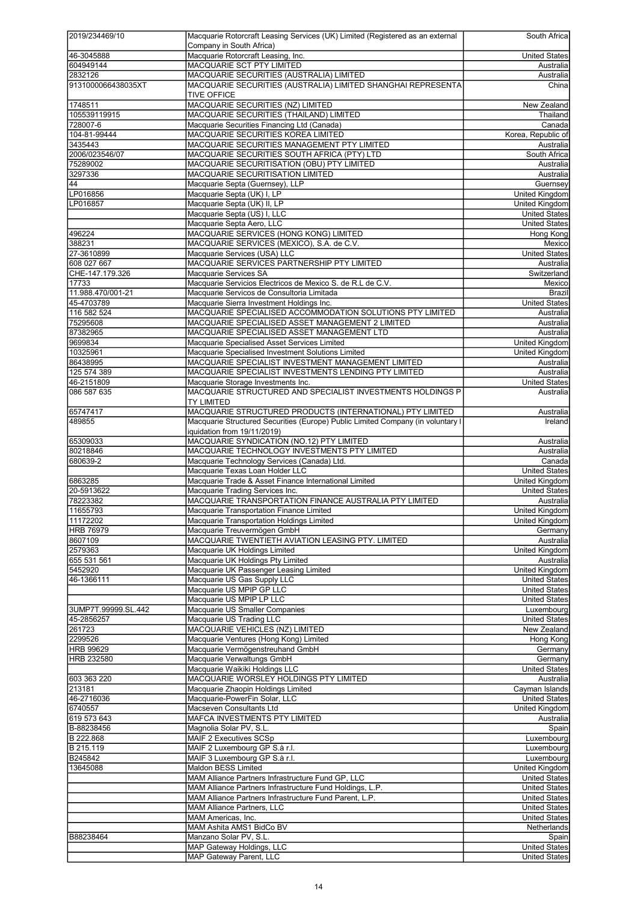| 2019/234469/10             | Macquarie Rotorcraft Leasing Services (UK) Limited (Registered as an external             | South Africa                          |
|----------------------------|-------------------------------------------------------------------------------------------|---------------------------------------|
|                            | Company in South Africa)                                                                  |                                       |
| 46-3045888                 | Macquarie Rotorcraft Leasing, Inc.                                                        | United States                         |
| 604949144                  | MACQUARIE SCT PTY LIMITED                                                                 | Australia                             |
| 2832126                    | MACQUARIE SECURITIES (AUSTRALIA) LIMITED                                                  | Australia                             |
| 9131000066438035XT         | MACQUARIE SECURITIES (AUSTRALIA) LIMITED SHANGHAI REPRESENTA                              | China                                 |
|                            | <b>TIVE OFFICE</b>                                                                        |                                       |
| 1748511                    | MACQUARIE SECURITIES (NZ) LIMITED                                                         | New Zealand                           |
| 105539119915               | MACQUARIE SECURITIES (THAILAND) LIMITED                                                   | Thailand                              |
| 728007-6                   | Macquarie Securities Financing Ltd (Canada)                                               | Canada                                |
| 104-81-99444               | MACQUARIE SECURITIES KOREA LIMITED                                                        | Korea, Republic of                    |
| 3435443                    | MACQUARIE SECURITIES MANAGEMENT PTY LIMITED                                               | Australia                             |
| 2006/023546/07<br>75289002 | MACQUARIE SECURITIES SOUTH AFRICA (PTY) LTD<br>MACQUARIE SECURITISATION (OBU) PTY LIMITED | South Africa<br>Australia             |
| 3297336                    | MACQUARIE SECURITISATION LIMITED                                                          | Australia                             |
| 44                         | Macquarie Septa (Guernsey), LLP                                                           | Guernsey                              |
| LP016856                   | Macquarie Septa (UK) I, LP                                                                | United Kingdom                        |
| LP016857                   | Macquarie Septa (UK) II, LP                                                               | <b>United Kingdom</b>                 |
|                            | Macquarie Septa (US) I, LLC                                                               | <b>United States</b>                  |
|                            | Macquarie Septa Aero, LLC                                                                 | United States                         |
| 496224                     | MACQUARIE SERVICES (HONG KONG) LIMITED                                                    | Hong Kong                             |
| 388231                     | MACQUARIE SERVICES (MEXICO), S.A. de C.V.                                                 | Mexico                                |
| 27-3610899                 | Macquarie Services (USA) LLC                                                              | <b>United States</b>                  |
| 608 027 667                | MACQUARIE SERVICES PARTNERSHIP PTY LIMITED                                                | Australia                             |
| CHE-147.179.326            | Macquarie Services SA                                                                     | Switzerland                           |
| 17733                      | Macquarie Servicios Electricos de Mexico S. de R.L de C.V.                                | Mexico                                |
| 11.988.470/001-21          | Macquarie Servicos de Consultoria Limitada                                                | <b>Brazil</b>                         |
| 45-4703789                 | Macquarie Sierra Investment Holdings Inc.                                                 | <b>United States</b>                  |
| 116 582 524                | MACQUARIE SPECIALISED ACCOMMODATION SOLUTIONS PTY LIMITED                                 | Australia                             |
| 75295608                   | MACQUARIE SPECIALISED ASSET MANAGEMENT 2 LIMITED                                          | Australia                             |
| 87382965                   | MACQUARIE SPECIALISED ASSET MANAGEMENT LTD                                                | Australia                             |
| 9699834                    | Macquarie Specialised Asset Services Limited                                              | United Kingdom                        |
| 10325961                   | Macquarie Specialised Investment Solutions Limited                                        | United Kingdom                        |
| 86438995                   | MACQUARIE SPECIALIST INVESTMENT MANAGEMENT LIMITED                                        | Australia                             |
| 125 574 389                | MACQUARIE SPECIALIST INVESTMENTS LENDING PTY LIMITED                                      | Australia                             |
| 46-2151809                 | Macquarie Storage Investments Inc.                                                        | <b>United States</b>                  |
| 086 587 635                | MACQUARIE STRUCTURED AND SPECIALIST INVESTMENTS HOLDINGS P                                | Australia                             |
|                            | <b>TY LIMITED</b>                                                                         |                                       |
| 65747417                   | MACQUARIE STRUCTURED PRODUCTS (INTERNATIONAL) PTY LIMITED                                 | Australia                             |
| 489855                     | Macquarie Structured Securities (Europe) Public Limited Company (in voluntary I           | <b>Ireland</b>                        |
|                            | iquidation from 19/11/2019)                                                               |                                       |
| 65309033                   | MACQUARIE SYNDICATION (NO.12) PTY LIMITED                                                 | Australia                             |
| 80218846                   | MACQUARIE TECHNOLOGY INVESTMENTS PTY LIMITED                                              | Australia                             |
|                            |                                                                                           |                                       |
| 680639-2                   | Macquarie Technology Services (Canada) Ltd.                                               | Canada                                |
|                            | Macquarie Texas Loan Holder LLC                                                           | <b>United States</b>                  |
| 6863285                    | Macquarie Trade & Asset Finance International Limited                                     | United Kingdom                        |
| 20-5913622                 | Macquarie Trading Services Inc.                                                           | <b>United States</b>                  |
| 78223382                   | MACQUARIE TRANSPORTATION FINANCE AUSTRALIA PTY LIMITED                                    | Australia                             |
| 11655793                   | Macquarie Transportation Finance Limited                                                  | <b>United Kingdom</b>                 |
| 11172202                   | Macquarie Transportation Holdings Limited                                                 | United Kingdom                        |
| <b>HRB 76979</b>           | Macquarie Treuvermögen GmbH                                                               | Germany                               |
| 8607109                    | MACQUARIE TWENTIETH AVIATION LEASING PTY. LIMITED                                         | Australia                             |
| 2579363                    | Macquarie UK Holdings Limited                                                             | <b>United Kingdom</b><br>Australia    |
| 655 531 561<br>5452920     | Macquarie UK Holdings Pty Limited<br>Macquarie UK Passenger Leasing Limited               | <b>United Kingdom</b>                 |
| 46-1366111                 | Macquarie US Gas Supply LLC                                                               | <b>United States</b>                  |
|                            | Macquarie US MPIP GP LLC                                                                  | <b>United States</b>                  |
|                            | Macquarie US MPIP LP LLC                                                                  | <b>United States</b>                  |
| 3UMP7T.99999.SL.442        | Macquarie US Smaller Companies                                                            | Luxembourg                            |
| 45-2856257                 | Macquarie US Trading LLC                                                                  | <b>United States</b>                  |
| 261723                     | MACQUARIE VEHICLES (NZ) LIMITED                                                           | New Zealand                           |
| 2299526                    | Macquarie Ventures (Hong Kong) Limited                                                    | Hong Kong                             |
| <b>HRB 99629</b>           | Macquarie Vermögenstreuhand GmbH                                                          | Germany                               |
| HRB 232580                 | Macquarie Verwaltungs GmbH                                                                | Germany                               |
|                            | Macquarie Waikiki Holdings LLC                                                            | <b>United States</b>                  |
| 603 363 220                | MACQUARIE WORSLEY HOLDINGS PTY LIMITED                                                    | Australia                             |
| 213181                     | Macquarie Zhaopin Holdings Limited                                                        | Cayman Islands                        |
| 46-2716036                 | Macquarie-PowerFin Solar, LLC                                                             | <b>United States</b>                  |
| 6740557                    | Macseven Consultants Ltd                                                                  | <b>United Kingdom</b>                 |
| 619 573 643                | MAFCA INVESTMENTS PTY LIMITED                                                             | Australia                             |
| B-88238456                 | Magnolia Solar PV, S.L.                                                                   | Spain                                 |
| B 222.868                  | MAIF 2 Executives SCSp                                                                    | Luxembourg                            |
| B 215.119                  | MAIF 2 Luxembourg GP S.à r.l.                                                             | Luxembourg                            |
| B245842                    | MAIF 3 Luxembourg GP S.à r.l.                                                             | Luxembourg                            |
| 13645088                   | Maldon BESS Limited                                                                       | <b>United Kingdom</b>                 |
|                            | MAM Alliance Partners Infrastructure Fund GP, LLC                                         | <b>United States</b>                  |
|                            | MAM Alliance Partners Infrastructure Fund Holdings, L.P.                                  | <b>United States</b>                  |
|                            | MAM Alliance Partners Infrastructure Fund Parent, L.P.                                    | <b>United States</b>                  |
|                            | <b>MAM Alliance Partners, LLC</b><br>MAM Americas, Inc.                                   | United States<br><b>United States</b> |
|                            | MAM Ashita AMS1 BidCo BV                                                                  |                                       |
| B88238464                  | Manzano Solar PV, S.L.                                                                    | Spain                                 |
|                            | MAP Gateway Holdings, LLC                                                                 | Netherlands<br>United States          |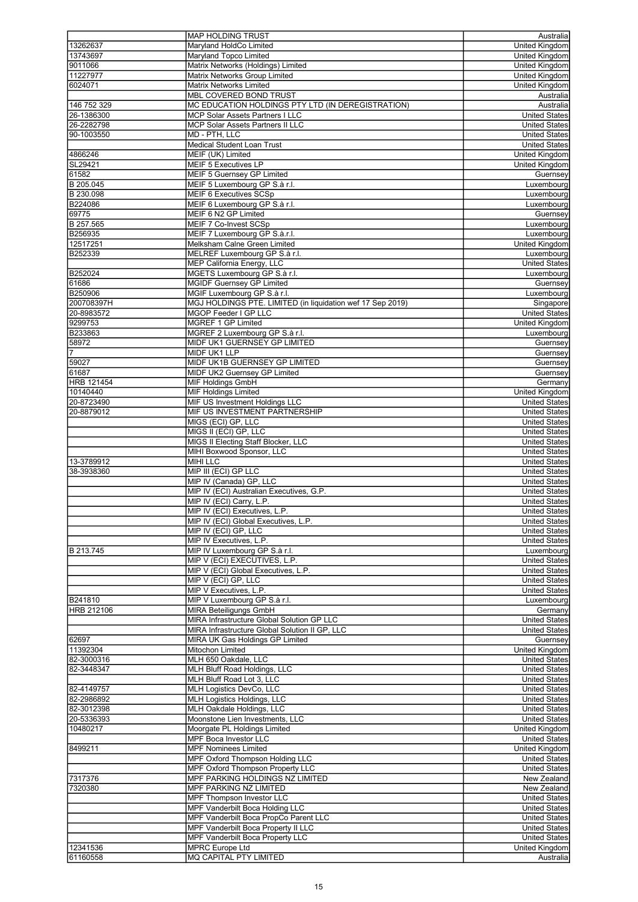|                | <b>MAP HOLDING TRUST</b>                                   | Australia             |
|----------------|------------------------------------------------------------|-----------------------|
| 13262637       | Maryland HoldCo Limited                                    | <b>United Kingdom</b> |
| 13743697       | Maryland Topco Limited                                     | United Kingdom        |
| 9011066        | Matrix Networks (Holdings) Limited                         | <b>United Kingdom</b> |
|                |                                                            |                       |
| 11227977       | Matrix Networks Group Limited                              | United Kingdom        |
| 6024071        | <b>Matrix Networks Limited</b>                             | United Kingdom        |
|                | <b>MBL COVERED BOND TRUST</b>                              | Australia             |
| 146 752 329    | MC EDUCATION HOLDINGS PTY LTD (IN DEREGISTRATION)          | Australia             |
| 26-1386300     | MCP Solar Assets Partners I LLC                            | <b>United States</b>  |
| 26-2282798     | <b>MCP Solar Assets Partners II LLC</b>                    | <b>United States</b>  |
| 90-1003550     | MD - PTH, LLC                                              | <b>United States</b>  |
|                |                                                            |                       |
|                | <b>Medical Student Loan Trust</b>                          | <b>United States</b>  |
| 4866246        | MEIF (UK) Limited                                          | <b>United Kingdom</b> |
| SL29421        | MEIF 5 Executives LP                                       | United Kingdom        |
| 61582          | <b>MEIF 5 Guernsey GP Limited</b>                          | Guernsey              |
| B 205.045      | MEIF 5 Luxembourg GP S.à r.l.                              | Luxembourg            |
| B 230.098      | MEIF 6 Executives SCSp                                     | Luxembourg            |
|                |                                                            |                       |
| B224086        | MEIF 6 Luxembourg GP S.à r.l.                              | Luxembourg            |
| 69775          | MEIF 6 N2 GP Limited                                       | Guernsey              |
| B 257.565      | MEIF 7 Co-Invest SCSp                                      | Luxembourg            |
| B256935        | MEIF 7 Luxembourg GP S.à.r.l.                              | Luxembourg            |
| 12517251       | Melksham Calne Green Limited                               | <b>United Kingdom</b> |
| B252339        | MELREF Luxembourg GP S.à r.l.                              | Luxembourg            |
|                |                                                            |                       |
|                | <b>MEP California Energy, LLC</b>                          | <b>United States</b>  |
| B252024        | MGETS Luxembourg GP S.à r.l.                               | Luxembourg            |
| 61686          | <b>MGIDF Guernsey GP Limited</b>                           | Guernsey              |
| <b>B250906</b> | MGIF Luxembourg GP S.à r.l.                                | Luxembourg            |
| 200708397H     | MGJ HOLDINGS PTE. LIMITED (in liquidation wef 17 Sep 2019) | Singapore             |
| 20-8983572     | MGOP Feeder I GP LLC                                       | <b>United States</b>  |
|                |                                                            |                       |
| 9299753        | MGREF 1 GP Limited                                         | <b>United Kingdom</b> |
| B233863        | MGREF 2 Luxembourg GP S.à r.l.                             | Luxembourg            |
| 58972          | MIDF UK1 GUERNSEY GP LIMITED                               | Guernsey              |
| 7              | MIDF UK1 LLP                                               | Guernsey              |
| 59027          | MIDF UK1B GUERNSEY GP LIMITED                              | Guernsey              |
| 61687          |                                                            |                       |
|                | MIDF UK2 Guernsey GP Limited                               | Guernsey              |
| HRB 121454     | MIF Holdings GmbH                                          | Germany               |
| 10140440       | <b>MIF Holdings Limited</b>                                | <b>United Kingdom</b> |
| 20-8723490     | MIF US Investment Holdings LLC                             | <b>United States</b>  |
| 20-8879012     | MIF US INVESTMENT PARTNERSHIP                              | <b>United States</b>  |
|                | MIGS (ECI) GP, LLC                                         | <b>United States</b>  |
|                |                                                            |                       |
|                | MIGS II (ECI) GP, LLC                                      | <b>United States</b>  |
|                | MIGS II Electing Staff Blocker, LLC                        | <b>United States</b>  |
|                | MIHI Boxwood Sponsor, LLC                                  | <b>United States</b>  |
| 13-3789912     | <b>MIHI LLC</b>                                            | <b>United States</b>  |
| 38-3938360     | MIP III (ECI) GP LLC                                       | <b>United States</b>  |
|                | MIP IV (Canada) GP, LLC                                    | <b>United States</b>  |
|                |                                                            |                       |
|                | MIP IV (ECI) Australian Executives, G.P.                   | <b>United States</b>  |
|                | MIP IV (ECI) Carry, L.P.                                   | <b>United States</b>  |
|                | MIP IV (ECI) Executives, L.P.                              | <b>United States</b>  |
|                | MIP IV (ECI) Global Executives, L.P.                       | <b>United States</b>  |
|                | MIP IV (ECI) GP, LLC                                       | <b>United States</b>  |
|                | MIP IV Executives, L.P.                                    |                       |
|                |                                                            | <b>United States</b>  |
| B 213.745      | MIP IV Luxembourg GP S.à r.l.                              | Luxembourg            |
|                | MIP V (ECI) EXECUTIVES, L.P.                               | <b>United States</b>  |
|                | MIP V (ECI) Global Executives, L.P.                        | <b>United States</b>  |
|                | MIP V (ECI) GP, LLC                                        | <b>United States</b>  |
|                | MIP V Executives, L.P.                                     | <b>United States</b>  |
|                |                                                            |                       |
| B241810        | MIP V Luxembourg GP S.à r.l.                               | Luxembourg            |
| HRB 212106     | <b>MIRA Beteiligungs GmbH</b>                              | Germany               |
|                | MIRA Infrastructure Global Solution GP LLC                 | <b>United States</b>  |
|                | MIRA Infrastructure Global Solution II GP, LLC             | <b>United States</b>  |
| 62697          | MIRA UK Gas Holdings GP Limited                            | Guernsev              |
| 11392304       | Mitochon Limited                                           | United Kingdom        |
|                |                                                            |                       |
| 82-3000316     | MLH 650 Oakdale, LLC                                       | <b>United States</b>  |
| 82-3448347     | MLH Bluff Road Holdings, LLC                               | <b>United States</b>  |
|                | MLH Bluff Road Lot 3, LLC                                  | United States         |
| 82-4149757     | MLH Logistics DevCo, LLC                                   | <b>United States</b>  |
| 82-2986892     | <b>MLH Logistics Holdings, LLC</b>                         | United States         |
| 82-3012398     | MLH Oakdale Holdings, LLC                                  | <b>United States</b>  |
|                |                                                            |                       |
| 20-5336393     | Moonstone Lien Investments, LLC                            | <b>United States</b>  |
| 10480217       | Moorgate PL Holdings Limited                               | United Kingdom        |
|                | <b>MPF Boca Investor LLC</b>                               | <b>United States</b>  |
| 8499211        | <b>MPF Nominees Limited</b>                                | United Kingdom        |
|                | MPF Oxford Thompson Holding LLC                            | <b>United States</b>  |
|                |                                                            |                       |
|                | MPF Oxford Thompson Property LLC                           | <b>United States</b>  |
| 7317376        | MPF PARKING HOLDINGS NZ LIMITED                            | New Zealand           |
| 7320380        | MPF PARKING NZ LIMITED                                     | New Zealand           |
|                | <b>MPF Thompson Investor LLC</b>                           | <b>United States</b>  |
|                | MPF Vanderbilt Boca Holding LLC                            | United States         |
|                | MPF Vanderbilt Boca PropCo Parent LLC                      | <b>United States</b>  |
|                |                                                            |                       |
|                | MPF Vanderbilt Boca Property II LLC                        | United States         |
|                |                                                            |                       |
|                | MPF Vanderbilt Boca Property LLC                           | United States         |
| 12341536       | <b>MPRC Europe Ltd</b>                                     | United Kingdom        |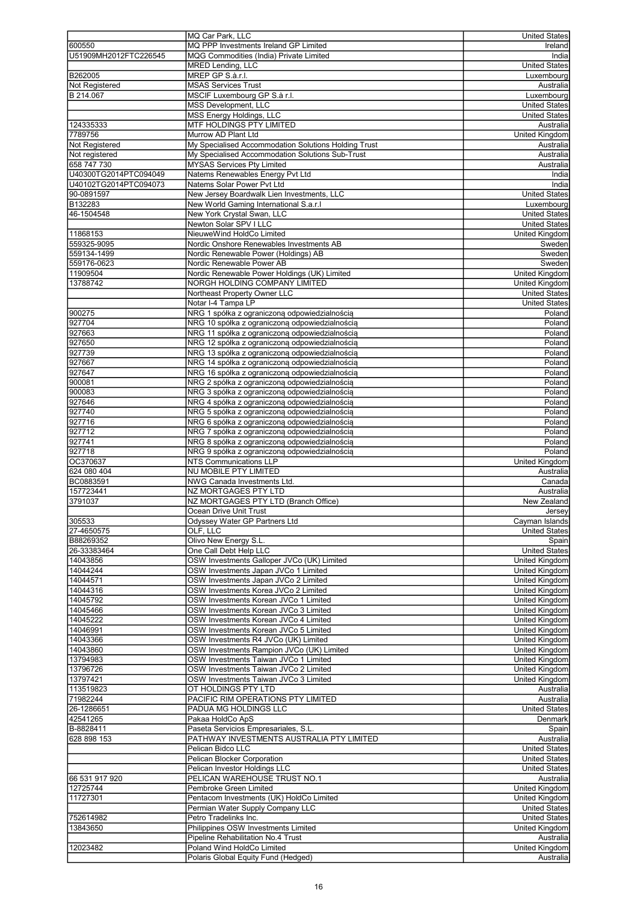|                       | MQ Car Park, LLC                                                  | <b>United States</b>                     |
|-----------------------|-------------------------------------------------------------------|------------------------------------------|
| 600550                | MQ PPP Investments Ireland GP Limited                             | Ireland                                  |
| U51909MH2012FTC226545 | MQG Commodities (India) Private Limited                           |                                          |
|                       |                                                                   | India                                    |
|                       | <b>MRED Lending, LLC</b>                                          | <b>United States</b>                     |
| B262005               | MREP GP S.à.r.l.                                                  | Luxembourg                               |
| Not Registered        | <b>MSAS Services Trust</b>                                        | Australia                                |
| B 214.067             | MSCIF Luxembourg GP S.à r.l.                                      | Luxembourg                               |
|                       | MSS Development, LLC                                              | <b>United States</b>                     |
|                       | MSS Energy Holdings, LLC                                          | <b>United States</b>                     |
| 124335333             | MTF HOLDINGS PTY LIMITED                                          | Australia                                |
| 7789756               | Murrow AD Plant Ltd                                               | United Kingdom                           |
| Not Registered        | My Specialised Accommodation Solutions Holding Trust              | Australia                                |
|                       |                                                                   |                                          |
| Not registered        | My Specialised Accommodation Solutions Sub-Trust                  | Australia                                |
| 658 747 730           | MYSAS Services Pty Limited                                        | Australia                                |
| U40300TG2014PTC094049 | Natems Renewables Energy Pvt Ltd                                  | India                                    |
| U40102TG2014PTC094073 | Natems Solar Power Pvt Ltd                                        | India                                    |
| 90-0891597            | New Jersey Boardwalk Lien Investments, LLC                        | <b>United States</b>                     |
| B132283               | New World Gaming International S.a.r.I                            | Luxembourg                               |
| 46-1504548            | New York Crystal Swan, LLC                                        | <b>United States</b>                     |
|                       | Newton Solar SPV I LLC                                            | <b>United States</b>                     |
|                       |                                                                   |                                          |
| 11868153              | NieuweWind HoldCo Limited                                         | <b>United Kingdom</b>                    |
| 559325-9095           | Nordic Onshore Renewables Investments AB                          | Sweden                                   |
| 559134-1499           | Nordic Renewable Power (Holdings) AB                              | Sweden                                   |
| 559176-0623           | Nordic Renewable Power AB                                         | Sweden                                   |
| 11909504              | Nordic Renewable Power Holdings (UK) Limited                      | <b>United Kingdom</b>                    |
| 13788742              | NORGH HOLDING COMPANY LIMITED                                     | United Kingdom                           |
|                       | Northeast Property Owner LLC                                      | <b>United States</b>                     |
|                       | Notar I-4 Tampa LP                                                | <b>United States</b>                     |
|                       |                                                                   |                                          |
| 900275                | NRG 1 spółka z ograniczona odpowiedzialnościa                     | Poland                                   |
| 927704                | NRG 10 spółka z ograniczoną odpowiedzialnością                    | Poland                                   |
| 927663                | NRG 11 spółka z ograniczoną odpowiedzialnością                    | Poland                                   |
| 927650                | NRG 12 spółka z ograniczoną odpowiedzialnością                    | Poland                                   |
| 927739                | NRG 13 spółka z ograniczoną odpowiedzialnością                    | Poland                                   |
| 927667                | NRG 14 spółka z ograniczoną odpowiedzialnością                    | Poland                                   |
| 927647                | NRG 16 spółka z ograniczoną odpowiedzialnością                    | Poland                                   |
|                       |                                                                   |                                          |
| 900081                | NRG 2 spółka z ograniczoną odpowiedzialnością                     | Poland                                   |
| 900083                | NRG 3 spółka z ograniczoną odpowiedzialnością                     | Poland                                   |
| 927646                | NRG 4 spółka z ograniczoną odpowiedzialnością                     | Poland                                   |
| 927740                | NRG 5 spółka z ograniczoną odpowiedzialnością                     | Poland                                   |
| 927716                | NRG 6 spółka z ograniczoną odpowiedzialnością                     | Poland                                   |
| 927712                | NRG 7 spółka z ograniczoną odpowiedzialnością                     | Poland                                   |
| 927741                | NRG 8 spółka z ograniczoną odpowiedzialnością                     | Poland                                   |
| 927718                |                                                                   |                                          |
|                       | NRG 9 spółka z ograniczoną odpowiedzialnością                     | Poland                                   |
| OC370637              | <b>NTS Communications LLP</b>                                     | <b>United Kingdom</b>                    |
| 624 080 404           | <b>NU MOBILE PTY LIMITED</b>                                      | Australia                                |
| BC0883591             | NWG Canada Investments Ltd.                                       | Canada                                   |
| 157723441             | <b>NZ MORTGAGES PTY LTD</b>                                       | Australia                                |
| 3791037               | NZ MORTGAGES PTY LTD (Branch Office)                              | New Zealand                              |
|                       | Ocean Drive Unit Trust                                            | Jersey                                   |
| 305533                | Odyssey Water GP Partners Ltd                                     | Cayman Islands                           |
| 27-4650575            | OLF, LLC                                                          |                                          |
|                       |                                                                   |                                          |
| B88269352             |                                                                   | <b>United States</b>                     |
|                       | Olivo New Energy S.L.                                             | Spain                                    |
| 26-33383464           | One Call Debt Help LLC                                            | <b>United States</b>                     |
| 14043856              | OSW Investments Galloper JVCo (UK) Limited                        | <b>United Kingdom</b>                    |
| 14044244              | OSW Investments Japan JVCo 1 Limited                              | United Kingdom                           |
| 14044571              | OSW Investments Japan JVCo 2 Limited                              | United Kingdom                           |
|                       |                                                                   |                                          |
| 14044316              | OSW Investments Korea JVCo 2 Limited                              | United Kingdom                           |
| 14045792              | OSW Investments Korean JVCo 1 Limited                             | <b>United Kingdom</b>                    |
| 14045466              | OSW Investments Korean JVCo 3 Limited                             | <b>United Kingdom</b>                    |
| 14045222              | OSW Investments Korean JVCo 4 Limited                             | United Kingdom                           |
| 14046991              | OSW Investments Korean JVCo 5 Limited                             | <b>United Kingdom</b>                    |
| 14043366              | OSW Investments R4 JVCo (UK) Limited                              | <b>United Kingdom</b>                    |
| 14043860              | OSW Investments Rampion JVCo (UK) Limited                         | United Kingdom                           |
| 13794983              | OSW Investments Taiwan JVCo 1 Limited                             | <b>United Kingdom</b>                    |
|                       |                                                                   |                                          |
| 13796726              | OSW Investments Taiwan JVCo 2 Limited                             | United Kingdom                           |
| 13797421              | OSW Investments Taiwan JVCo 3 Limited                             | United Kingdom                           |
| 113519823             | OT HOLDINGS PTY LTD                                               | Australia                                |
| 71982244              | PACIFIC RIM OPERATIONS PTY LIMITED                                | Australia                                |
| 26-1286651            | PADUA MG HOLDINGS LLC                                             | <b>United States</b>                     |
| 42541265              | Pakaa HoldCo ApS                                                  | Denmark                                  |
| B-8828411             | Paseta Servicios Empresariales, S.L.                              | Spain                                    |
| 628 898 153           | PATHWAY INVESTMENTS AUSTRALIA PTY LIMITED                         | Australia                                |
|                       | Pelican Bidco LLC                                                 | <b>United States</b>                     |
|                       |                                                                   |                                          |
|                       | Pelican Blocker Corporation                                       | <b>United States</b>                     |
|                       | Pelican Investor Holdings LLC                                     | <b>United States</b>                     |
| 66 531 917 920        | PELICAN WAREHOUSE TRUST NO.1                                      | Australia                                |
| 12725744              | Pembroke Green Limited                                            | United Kingdom                           |
| 11727301              | Pentacom Investments (UK) HoldCo Limited                          | <b>United Kingdom</b>                    |
|                       | Permian Water Supply Company LLC                                  | <b>United States</b>                     |
|                       | Petro Tradelinks Inc.                                             |                                          |
| 752614982             |                                                                   | <b>United States</b>                     |
| 13843650              | Philippines OSW Investments Limited                               | United Kingdom                           |
|                       | Pipeline Rehabilitation No.4 Trust                                |                                          |
| 12023482              | Poland Wind HoldCo Limited<br>Polaris Global Equity Fund (Hedged) | Australia<br>United Kingdom<br>Australia |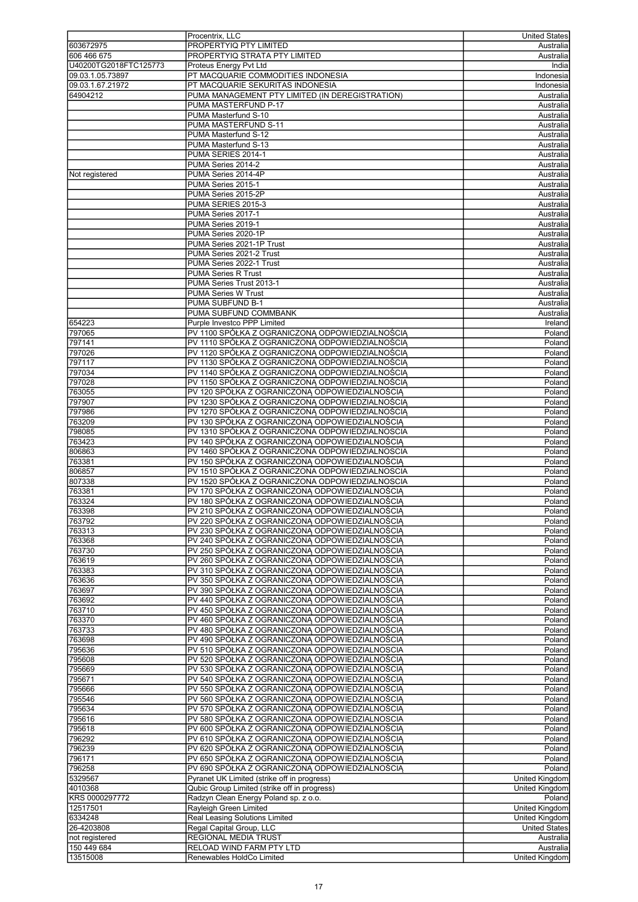|                       | Procentrix, LLC                                 | United States         |
|-----------------------|-------------------------------------------------|-----------------------|
|                       | PROPERTYIQ PTY LIMITED                          |                       |
| 603672975             |                                                 | Australia             |
| 606 466 675           | PROPERTYIQ STRATA PTY LIMITED                   | Australia             |
| U40200TG2018FTC125773 | Proteus Energy Pvt Ltd                          | India                 |
| 09.03.1.05.73897      | PT MACQUARIE COMMODITIES INDONESIA              | Indonesia             |
|                       |                                                 |                       |
| 09.03.1.67.21972      | PT MACQUARIE SEKURITAS INDONESIA                | Indonesia             |
| 64904212              | PUMA MANAGEMENT PTY LIMITED (IN DEREGISTRATION) | Australia             |
|                       | PUMA MASTERFUND P-17                            | Australia             |
|                       |                                                 |                       |
|                       | PUMA Masterfund S-10                            | Australia             |
|                       | PUMA MASTERFUND S-11                            | Australia             |
|                       | PUMA Masterfund S-12                            | Australia             |
|                       | PUMA Masterfund S-13                            | Australia             |
|                       |                                                 |                       |
|                       | PUMA SERIES 2014-1                              | Australia             |
|                       | PUMA Series 2014-2                              | Australia             |
| Not registered        | PUMA Series 2014-4P                             | Australia             |
|                       |                                                 |                       |
|                       | PUMA Series 2015-1                              | Australia             |
|                       | PUMA Series 2015-2P                             | Australia             |
|                       | PUMA SERIES 2015-3                              | Australia             |
|                       | PUMA Series 2017-1                              | Australia             |
|                       |                                                 |                       |
|                       | PUMA Series 2019-1                              | Australia             |
|                       | PUMA Series 2020-1P                             | Australia             |
|                       | PUMA Series 2021-1P Trust                       | Australia             |
|                       |                                                 |                       |
|                       | PUMA Series 2021-2 Trust                        | Australia             |
|                       | PUMA Series 2022-1 Trust                        | Australia             |
|                       | <b>PUMA Series R Trust</b>                      | Australia             |
|                       | PUMA Series Trust 2013-1                        | Australia             |
|                       |                                                 |                       |
|                       | <b>PUMA Series W Trust</b>                      | Australia             |
|                       | PUMA SUBFUND B-1                                | Australia             |
|                       | PUMA SUBFUND COMMBANK                           | Australia             |
|                       |                                                 |                       |
| 654223                | Purple Investco PPP Limited                     | <b>Ireland</b>        |
| 797065                | PV 1100 SPÓŁKA Z OGRANICZONĄ ODPOWIEDZIALNOŚCIĄ | Poland                |
| 797141                | PV 1110 SPÓŁKA Z OGRANICZONĄ ODPOWIEDZIALNOŚCIĄ | Poland                |
|                       |                                                 |                       |
| 797026                | PV 1120 SPÓŁKA Z OGRANICZONĄ ODPOWIEDZIALNOŚCIĄ | Poland                |
| 797117                | PV 1130 SPÓŁKA Z OGRANICZONĄ ODPOWIEDZIALNOŚCIĄ | Poland                |
| 797034                | PV 1140 SPÓŁKA Z OGRANICZONĄ ODPOWIEDZIALNOŚCIĄ | Poland                |
| 797028                | PV 1150 SPÓŁKA Z OGRANICZONĄ ODPOWIEDZIALNOŚCIĄ | Poland                |
|                       |                                                 |                       |
| 763055                | PV 120 SPÓŁKA Z OGRANICZONA ODPOWIEDZIALNOŚCIA  | Poland                |
| 797907                | PV 1230 SPÓŁKA Z OGRANICZONĄ ODPOWIEDZIALNOŚCIĄ | Poland                |
| 797986                | PV 1270 SPÓŁKA Z OGRANICZONA ODPOWIEDZIALNOŚCIA | Poland                |
|                       |                                                 |                       |
| 763209                | PV 130 SPÓŁKA Z OGRANICZONĄ ODPOWIEDZIALNOŚCIĄ  | Poland                |
| 798085                | PV 1310 SPÓŁKA Z OGRANICZONA ODPOWIEDZIALNOSCIA | Poland                |
| 763423                | PV 140 SPÓŁKA Z OGRANICZONĄ ODPOWIEDZIALNOŚCIĄ  | Poland                |
|                       |                                                 |                       |
| 806863                | PV 1460 SPÓŁKA Z OGRANICZONA ODPOWIEDZIALNOSCIA | Poland                |
| 763381                | PV 150 SPÓŁKA Z OGRANICZONĄ ODPOWIEDZIALNOŚCIĄ  | Poland                |
| 806857                | PV 1510 SPÓŁKA Z OGRANICZONA ODPOWIEDZIALNOSCIA | Poland                |
| 807338                | PV 1520 SPÓŁKA Z OGRANICZONA ODPOWIEDZIALNOSCIA | Poland                |
|                       |                                                 |                       |
| 763381                | PV 170 SPÓŁKA Z OGRANICZONĄ ODPOWIEDZIALNOŚCIĄ  | Poland                |
| 763324                | PV 180 SPÓŁKA Z OGRANICZONĄ ODPOWIEDZIALNOŚCIĄ  | Poland                |
| 763398                | PV 210 SPÓŁKA Z OGRANICZONĄ ODPOWIEDZIALNOŚCIĄ  | Poland                |
|                       |                                                 |                       |
| 763792                | PV 220 SPÓŁKA Z OGRANICZONĄ ODPOWIEDZIALNOŚCIĄ  | Poland                |
| 763313                | PV 230 SPÓŁKA Z OGRANICZONĄ ODPOWIEDZIALNOŚCIĄ  | Poland                |
| 763368                | PV 240 SPÓŁKA Z OGRANICZONĄ ODPOWIEDZIALNOŚCIĄ  | Poland                |
| 763730                | PV 250 SPÓŁKA Z OGRANICZONĄ ODPOWIEDZIALNOŚCIĄ  | Poland                |
|                       |                                                 |                       |
| 763619                | PV 260 SPÓŁKA Z OGRANICZONĄ ODPOWIEDZIALNOŚCIĄ  | Poland                |
| 763383                | PV 310 SPÓŁKA Z OGRANICZONĄ ODPOWIEDZIALNOŚCIĄ  | Poland                |
| 763636                | PV 350 SPÓŁKA Z OGRANICZONĄ ODPOWIEDZIALNOŚCIĄ  | Poland                |
|                       |                                                 |                       |
| 763697                | PV 390 SPÓŁKA Z OGRANICZONA ODPOWIEDZIALNOŚCIA  | Poland                |
| 763692                | PV 440 SPÓŁKA Z OGRANICZONĄ ODPOWIEDZIALNOŚCIĄ  | Poland                |
| 763710                | PV 450 SPÓŁKA Z OGRANICZONĄ ODPOWIEDZIALNOŚCIĄ  | Poland                |
| 763370                | PV 460 SPÓŁKA Z OGRANICZONA ODPOWIEDZIALNOŚCIA  | Poland                |
|                       |                                                 |                       |
| 763733                | PV 480 SPÓŁKA Z OGRANICZONĄ ODPOWIEDZIALNOŚCIĄ  | Poland                |
| 763698                | PV 490 SPÓŁKA Z OGRANICZONĄ ODPOWIEDZIALNOŚCIĄ  | Poland                |
| 795636                | PV 510 SPÓŁKA Z OGRANICZONA ODPOWIEDZIALNOSCIA  | $\overline{P}$ oland  |
| 795608                |                                                 |                       |
|                       | PV 520 SPÓŁKA Z OGRANICZONĄ ODPOWIEDZIALNOŚCIĄ  | Poland                |
| 795669                | PV 530 SPÓŁKA Z OGRANICZONĄ ODPOWIEDZIALNOŚCIĄ  | Poland                |
| 795671                | PV 540 SPÓŁKA Z OGRANICZONĄ ODPOWIEDZIALNOŚCIĄ  | Poland                |
| 795666                | PV 550 SPÓŁKA Z OGRANICZONĄ ODPOWIEDZIALNOŚCIĄ  | Poland                |
|                       |                                                 |                       |
| 795546                | PV 560 SPÓŁKA Z OGRANICZONĄ ODPOWIEDZIALNOŚCIĄ  | Poland                |
| 795634                | PV 570 SPÓŁKA Z OGRANICZONA ODPOWIEDZIALNOŚCIA  | Poland                |
| 795616                | PV 580 SPÓŁKA Z OGRANICZONA ODPOWIEDZIALNOSCIA  | Poland                |
| 795618                | PV 600 SPÓŁKA Z OGRANICZONĄ ODPOWIEDZIALNOŚCIĄ  | Poland                |
|                       |                                                 |                       |
| 796292                | PV 610 SPÓŁKA Z OGRANICZONĄ ODPOWIEDZIALNOŚCIĄ  | Poland                |
| 796239                | PV 620 SPÓŁKA Z OGRANICZONĄ ODPOWIEDZIALNOŚCIĄ  | Poland                |
| 796171                | PV 650 SPÓŁKA Z OGRANICZONA ODPOWIEDZIALNOŚCIA  | Poland                |
|                       |                                                 |                       |
| 796258                | PV 690 SPÓŁKA Z OGRANICZONĄ ODPOWIEDZIALNOŚCIĄ  | Poland                |
| 5329567               | Pyranet UK Limited (strike off in progress)     | United Kingdom        |
| 4010368               | Qubic Group Limited (strike off in progress)    | United Kingdom        |
|                       |                                                 |                       |
| KRS 0000297772        | Radzyn Clean Energy Poland sp. z o.o.           | Poland                |
| 12517501              | Rayleigh Green Limited                          | United Kingdom        |
| 6334248               | Real Leasing Solutions Limited                  | <b>United Kingdom</b> |
| 26-4203808            | Regal Capital Group, LLC                        | <b>United States</b>  |
|                       |                                                 |                       |
| not registered        | <b>REGIONAL MEDIA TRUST</b>                     | Australia             |
| 150 449 684           | RELOAD WIND FARM PTY LTD                        | Australia             |
| 13515008              | Renewables HoldCo Limited                       | <b>United Kingdom</b> |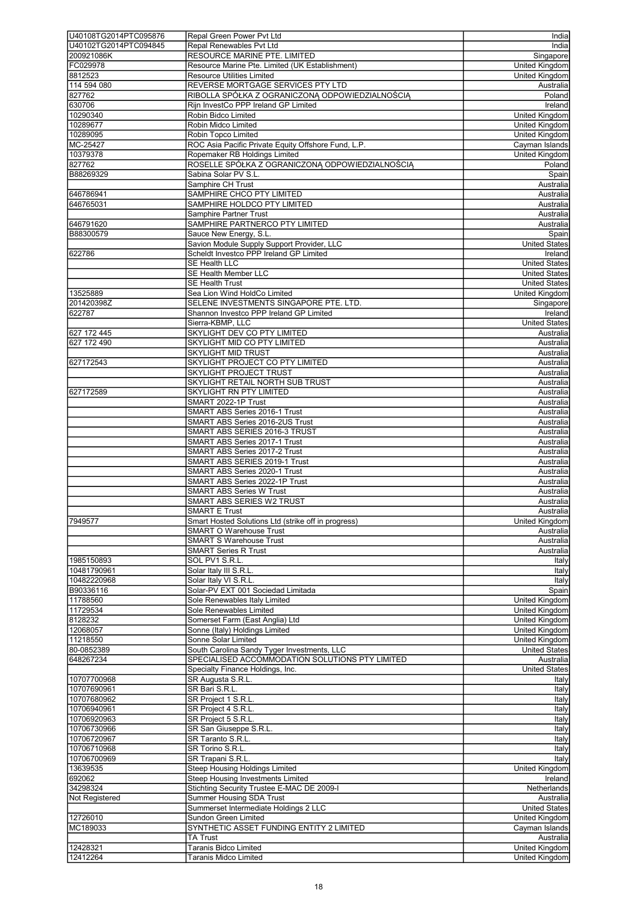| U40108TG2014PTC095876 | Repal Green Power Pvt Ltd                           | India                 |
|-----------------------|-----------------------------------------------------|-----------------------|
|                       |                                                     |                       |
| U40102TG2014PTC094845 | Repal Renewables Pvt Ltd                            | India                 |
| 200921086K            | RESOURCE MARINE PTE. LIMITED                        | Singapore             |
| FC029978              | Resource Marine Pte. Limited (UK Establishment)     | <b>United Kingdom</b> |
| 8812523               | <b>Resource Utilities Limited</b>                   | <b>United Kingdom</b> |
|                       |                                                     |                       |
| 114 594 080           | REVERSE MORTGAGE SERVICES PTY LTD                   | Australia             |
| 827762                | RIBOLLA SPÓŁKA Z OGRANICZONĄ ODPOWIEDZIALNOŚCIĄ     | Poland                |
| 630706                | Rijn InvestCo PPP Ireland GP Limited                | Ireland               |
| 10290340              | Robin Bidco Limited                                 | <b>United Kingdom</b> |
|                       |                                                     |                       |
| 10289677              | Robin Midco Limited                                 | <b>United Kingdom</b> |
| 10289095              | Robin Topco Limited                                 | United Kingdom        |
| MC-25427              | ROC Asia Pacific Private Equity Offshore Fund, L.P. | Cayman Islands        |
|                       |                                                     |                       |
| 10379378              | Ropemaker RB Holdings Limited                       | <b>United Kingdom</b> |
| 827762                | ROSELLE SPÓŁKA Z OGRANICZONĄ ODPOWIEDZIALNOŚCIĄ     | Poland                |
| B88269329             | Sabina Solar PV S.L.                                | Spain                 |
|                       | Samphire CH Trust                                   | Australia             |
|                       |                                                     |                       |
| 646786941             | SAMPHIRE CHCO PTY LIMITED                           | Australia             |
| 646765031             | SAMPHIRE HOLDCO PTY LIMITED                         | Australia             |
|                       | Samphire Partner Trust                              |                       |
|                       |                                                     | Australia             |
| 646791620             | SAMPHIRE PARTNERCO PTY LIMITED                      | Australia             |
| B88300579             | Sauce New Energy, S.L.                              | Spain                 |
|                       | Savion Module Supply Support Provider, LLC          | <b>United States</b>  |
|                       |                                                     |                       |
| 622786                | Scheldt Investco PPP Ireland GP Limited             | Ireland               |
|                       | <b>SE Health LLC</b>                                | <b>United States</b>  |
|                       | <b>SE Health Member LLC</b>                         | <b>United States</b>  |
|                       |                                                     |                       |
|                       | SE Health Trust                                     | <b>United States</b>  |
| 13525889              | Sea Lion Wind HoldCo Limited                        | <b>United Kingdom</b> |
| 201420398Z            | SELENE INVESTMENTS SINGAPORE PTE. LTD.              | Singapore             |
| 622787                | Shannon Investco PPP Ireland GP Limited             | Ireland               |
|                       |                                                     |                       |
|                       | Sierra-KBMP, LLC                                    | <b>United States</b>  |
| 627 172 445           | SKYLIGHT DEV CO PTY LIMITED                         | Australia             |
| 627 172 490           | SKYLIGHT MID CO PTY LIMITED                         | Australia             |
|                       |                                                     |                       |
|                       | <b>SKYLIGHT MID TRUST</b>                           | Australia             |
| 627172543             | SKYLIGHT PROJECT CO PTY LIMITED                     | Australia             |
|                       | SKYLIGHT PROJECT TRUST                              | Australia             |
|                       | SKYLIGHT RETAIL NORTH SUB TRUST                     |                       |
|                       |                                                     | Australia             |
| 627172589             | SKYLIGHT RN PTY LIMITED                             | Australia             |
|                       | SMART 2022-1P Trust                                 | Australia             |
|                       | SMART ABS Series 2016-1 Trust                       | Australia             |
|                       |                                                     |                       |
|                       | SMART ABS Series 2016-2US Trust                     | Australia             |
|                       | SMART ABS SERIES 2016-3 TRUST                       | Australia             |
|                       | SMART ABS Series 2017-1 Trust                       | Australia             |
|                       |                                                     |                       |
|                       | SMART ABS Series 2017-2 Trust                       | Australia             |
|                       | SMART ABS SERIES 2019-1 Trust                       | Australia             |
|                       | SMART ABS Series 2020-1 Trust                       | Australia             |
|                       |                                                     |                       |
|                       | SMART ABS Series 2022-1P Trust                      | Australia             |
|                       | <b>SMART ABS Series W Trust</b>                     | Australia             |
|                       | SMART ABS SERIES W2 TRUST                           | Australia             |
|                       |                                                     |                       |
|                       | SMART E Trust                                       | Australia             |
| 7949577               | Smart Hosted Solutions Ltd (strike off in progress) | United Kingdom        |
|                       | <b>SMART O Warehouse Trust</b>                      | Australia             |
|                       | <b>SMART S Warehouse Trust</b>                      | Australia             |
|                       |                                                     |                       |
|                       | <b>SMART Series R Trust</b>                         | Australia             |
| 1985150893            | SOL PV1 S.R.L.                                      | Italy                 |
| 10481790961           | Solar Italy III S.R.L.                              | Italy                 |
| 10482220968           | Solar Italy VI S.R.L.                               | Italy                 |
|                       |                                                     |                       |
| B90336116             | Solar-PV EXT 001 Sociedad Limitada                  | Spain                 |
| 11788560              | Sole Renewables Italy Limited                       | United Kingdom        |
| 11729534              | Sole Renewables Limited                             | United Kingdom        |
|                       | Somerset Farm (East Anglia) Ltd                     |                       |
| 8128232               |                                                     | United Kingdom        |
| 12068057              | Sonne (Italy) Holdings Limited                      | <b>United Kingdom</b> |
| 11218550              | Sonne Solar Limited                                 | United Kingdom        |
| 80-0852389            | South Carolina Sandy Tyger Investments, LLC         | <b>United States</b>  |
|                       |                                                     |                       |
| 648267234             | SPECIALISED ACCOMMODATION SOLUTIONS PTY LIMITED     | Australia             |
|                       | Specialty Finance Holdings, Inc.                    | <b>United States</b>  |
| 10707700968           | SR Augusta S.R.L.                                   | Italy                 |
| 10707690961           | SR Bari S.R.L.                                      | Italy                 |
|                       |                                                     |                       |
| 10707680962           | SR Project 1 S.R.L.                                 | Italy                 |
| 10706940961           | SR Project 4 S.R.L.                                 | Italy                 |
| 10706920963           | SR Project 5 S.R.L.                                 | Italy                 |
|                       |                                                     |                       |
| 10706730966           | SR San Giuseppe S.R.L.                              | Italy                 |
| 10706720967           | SR Taranto S.R.L.                                   | Italy                 |
| 10706710968           | SR Torino S.R.L.                                    | Italy                 |
|                       |                                                     |                       |
| 10706700969           | SR Trapani S.R.L.                                   | Italy                 |
| 13639535              | <b>Steep Housing Holdings Limited</b>               | <b>United Kingdom</b> |
| 692062                | <b>Steep Housing Investments Limited</b>            | Ireland               |
| 34298324              | Stichting Security Trustee E-MAC DE 2009-I          | Netherlands           |
|                       |                                                     |                       |
| Not Registered        | Summer Housing SDA Trust                            | Australia             |
|                       | Summerset Intermediate Holdings 2 LLC               | <b>United States</b>  |
| 12726010              | Sundon Green Limited                                | United Kingdom        |
|                       |                                                     |                       |
| MC189033              | SYNTHETIC ASSET FUNDING ENTITY 2 LIMITED            | Cayman Islands        |
|                       | TA Trust                                            | Australia             |
| 12428321              | <b>Taranis Bidco Limited</b>                        | United Kingdom        |
| 12412264              | Taranis Midco Limited                               | <b>United Kingdom</b> |
|                       |                                                     |                       |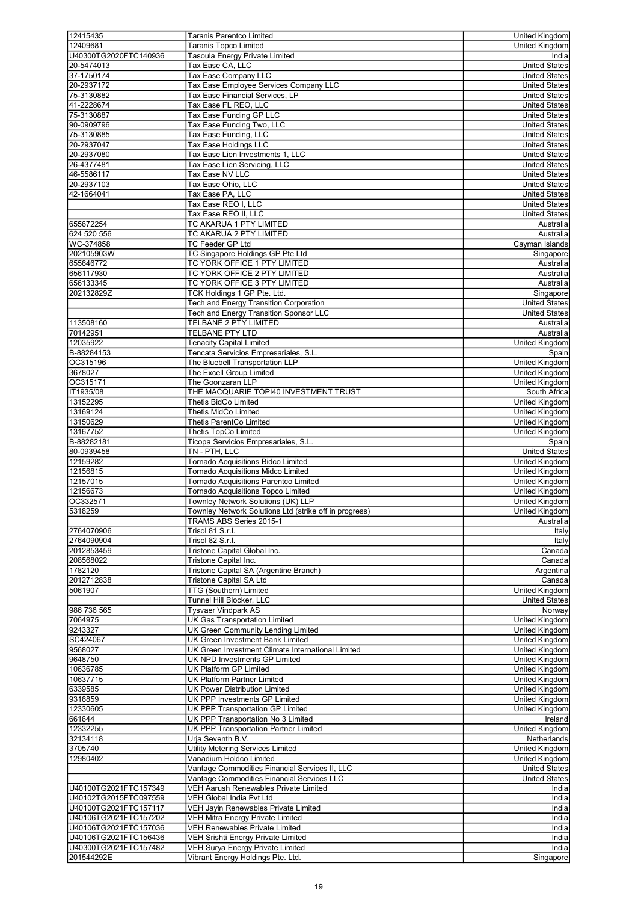| 12415435                            | <b>Taranis Parentco Limited</b>                                       | United Kingdom        |
|-------------------------------------|-----------------------------------------------------------------------|-----------------------|
|                                     | <b>Taranis Topco Limited</b>                                          |                       |
| 12409681                            |                                                                       | United Kingdom        |
| U40300TG2020FTC140936               | <b>Tasoula Energy Private Limited</b>                                 | India                 |
| 20-5474013                          | Tax Ease CA, LLC                                                      | <b>United States</b>  |
| 37-1750174                          | Tax Ease Company LLC                                                  | <b>United States</b>  |
| 20-2937172                          | Tax Ease Employee Services Company LLC                                | <b>United States</b>  |
| 75-3130882                          | Tax Ease Financial Services, LP                                       | <b>United States</b>  |
| 41-2228674                          | Tax Ease FL REO, LLC                                                  | <b>United States</b>  |
| 75-3130887                          | Tax Ease Funding GP LLC                                               | <b>United States</b>  |
| 90-0909796                          | Tax Ease Funding Two, LLC                                             | <b>United States</b>  |
| 75-3130885                          | Tax Ease Funding, LLC                                                 | <b>United States</b>  |
| 20-2937047                          | <b>Tax Ease Holdings LLC</b>                                          | <b>United States</b>  |
|                                     |                                                                       |                       |
| 20-2937080                          | Tax Ease Lien Investments 1. LLC                                      | <b>United States</b>  |
| 26-4377481                          | Tax Ease Lien Servicing, LLC                                          | <b>United States</b>  |
| 46-5586117                          | Tax Ease NV LLC                                                       | <b>United States</b>  |
| 20-2937103                          | Tax Ease Ohio, LLC                                                    | <b>United States</b>  |
| 42-1664041                          | Tax Ease PA, LLC                                                      | <b>United States</b>  |
|                                     | Tax Ease REO I, LLC                                                   | <b>United States</b>  |
|                                     | Tax Ease REO II, LLC                                                  | <b>United States</b>  |
| 655672254                           | TC AKARUA 1 PTY LIMITED                                               | Australia             |
| 624 520 556                         | TC AKARUA 2 PTY LIMITED                                               | Australia             |
|                                     | <b>TC Feeder GP Ltd</b>                                               |                       |
| WC-374858                           |                                                                       | Cayman Islands        |
| 202105903W                          | TC Singapore Holdings GP Pte Ltd                                      | Singapore             |
| 655646772                           | TC YORK OFFICE 1 PTY LIMITED                                          | Australia             |
| 656117930                           | TC YORK OFFICE 2 PTY LIMITED                                          | Australia             |
| 656133345                           | TC YORK OFFICE 3 PTY LIMITED                                          | Australia             |
| 202132829Z                          | TCK Holdings 1 GP Pte. Ltd.                                           | Singapore             |
|                                     | Tech and Energy Transition Corporation                                | <b>United States</b>  |
|                                     | <b>Tech and Energy Transition Sponsor LLC</b>                         | <b>United States</b>  |
| 113508160                           | TELBANE 2 PTY LIMITED                                                 | Australia             |
| 70142951                            | <b>TELBANE PTY LTD</b>                                                | Australia             |
| 12035922                            | <b>Tenacity Capital Limited</b>                                       | <b>United Kingdom</b> |
|                                     |                                                                       |                       |
| B-88284153                          | Tencata Servicios Empresariales, S.L.                                 | Spain                 |
| OC315196                            | The Bluebell Transportation LLP                                       | United Kingdom        |
| 3678027                             | The Excell Group Limited                                              | United Kingdom        |
| OC315171                            | The Goonzaran LLP                                                     | <b>United Kingdom</b> |
| IT1935/08                           | THE MACQUARIE TOPI40 INVESTMENT TRUST                                 | South Africa          |
| 13152295                            | Thetis BidCo Limited                                                  | United Kingdom        |
| 13169124                            | <b>Thetis MidCo Limited</b>                                           | United Kingdom        |
| 13150629                            | <b>Thetis ParentCo Limited</b>                                        | United Kingdom        |
| 13167752                            | Thetis TopCo Limited                                                  | <b>United Kingdom</b> |
|                                     |                                                                       |                       |
| B-88282181                          | Ticopa Servicios Empresariales, S.L.                                  | Spain                 |
| 80-0939458                          | TN - PTH, LLC                                                         | <b>United States</b>  |
| 12159282                            | Tornado Acquisitions Bidco Limited                                    | <b>United Kingdom</b> |
| 12156815                            | Tornado Acquisitions Midco Limited                                    | United Kingdom        |
| 12157015                            | Tornado Acquisitions Parentco Limited                                 | United Kingdom        |
| 12156673                            | <b>Tornado Acquisitions Topco Limited</b>                             | United Kingdom        |
| OC332571                            | Townley Network Solutions (UK) LLP                                    | <b>United Kingdom</b> |
| 5318259                             | Townley Network Solutions Ltd (strike off in progress)                | United Kingdom        |
|                                     | TRAMS ABS Series 2015-1                                               | Australia             |
| 2764070906                          | Trisol 81 S.r.l.                                                      | Italy                 |
| 2764090904                          | Trisol 82 S.r.l.                                                      |                       |
|                                     |                                                                       | Italy                 |
| 2012853459                          | Tristone Capital Global Inc.                                          | Canada                |
| 208568022                           | Tristone Capital Inc.                                                 | Canada                |
| 1782120                             | Tristone Capital SA (Argentine Branch)                                | Argentina             |
| 2012712838                          | Tristone Capital SA Ltd                                               | Canada                |
| 5061907                             | TTG (Southern) Limited                                                | United Kingdom        |
|                                     | Tunnel Hill Blocker, LLC                                              | <b>United States</b>  |
| 986 736 565                         | <b>Tysvaer Vindpark AS</b>                                            | Norway                |
| 7064975                             | <b>UK Gas Transportation Limited</b>                                  | United Kingdom        |
| 9243327                             | UK Green Community Lending Limited                                    | United Kingdom        |
| SC424067                            | UK Green Investment Bank Limited                                      | <b>United Kingdom</b> |
|                                     |                                                                       |                       |
| 9568027                             | UK Green Investment Climate International Limited                     | United Kingdom        |
| 9648750                             | UK NPD Investments GP Limited                                         | United Kingdom        |
| 10636785                            | <b>UK Platform GP Limited</b>                                         | United Kingdom        |
| 10637715                            | <b>UK Platform Partner Limited</b>                                    | United Kingdom        |
| 6339585                             | UK Power Distribution Limited                                         | United Kingdom        |
| 9316859                             | UK PPP Investments GP Limited                                         | United Kingdom        |
| 12330605                            | UK PPP Transportation GP Limited                                      | United Kingdom        |
| 661644                              | UK PPP Transportation No 3 Limited                                    | Ireland               |
| 12332255                            | UK PPP Transportation Partner Limited                                 | United Kingdom        |
| 32134118                            | Urja Seventh B.V.                                                     | Netherlands           |
| 3705740                             | <b>Utility Metering Services Limited</b>                              | United Kingdom        |
|                                     |                                                                       |                       |
| 12980402                            | Vanadium Holdco Limited                                               | United Kingdom        |
|                                     | Vantage Commodities Financial Services II, LLC                        | <b>United States</b>  |
|                                     | Vantage Commodities Financial Services LLC                            | <b>United States</b>  |
| U40100TG2021FTC157349               | VEH Aarush Renewables Private Limited                                 | India                 |
| U40102TG2015FTC097559               | VEH Global India Pvt Ltd                                              | India                 |
| U40100TG2021FTC157117               | VEH Jayin Renewables Private Limited                                  | India                 |
| U40106TG2021FTC157202               |                                                                       |                       |
|                                     |                                                                       |                       |
|                                     | <b>VEH Mitra Energy Private Limited</b>                               | India                 |
| U40106TG2021FTC157036               | <b>VEH Renewables Private Limited</b>                                 | India                 |
| U40106TG2021FTC156436               | VEH Srishti Energy Private Limited                                    | India                 |
| U40300TG2021FTC157482<br>201544292E | VEH Surya Energy Private Limited<br>Vibrant Energy Holdings Pte. Ltd. | India<br>Singapore    |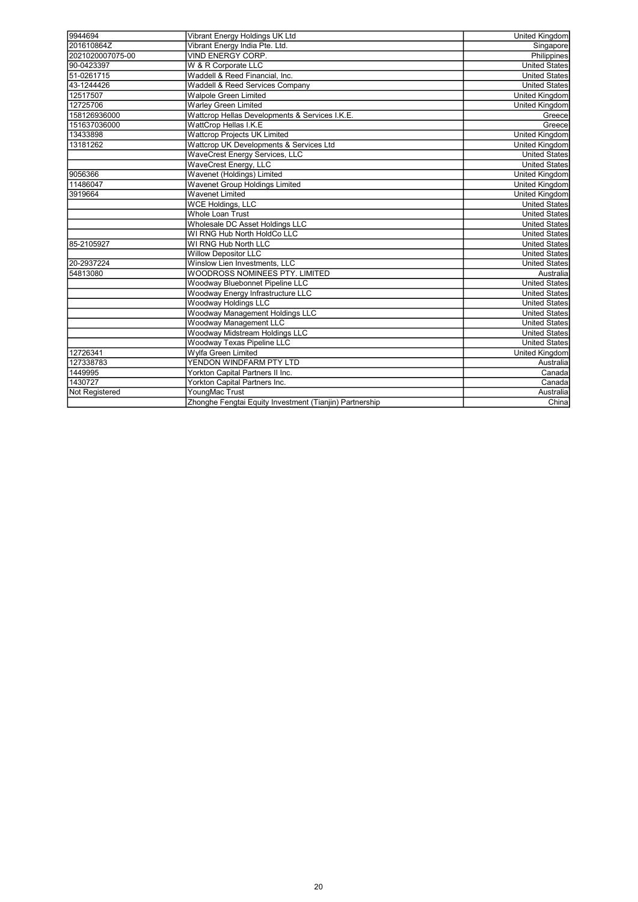| 9944694          | Vibrant Energy Holdings UK Ltd                          | United Kingdom        |
|------------------|---------------------------------------------------------|-----------------------|
| 201610864Z       | Vibrant Energy India Pte. Ltd.                          | Singapore             |
| 2021020007075-00 | VIND ENERGY CORP.                                       | Philippines           |
| 90-0423397       | W & R Corporate LLC                                     | <b>United States</b>  |
| 51-0261715       | Waddell & Reed Financial, Inc.                          | <b>United States</b>  |
| 43-1244426       | <b>Waddell &amp; Reed Services Company</b>              | <b>United States</b>  |
| 12517507         | <b>Walpole Green Limited</b>                            | <b>United Kingdom</b> |
| 12725706         | <b>Warley Green Limited</b>                             | United Kingdom        |
| 158126936000     | Wattcrop Hellas Developments & Services I.K.E.          | Greece                |
| 151637036000     | WattCrop Hellas I.K.E                                   | Greece                |
| 13433898         | Wattcrop Projects UK Limited                            | United Kingdom        |
| 13181262         | Wattcrop UK Developments & Services Ltd                 | <b>United Kingdom</b> |
|                  | <b>WaveCrest Energy Services, LLC</b>                   | <b>United States</b>  |
|                  | WaveCrest Energy, LLC                                   | <b>United States</b>  |
| 9056366          | Wavenet (Holdings) Limited                              | <b>United Kingdom</b> |
| 11486047         | Wavenet Group Holdings Limited                          | <b>United Kingdom</b> |
| 3919664          | <b>Wavenet Limited</b>                                  | <b>United Kingdom</b> |
|                  | <b>WCE Holdings, LLC</b>                                | <b>United States</b>  |
|                  | Whole Loan Trust                                        | <b>United States</b>  |
|                  | Wholesale DC Asset Holdings LLC                         | <b>United States</b>  |
|                  | WI RNG Hub North HoldCo LLC                             | <b>United States</b>  |
| 85-2105927       | WI RNG Hub North LLC                                    | <b>United States</b>  |
|                  | <b>Willow Depositor LLC</b>                             | United States         |
| 20-2937224       | Winslow Lien Investments, LLC                           | <b>United States</b>  |
| 54813080         | WOODROSS NOMINEES PTY. LIMITED                          | Australia             |
|                  | Woodway Bluebonnet Pipeline LLC                         | <b>United States</b>  |
|                  | Woodway Energy Infrastructure LLC                       | <b>United States</b>  |
|                  | Woodway Holdings LLC                                    | <b>United States</b>  |
|                  | Woodway Management Holdings LLC                         | <b>United States</b>  |
|                  | Woodway Management LLC                                  | <b>United States</b>  |
|                  | Woodway Midstream Holdings LLC                          | <b>United States</b>  |
|                  | Woodway Texas Pipeline LLC                              | <b>United States</b>  |
| 12726341         | Wylfa Green Limited                                     | <b>United Kingdom</b> |
| 127338783        | YENDON WINDFARM PTY LTD                                 | Australia             |
| 1449995          | Yorkton Capital Partners II Inc.                        | Canada                |
| 1430727          | Yorkton Capital Partners Inc.                           | Canada                |
| Not Registered   | YoungMac Trust                                          | Australia             |
|                  | Zhonghe Fengtai Equity Investment (Tianjin) Partnership | China                 |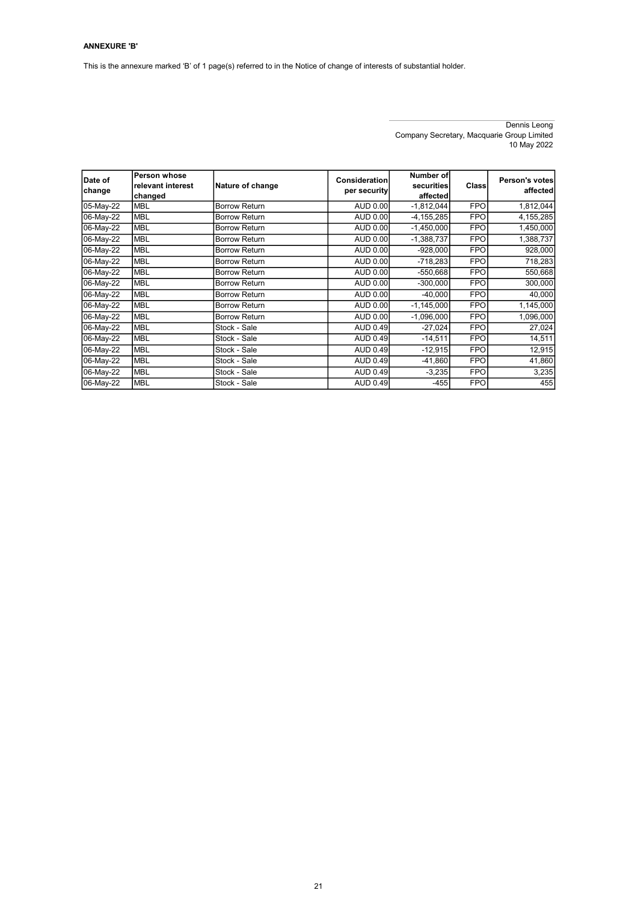# ANNEXURE 'B'

This is the annexure marked 'B' of 1 page(s) referred to in the Notice of change of interests of substantial holder.

Dennis Leong Company Secretary, Macquarie Group Limited 10 May 2022

| Date of<br>change | Person whose<br>relevant interest<br>changed | Nature of change     | Consideration<br>per security | Number of<br>securities<br>affected | Class      | Person's votes<br>affected |
|-------------------|----------------------------------------------|----------------------|-------------------------------|-------------------------------------|------------|----------------------------|
| 05-May-22         | <b>MBL</b>                                   | Borrow Return        | <b>AUD 0.00</b>               | $-1,812,044$                        | <b>FPO</b> | 1,812,044                  |
| 06-May-22         | <b>MBL</b>                                   | <b>Borrow Return</b> | <b>AUD 0.00</b>               | $-4, 155, 285$                      | <b>FPO</b> | 4,155,285                  |
| 06-May-22         | <b>MBL</b>                                   | <b>Borrow Return</b> | <b>AUD 0.00</b>               | $-1,450,000$                        | <b>FPO</b> | 1,450,000                  |
| 06-May-22         | <b>MBL</b>                                   | <b>Borrow Return</b> | AUD 0.00                      | $-1,388,737$                        | <b>FPO</b> | 1,388,737                  |
| 06-May-22         | <b>MBL</b>                                   | <b>Borrow Return</b> | <b>AUD 0.00</b>               | $-928,000$                          | <b>FPO</b> | 928,000                    |
| 06-May-22         | <b>MBL</b>                                   | <b>Borrow Return</b> | AUD 0.00                      | $-718,283$                          | <b>FPO</b> | 718,283                    |
| 06-May-22         | <b>MBL</b>                                   | Borrow Return        | AUD 0.00                      | $-550,668$                          | <b>FPO</b> | 550,668                    |
| 06-May-22         | <b>MBL</b>                                   | <b>Borrow Return</b> | AUD 0.00                      | $-300,000$                          | <b>FPO</b> | 300,000                    |
| 06-May-22         | <b>MBL</b>                                   | <b>Borrow Return</b> | <b>AUD 0.00</b>               | $-40,000$                           | <b>FPO</b> | 40,000                     |
| 06-May-22         | <b>MBL</b>                                   | <b>Borrow Return</b> | <b>AUD 0.00</b>               | $-1,145,000$                        | <b>FPO</b> | 1,145,000                  |
| 06-May-22         | <b>MBL</b>                                   | <b>Borrow Return</b> | AUD 0.00                      | $-1,096,000$                        | <b>FPO</b> | 1,096,000                  |
| 06-May-22         | <b>MBL</b>                                   | Stock - Sale         | AUD 0.49                      | $-27,024$                           | <b>FPO</b> | 27,024                     |
| 06-May-22         | <b>MBL</b>                                   | Stock - Sale         | AUD 0.49                      | $-14,511$                           | <b>FPO</b> | 14,511                     |
| 06-May-22         | <b>MBL</b>                                   | Stock - Sale         | AUD 0.49                      | $-12,915$                           | <b>FPO</b> | 12,915                     |
| 06-May-22         | <b>MBL</b>                                   | Stock - Sale         | <b>AUD 0.49</b>               | $-41,860$                           | <b>FPO</b> | 41,860                     |
| 06-May-22         | <b>MBL</b>                                   | Stock - Sale         | <b>AUD 0.49</b>               | $-3,235$                            | <b>FPO</b> | 3,235                      |
| 06-May-22         | <b>MBL</b>                                   | Stock - Sale         | <b>AUD 0.49</b>               | $-455$                              | <b>FPO</b> | 455                        |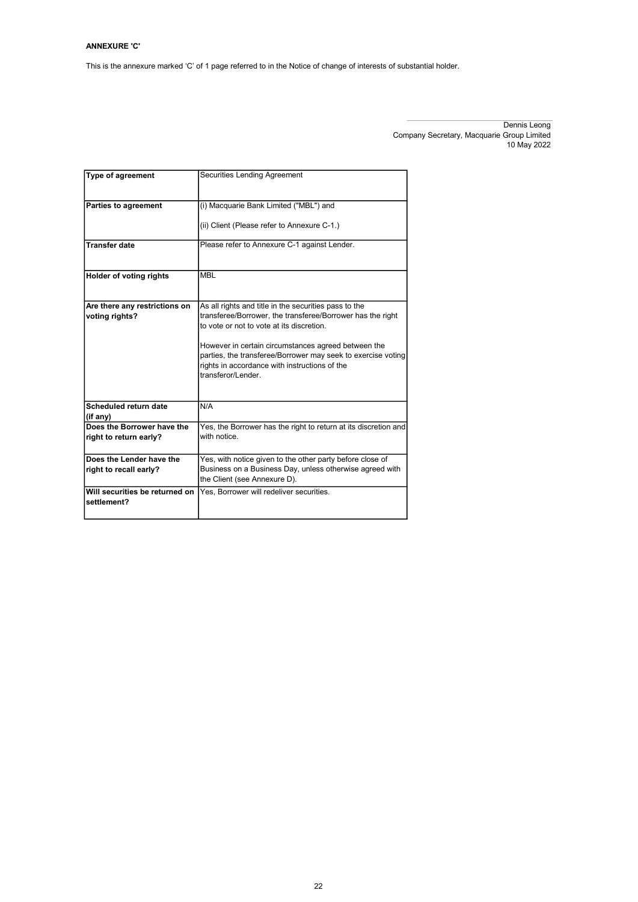# ANNEXURE 'C'

This is the annexure marked 'C' of 1 page referred to in the Notice of change of interests of substantial holder.

Dennis Leong Company Secretary, Macquarie Group Limited 10 May 2022

| Type of agreement                                    | Securities Lending Agreement                                                                                                                                                                                                                                                                                                                                   |
|------------------------------------------------------|----------------------------------------------------------------------------------------------------------------------------------------------------------------------------------------------------------------------------------------------------------------------------------------------------------------------------------------------------------------|
| <b>Parties to agreement</b>                          | (i) Macquarie Bank Limited ("MBL") and                                                                                                                                                                                                                                                                                                                         |
|                                                      | (ii) Client (Please refer to Annexure C-1.)                                                                                                                                                                                                                                                                                                                    |
| <b>Transfer date</b>                                 | Please refer to Annexure C-1 against Lender.                                                                                                                                                                                                                                                                                                                   |
| Holder of voting rights                              | <b>MBL</b>                                                                                                                                                                                                                                                                                                                                                     |
| Are there any restrictions on<br>voting rights?      | As all rights and title in the securities pass to the<br>transferee/Borrower, the transferee/Borrower has the right<br>to vote or not to vote at its discretion.<br>However in certain circumstances agreed between the<br>parties, the transferee/Borrower may seek to exercise voting<br>rights in accordance with instructions of the<br>transferor/Lender. |
|                                                      |                                                                                                                                                                                                                                                                                                                                                                |
| Scheduled return date<br>(if any)                    | N/A                                                                                                                                                                                                                                                                                                                                                            |
| Does the Borrower have the<br>right to return early? | Yes, the Borrower has the right to return at its discretion and<br>with notice.                                                                                                                                                                                                                                                                                |
| Does the Lender have the                             | Yes, with notice given to the other party before close of                                                                                                                                                                                                                                                                                                      |
| right to recall early?                               | Business on a Business Day, unless otherwise agreed with<br>the Client (see Annexure D).                                                                                                                                                                                                                                                                       |
| Will securities be returned on<br>settlement?        | Yes. Borrower will redeliver securities.                                                                                                                                                                                                                                                                                                                       |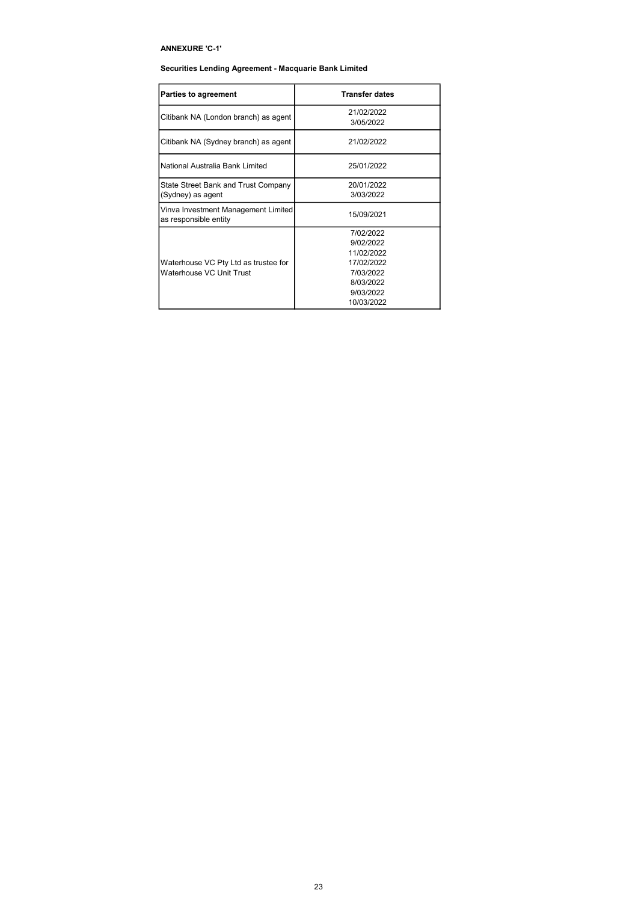# ANNEXURE 'C-1'

# Securities Lending Agreement - Macquarie Bank Limited

| Parties to agreement                                             | <b>Transfer dates</b>                                                                                   |
|------------------------------------------------------------------|---------------------------------------------------------------------------------------------------------|
| Citibank NA (London branch) as agent                             | 21/02/2022<br>3/05/2022                                                                                 |
| Citibank NA (Sydney branch) as agent                             | 21/02/2022                                                                                              |
| National Australia Bank Limited                                  | 25/01/2022                                                                                              |
| State Street Bank and Trust Company<br>(Sydney) as agent         | 20/01/2022<br>3/03/2022                                                                                 |
| Vinva Investment Management Limited<br>as responsible entity     | 15/09/2021                                                                                              |
| Waterhouse VC Pty Ltd as trustee for<br>Waterhouse VC Unit Trust | 7/02/2022<br>9/02/2022<br>11/02/2022<br>17/02/2022<br>7/03/2022<br>8/03/2022<br>9/03/2022<br>10/03/2022 |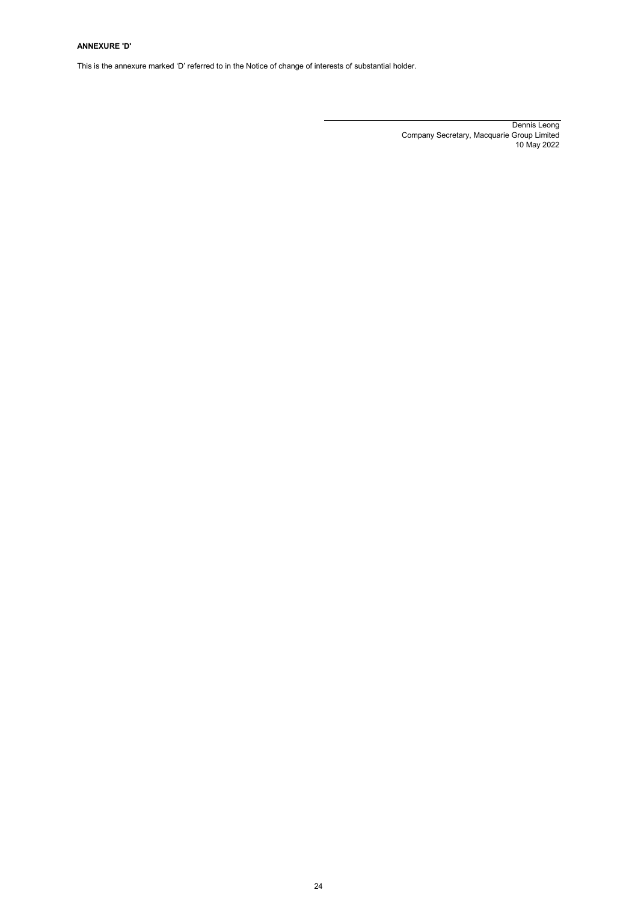# ANNEXURE 'D'

This is the annexure marked 'D' referred to in the Notice of change of interests of substantial holder.

Dennis Leong Company Secretary, Macquarie Group Limited 10 May 2022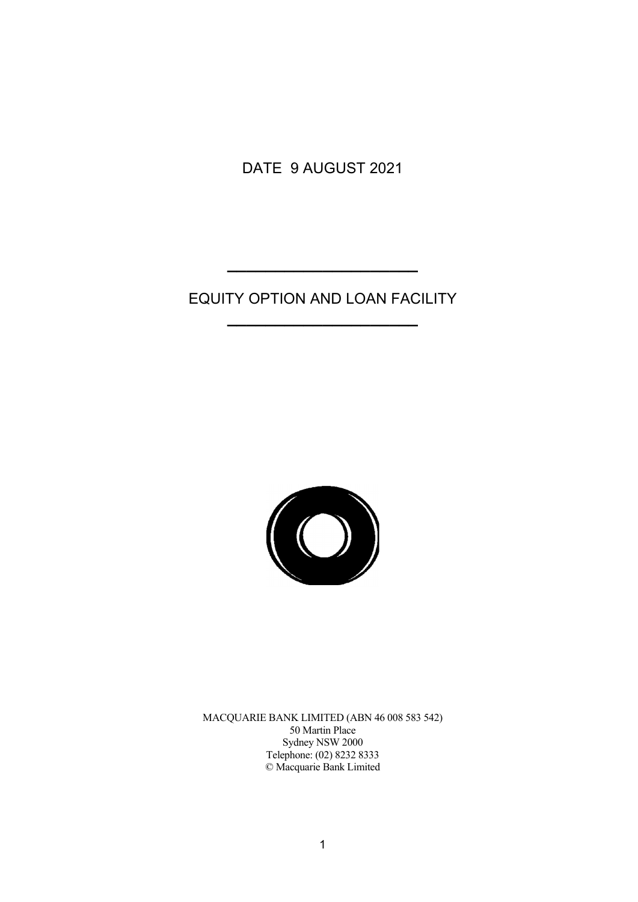DATE 9 AUGUST 2021

# EQUITY OPTION AND LOAN FACILITY **\_\_\_\_\_\_\_\_\_\_\_\_\_\_\_\_\_\_\_\_**

**\_\_\_\_\_\_\_\_\_\_\_\_\_\_\_\_\_\_\_\_** 



MACQUARIE BANK LIMITED (ABN 46 008 583 542) 50 Martin Place Sydney NSW 2000 Telephone: (02) 8232 8333 © Macquarie Bank Limited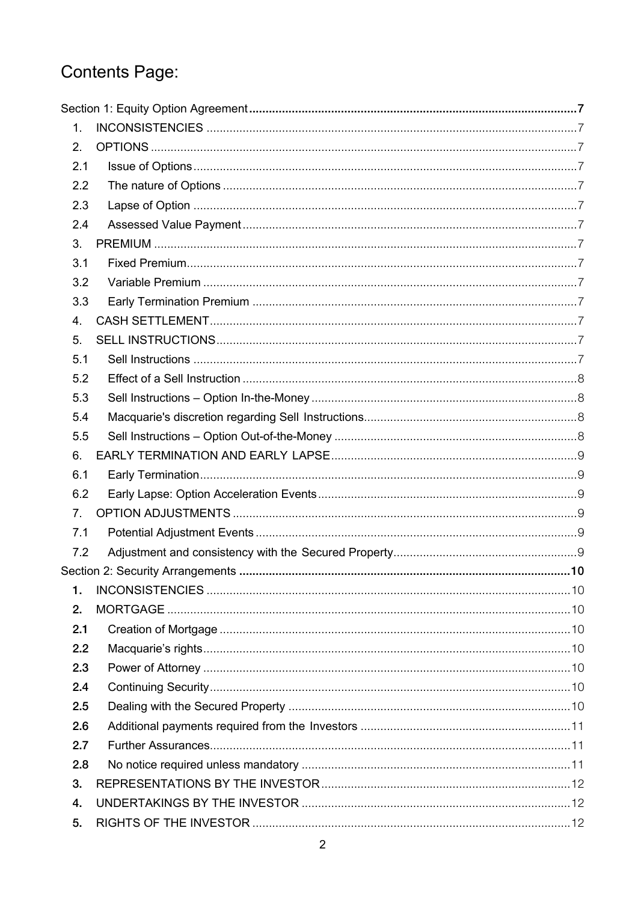# Contents Page:

| 1.             |  |
|----------------|--|
| 2.             |  |
| 2.1            |  |
| 2.2            |  |
| 2.3            |  |
| 2.4            |  |
| 3.             |  |
| 3.1            |  |
| 3.2            |  |
| 3.3            |  |
| 4.             |  |
| 5.             |  |
| 5.1            |  |
| 5.2            |  |
| 5.3            |  |
| 5.4            |  |
| 5.5            |  |
| 6.             |  |
| 6.1            |  |
| 6.2            |  |
| 7 <sub>1</sub> |  |
| 7.1            |  |
| 7.2            |  |
|                |  |
| 1.             |  |
| 2.             |  |
| 2.1            |  |
| 2.2            |  |
| 2.3            |  |
| 2.4            |  |
| 2.5            |  |
| 2.6            |  |
| 2.7            |  |
| 2.8            |  |
| 3.             |  |
| 4.             |  |
| 5.             |  |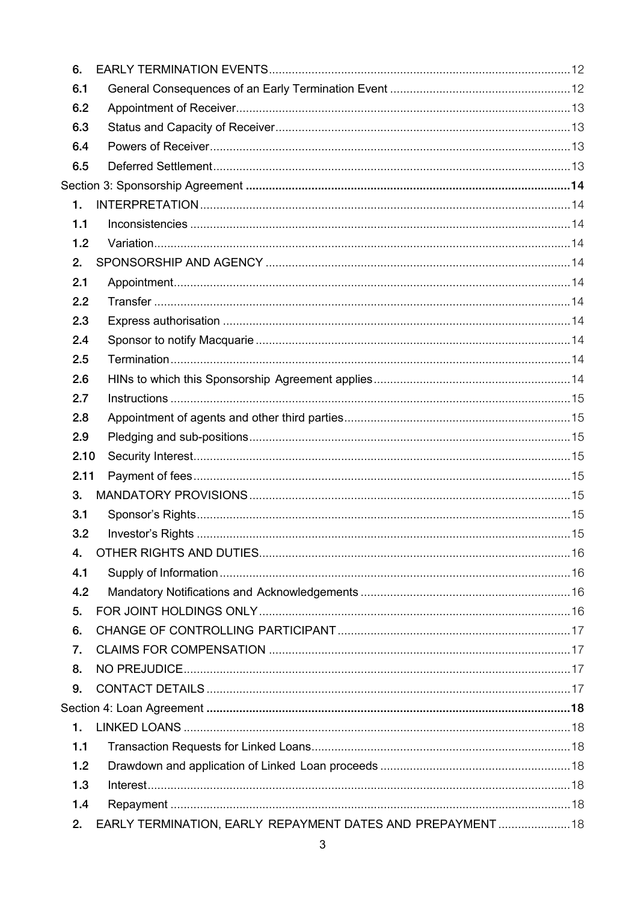| 6.   |                                                           |  |
|------|-----------------------------------------------------------|--|
| 6.1  |                                                           |  |
| 6.2  |                                                           |  |
| 6.3  |                                                           |  |
| 6.4  |                                                           |  |
| 6.5  |                                                           |  |
|      |                                                           |  |
| 1.   |                                                           |  |
| 1.1  |                                                           |  |
| 1.2  |                                                           |  |
| 2.   |                                                           |  |
| 2.1  |                                                           |  |
| 2.2  |                                                           |  |
| 2.3  |                                                           |  |
| 2.4  |                                                           |  |
| 2.5  |                                                           |  |
| 2.6  |                                                           |  |
| 2.7  |                                                           |  |
| 2.8  |                                                           |  |
| 2.9  |                                                           |  |
| 2.10 |                                                           |  |
| 2.11 |                                                           |  |
| 3.   |                                                           |  |
| 3.1  |                                                           |  |
| 3.2  |                                                           |  |
| 4.   |                                                           |  |
| 4.1  |                                                           |  |
| 4.2  |                                                           |  |
| 5.   |                                                           |  |
| 6.   |                                                           |  |
| 7.   |                                                           |  |
| 8.   |                                                           |  |
| 9.   |                                                           |  |
|      |                                                           |  |
| 1.   |                                                           |  |
| 1.1  |                                                           |  |
| 1.2  |                                                           |  |
| 1.3  |                                                           |  |
| 1.4  |                                                           |  |
| 2.   | EARLY TERMINATION, EARLY REPAYMENT DATES AND PREPAYMENT18 |  |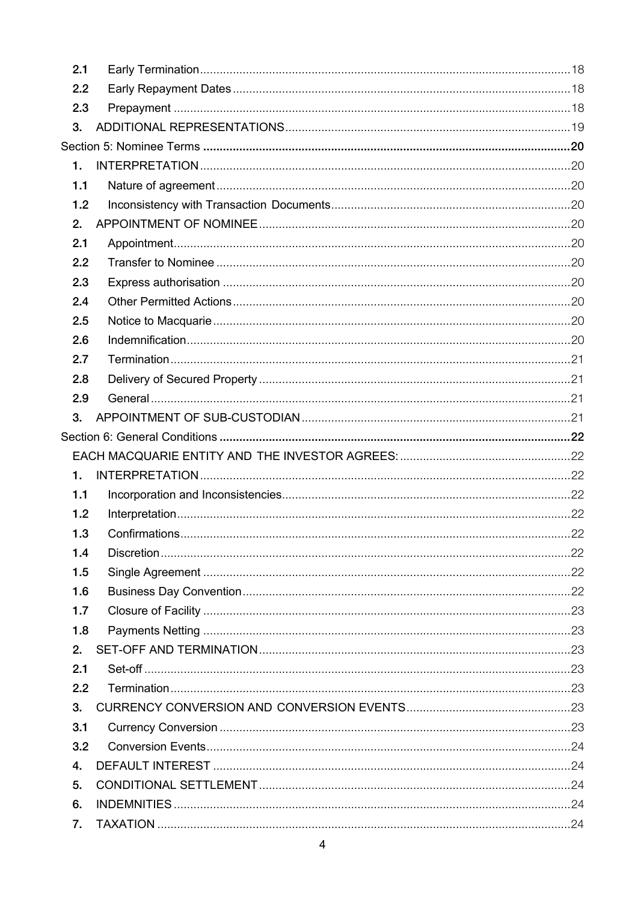| 2.1 |  |
|-----|--|
| 2.2 |  |
| 2.3 |  |
| 3.  |  |
|     |  |
| 1.  |  |
| 1.1 |  |
| 1.2 |  |
| 2.  |  |
| 2.1 |  |
| 2.2 |  |
| 2.3 |  |
| 2.4 |  |
| 2.5 |  |
| 2.6 |  |
| 2.7 |  |
| 2.8 |  |
| 2.9 |  |
| 3.  |  |
|     |  |
|     |  |
|     |  |
| 1.  |  |
| 1.1 |  |
| 1.2 |  |
| 1.3 |  |
| 1.4 |  |
| 1.5 |  |
| 1.6 |  |
| 1.7 |  |
| 1.8 |  |
| 2.  |  |
| 2.1 |  |
| 2.2 |  |
| 3.  |  |
| 3.1 |  |
| 3.2 |  |
| 4.  |  |
| 5.  |  |
| 6.  |  |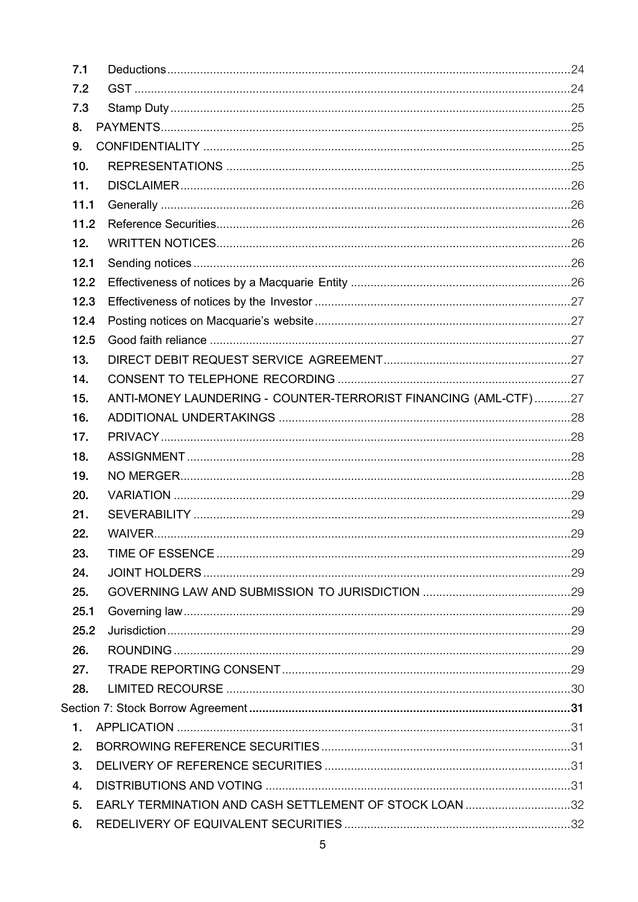| 7.1  |                                                                 |  |
|------|-----------------------------------------------------------------|--|
| 7.2  |                                                                 |  |
| 7.3  |                                                                 |  |
| 8.   |                                                                 |  |
| 9.   |                                                                 |  |
| 10.  |                                                                 |  |
| 11.  |                                                                 |  |
| 11.1 |                                                                 |  |
| 11.2 |                                                                 |  |
| 12.  |                                                                 |  |
| 12.1 |                                                                 |  |
| 12.2 |                                                                 |  |
| 12.3 |                                                                 |  |
| 12.4 |                                                                 |  |
| 12.5 |                                                                 |  |
| 13.  |                                                                 |  |
| 14.  |                                                                 |  |
| 15.  | ANTI-MONEY LAUNDERING - COUNTER-TERRORIST FINANCING (AML-CTF)27 |  |
| 16.  |                                                                 |  |
| 17.  |                                                                 |  |
| 18.  |                                                                 |  |
| 19.  |                                                                 |  |
| 20.  |                                                                 |  |
| 21.  |                                                                 |  |
| 22.  |                                                                 |  |
| 23.  |                                                                 |  |
| 24.  |                                                                 |  |
| 25.  |                                                                 |  |
| 25.1 |                                                                 |  |
| 25.2 |                                                                 |  |
| 26.  |                                                                 |  |
| 27.  |                                                                 |  |
| 28.  |                                                                 |  |
|      |                                                                 |  |
| 1.   |                                                                 |  |
| 2.   |                                                                 |  |
| 3.   |                                                                 |  |
| 4.   |                                                                 |  |
| 5.   | EARLY TERMINATION AND CASH SETTLEMENT OF STOCK LOAN 32          |  |
| 6.   |                                                                 |  |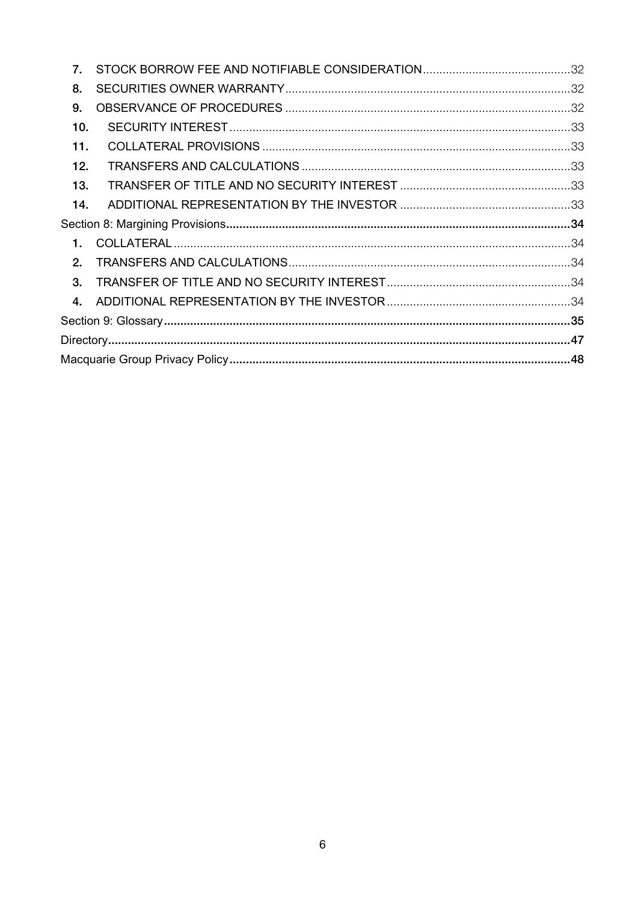| 7.             |  |
|----------------|--|
| 8.             |  |
| 9.             |  |
| 10.            |  |
| 11.            |  |
| 12.            |  |
| 13.            |  |
| 14.            |  |
|                |  |
| 1.             |  |
| 2 <sub>1</sub> |  |
| 3.             |  |
| $\mathbf{4}$   |  |
|                |  |
|                |  |
|                |  |
|                |  |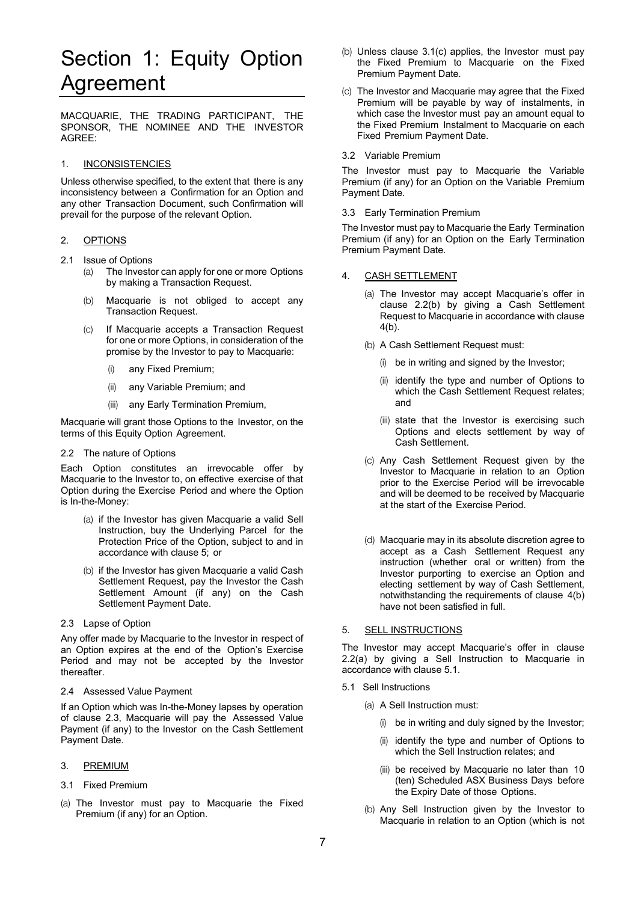# Section 1: Equity Option Agreement

MACQUARIE, THE TRADING PARTICIPANT, THE SPONSOR, THE NOMINEE AND THE INVESTOR AGREE:

# 1. INCONSISTENCIES

Unless otherwise specified, to the extent that there is any inconsistency between a Confirmation for an Option and any other Transaction Document, such Confirmation will prevail for the purpose of the relevant Option.

# 2. OPTIONS

- 2.1 Issue of Options
	- (a) The Investor can apply for one or more Options by making a Transaction Request.
	- (b) Macquarie is not obliged to accept any Transaction Request.
	- (c) If Macquarie accepts a Transaction Request for one or more Options, in consideration of the promise by the Investor to pay to Macquarie:
		- (i) any Fixed Premium;
		- (ii) any Variable Premium; and
		- (iii) any Early Termination Premium,

Macquarie will grant those Options to the Investor, on the terms of this Equity Option Agreement.

2.2 The nature of Options

Each Option constitutes an irrevocable offer by Macquarie to the Investor to, on effective exercise of that Option during the Exercise Period and where the Option is In-the-Money:

- (a) if the Investor has given Macquarie a valid Sell Instruction, buy the Underlying Parcel for the Protection Price of the Option, subject to and in accordance with clause 5; or
- (b) if the Investor has given Macquarie a valid Cash Settlement Request, pay the Investor the Cash Settlement Amount (if any) on the Cash Settlement Payment Date.
- 2.3 Lapse of Option

Any offer made by Macquarie to the Investor in respect of an Option expires at the end of the Option's Exercise Period and may not be accepted by the Investor thereafter.

# 2.4 Assessed Value Payment

If an Option which was In-the-Money lapses by operation of clause 2.3, Macquarie will pay the Assessed Value Payment (if any) to the Investor on the Cash Settlement Payment Date.

#### 3. PREMIUM

- 3.1 Fixed Premium
- (a) The Investor must pay to Macquarie the Fixed Premium (if any) for an Option.
- (b) Unless clause 3.1(c) applies, the Investor must pay the Fixed Premium to Macquarie on the Fixed Premium Payment Date.
- (c) The Investor and Macquarie may agree that the Fixed Premium will be payable by way of instalments, in which case the Investor must pay an amount equal to the Fixed Premium Instalment to Macquarie on each Fixed Premium Payment Date.
- 3.2 Variable Premium

The Investor must pay to Macquarie the Variable Premium (if any) for an Option on the Variable Premium Payment Date.

### 3.3 Early Termination Premium

The Investor must pay to Macquarie the Early Termination Premium (if any) for an Option on the Early Termination Premium Payment Date.

## 4. CASH SETTLEMENT

- (a) The Investor may accept Macquarie's offer in clause 2.2(b) by giving a Cash Settlement Request to Macquarie in accordance with clause 4(b).
- (b) A Cash Settlement Request must:
	- (i) be in writing and signed by the Investor;
	- (ii) identify the type and number of Options to which the Cash Settlement Request relates; and
	- (iii) state that the Investor is exercising such Options and elects settlement by way of Cash Settlement.
- (c) Any Cash Settlement Request given by the Investor to Macquarie in relation to an Option prior to the Exercise Period will be irrevocable and will be deemed to be received by Macquarie at the start of the Exercise Period.
- (d) Macquarie may in its absolute discretion agree to accept as a Cash Settlement Request any instruction (whether oral or written) from the Investor purporting to exercise an Option and electing settlement by way of Cash Settlement, notwithstanding the requirements of clause 4(b) have not been satisfied in full.

# 5. SELL INSTRUCTIONS

The Investor may accept Macquarie's offer in clause 2.2(a) by giving a Sell Instruction to Macquarie in accordance with clause 5.1.

- 5.1 Sell Instructions
	- (a) A Sell Instruction must:
		- (i) be in writing and duly signed by the Investor;
		- (ii) identify the type and number of Options to which the Sell Instruction relates; and
		- (iii) be received by Macquarie no later than 10 (ten) Scheduled ASX Business Days before the Expiry Date of those Options.
	- (b) Any Sell Instruction given by the Investor to Macquarie in relation to an Option (which is not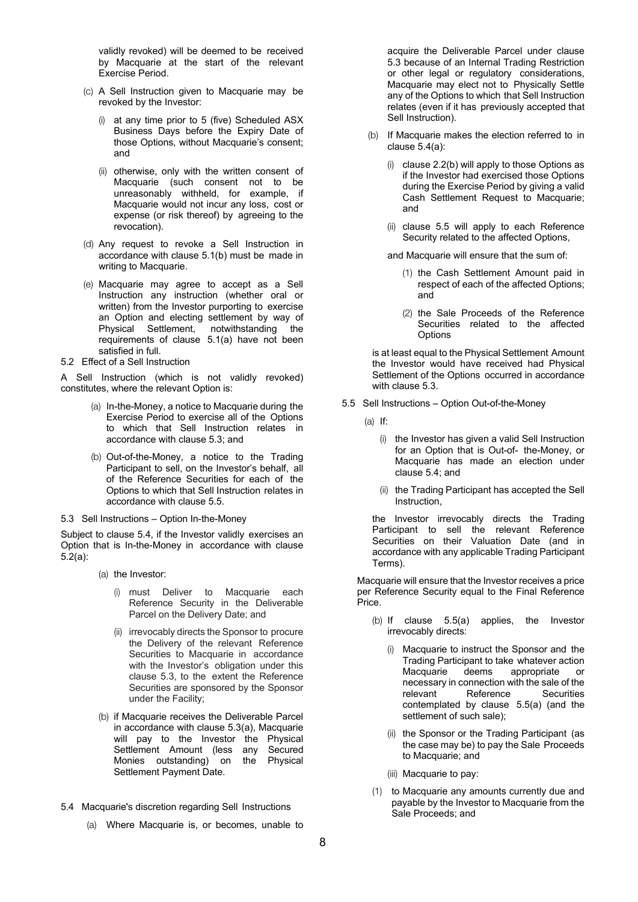validly revoked) will be deemed to be received by Macquarie at the start of the relevant Exercise Period.

- (c) A Sell Instruction given to Macquarie may be revoked by the Investor:
	- (i) at any time prior to 5 (five) Scheduled ASX Business Days before the Expiry Date of those Options, without Macquarie's consent; and
	- (ii) otherwise, only with the written consent of Macquarie (such consent not to be unreasonably withheld, for example, if Macquarie would not incur any loss, cost or expense (or risk thereof) by agreeing to the revocation).
- (d) Any request to revoke a Sell Instruction in accordance with clause 5.1(b) must be made in writing to Macquarie.
- (e) Macquarie may agree to accept as a Sell Instruction any instruction (whether oral or written) from the Investor purporting to exercise an Option and electing settlement by way of Physical Settlement, notwithstanding the requirements of clause 5.1(a) have not been satisfied in full.
- 5.2 Effect of a Sell Instruction

A Sell Instruction (which is not validly revoked) constitutes, where the relevant Option is:

- (a) In-the-Money, a notice to Macquarie during the Exercise Period to exercise all of the Options to which that Sell Instruction relates in accordance with clause 5.3; and
- (b) Out-of-the-Money, a notice to the Trading Participant to sell, on the Investor's behalf, all of the Reference Securities for each of the Options to which that Sell Instruction relates in accordance with clause 5.5.
- 5.3 Sell Instructions Option In-the-Money

Subject to clause 5.4, if the Investor validly exercises an Option that is In-the-Money in accordance with clause 5.2(a):

- (a) the Investor:
	- (i) must Deliver to Macquarie each Reference Security in the Deliverable Parcel on the Delivery Date; and
	- (ii) irrevocably directs the Sponsor to procure the Delivery of the relevant Reference Securities to Macquarie in accordance with the Investor's obligation under this clause 5.3, to the extent the Reference Securities are sponsored by the Sponsor under the Facility;
- (b) if Macquarie receives the Deliverable Parcel in accordance with clause 5.3(a), Macquarie will pay to the Investor the Physical Settlement Amount (less any Secured Monies outstanding) on the Physical Settlement Payment Date.
- 5.4 Macquarie's discretion regarding Sell Instructions
	- (a) Where Macquarie is, or becomes, unable to

acquire the Deliverable Parcel under clause 5.3 because of an Internal Trading Restriction or other legal or regulatory considerations, Macquarie may elect not to Physically Settle any of the Options to which that Sell Instruction relates (even if it has previously accepted that Sell Instruction).

- (b) If Macquarie makes the election referred to in clause 5.4(a):
	- clause  $2.2(b)$  will apply to those Options as if the Investor had exercised those Options during the Exercise Period by giving a valid Cash Settlement Request to Macquarie; and
	- (ii) clause 5.5 will apply to each Reference Security related to the affected Options,

and Macquarie will ensure that the sum of:

- (1) the Cash Settlement Amount paid in respect of each of the affected Options; and
- (2) the Sale Proceeds of the Reference Securities related to the affected **Options**

is at least equal to the Physical Settlement Amount the Investor would have received had Physical Settlement of the Options occurred in accordance with clause 5.3.

- 5.5 Sell Instructions Option Out-of-the-Money
	- $(a)$  If:
		- (i) the Investor has given a valid Sell Instruction for an Option that is Out-of- the-Money, or Macquarie has made an election under clause 5.4; and
		- (ii) the Trading Participant has accepted the Sell Instruction,

the Investor irrevocably directs the Trading Participant to sell the relevant Reference Securities on their Valuation Date (and in accordance with any applicable Trading Participant Terms).

Macquarie will ensure that the Investor receives a price per Reference Security equal to the Final Reference Price.

- (b) If clause 5.5(a) applies, the Investor irrevocably directs:
	- (i) Macquarie to instruct the Sponsor and the Trading Participant to take whatever action Macquarie deems appropriate or necessary in connection with the sale of the relevant Reference Securities contemplated by clause 5.5(a) (and the settlement of such sale);
	- (ii) the Sponsor or the Trading Participant (as the case may be) to pay the Sale Proceeds to Macquarie; and
	- (iii) Macquarie to pay:
- (1) to Macquarie any amounts currently due and payable by the Investor to Macquarie from the Sale Proceeds; and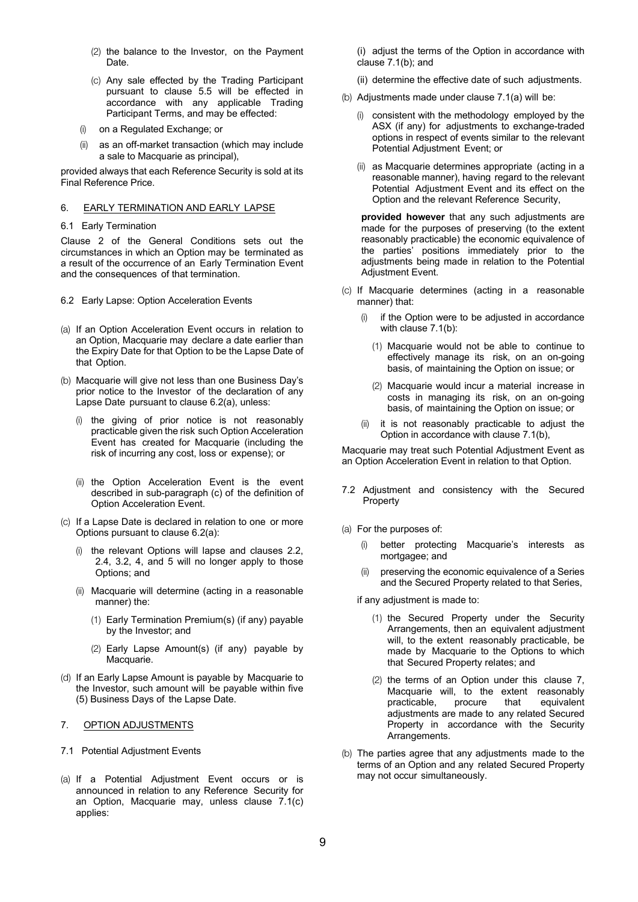- (2) the balance to the Investor, on the Payment Date.
- (c) Any sale effected by the Trading Participant pursuant to clause 5.5 will be effected in accordance with any applicable Trading Participant Terms, and may be effected:
- (i) on a Regulated Exchange; or
- (ii) as an off-market transaction (which may include a sale to Macquarie as principal),

provided always that each Reference Security is sold at its Final Reference Price.

# 6. EARLY TERMINATION AND EARLY LAPSE

## 6.1 Early Termination

Clause 2 of the General Conditions sets out the circumstances in which an Option may be terminated as a result of the occurrence of an Early Termination Event and the consequences of that termination.

- 6.2 Early Lapse: Option Acceleration Events
- (a) If an Option Acceleration Event occurs in relation to an Option, Macquarie may declare a date earlier than the Expiry Date for that Option to be the Lapse Date of that Option.
- (b) Macquarie will give not less than one Business Day's prior notice to the Investor of the declaration of any Lapse Date pursuant to clause 6.2(a), unless:
	- (i) the giving of prior notice is not reasonably practicable given the risk such Option Acceleration Event has created for Macquarie (including the risk of incurring any cost, loss or expense); or
	- (ii) the Option Acceleration Event is the event described in sub-paragraph (c) of the definition of Option Acceleration Event.
- (c) If a Lapse Date is declared in relation to one or more Options pursuant to clause 6.2(a):
	- (i) the relevant Options will lapse and clauses 2.2, 2.4, 3.2, 4, and 5 will no longer apply to those Options; and
	- (ii) Macquarie will determine (acting in a reasonable manner) the:
		- (1) Early Termination Premium(s) (if any) payable by the Investor; and
		- (2) Early Lapse Amount(s) (if any) payable by Macquarie.
- (d) If an Early Lapse Amount is payable by Macquarie to the Investor, such amount will be payable within five (5) Business Days of the Lapse Date.

# 7. OPTION ADJUSTMENTS

- 7.1 Potential Adjustment Events
- (a) If a Potential Adjustment Event occurs or is announced in relation to any Reference Security for an Option, Macquarie may, unless clause 7.1(c) applies:

(i) adjust the terms of the Option in accordance with clause 7.1(b); and

- (ii) determine the effective date of such adjustments.
- (b) Adjustments made under clause 7.1(a) will be:
	- (i) consistent with the methodology employed by the ASX (if any) for adjustments to exchange-traded options in respect of events similar to the relevant Potential Adjustment Event; or
	- (ii) as Macquarie determines appropriate (acting in a reasonable manner), having regard to the relevant Potential Adjustment Event and its effect on the Option and the relevant Reference Security,

**provided however** that any such adjustments are made for the purposes of preserving (to the extent reasonably practicable) the economic equivalence of the parties' positions immediately prior to the adjustments being made in relation to the Potential Adjustment Event.

- (c) If Macquarie determines (acting in a reasonable manner) that:
	- (i) if the Option were to be adjusted in accordance with clause 7.1(b):
		- (1) Macquarie would not be able to continue to effectively manage its risk, on an on-going basis, of maintaining the Option on issue; or
		- (2) Macquarie would incur a material increase in costs in managing its risk, on an on-going basis, of maintaining the Option on issue; or
	- (ii) it is not reasonably practicable to adjust the Option in accordance with clause 7.1(b),

Macquarie may treat such Potential Adjustment Event as an Option Acceleration Event in relation to that Option.

- 7.2 Adjustment and consistency with the Secured **Property**
- (a) For the purposes of:
	- (i) better protecting Macquarie's interests as mortgagee; and
	- (ii) preserving the economic equivalence of a Series and the Secured Property related to that Series,
	- if any adjustment is made to:
		- (1) the Secured Property under the Security Arrangements, then an equivalent adjustment will, to the extent reasonably practicable, be made by Macquarie to the Options to which that Secured Property relates; and
		- (2) the terms of an Option under this clause 7, Macquarie will, to the extent reasonably practicable, procure that equivalent adjustments are made to any related Secured Property in accordance with the Security Arrangements.
- (b) The parties agree that any adjustments made to the terms of an Option and any related Secured Property may not occur simultaneously.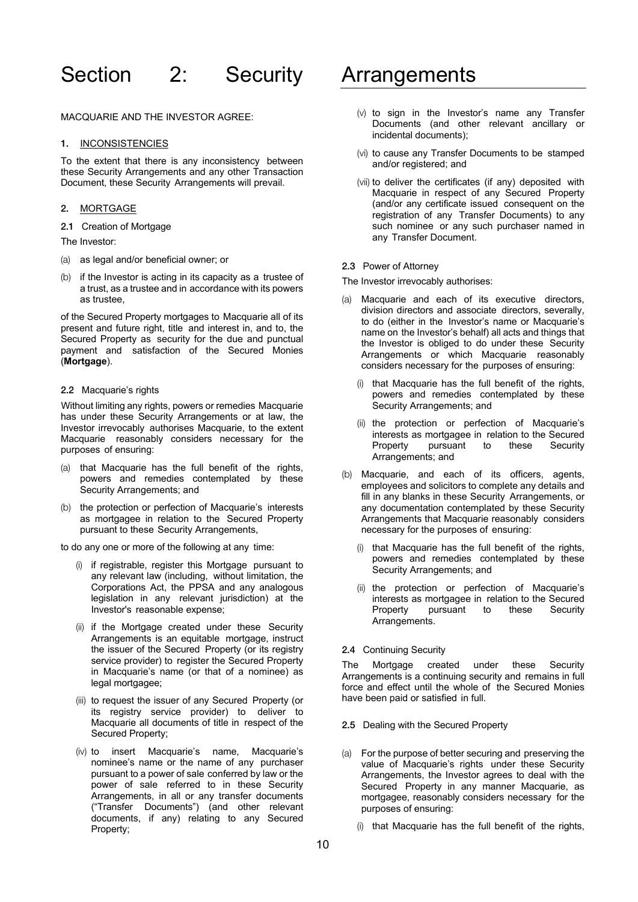# Section 2: Security Arrangements

MACQUARIE AND THE INVESTOR AGREE:

#### 1. INCONSISTENCIES

To the extent that there is any inconsistency between these Security Arrangements and any other Transaction Document, these Security Arrangements will prevail.

## 2. MORTGAGE

2.1 Creation of Mortgage

The Investor:

- (a) as legal and/or beneficial owner; or
- (b) if the Investor is acting in its capacity as a trustee of a trust, as a trustee and in accordance with its powers as trustee,

of the Secured Property mortgages to Macquarie all of its present and future right, title and interest in, and to, the Secured Property as security for the due and punctual payment and satisfaction of the Secured Monies (**Mortgage**).

#### 2.2 Macquarie's rights

Without limiting any rights, powers or remedies Macquarie has under these Security Arrangements or at law, the Investor irrevocably authorises Macquarie, to the extent Macquarie reasonably considers necessary for the purposes of ensuring:

- (a) that Macquarie has the full benefit of the rights, powers and remedies contemplated by these Security Arrangements; and
- (b) the protection or perfection of Macquarie's interests as mortgagee in relation to the Secured Property pursuant to these Security Arrangements,

to do any one or more of the following at any time:

- (i) if registrable, register this Mortgage pursuant to any relevant law (including, without limitation, the Corporations Act, the PPSA and any analogous legislation in any relevant jurisdiction) at the Investor's reasonable expense;
- (ii) if the Mortgage created under these Security Arrangements is an equitable mortgage, instruct the issuer of the Secured Property (or its registry service provider) to register the Secured Property in Macquarie's name (or that of a nominee) as legal mortgagee;
- (iii) to request the issuer of any Secured Property (or its registry service provider) to deliver to Macquarie all documents of title in respect of the Secured Property;
- (iv) to insert Macquarie's name, Macquarie's nominee's name or the name of any purchaser pursuant to a power of sale conferred by law or the power of sale referred to in these Security Arrangements, in all or any transfer documents ("Transfer Documents") (and other relevant documents, if any) relating to any Secured Property;

- (v) to sign in the Investor's name any Transfer Documents (and other relevant ancillary or incidental documents);
- (vi) to cause any Transfer Documents to be stamped and/or registered; and
- (vii) to deliver the certificates (if any) deposited with Macquarie in respect of any Secured Property (and/or any certificate issued consequent on the registration of any Transfer Documents) to any such nominee or any such purchaser named in any Transfer Document.

## 2.3 Power of Attorney

The Investor irrevocably authorises:

- Macquarie and each of its executive directors, division directors and associate directors, severally, to do (either in the Investor's name or Macquarie's name on the Investor's behalf) all acts and things that the Investor is obliged to do under these Security Arrangements or which Macquarie reasonably considers necessary for the purposes of ensuring:
	- (i) that Macquarie has the full benefit of the rights, powers and remedies contemplated by these Security Arrangements; and
	- (ii) the protection or perfection of Macquarie's interests as mortgagee in relation to the Secured Property pursuant to these Security Arrangements; and
- (b) Macquarie, and each of its officers, agents, employees and solicitors to complete any details and fill in any blanks in these Security Arrangements, or any documentation contemplated by these Security Arrangements that Macquarie reasonably considers necessary for the purposes of ensuring:
	- (i) that Macquarie has the full benefit of the rights, powers and remedies contemplated by these Security Arrangements; and
	- (ii) the protection or perfection of Macquarie's interests as mortgagee in relation to the Secured Property pursuant to these Security Arrangements.

# 2.4 Continuing Security

The Mortgage created under these Security Arrangements is a continuing security and remains in full force and effect until the whole of the Secured Monies have been paid or satisfied in full.

- 2.5 Dealing with the Secured Property
- (a) For the purpose of better securing and preserving the value of Macquarie's rights under these Security Arrangements, the Investor agrees to deal with the Secured Property in any manner Macquarie, as mortgagee, reasonably considers necessary for the purposes of ensuring:
	- (i) that Macquarie has the full benefit of the rights,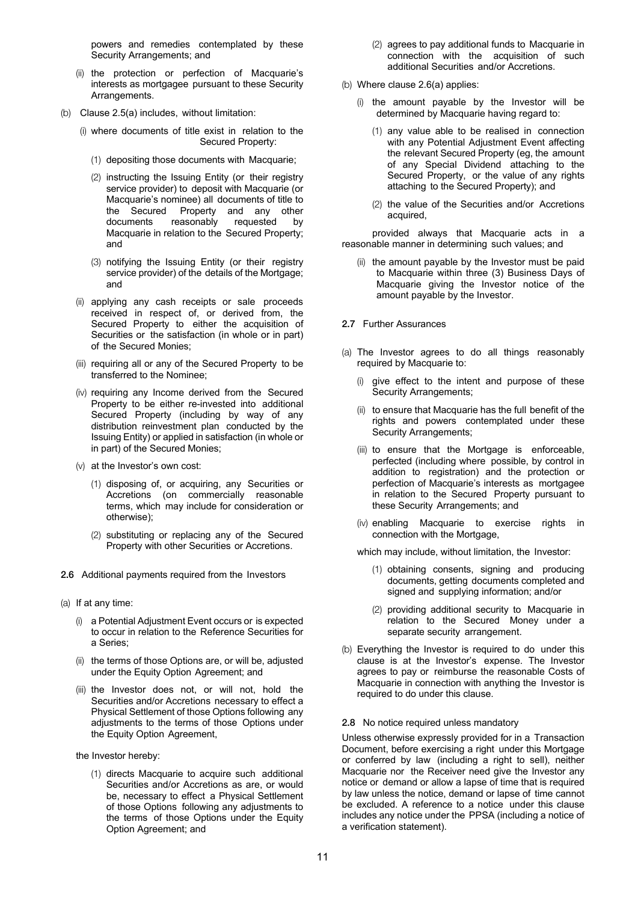powers and remedies contemplated by these Security Arrangements; and

- (ii) the protection or perfection of Macquarie's interests as mortgagee pursuant to these Security Arrangements.
- (b) Clause 2.5(a) includes, without limitation:
	- (i) where documents of title exist in relation to the Secured Property:
		- (1) depositing those documents with Macquarie;
		- (2) instructing the Issuing Entity (or their registry service provider) to deposit with Macquarie (or Macquarie's nominee) all documents of title to the Secured Property and any other documents reasonably requested by Macquarie in relation to the Secured Property; and
		- (3) notifying the Issuing Entity (or their registry service provider) of the details of the Mortgage; and
	- (ii) applying any cash receipts or sale proceeds received in respect of, or derived from, the Secured Property to either the acquisition of Securities or the satisfaction (in whole or in part) of the Secured Monies;
	- (iii) requiring all or any of the Secured Property to be transferred to the Nominee;
	- (iv) requiring any Income derived from the Secured Property to be either re-invested into additional Secured Property (including by way of any distribution reinvestment plan conducted by the Issuing Entity) or applied in satisfaction (in whole or in part) of the Secured Monies;
	- (v) at the Investor's own cost:
		- (1) disposing of, or acquiring, any Securities or Accretions (on commercially reasonable terms, which may include for consideration or otherwise);
		- (2) substituting or replacing any of the Secured Property with other Securities or Accretions.
- 2.6 Additional payments required from the Investors
- (a) If at any time:
	- (i) a Potential Adjustment Event occurs or is expected to occur in relation to the Reference Securities for a Series;
	- (ii) the terms of those Options are, or will be, adjusted under the Equity Option Agreement; and
	- (iii) the Investor does not, or will not, hold the Securities and/or Accretions necessary to effect a Physical Settlement of those Options following any adjustments to the terms of those Options under the Equity Option Agreement,

the Investor hereby:

(1) directs Macquarie to acquire such additional Securities and/or Accretions as are, or would be, necessary to effect a Physical Settlement of those Options following any adjustments to the terms of those Options under the Equity Option Agreement; and

- (2) agrees to pay additional funds to Macquarie in connection with the acquisition of such additional Securities and/or Accretions.
- (b) Where clause 2.6(a) applies:
	- (i) the amount payable by the Investor will be determined by Macquarie having regard to:
		- (1) any value able to be realised in connection with any Potential Adjustment Event affecting the relevant Secured Property (eg, the amount of any Special Dividend attaching to the Secured Property, or the value of any rights attaching to the Secured Property); and
		- (2) the value of the Securities and/or Accretions acquired,

provided always that Macquarie acts in a reasonable manner in determining such values; and

(ii) the amount payable by the Investor must be paid to Macquarie within three (3) Business Days of Macquarie giving the Investor notice of the amount payable by the Investor.

2.7 Further Assurances

- (a) The Investor agrees to do all things reasonably required by Macquarie to:
	- (i) give effect to the intent and purpose of these Security Arrangements;
	- (ii) to ensure that Macquarie has the full benefit of the rights and powers contemplated under these Security Arrangements;
	- (iii) to ensure that the Mortgage is enforceable, perfected (including where possible, by control in addition to registration) and the protection or perfection of Macquarie's interests as mortgagee in relation to the Secured Property pursuant to these Security Arrangements; and
	- (iv) enabling Macquarie to exercise rights in connection with the Mortgage,

which may include, without limitation, the Investor:

- (1) obtaining consents, signing and producing documents, getting documents completed and signed and supplying information; and/or
- (2) providing additional security to Macquarie in relation to the Secured Money under a separate security arrangement.
- (b) Everything the Investor is required to do under this clause is at the Investor's expense. The Investor agrees to pay or reimburse the reasonable Costs of Macquarie in connection with anything the Investor is required to do under this clause.

#### 2.8 No notice required unless mandatory

Unless otherwise expressly provided for in a Transaction Document, before exercising a right under this Mortgage or conferred by law (including a right to sell), neither Macquarie nor the Receiver need give the Investor any notice or demand or allow a lapse of time that is required by law unless the notice, demand or lapse of time cannot be excluded. A reference to a notice under this clause includes any notice under the PPSA (including a notice of a verification statement).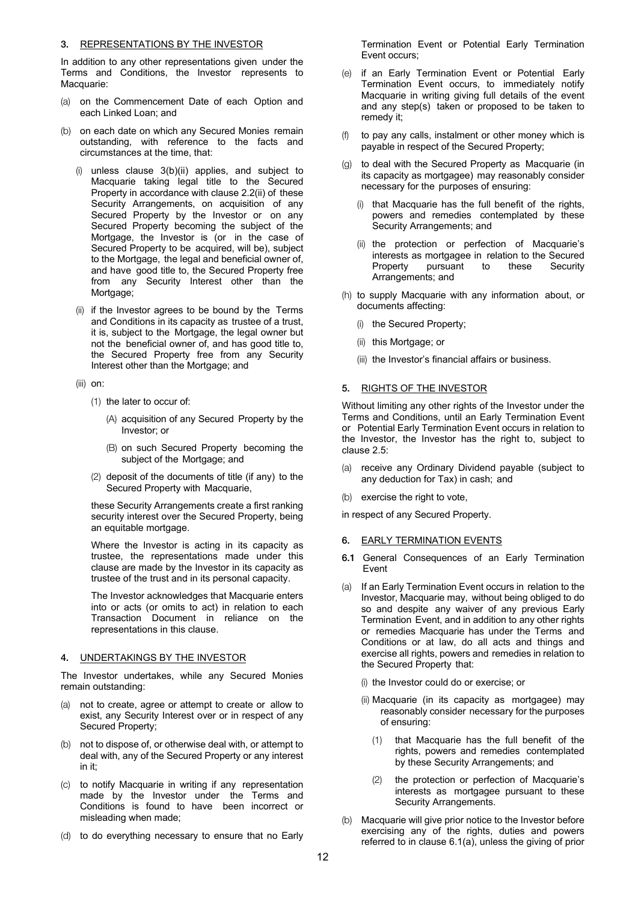### 3. REPRESENTATIONS BY THE INVESTOR

In addition to any other representations given under the Terms and Conditions, the Investor represents to Macquarie:

- (a) on the Commencement Date of each Option and each Linked Loan; and
- (b) on each date on which any Secured Monies remain outstanding, with reference to the facts and circumstances at the time, that:
	- (i) unless clause 3(b)(ii) applies, and subject to Macquarie taking legal title to the Secured Property in accordance with clause 2.2(ii) of these Security Arrangements, on acquisition of any Secured Property by the Investor or on any Secured Property becoming the subject of the Mortgage, the Investor is (or in the case of Secured Property to be acquired, will be), subject to the Mortgage, the legal and beneficial owner of, and have good title to, the Secured Property free from any Security Interest other than the Mortgage;
	- (ii) if the Investor agrees to be bound by the Terms and Conditions in its capacity as trustee of a trust, it is, subject to the Mortgage, the legal owner but not the beneficial owner of, and has good title to, the Secured Property free from any Security Interest other than the Mortgage; and
	- (iii) on:
		- (1) the later to occur of:
			- (A) acquisition of any Secured Property by the Investor; or
			- (B) on such Secured Property becoming the subject of the Mortgage; and
		- (2) deposit of the documents of title (if any) to the Secured Property with Macquarie,

these Security Arrangements create a first ranking security interest over the Secured Property, being an equitable mortgage.

Where the Investor is acting in its capacity as trustee, the representations made under this clause are made by the Investor in its capacity as trustee of the trust and in its personal capacity.

The Investor acknowledges that Macquarie enters into or acts (or omits to act) in relation to each Transaction Document in reliance on the representations in this clause.

#### 4. UNDERTAKINGS BY THE INVESTOR

The Investor undertakes, while any Secured Monies remain outstanding:

- (a) not to create, agree or attempt to create or allow to exist, any Security Interest over or in respect of any Secured Property;
- (b) not to dispose of, or otherwise deal with, or attempt to deal with, any of the Secured Property or any interest in it;
- (c) to notify Macquarie in writing if any representation made by the Investor under the Terms and Conditions is found to have been incorrect or misleading when made;
- (d) to do everything necessary to ensure that no Early

Termination Event or Potential Early Termination Event occurs;

- (e) if an Early Termination Event or Potential Early Termination Event occurs, to immediately notify Macquarie in writing giving full details of the event and any step(s) taken or proposed to be taken to remedy it;
- (f) to pay any calls, instalment or other money which is payable in respect of the Secured Property;
- to deal with the Secured Property as Macquarie (in its capacity as mortgagee) may reasonably consider necessary for the purposes of ensuring:
	- (i) that Macquarie has the full benefit of the rights, powers and remedies contemplated by these Security Arrangements; and
	- (ii) the protection or perfection of Macquarie's interests as mortgagee in relation to the Secured Property pursuant to these Security Arrangements; and
- (h) to supply Macquarie with any information about, or documents affecting:
	- (i) the Secured Property;
	- (ii) this Mortgage; or
	- (iii) the Investor's financial affairs or business.

### 5. RIGHTS OF THE INVESTOR

Without limiting any other rights of the Investor under the Terms and Conditions, until an Early Termination Event or Potential Early Termination Event occurs in relation to the Investor, the Investor has the right to, subject to clause 2.5:

- (a) receive any Ordinary Dividend payable (subject to any deduction for Tax) in cash; and
- (b) exercise the right to vote,

in respect of any Secured Property.

- 6. EARLY TERMINATION EVENTS
- 6.1 General Consequences of an Early Termination Event
- (a) If an Early Termination Event occurs in relation to the Investor, Macquarie may, without being obliged to do so and despite any waiver of any previous Early Termination Event, and in addition to any other rights or remedies Macquarie has under the Terms and Conditions or at law, do all acts and things and exercise all rights, powers and remedies in relation to the Secured Property that:
	- (i) the Investor could do or exercise; or
	- (ii) Macquarie (in its capacity as mortgagee) may reasonably consider necessary for the purposes of ensuring:
		- (1) that Macquarie has the full benefit of the rights, powers and remedies contemplated by these Security Arrangements; and
		- (2) the protection or perfection of Macquarie's interests as mortgagee pursuant to these Security Arrangements.
- (b) Macquarie will give prior notice to the Investor before exercising any of the rights, duties and powers referred to in clause 6.1(a), unless the giving of prior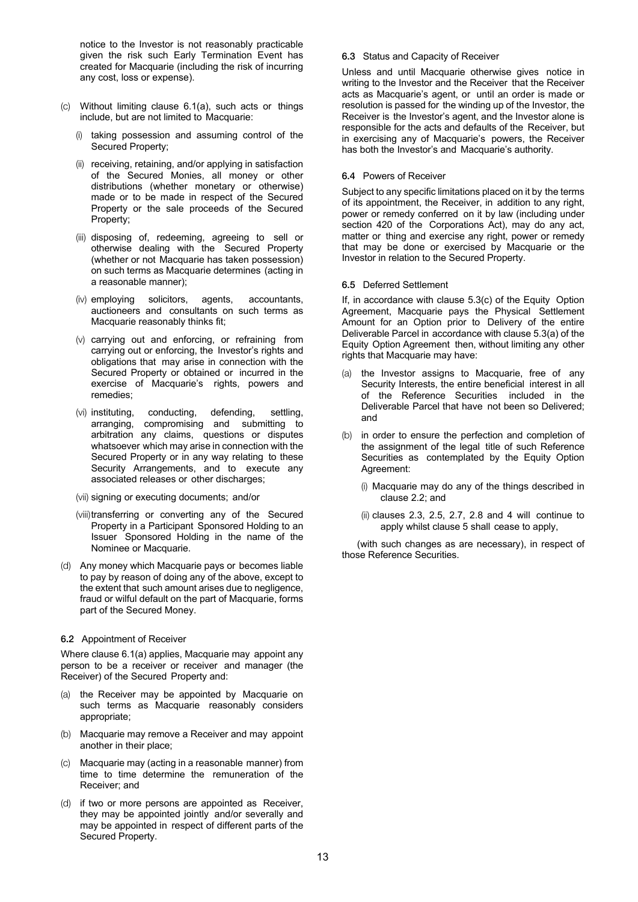notice to the Investor is not reasonably practicable given the risk such Early Termination Event has created for Macquarie (including the risk of incurring any cost, loss or expense).

- (c) Without limiting clause 6.1(a), such acts or things include, but are not limited to Macquarie:
	- (i) taking possession and assuming control of the Secured Property;
	- (ii) receiving, retaining, and/or applying in satisfaction of the Secured Monies, all money or other distributions (whether monetary or otherwise) made or to be made in respect of the Secured Property or the sale proceeds of the Secured Property;
	- (iii) disposing of, redeeming, agreeing to sell or otherwise dealing with the Secured Property (whether or not Macquarie has taken possession) on such terms as Macquarie determines (acting in a reasonable manner);
	- (iv) employing solicitors, agents, accountants, auctioneers and consultants on such terms as Macquarie reasonably thinks fit;
	- (v) carrying out and enforcing, or refraining from carrying out or enforcing, the Investor's rights and obligations that may arise in connection with the Secured Property or obtained or incurred in the exercise of Macquarie's rights, powers and remedies;
	- (vi) instituting, conducting, defending, settling, arranging, compromising and submitting to arbitration any claims, questions or disputes whatsoever which may arise in connection with the Secured Property or in any way relating to these Security Arrangements, and to execute any associated releases or other discharges;
	- (vii) signing or executing documents; and/or
	- (viii) transferring or converting any of the Secured Property in a Participant Sponsored Holding to an Issuer Sponsored Holding in the name of the Nominee or Macquarie.
- (d) Any money which Macquarie pays or becomes liable to pay by reason of doing any of the above, except to the extent that such amount arises due to negligence, fraud or wilful default on the part of Macquarie, forms part of the Secured Money.

#### 6.2 Appointment of Receiver

Where clause 6.1(a) applies, Macquarie may appoint any person to be a receiver or receiver and manager (the Receiver) of the Secured Property and:

- (a) the Receiver may be appointed by Macquarie on such terms as Macquarie reasonably considers appropriate;
- (b) Macquarie may remove a Receiver and may appoint another in their place;
- Macquarie may (acting in a reasonable manner) from time to time determine the remuneration of the Receiver; and
- (d) if two or more persons are appointed as Receiver, they may be appointed jointly and/or severally and may be appointed in respect of different parts of the Secured Property.

#### 6.3 Status and Capacity of Receiver

Unless and until Macquarie otherwise gives notice in writing to the Investor and the Receiver that the Receiver acts as Macquarie's agent, or until an order is made or resolution is passed for the winding up of the Investor, the Receiver is the Investor's agent, and the Investor alone is responsible for the acts and defaults of the Receiver, but in exercising any of Macquarie's powers, the Receiver has both the Investor's and Macquarie's authority.

#### 6.4 Powers of Receiver

Subject to any specific limitations placed on it by the terms of its appointment, the Receiver, in addition to any right, power or remedy conferred on it by law (including under section 420 of the Corporations Act), may do any act, matter or thing and exercise any right, power or remedy that may be done or exercised by Macquarie or the Investor in relation to the Secured Property.

#### 6.5 Deferred Settlement

If, in accordance with clause 5.3(c) of the Equity Option Agreement, Macquarie pays the Physical Settlement Amount for an Option prior to Delivery of the entire Deliverable Parcel in accordance with clause 5.3(a) of the Equity Option Agreement then, without limiting any other rights that Macquarie may have:

- (a) the Investor assigns to Macquarie, free of any Security Interests, the entire beneficial interest in all of the Reference Securities included in the Deliverable Parcel that have not been so Delivered; and
- (b) in order to ensure the perfection and completion of the assignment of the legal title of such Reference Securities as contemplated by the Equity Option Agreement:
	- (i) Macquarie may do any of the things described in clause 2.2; and
	- (ii) clauses 2.3, 2.5, 2.7, 2.8 and 4 will continue to apply whilst clause 5 shall cease to apply,

(with such changes as are necessary), in respect of those Reference Securities.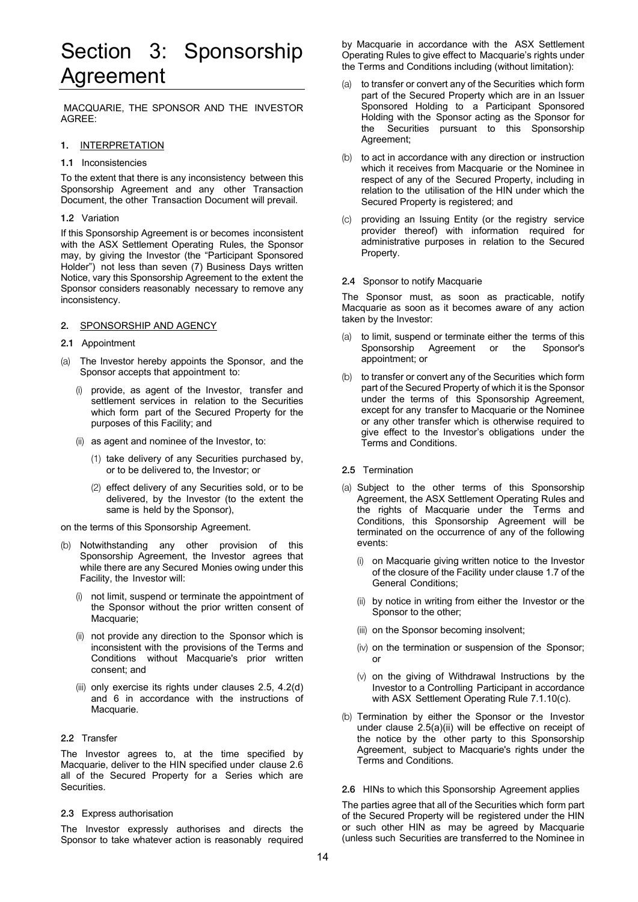# Section 3: Sponsorship Agreement

MACQUARIE, THE SPONSOR AND THE INVESTOR AGREE:

#### 1. INTERPRETATION

1.1 Inconsistencies

To the extent that there is any inconsistency between this Sponsorship Agreement and any other Transaction Document, the other Transaction Document will prevail.

#### 1.2 Variation

If this Sponsorship Agreement is or becomes inconsistent with the ASX Settlement Operating Rules, the Sponsor may, by giving the Investor (the "Participant Sponsored Holder") not less than seven (7) Business Days written Notice, vary this Sponsorship Agreement to the extent the Sponsor considers reasonably necessary to remove any inconsistency.

#### 2. SPONSORSHIP AND AGENCY

#### 2.1 Appointment

- (a) The Investor hereby appoints the Sponsor, and the Sponsor accepts that appointment to:
	- provide, as agent of the Investor, transfer and settlement services in relation to the Securities which form part of the Secured Property for the purposes of this Facility; and
	- (ii) as agent and nominee of the Investor, to:
		- (1) take delivery of any Securities purchased by, or to be delivered to, the Investor; or
		- (2) effect delivery of any Securities sold, or to be delivered, by the Investor (to the extent the same is held by the Sponsor),

on the terms of this Sponsorship Agreement.

- (b) Notwithstanding any other provision of this Sponsorship Agreement, the Investor agrees that while there are any Secured Monies owing under this Facility, the Investor will:
	- (i) not limit, suspend or terminate the appointment of the Sponsor without the prior written consent of Macquarie:
	- (ii) not provide any direction to the Sponsor which is inconsistent with the provisions of the Terms and Conditions without Macquarie's prior written consent; and
	- (iii) only exercise its rights under clauses 2.5, 4.2(d) and 6 in accordance with the instructions of Macquarie.

#### 2.2 Transfer

The Investor agrees to, at the time specified by Macquarie, deliver to the HIN specified under clause 2.6 all of the Secured Property for a Series which are Securities.

#### 2.3 Express authorisation

The Investor expressly authorises and directs the Sponsor to take whatever action is reasonably required by Macquarie in accordance with the ASX Settlement Operating Rules to give effect to Macquarie's rights under the Terms and Conditions including (without limitation):

- (a) to transfer or convert any of the Securities which form part of the Secured Property which are in an Issuer Sponsored Holding to a Participant Sponsored Holding with the Sponsor acting as the Sponsor for the Securities pursuant to this Sponsorship Agreement;
- (b) to act in accordance with any direction or instruction which it receives from Macquarie or the Nominee in respect of any of the Secured Property, including in relation to the utilisation of the HIN under which the Secured Property is registered; and
- (c) providing an Issuing Entity (or the registry service provider thereof) with information required for administrative purposes in relation to the Secured Property.

#### 2.4 Sponsor to notify Macquarie

The Sponsor must, as soon as practicable, notify Macquarie as soon as it becomes aware of any action taken by the Investor:

- (a) to limit, suspend or terminate either the terms of this Sponsorship Agreement or the Sponsor's appointment; or
- (b) to transfer or convert any of the Securities which form part of the Secured Property of which it is the Sponsor under the terms of this Sponsorship Agreement, except for any transfer to Macquarie or the Nominee or any other transfer which is otherwise required to give effect to the Investor's obligations under the Terms and Conditions.

#### 2.5 Termination

- (a) Subject to the other terms of this Sponsorship Agreement, the ASX Settlement Operating Rules and the rights of Macquarie under the Terms and Conditions, this Sponsorship Agreement will be terminated on the occurrence of any of the following events:
	- on Macquarie giving written notice to the Investor of the closure of the Facility under clause 1.7 of the General Conditions;
	- (ii) by notice in writing from either the Investor or the Sponsor to the other;
	- (iii) on the Sponsor becoming insolvent;
	- (iv) on the termination or suspension of the Sponsor; or
	- (v) on the giving of Withdrawal Instructions by the Investor to a Controlling Participant in accordance with ASX Settlement Operating Rule 7.1.10(c).
- (b) Termination by either the Sponsor or the Investor under clause 2.5(a)(ii) will be effective on receipt of the notice by the other party to this Sponsorship Agreement, subject to Macquarie's rights under the Terms and Conditions.

#### 2.6 HINs to which this Sponsorship Agreement applies

The parties agree that all of the Securities which form part of the Secured Property will be registered under the HIN or such other HIN as may be agreed by Macquarie (unless such Securities are transferred to the Nominee in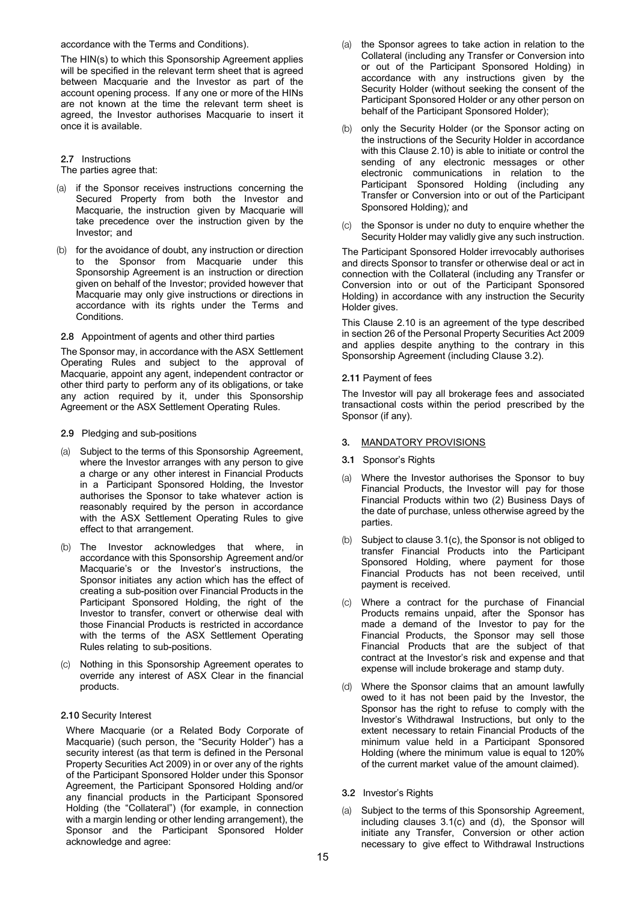accordance with the Terms and Conditions).

The HIN(s) to which this Sponsorship Agreement applies will be specified in the relevant term sheet that is agreed between Macquarie and the Investor as part of the account opening process. If any one or more of the HINs are not known at the time the relevant term sheet is agreed, the Investor authorises Macquarie to insert it once it is available.

### 2.7 Instructions

The parties agree that:

- (a) if the Sponsor receives instructions concerning the Secured Property from both the Investor and Macquarie, the instruction given by Macquarie will take precedence over the instruction given by the Investor; and
- (b) for the avoidance of doubt, any instruction or direction to the Sponsor from Macquarie under this Sponsorship Agreement is an instruction or direction given on behalf of the Investor; provided however that Macquarie may only give instructions or directions in accordance with its rights under the Terms and Conditions.

#### 2.8 Appointment of agents and other third parties

The Sponsor may, in accordance with the ASX Settlement Operating Rules and subject to the approval of Macquarie, appoint any agent, independent contractor or other third party to perform any of its obligations, or take any action required by it, under this Sponsorship Agreement or the ASX Settlement Operating Rules.

- 2.9 Pledging and sub-positions
- (a) Subject to the terms of this Sponsorship Agreement, where the Investor arranges with any person to give a charge or any other interest in Financial Products in a Participant Sponsored Holding, the Investor authorises the Sponsor to take whatever action is reasonably required by the person in accordance with the ASX Settlement Operating Rules to give effect to that arrangement.
- (b) The Investor acknowledges that where, in accordance with this Sponsorship Agreement and/or Macquarie's or the Investor's instructions, the Sponsor initiates any action which has the effect of creating a sub-position over Financial Products in the Participant Sponsored Holding, the right of the Investor to transfer, convert or otherwise deal with those Financial Products is restricted in accordance with the terms of the ASX Settlement Operating Rules relating to sub-positions.
- (c) Nothing in this Sponsorship Agreement operates to override any interest of ASX Clear in the financial products.

#### 2.10 Security Interest

Where Macquarie (or a Related Body Corporate of Macquarie) (such person, the "Security Holder") has a security interest (as that term is defined in the Personal Property Securities Act 2009) in or over any of the rights of the Participant Sponsored Holder under this Sponsor Agreement, the Participant Sponsored Holding and/or any financial products in the Participant Sponsored Holding (the "Collateral") (for example, in connection with a margin lending or other lending arrangement), the Sponsor and the Participant Sponsored Holder acknowledge and agree:

- (a) the Sponsor agrees to take action in relation to the Collateral (including any Transfer or Conversion into or out of the Participant Sponsored Holding) in accordance with any instructions given by the Security Holder (without seeking the consent of the Participant Sponsored Holder or any other person on behalf of the Participant Sponsored Holder);
- (b) only the Security Holder (or the Sponsor acting on the instructions of the Security Holder in accordance with this Clause 2.10) is able to initiate or control the sending of any electronic messages or other electronic communications in relation to the Participant Sponsored Holding (including any Transfer or Conversion into or out of the Participant Sponsored Holding)*;* and
- (c) the Sponsor is under no duty to enquire whether the Security Holder may validly give any such instruction.

The Participant Sponsored Holder irrevocably authorises and directs Sponsor to transfer or otherwise deal or act in connection with the Collateral (including any Transfer or Conversion into or out of the Participant Sponsored Holding) in accordance with any instruction the Security Holder gives.

This Clause 2.10 is an agreement of the type described in section 26 of the Personal Property Securities Act 2009 and applies despite anything to the contrary in this Sponsorship Agreement (including Clause 3.2).

#### 2.11 Payment of fees

The Investor will pay all brokerage fees and associated transactional costs within the period prescribed by the Sponsor (if any).

# 3. MANDATORY PROVISIONS

- 3.1 Sponsor's Rights
- (a) Where the Investor authorises the Sponsor to buy Financial Products, the Investor will pay for those Financial Products within two (2) Business Days of the date of purchase, unless otherwise agreed by the parties.
- (b) Subject to clause 3.1(c), the Sponsor is not obliged to transfer Financial Products into the Participant Sponsored Holding, where payment for those Financial Products has not been received, until payment is received.
- (c) Where a contract for the purchase of Financial Products remains unpaid, after the Sponsor has made a demand of the Investor to pay for the Financial Products, the Sponsor may sell those Financial Products that are the subject of that contract at the Investor's risk and expense and that expense will include brokerage and stamp duty.
- (d) Where the Sponsor claims that an amount lawfully owed to it has not been paid by the Investor, the Sponsor has the right to refuse to comply with the Investor's Withdrawal Instructions, but only to the extent necessary to retain Financial Products of the minimum value held in a Participant Sponsored Holding (where the minimum value is equal to 120% of the current market value of the amount claimed).
- 3.2 Investor's Rights
- (a) Subject to the terms of this Sponsorship Agreement, including clauses 3.1(c) and (d), the Sponsor will initiate any Transfer, Conversion or other action necessary to give effect to Withdrawal Instructions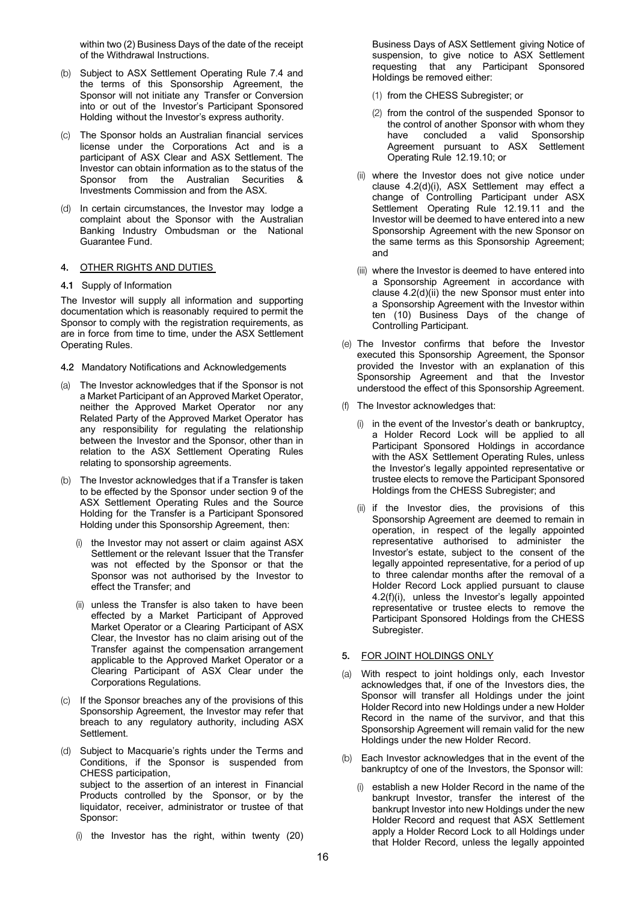within two (2) Business Days of the date of the receipt of the Withdrawal Instructions.

- (b) Subject to ASX Settlement Operating Rule 7.4 and the terms of this Sponsorship Agreement, the Sponsor will not initiate any Transfer or Conversion into or out of the Investor's Participant Sponsored Holding without the Investor's express authority.
- (c) The Sponsor holds an Australian financial services license under the Corporations Act and is a participant of ASX Clear and ASX Settlement. The Investor can obtain information as to the status of the Sponsor from the Australian Securities & Investments Commission and from the ASX.
- (d) In certain circumstances, the Investor may lodge a complaint about the Sponsor with the Australian Banking Industry Ombudsman or the National Guarantee Fund.

#### 4. OTHER RIGHTS AND DUTIES

4.1 Supply of Information

The Investor will supply all information and supporting documentation which is reasonably required to permit the Sponsor to comply with the registration requirements, as are in force from time to time, under the ASX Settlement Operating Rules.

- 4.2 Mandatory Notifications and Acknowledgements
- (a) The Investor acknowledges that if the Sponsor is not a Market Participant of an Approved Market Operator, neither the Approved Market Operator nor any Related Party of the Approved Market Operator has any responsibility for regulating the relationship between the Investor and the Sponsor, other than in relation to the ASX Settlement Operating Rules relating to sponsorship agreements.
- (b) The Investor acknowledges that if a Transfer is taken to be effected by the Sponsor under section 9 of the ASX Settlement Operating Rules and the Source Holding for the Transfer is a Participant Sponsored Holding under this Sponsorship Agreement, then:
	- (i) the Investor may not assert or claim against ASX Settlement or the relevant Issuer that the Transfer was not effected by the Sponsor or that the Sponsor was not authorised by the Investor to effect the Transfer; and
	- (ii) unless the Transfer is also taken to have been effected by a Market Participant of Approved Market Operator or a Clearing Participant of ASX Clear, the Investor has no claim arising out of the Transfer against the compensation arrangement applicable to the Approved Market Operator or a Clearing Participant of ASX Clear under the Corporations Regulations.
- (c) If the Sponsor breaches any of the provisions of this Sponsorship Agreement, the Investor may refer that breach to any regulatory authority, including ASX Settlement.
- (d) Subject to Macquarie's rights under the Terms and Conditions, if the Sponsor is suspended from CHESS participation, subject to the assertion of an interest in Financial Products controlled by the Sponsor, or by the liquidator, receiver, administrator or trustee of that Sponsor:
	- (i) the Investor has the right, within twenty (20)

Business Days of ASX Settlement giving Notice of suspension, to give notice to ASX Settlement requesting that any Participant Sponsored Holdings be removed either:

- (1) from the CHESS Subregister; or
- (2) from the control of the suspended Sponsor to the control of another Sponsor with whom they have concluded a valid Sponsorship Agreement pursuant to ASX Settlement Operating Rule 12.19.10; or
- (ii) where the Investor does not give notice under clause 4.2(d)(i), ASX Settlement may effect a change of Controlling Participant under ASX Settlement Operating Rule 12.19.11 and the Investor will be deemed to have entered into a new Sponsorship Agreement with the new Sponsor on the same terms as this Sponsorship Agreement; and
- (iii) where the Investor is deemed to have entered into a Sponsorship Agreement in accordance with clause 4.2(d)(ii) the new Sponsor must enter into a Sponsorship Agreement with the Investor within ten (10) Business Days of the change of Controlling Participant.
- (e) The Investor confirms that before the Investor executed this Sponsorship Agreement, the Sponsor provided the Investor with an explanation of this Sponsorship Agreement and that the Investor understood the effect of this Sponsorship Agreement.
- (f) The Investor acknowledges that:
	- (i) in the event of the Investor's death or bankruptcy, a Holder Record Lock will be applied to all Participant Sponsored Holdings in accordance with the ASX Settlement Operating Rules, unless the Investor's legally appointed representative or trustee elects to remove the Participant Sponsored Holdings from the CHESS Subregister; and
	- (ii) if the Investor dies, the provisions of this Sponsorship Agreement are deemed to remain in operation, in respect of the legally appointed representative authorised to administer the Investor's estate, subject to the consent of the legally appointed representative, for a period of up to three calendar months after the removal of a Holder Record Lock applied pursuant to clause 4.2(f)(i), unless the Investor's legally appointed representative or trustee elects to remove the Participant Sponsored Holdings from the CHESS Subregister.

#### 5. FOR JOINT HOLDINGS ONLY

- (a) With respect to joint holdings only, each Investor acknowledges that, if one of the Investors dies, the Sponsor will transfer all Holdings under the joint Holder Record into new Holdings under a new Holder Record in the name of the survivor, and that this Sponsorship Agreement will remain valid for the new Holdings under the new Holder Record.
- (b) Each Investor acknowledges that in the event of the bankruptcy of one of the Investors, the Sponsor will:
	- (i) establish a new Holder Record in the name of the bankrupt Investor, transfer the interest of the bankrupt Investor into new Holdings under the new Holder Record and request that ASX Settlement apply a Holder Record Lock to all Holdings under that Holder Record, unless the legally appointed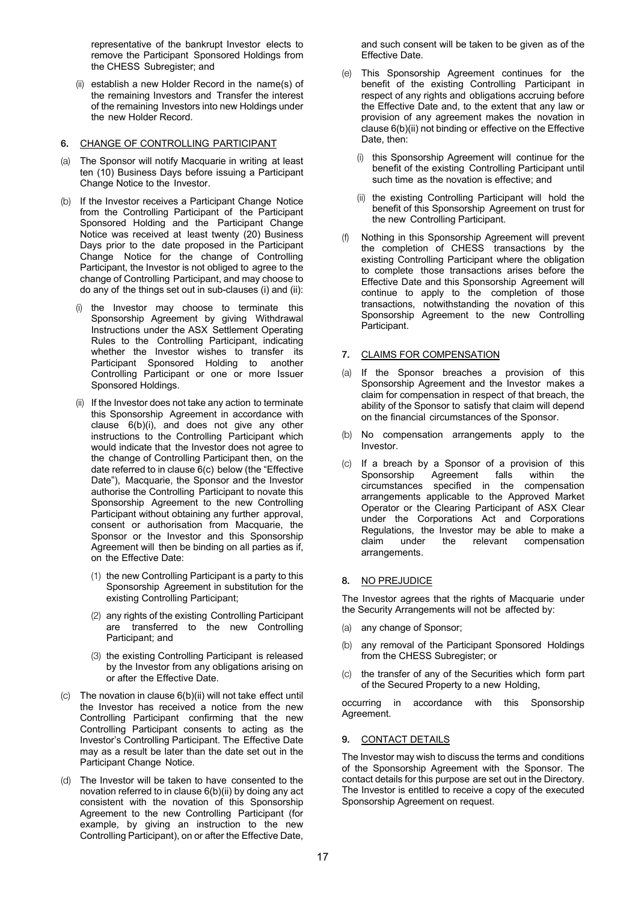representative of the bankrupt Investor elects to remove the Participant Sponsored Holdings from the CHESS Subregister; and

(ii) establish a new Holder Record in the name(s) of the remaining Investors and Transfer the interest of the remaining Investors into new Holdings under the new Holder Record.

# 6. CHANGE OF CONTROLLING PARTICIPANT

- (a) The Sponsor will notify Macquarie in writing at least ten (10) Business Days before issuing a Participant Change Notice to the Investor.
- (b) If the Investor receives a Participant Change Notice from the Controlling Participant of the Participant Sponsored Holding and the Participant Change Notice was received at least twenty (20) Business Days prior to the date proposed in the Participant Change Notice for the change of Controlling Participant, the Investor is not obliged to agree to the change of Controlling Participant, and may choose to do any of the things set out in sub-clauses (i) and (ii):
	- (i) the Investor may choose to terminate this Sponsorship Agreement by giving Withdrawal Instructions under the ASX Settlement Operating Rules to the Controlling Participant, indicating whether the Investor wishes to transfer its Participant Sponsored Holding to another Controlling Participant or one or more Issuer Sponsored Holdings.
	- (ii) If the Investor does not take any action to terminate this Sponsorship Agreement in accordance with clause 6(b)(i), and does not give any other instructions to the Controlling Participant which would indicate that the Investor does not agree to the change of Controlling Participant then, on the date referred to in clause 6(c) below (the "Effective Date"), Macquarie, the Sponsor and the Investor authorise the Controlling Participant to novate this Sponsorship Agreement to the new Controlling Participant without obtaining any further approval, consent or authorisation from Macquarie, the Sponsor or the Investor and this Sponsorship Agreement will then be binding on all parties as if, on the Effective Date:
		- (1) the new Controlling Participant is a party to this Sponsorship Agreement in substitution for the existing Controlling Participant;
		- (2) any rights of the existing Controlling Participant are transferred to the new Controlling Participant; and
		- (3) the existing Controlling Participant is released by the Investor from any obligations arising on or after the Effective Date.
- (c) The novation in clause 6(b)(ii) will not take effect until the Investor has received a notice from the new Controlling Participant confirming that the new Controlling Participant consents to acting as the Investor's Controlling Participant. The Effective Date may as a result be later than the date set out in the Participant Change Notice.
- (d) The Investor will be taken to have consented to the novation referred to in clause 6(b)(ii) by doing any act consistent with the novation of this Sponsorship Agreement to the new Controlling Participant (for example, by giving an instruction to the new Controlling Participant), on or after the Effective Date,

and such consent will be taken to be given as of the Effective Date.

- (e) This Sponsorship Agreement continues for the benefit of the existing Controlling Participant in respect of any rights and obligations accruing before the Effective Date and, to the extent that any law or provision of any agreement makes the novation in clause 6(b)(ii) not binding or effective on the Effective Date, then:
	- (i) this Sponsorship Agreement will continue for the benefit of the existing Controlling Participant until such time as the novation is effective; and
	- (ii) the existing Controlling Participant will hold the benefit of this Sponsorship Agreement on trust for the new Controlling Participant.
- (f) Nothing in this Sponsorship Agreement will prevent the completion of CHESS transactions by the existing Controlling Participant where the obligation to complete those transactions arises before the Effective Date and this Sponsorship Agreement will continue to apply to the completion of those transactions, notwithstanding the novation of this Sponsorship Agreement to the new Controlling Participant.

# 7. CLAIMS FOR COMPENSATION

- (a) If the Sponsor breaches a provision of this Sponsorship Agreement and the Investor makes a claim for compensation in respect of that breach, the ability of the Sponsor to satisfy that claim will depend on the financial circumstances of the Sponsor.
- (b) No compensation arrangements apply to the Investor.
- (c) If a breach by a Sponsor of a provision of this Sponsorship Agreement falls within the circumstances specified in the compensation arrangements applicable to the Approved Market Operator or the Clearing Participant of ASX Clear under the Corporations Act and Corporations Regulations, the Investor may be able to make a claim under the relevant compensation arrangements.

# 8. NO PREJUDICE

The Investor agrees that the rights of Macquarie under the Security Arrangements will not be affected by:

- (a) any change of Sponsor;
- (b) any removal of the Participant Sponsored Holdings from the CHESS Subregister; or
- (c) the transfer of any of the Securities which form part of the Secured Property to a new Holding,

occurring in accordance with this Sponsorship Agreement.

# 9. CONTACT DETAILS

The Investor may wish to discuss the terms and conditions of the Sponsorship Agreement with the Sponsor. The contact details for this purpose are set out in the Directory. The Investor is entitled to receive a copy of the executed Sponsorship Agreement on request.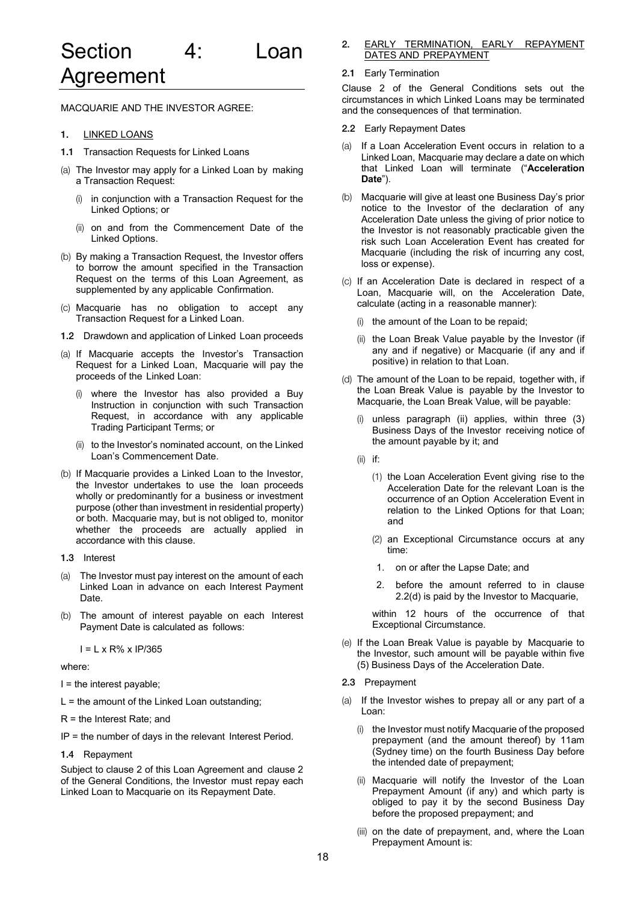MACQUARIE AND THE INVESTOR AGREE:

- 1. LINKED LOANS
- 1.1 Transaction Requests for Linked Loans
- (a) The Investor may apply for a Linked Loan by making a Transaction Request:
	- in conjunction with a Transaction Request for the Linked Options; or
	- (ii) on and from the Commencement Date of the Linked Options.
- (b) By making a Transaction Request, the Investor offers to borrow the amount specified in the Transaction Request on the terms of this Loan Agreement, as supplemented by any applicable Confirmation.
- (c) Macquarie has no obligation to accept any Transaction Request for a Linked Loan.
- 1.2 Drawdown and application of Linked Loan proceeds
- (a) If Macquarie accepts the Investor's Transaction Request for a Linked Loan, Macquarie will pay the proceeds of the Linked Loan:
	- (i) where the Investor has also provided a Buy Instruction in conjunction with such Transaction Request, in accordance with any applicable Trading Participant Terms; or
	- (ii) to the Investor's nominated account, on the Linked Loan's Commencement Date.
- (b) If Macquarie provides a Linked Loan to the Investor, the Investor undertakes to use the loan proceeds wholly or predominantly for a business or investment purpose (other than investment in residential property) or both. Macquarie may, but is not obliged to, monitor whether the proceeds are actually applied in accordance with this clause.
- 1.3 Interest
- (a) The Investor must pay interest on the amount of each Linked Loan in advance on each Interest Payment Date.
- (b) The amount of interest payable on each Interest Payment Date is calculated as follows:

I = L x R% x IP/365

#### where:

 $I =$  the interest payable;

 $L =$  the amount of the Linked Loan outstanding;

R = the Interest Rate; and

IP = the number of days in the relevant Interest Period.

1.4 Repayment

Subject to clause 2 of this Loan Agreement and clause 2 of the General Conditions, the Investor must repay each Linked Loan to Macquarie on its Repayment Date.

2. EARLY TERMINATION, EARLY REPAYMENT DATES AND PREPAYMENT

#### 2.1 Early Termination

Clause 2 of the General Conditions sets out the circumstances in which Linked Loans may be terminated and the consequences of that termination.

- 2.2 Early Repayment Dates
- (a) If a Loan Acceleration Event occurs in relation to a Linked Loan, Macquarie may declare a date on which that Linked Loan will terminate ("**Acceleration Date**").
- (b) Macquarie will give at least one Business Day's prior notice to the Investor of the declaration of any Acceleration Date unless the giving of prior notice to the Investor is not reasonably practicable given the risk such Loan Acceleration Event has created for Macquarie (including the risk of incurring any cost, loss or expense).
- (c) If an Acceleration Date is declared in respect of a Loan, Macquarie will, on the Acceleration Date, calculate (acting in a reasonable manner):
	- (i) the amount of the Loan to be repaid;
	- (ii) the Loan Break Value payable by the Investor (if any and if negative) or Macquarie (if any and if positive) in relation to that Loan.
- (d) The amount of the Loan to be repaid, together with, if the Loan Break Value is payable by the Investor to Macquarie, the Loan Break Value, will be payable:
	- (i) unless paragraph (ii) applies, within three (3) Business Days of the Investor receiving notice of the amount payable by it; and
	- (ii) if:
		- (1) the Loan Acceleration Event giving rise to the Acceleration Date for the relevant Loan is the occurrence of an Option Acceleration Event in relation to the Linked Options for that Loan; and
		- (2) an Exceptional Circumstance occurs at any time:
		- 1. on or after the Lapse Date; and
		- 2. before the amount referred to in clause 2.2(d) is paid by the Investor to Macquarie,

within 12 hours of the occurrence of that Exceptional Circumstance.

- (e) If the Loan Break Value is payable by Macquarie to the Investor, such amount will be payable within five (5) Business Days of the Acceleration Date.
- 2.3 Prepayment
- (a) If the Investor wishes to prepay all or any part of a Loan:
	- (i) the Investor must notify Macquarie of the proposed prepayment (and the amount thereof) by 11am (Sydney time) on the fourth Business Day before the intended date of prepayment;
	- (ii) Macquarie will notify the Investor of the Loan Prepayment Amount (if any) and which party is obliged to pay it by the second Business Day before the proposed prepayment; and
	- (iii) on the date of prepayment, and, where the Loan Prepayment Amount is: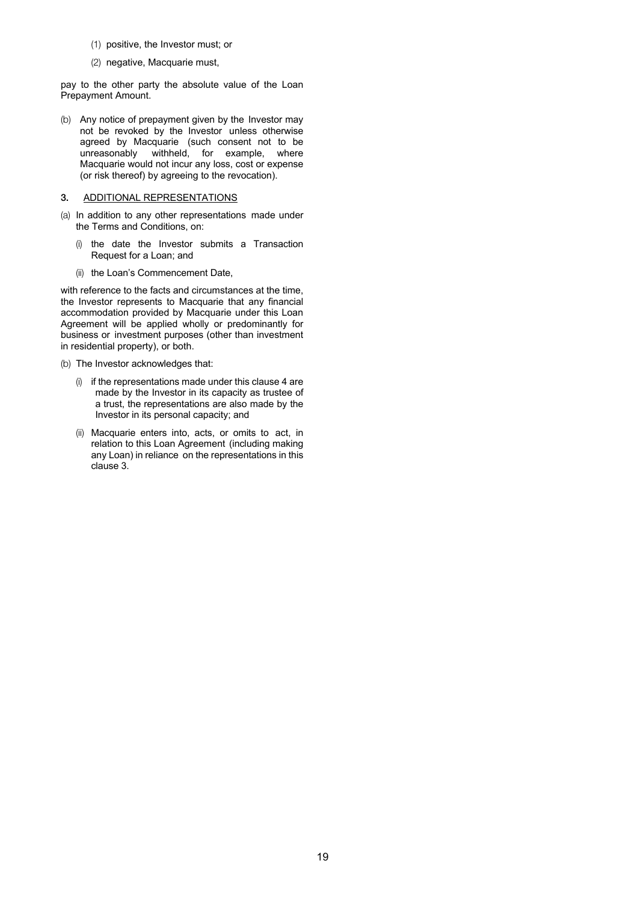- (1) positive, the Investor must; or
- (2) negative, Macquarie must,

pay to the other party the absolute value of the Loan Prepayment Amount.

(b) Any notice of prepayment given by the Investor may not be revoked by the Investor unless otherwise agreed by Macquarie (such consent not to be unreasonably withheld, for example, where Macquarie would not incur any loss, cost or expense (or risk thereof) by agreeing to the revocation).

#### 3. ADDITIONAL REPRESENTATIONS

- (a) In addition to any other representations made under the Terms and Conditions, on:
	- (i) the date the Investor submits a Transaction Request for a Loan; and
	- (ii) the Loan's Commencement Date,

with reference to the facts and circumstances at the time, the Investor represents to Macquarie that any financial accommodation provided by Macquarie under this Loan Agreement will be applied wholly or predominantly for business or investment purposes (other than investment in residential property), or both.

(b) The Investor acknowledges that:

- (i) if the representations made under this clause 4 are made by the Investor in its capacity as trustee of a trust, the representations are also made by the Investor in its personal capacity; and
- (ii) Macquarie enters into, acts, or omits to act, in relation to this Loan Agreement (including making any Loan) in reliance on the representations in this clause 3.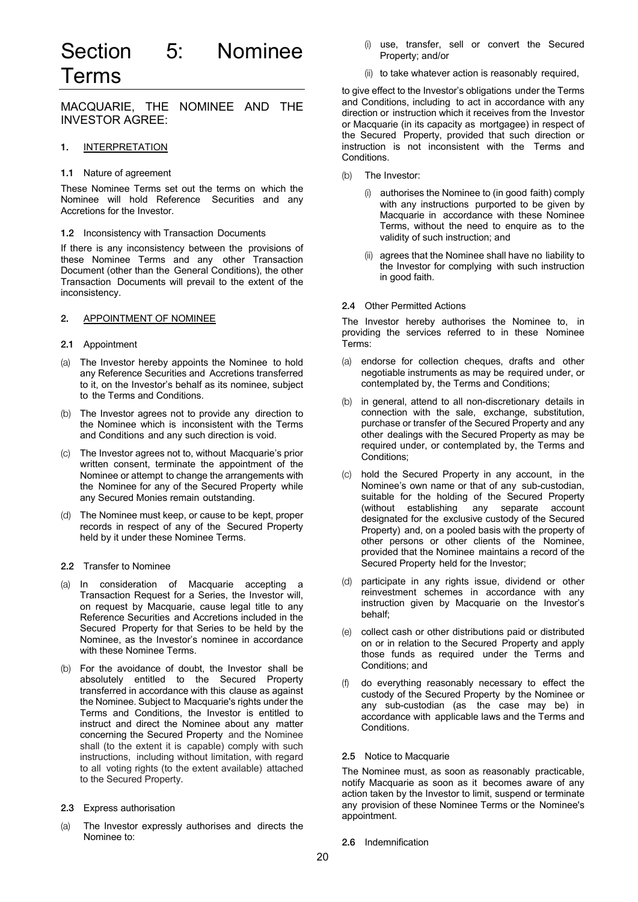# Section 5: Nominee Terms

MACQUARIE, THE NOMINEE AND THE INVESTOR AGREE:

# 1. INTERPRETATION

#### 1.1 Nature of agreement

These Nominee Terms set out the terms on which the Nominee will hold Reference Securities and any Accretions for the Investor.

#### 1.2 Inconsistency with Transaction Documents

If there is any inconsistency between the provisions of these Nominee Terms and any other Transaction Document (other than the General Conditions), the other Transaction Documents will prevail to the extent of the inconsistency.

#### 2. APPOINTMENT OF NOMINEE

#### 2.1 Appointment

- (a) The Investor hereby appoints the Nominee to hold any Reference Securities and Accretions transferred to it, on the Investor's behalf as its nominee, subject to the Terms and Conditions.
- (b) The Investor agrees not to provide any direction to the Nominee which is inconsistent with the Terms and Conditions and any such direction is void.
- (c) The Investor agrees not to, without Macquarie's prior written consent, terminate the appointment of the Nominee or attempt to change the arrangements with the Nominee for any of the Secured Property while any Secured Monies remain outstanding.
- (d) The Nominee must keep, or cause to be kept, proper records in respect of any of the Secured Property held by it under these Nominee Terms.

#### 2.2 Transfer to Nominee

- (a) In consideration of Macquarie accepting a Transaction Request for a Series, the Investor will, on request by Macquarie, cause legal title to any Reference Securities and Accretions included in the Secured Property for that Series to be held by the Nominee, as the Investor's nominee in accordance with these Nominee Terms.
- (b) For the avoidance of doubt, the Investor shall be absolutely entitled to the Secured Property transferred in accordance with this clause as against the Nominee. Subject to Macquarie's rights under the Terms and Conditions, the Investor is entitled to instruct and direct the Nominee about any matter concerning the Secured Property and the Nominee shall (to the extent it is capable) comply with such instructions, including without limitation, with regard to all voting rights (to the extent available) attached to the Secured Property.
- 2.3 Express authorisation
- (a) The Investor expressly authorises and directs the Nominee to:
- (i) use, transfer, sell or convert the Secured Property; and/or
- (ii) to take whatever action is reasonably required,

to give effect to the Investor's obligations under the Terms and Conditions, including to act in accordance with any direction or instruction which it receives from the Investor or Macquarie (in its capacity as mortgagee) in respect of the Secured Property, provided that such direction or instruction is not inconsistent with the Terms and Conditions.

- (b) The Investor:
	- (i) authorises the Nominee to (in good faith) comply with any instructions purported to be given by Macquarie in accordance with these Nominee Terms, without the need to enquire as to the validity of such instruction; and
	- agrees that the Nominee shall have no liability to the Investor for complying with such instruction in good faith.

#### 2.4 Other Permitted Actions

The Investor hereby authorises the Nominee to, in providing the services referred to in these Nominee Terms:

- (a) endorse for collection cheques, drafts and other negotiable instruments as may be required under, or contemplated by, the Terms and Conditions;
- (b) in general, attend to all non-discretionary details in connection with the sale, exchange, substitution, purchase or transfer of the Secured Property and any other dealings with the Secured Property as may be required under, or contemplated by, the Terms and Conditions;
- (c) hold the Secured Property in any account, in the Nominee's own name or that of any sub-custodian, suitable for the holding of the Secured Property (without establishing any separate account designated for the exclusive custody of the Secured Property) and, on a pooled basis with the property of other persons or other clients of the Nominee, provided that the Nominee maintains a record of the Secured Property held for the Investor;
- (d) participate in any rights issue, dividend or other reinvestment schemes in accordance with any instruction given by Macquarie on the Investor's behalf;
- (e) collect cash or other distributions paid or distributed on or in relation to the Secured Property and apply those funds as required under the Terms and Conditions; and
- (f) do everything reasonably necessary to effect the custody of the Secured Property by the Nominee or any sub-custodian (as the case may be) in accordance with applicable laws and the Terms and Conditions.

#### 2.5 Notice to Macquarie

The Nominee must, as soon as reasonably practicable, notify Macquarie as soon as it becomes aware of any action taken by the Investor to limit, suspend or terminate any provision of these Nominee Terms or the Nominee's appointment.

2.6 Indemnification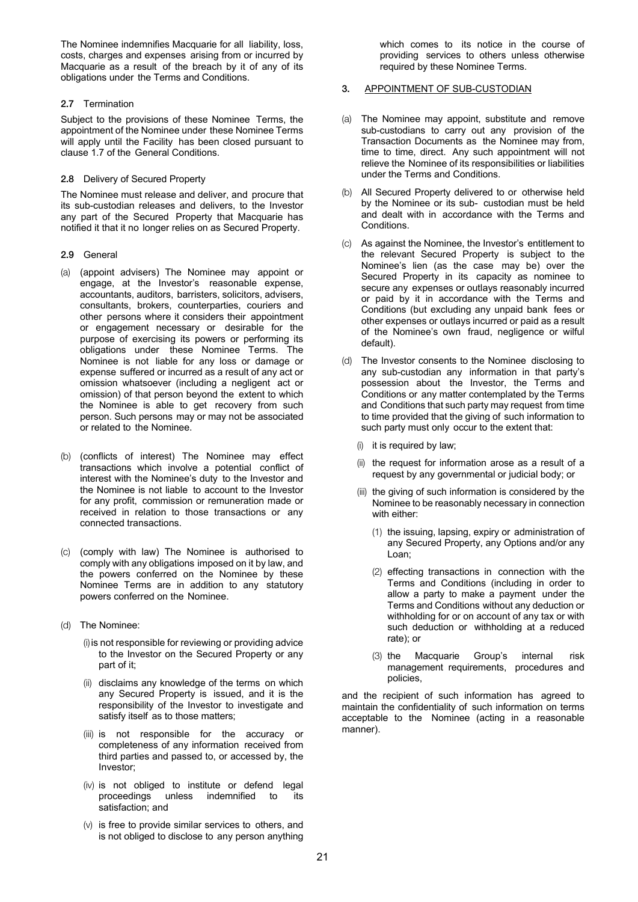The Nominee indemnifies Macquarie for all liability, loss, costs, charges and expenses arising from or incurred by Macquarie as a result of the breach by it of any of its obligations under the Terms and Conditions.

# 2.7 Termination

Subject to the provisions of these Nominee Terms, the appointment of the Nominee under these Nominee Terms will apply until the Facility has been closed pursuant to clause 1.7 of the General Conditions.

### 2.8 Delivery of Secured Property

The Nominee must release and deliver, and procure that its sub-custodian releases and delivers, to the Investor any part of the Secured Property that Macquarie has notified it that it no longer relies on as Secured Property.

- 2.9 General
- (a) (appoint advisers) The Nominee may appoint or engage, at the Investor's reasonable expense, accountants, auditors, barristers, solicitors, advisers, consultants, brokers, counterparties, couriers and other persons where it considers their appointment or engagement necessary or desirable for the purpose of exercising its powers or performing its obligations under these Nominee Terms. The Nominee is not liable for any loss or damage or expense suffered or incurred as a result of any act or omission whatsoever (including a negligent act or omission) of that person beyond the extent to which the Nominee is able to get recovery from such person. Such persons may or may not be associated or related to the Nominee.
- (b) (conflicts of interest) The Nominee may effect transactions which involve a potential conflict of interest with the Nominee's duty to the Investor and the Nominee is not liable to account to the Investor for any profit, commission or remuneration made or received in relation to those transactions or any connected transactions.
- (c) (comply with law) The Nominee is authorised to comply with any obligations imposed on it by law, and the powers conferred on the Nominee by these Nominee Terms are in addition to any statutory powers conferred on the Nominee.
- (d) The Nominee:
	- (i) is not responsible for reviewing or providing advice to the Investor on the Secured Property or any part of it;
	- (ii) disclaims any knowledge of the terms on which any Secured Property is issued, and it is the responsibility of the Investor to investigate and satisfy itself as to those matters;
	- (iii) is not responsible for the accuracy or completeness of any information received from third parties and passed to, or accessed by, the Investor;
	- (iv) is not obliged to institute or defend legal proceedings unless indemnified to its satisfaction; and
	- (v) is free to provide similar services to others, and is not obliged to disclose to any person anything

which comes to its notice in the course of providing services to others unless otherwise required by these Nominee Terms.

# 3. APPOINTMENT OF SUB-CUSTODIAN

- (a) The Nominee may appoint, substitute and remove sub-custodians to carry out any provision of the Transaction Documents as the Nominee may from, time to time, direct. Any such appointment will not relieve the Nominee of its responsibilities or liabilities under the Terms and Conditions.
- (b) All Secured Property delivered to or otherwise held by the Nominee or its sub- custodian must be held and dealt with in accordance with the Terms and Conditions.
- (c) As against the Nominee, the Investor's entitlement to the relevant Secured Property is subject to the Nominee's lien (as the case may be) over the Secured Property in its capacity as nominee to secure any expenses or outlays reasonably incurred or paid by it in accordance with the Terms and Conditions (but excluding any unpaid bank fees or other expenses or outlays incurred or paid as a result of the Nominee's own fraud, negligence or wilful default).
- (d) The Investor consents to the Nominee disclosing to any sub-custodian any information in that party's possession about the Investor, the Terms and Conditions or any matter contemplated by the Terms and Conditions that such party may request from time to time provided that the giving of such information to such party must only occur to the extent that:
	- (i) it is required by law;
	- (ii) the request for information arose as a result of a request by any governmental or judicial body; or
	- (iii) the giving of such information is considered by the Nominee to be reasonably necessary in connection with either:
		- (1) the issuing, lapsing, expiry or administration of any Secured Property, any Options and/or any Loan;
		- (2) effecting transactions in connection with the Terms and Conditions (including in order to allow a party to make a payment under the Terms and Conditions without any deduction or withholding for or on account of any tax or with such deduction or withholding at a reduced rate); or
		- (3) the Macquarie Group's internal risk management requirements, procedures and policies,

and the recipient of such information has agreed to maintain the confidentiality of such information on terms acceptable to the Nominee (acting in a reasonable manner).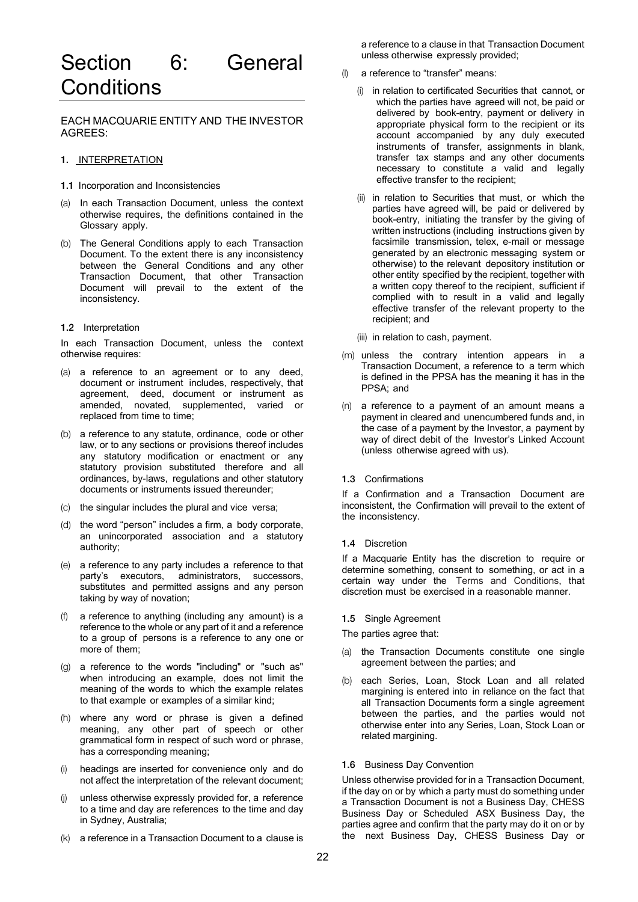# Section 6: General **Conditions**

EACH MACQUARIE ENTITY AND THE INVESTOR AGREES:

# 1. INTERPRETATION

- 1.1 Incorporation and Inconsistencies
- (a) In each Transaction Document, unless the context otherwise requires, the definitions contained in the Glossary apply.
- (b) The General Conditions apply to each Transaction Document. To the extent there is any inconsistency between the General Conditions and any other Transaction Document, that other Transaction Document will prevail to the extent of the inconsistency.

#### 1.2 Interpretation

In each Transaction Document, unless the context otherwise requires:

- (a) a reference to an agreement or to any deed, document or instrument includes, respectively, that agreement, deed, document or instrument as amended, novated, supplemented, varied or replaced from time to time;
- (b) a reference to any statute, ordinance, code or other law, or to any sections or provisions thereof includes any statutory modification or enactment or any statutory provision substituted therefore and all ordinances, by-laws, regulations and other statutory documents or instruments issued thereunder;
- (c) the singular includes the plural and vice versa;
- (d) the word "person" includes a firm, a body corporate, an unincorporated association and a statutory authority;
- (e) a reference to any party includes a reference to that party's executors, administrators, successors, substitutes and permitted assigns and any person taking by way of novation;
- a reference to anything (including any amount) is a reference to the whole or any part of it and a reference to a group of persons is a reference to any one or more of them;
- (g) a reference to the words "including" or "such as" when introducing an example, does not limit the meaning of the words to which the example relates to that example or examples of a similar kind;
- (h) where any word or phrase is given a defined meaning, any other part of speech or other grammatical form in respect of such word or phrase, has a corresponding meaning;
- (i) headings are inserted for convenience only and do not affect the interpretation of the relevant document;
- (j) unless otherwise expressly provided for, a reference to a time and day are references to the time and day in Sydney, Australia;
- (k) a reference in a Transaction Document to a clause is

a reference to a clause in that Transaction Document unless otherwise expressly provided;

- (l) a reference to "transfer" means:
	- (i) in relation to certificated Securities that cannot, or which the parties have agreed will not, be paid or delivered by book-entry, payment or delivery in appropriate physical form to the recipient or its account accompanied by any duly executed instruments of transfer, assignments in blank, transfer tax stamps and any other documents necessary to constitute a valid and legally effective transfer to the recipient;
	- (ii) in relation to Securities that must, or which the parties have agreed will, be paid or delivered by book-entry, initiating the transfer by the giving of written instructions (including instructions given by facsimile transmission, telex, e-mail or message generated by an electronic messaging system or otherwise) to the relevant depository institution or other entity specified by the recipient, together with a written copy thereof to the recipient, sufficient if complied with to result in a valid and legally effective transfer of the relevant property to the recipient; and
	- (iii) in relation to cash, payment.
- (m) unless the contrary intention appears in a Transaction Document, a reference to a term which is defined in the PPSA has the meaning it has in the PPSA; and
- (n) a reference to a payment of an amount means a payment in cleared and unencumbered funds and, in the case of a payment by the Investor, a payment by way of direct debit of the Investor's Linked Account (unless otherwise agreed with us).

#### 1.3 Confirmations

If a Confirmation and a Transaction Document are inconsistent, the Confirmation will prevail to the extent of the inconsistency.

#### 1.4 Discretion

If a Macquarie Entity has the discretion to require or determine something, consent to something, or act in a certain way under the Terms and Conditions, that discretion must be exercised in a reasonable manner.

- 1.5 Single Agreement
- The parties agree that:
- (a) the Transaction Documents constitute one single agreement between the parties; and
- (b) each Series, Loan, Stock Loan and all related margining is entered into in reliance on the fact that all Transaction Documents form a single agreement between the parties, and the parties would not otherwise enter into any Series, Loan, Stock Loan or related margining.

#### 1.6 Business Day Convention

Unless otherwise provided for in a Transaction Document, if the day on or by which a party must do something under a Transaction Document is not a Business Day, CHESS Business Day or Scheduled ASX Business Day, the parties agree and confirm that the party may do it on or by the next Business Day, CHESS Business Day or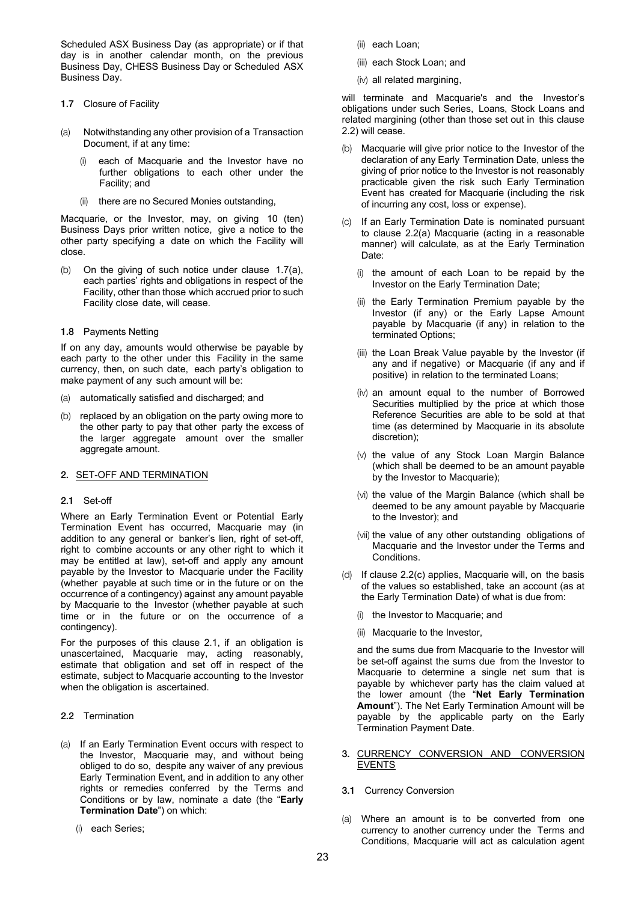Scheduled ASX Business Day (as appropriate) or if that day is in another calendar month, on the previous Business Day, CHESS Business Day or Scheduled ASX Business Day.

- 1.7 Closure of Facility
- (a) Notwithstanding any other provision of a Transaction Document, if at any time:
	- each of Macquarie and the Investor have no further obligations to each other under the Facility; and
	- (ii) there are no Secured Monies outstanding,

Macquarie, or the Investor, may, on giving 10 (ten) Business Days prior written notice, give a notice to the other party specifying a date on which the Facility will close.

- (b) On the giving of such notice under clause 1.7(a), each parties' rights and obligations in respect of the Facility, other than those which accrued prior to such Facility close date, will cease.
- 1.8 Payments Netting

If on any day, amounts would otherwise be payable by each party to the other under this Facility in the same currency, then, on such date, each party's obligation to make payment of any such amount will be:

- (a) automatically satisfied and discharged; and
- (b) replaced by an obligation on the party owing more to the other party to pay that other party the excess of the larger aggregate amount over the smaller aggregate amount.

# 2. SET-OFF AND TERMINATION

#### 2.1 Set-off

Where an Early Termination Event or Potential Early Termination Event has occurred, Macquarie may (in addition to any general or banker's lien, right of set-off, right to combine accounts or any other right to which it may be entitled at law), set-off and apply any amount payable by the Investor to Macquarie under the Facility (whether payable at such time or in the future or on the occurrence of a contingency) against any amount payable by Macquarie to the Investor (whether payable at such time or in the future or on the occurrence of a contingency).

For the purposes of this clause 2.1, if an obligation is unascertained, Macquarie may, acting reasonably, estimate that obligation and set off in respect of the estimate, subject to Macquarie accounting to the Investor when the obligation is ascertained.

- 2.2 Termination
- (a) If an Early Termination Event occurs with respect to the Investor, Macquarie may, and without being obliged to do so, despite any waiver of any previous Early Termination Event, and in addition to any other rights or remedies conferred by the Terms and Conditions or by law, nominate a date (the "**Early Termination Date**") on which:
	- (i) each Series;
- (ii) each Loan;
- (iii) each Stock Loan; and
- (iv) all related margining,

will terminate and Macquarie's and the Investor's obligations under such Series, Loans, Stock Loans and related margining (other than those set out in this clause 2.2) will cease.

- (b) Macquarie will give prior notice to the Investor of the declaration of any Early Termination Date, unless the giving of prior notice to the Investor is not reasonably practicable given the risk such Early Termination Event has created for Macquarie (including the risk of incurring any cost, loss or expense).
- (c) If an Early Termination Date is nominated pursuant to clause 2.2(a) Macquarie (acting in a reasonable manner) will calculate, as at the Early Termination Date:
	- (i) the amount of each Loan to be repaid by the Investor on the Early Termination Date;
	- (ii) the Early Termination Premium payable by the Investor (if any) or the Early Lapse Amount payable by Macquarie (if any) in relation to the terminated Options;
	- (iii) the Loan Break Value payable by the Investor (if any and if negative) or Macquarie (if any and if positive) in relation to the terminated Loans;
	- (iv) an amount equal to the number of Borrowed Securities multiplied by the price at which those Reference Securities are able to be sold at that time (as determined by Macquarie in its absolute discretion);
	- (v) the value of any Stock Loan Margin Balance (which shall be deemed to be an amount payable by the Investor to Macquarie);
	- (vi) the value of the Margin Balance (which shall be deemed to be any amount payable by Macquarie to the Investor); and
	- (vii) the value of any other outstanding obligations of Macquarie and the Investor under the Terms and Conditions.
- (d) If clause 2.2(c) applies, Macquarie will, on the basis of the values so established, take an account (as at the Early Termination Date) of what is due from:
	- (i) the Investor to Macquarie; and
	- (ii) Macquarie to the Investor,

and the sums due from Macquarie to the Investor will be set-off against the sums due from the Investor to Macquarie to determine a single net sum that is payable by whichever party has the claim valued at the lower amount (the "**Net Early Termination Amount**"). The Net Early Termination Amount will be payable by the applicable party on the Early Termination Payment Date.

- 3. CURRENCY CONVERSION AND CONVERSION EVENTS
- 3.1 Currency Conversion
- (a) Where an amount is to be converted from one currency to another currency under the Terms and Conditions, Macquarie will act as calculation agent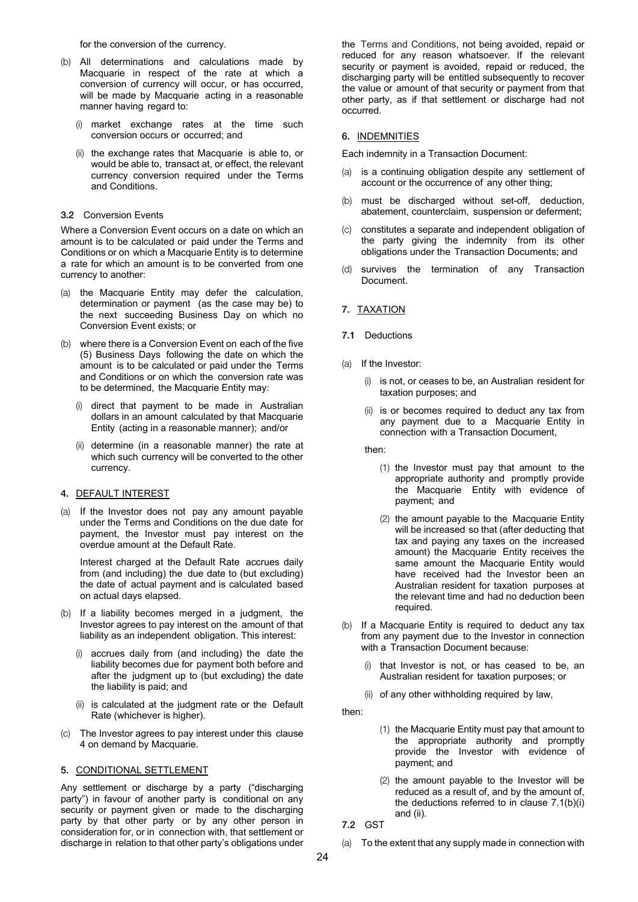for the conversion of the currency.

- (b) All determinations and calculations made by Macquarie in respect of the rate at which a conversion of currency will occur, or has occurred, will be made by Macquarie acting in a reasonable manner having regard to:
	- (i) market exchange rates at the time such conversion occurs or occurred; and
	- (ii) the exchange rates that Macquarie is able to, or would be able to, transact at, or effect, the relevant currency conversion required under the Terms and Conditions.

#### 3.2 Conversion Events

Where a Conversion Event occurs on a date on which an amount is to be calculated or paid under the Terms and Conditions or on which a Macquarie Entity is to determine a rate for which an amount is to be converted from one currency to another:

- (a) the Macquarie Entity may defer the calculation, determination or payment (as the case may be) to the next succeeding Business Day on which no Conversion Event exists; or
- (b) where there is a Conversion Event on each of the five (5) Business Days following the date on which the amount is to be calculated or paid under the Terms and Conditions or on which the conversion rate was to be determined, the Macquarie Entity may:
	- (i) direct that payment to be made in Australian dollars in an amount calculated by that Macquarie Entity (acting in a reasonable manner); and/or
	- (ii) determine (in a reasonable manner) the rate at which such currency will be converted to the other currency.

#### 4. DEFAULT INTEREST

(a) If the Investor does not pay any amount payable under the Terms and Conditions on the due date for payment, the Investor must pay interest on the overdue amount at the Default Rate.

Interest charged at the Default Rate accrues daily from (and including) the due date to (but excluding) the date of actual payment and is calculated based on actual days elapsed.

- (b) If a liability becomes merged in a judgment, the Investor agrees to pay interest on the amount of that liability as an independent obligation. This interest:
	- accrues daily from (and including) the date the liability becomes due for payment both before and after the judgment up to (but excluding) the date the liability is paid; and
	- (ii) is calculated at the judgment rate or the Default Rate (whichever is higher).
- (c) The Investor agrees to pay interest under this clause 4 on demand by Macquarie.

#### 5. CONDITIONAL SETTLEMENT

Any settlement or discharge by a party ("discharging party") in favour of another party is conditional on any security or payment given or made to the discharging party by that other party or by any other person in consideration for, or in connection with, that settlement or discharge in relation to that other party's obligations under the Terms and Conditions, not being avoided, repaid or reduced for any reason whatsoever. If the relevant security or payment is avoided, repaid or reduced, the discharging party will be entitled subsequently to recover the value or amount of that security or payment from that other party, as if that settlement or discharge had not occurred.

# 6. INDEMNITIES

Each indemnity in a Transaction Document:

- (a) is a continuing obligation despite any settlement of account or the occurrence of any other thing;
- (b) must be discharged without set-off, deduction, abatement, counterclaim, suspension or deferment;
- (c) constitutes a separate and independent obligation of the party giving the indemnity from its other obligations under the Transaction Documents; and
- (d) survives the termination of any Transaction Document.

#### 7. TAXATION

- 7.1 Deductions
- (a) If the Investor:
	- (i) is not, or ceases to be, an Australian resident for taxation purposes; and
	- (ii) is or becomes required to deduct any tax from any payment due to a Macquarie Entity in connection with a Transaction Document,
	- then:
		- (1) the Investor must pay that amount to the appropriate authority and promptly provide the Macquarie Entity with evidence of payment; and
		- (2) the amount payable to the Macquarie Entity will be increased so that (after deducting that tax and paying any taxes on the increased amount) the Macquarie Entity receives the same amount the Macquarie Entity would have received had the Investor been an Australian resident for taxation purposes at the relevant time and had no deduction been required.
- (b) If a Macquarie Entity is required to deduct any tax from any payment due to the Investor in connection with a Transaction Document because:
	- (i) that Investor is not, or has ceased to be, an Australian resident for taxation purposes; or

(ii) of any other withholding required by law,

then:

- (1) the Macquarie Entity must pay that amount to the appropriate authority and promptly provide the Investor with evidence of payment; and
- (2) the amount payable to the Investor will be reduced as a result of, and by the amount of, the deductions referred to in clause 7.1(b)(i) and (ii).
- 7.2 GST
- (a) To the extent that any supply made in connection with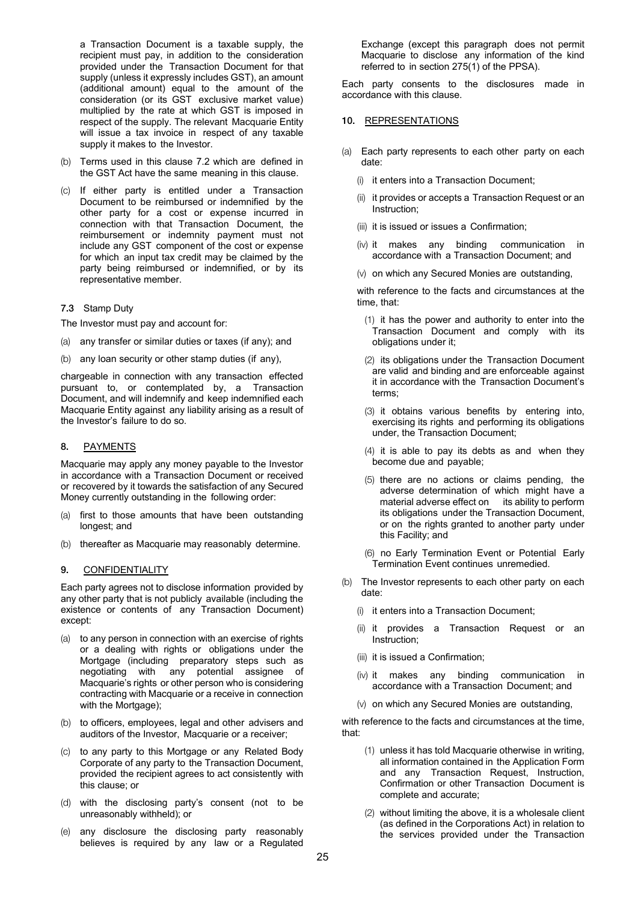a Transaction Document is a taxable supply, the recipient must pay, in addition to the consideration provided under the Transaction Document for that supply (unless it expressly includes GST), an amount (additional amount) equal to the amount of the consideration (or its GST exclusive market value) multiplied by the rate at which GST is imposed in respect of the supply. The relevant Macquarie Entity will issue a tax invoice in respect of any taxable supply it makes to the Investor.

- (b) Terms used in this clause 7.2 which are defined in the GST Act have the same meaning in this clause.
- (c) If either party is entitled under a Transaction Document to be reimbursed or indemnified by the other party for a cost or expense incurred in connection with that Transaction Document, the reimbursement or indemnity payment must not include any GST component of the cost or expense for which an input tax credit may be claimed by the party being reimbursed or indemnified, or by its representative member.

#### 7.3 Stamp Duty

The Investor must pay and account for:

- (a) any transfer or similar duties or taxes (if any); and
- (b) any loan security or other stamp duties (if any),

chargeable in connection with any transaction effected pursuant to, or contemplated by, a Transaction Document, and will indemnify and keep indemnified each Macquarie Entity against any liability arising as a result of the Investor's failure to do so.

#### 8. PAYMENTS

Macquarie may apply any money payable to the Investor in accordance with a Transaction Document or received or recovered by it towards the satisfaction of any Secured Money currently outstanding in the following order:

- (a) first to those amounts that have been outstanding longest; and
- (b) thereafter as Macquarie may reasonably determine.

#### 9. CONFIDENTIALITY

Each party agrees not to disclose information provided by any other party that is not publicly available (including the existence or contents of any Transaction Document) except:

- (a) to any person in connection with an exercise of rights or a dealing with rights or obligations under the Mortgage (including preparatory steps such as negotiating with any potential assignee of Macquarie's rights or other person who is considering contracting with Macquarie or a receive in connection with the Mortgage);
- (b) to officers, employees, legal and other advisers and auditors of the Investor, Macquarie or a receiver;
- (c) to any party to this Mortgage or any Related Body Corporate of any party to the Transaction Document, provided the recipient agrees to act consistently with this clause; or
- (d) with the disclosing party's consent (not to be unreasonably withheld); or
- (e) any disclosure the disclosing party reasonably believes is required by any law or a Regulated

Exchange (except this paragraph does not permit Macquarie to disclose any information of the kind referred to in section 275(1) of the PPSA).

Each party consents to the disclosures made in accordance with this clause.

#### 10. REPRESENTATIONS

- (a) Each party represents to each other party on each date:
	- (i) it enters into a Transaction Document;
	- (ii) it provides or accepts a Transaction Request or an Instruction;
	- (iii) it is issued or issues a Confirmation;
	- (iv) it makes any binding communication in accordance with a Transaction Document; and
	- (v) on which any Secured Monies are outstanding,

with reference to the facts and circumstances at the time, that:

- (1) it has the power and authority to enter into the Transaction Document and comply with its obligations under it;
- (2) its obligations under the Transaction Document are valid and binding and are enforceable against it in accordance with the Transaction Document's terms;
- (3) it obtains various benefits by entering into, exercising its rights and performing its obligations under, the Transaction Document;
- (4) it is able to pay its debts as and when they become due and payable;
- (5) there are no actions or claims pending, the adverse determination of which might have a material adverse effect on its ability to perform its obligations under the Transaction Document, or on the rights granted to another party under this Facility; and
- (6) no Early Termination Event or Potential Early Termination Event continues unremedied.
- (b) The Investor represents to each other party on each date:
	- (i) it enters into a Transaction Document;
	- (ii) it provides a Transaction Request or an Instruction;
	- (iii) it is issued a Confirmation;
	- (iv) it makes any binding communication in accordance with a Transaction Document; and
	- (v) on which any Secured Monies are outstanding,

with reference to the facts and circumstances at the time, that:

- (1) unless it has told Macquarie otherwise in writing, all information contained in the Application Form and any Transaction Request, Instruction, Confirmation or other Transaction Document is complete and accurate;
- (2) without limiting the above, it is a wholesale client (as defined in the Corporations Act) in relation to the services provided under the Transaction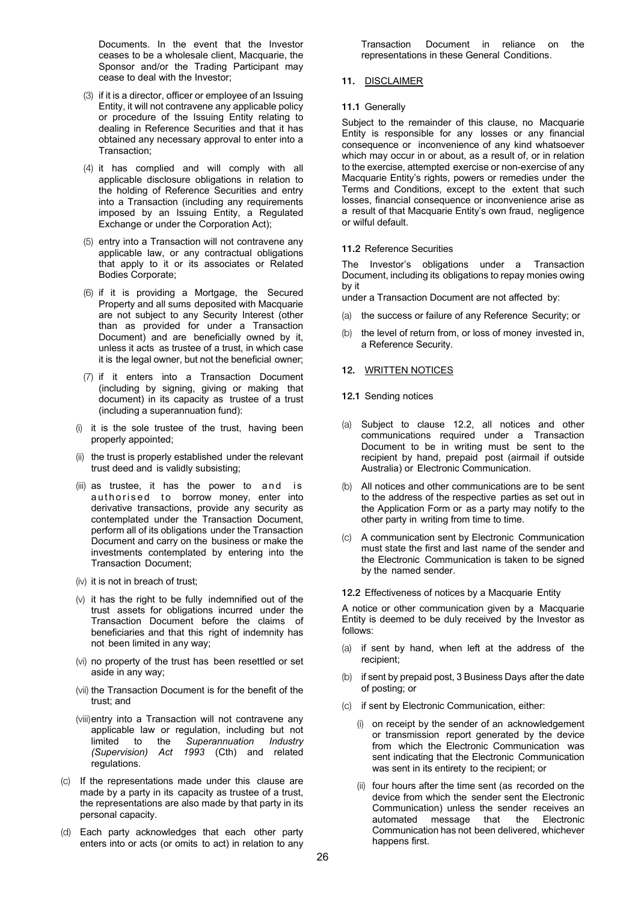Documents. In the event that the Investor ceases to be a wholesale client, Macquarie, the Sponsor and/or the Trading Participant may cease to deal with the Investor;

- (3) if it is a director, officer or employee of an Issuing Entity, it will not contravene any applicable policy or procedure of the Issuing Entity relating to dealing in Reference Securities and that it has obtained any necessary approval to enter into a Transaction;
- (4) it has complied and will comply with all applicable disclosure obligations in relation to the holding of Reference Securities and entry into a Transaction (including any requirements imposed by an Issuing Entity, a Regulated Exchange or under the Corporation Act);
- (5) entry into a Transaction will not contravene any applicable law, or any contractual obligations that apply to it or its associates or Related Bodies Corporate;
- (6) if it is providing a Mortgage, the Secured Property and all sums deposited with Macquarie are not subject to any Security Interest (other than as provided for under a Transaction Document) and are beneficially owned by it, unless it acts as trustee of a trust, in which case it is the legal owner, but not the beneficial owner;
- (7) if it enters into a Transaction Document (including by signing, giving or making that document) in its capacity as trustee of a trust (including a superannuation fund):
- (i) it is the sole trustee of the trust, having been properly appointed;
- (ii) the trust is properly established under the relevant trust deed and is validly subsisting;
- (iii) as trustee, it has the power to and is authorised to borrow money, enter into derivative transactions, provide any security as contemplated under the Transaction Document, perform all of its obligations under the Transaction Document and carry on the business or make the investments contemplated by entering into the Transaction Document;
- (iv) it is not in breach of trust;
- (v) it has the right to be fully indemnified out of the trust assets for obligations incurred under the Transaction Document before the claims of beneficiaries and that this right of indemnity has not been limited in any way;
- (vi) no property of the trust has been resettled or set aside in any way;
- (vii) the Transaction Document is for the benefit of the trust; and
- (viii) entry into a Transaction will not contravene any applicable law or regulation, including but not limited to the *Superannuation Industry (Supervision) Act 1993* (Cth) and related regulations.
- (c) If the representations made under this clause are made by a party in its capacity as trustee of a trust, the representations are also made by that party in its personal capacity.
- (d) Each party acknowledges that each other party enters into or acts (or omits to act) in relation to any

Transaction Document in reliance on the representations in these General Conditions.

# 11. DISCLAIMER

#### 11.1 Generally

Subject to the remainder of this clause, no Macquarie Entity is responsible for any losses or any financial consequence or inconvenience of any kind whatsoever which may occur in or about, as a result of, or in relation to the exercise, attempted exercise or non-exercise of any Macquarie Entity's rights, powers or remedies under the Terms and Conditions, except to the extent that such losses, financial consequence or inconvenience arise as a result of that Macquarie Entity's own fraud, negligence or wilful default.

#### 11.2 Reference Securities

The Investor's obligations under a Transaction Document, including its obligations to repay monies owing by it

under a Transaction Document are not affected by:

- (a) the success or failure of any Reference Security; or
- (b) the level of return from, or loss of money invested in, a Reference Security.

# 12. WRITTEN NOTICES

- 12.1 Sending notices
- (a) Subject to clause 12.2, all notices and other communications required under a Transaction Document to be in writing must be sent to the recipient by hand, prepaid post (airmail if outside Australia) or Electronic Communication.
- (b) All notices and other communications are to be sent to the address of the respective parties as set out in the Application Form or as a party may notify to the other party in writing from time to time.
- (c) A communication sent by Electronic Communication must state the first and last name of the sender and the Electronic Communication is taken to be signed by the named sender.

#### 12.2 Effectiveness of notices by a Macquarie Entity

A notice or other communication given by a Macquarie Entity is deemed to be duly received by the Investor as follows:

- (a) if sent by hand, when left at the address of the recipient;
- (b) if sent by prepaid post, 3 Business Days after the date of posting; or
- (c) if sent by Electronic Communication, either:
	- (i) on receipt by the sender of an acknowledgement or transmission report generated by the device from which the Electronic Communication was sent indicating that the Electronic Communication was sent in its entirety to the recipient; or
	- (ii) four hours after the time sent (as recorded on the device from which the sender sent the Electronic Communication) unless the sender receives an automated message that the Electronic Communication has not been delivered, whichever happens first.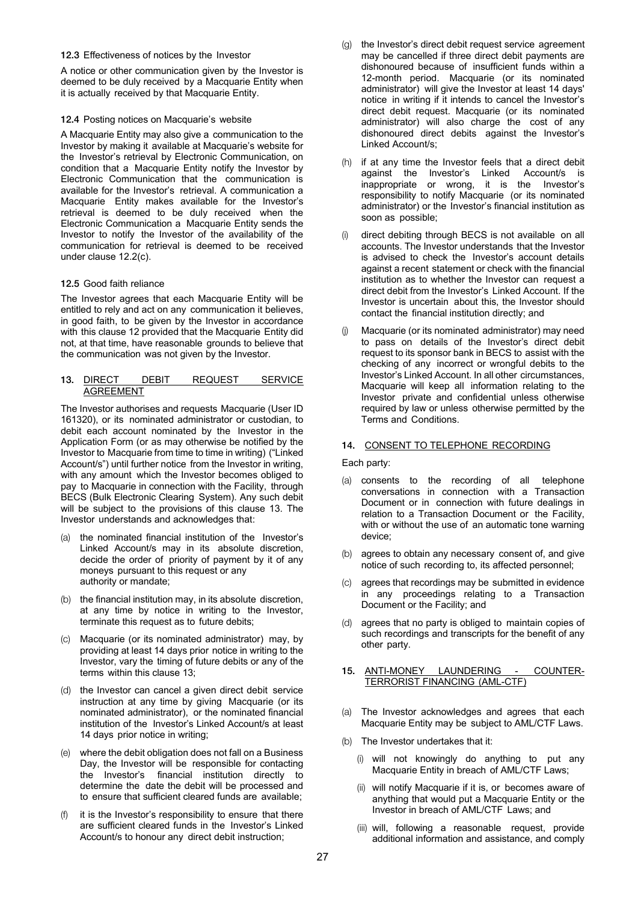#### 12.3 Effectiveness of notices by the Investor

A notice or other communication given by the Investor is deemed to be duly received by a Macquarie Entity when it is actually received by that Macquarie Entity.

#### 12.4 Posting notices on Macquarie's website

A Macquarie Entity may also give a communication to the Investor by making it available at Macquarie's website for the Investor's retrieval by Electronic Communication, on condition that a Macquarie Entity notify the Investor by Electronic Communication that the communication is available for the Investor's retrieval. A communication a Macquarie Entity makes available for the Investor's retrieval is deemed to be duly received when the Electronic Communication a Macquarie Entity sends the Investor to notify the Investor of the availability of the communication for retrieval is deemed to be received under clause 12.2(c).

# 12.5 Good faith reliance

The Investor agrees that each Macquarie Entity will be entitled to rely and act on any communication it believes, in good faith, to be given by the Investor in accordance with this clause 12 provided that the Macquarie Entity did not, at that time, have reasonable grounds to believe that the communication was not given by the Investor.

#### 13. DIRECT DEBIT REQUEST SERVICE AGREEMENT

The Investor authorises and requests Macquarie (User ID 161320), or its nominated administrator or custodian, to debit each account nominated by the Investor in the Application Form (or as may otherwise be notified by the Investor to Macquarie from time to time in writing) ("Linked Account/s") until further notice from the Investor in writing, with any amount which the Investor becomes obliged to pay to Macquarie in connection with the Facility, through BECS (Bulk Electronic Clearing System). Any such debit will be subject to the provisions of this clause 13. The Investor understands and acknowledges that:

- (a) the nominated financial institution of the Investor's Linked Account/s may in its absolute discretion, decide the order of priority of payment by it of any moneys pursuant to this request or any authority or mandate;
- (b) the financial institution may, in its absolute discretion, at any time by notice in writing to the Investor, terminate this request as to future debits;
- (c) Macquarie (or its nominated administrator) may, by providing at least 14 days prior notice in writing to the Investor, vary the timing of future debits or any of the terms within this clause 13;
- (d) the Investor can cancel a given direct debit service instruction at any time by giving Macquarie (or its nominated administrator), or the nominated financial institution of the Investor's Linked Account/s at least 14 days prior notice in writing;
- (e) where the debit obligation does not fall on a Business Day, the Investor will be responsible for contacting the Investor's financial institution directly to determine the date the debit will be processed and to ensure that sufficient cleared funds are available;
- (f) it is the Investor's responsibility to ensure that there are sufficient cleared funds in the Investor's Linked Account/s to honour any direct debit instruction;
- (g) the Investor's direct debit request service agreement may be cancelled if three direct debit payments are dishonoured because of insufficient funds within a 12-month period. Macquarie (or its nominated administrator) will give the Investor at least 14 days' notice in writing if it intends to cancel the Investor's direct debit request. Macquarie (or its nominated administrator) will also charge the cost of any dishonoured direct debits against the Investor's Linked Account/s;
- (h) if at any time the Investor feels that a direct debit against the Investor's Linked Account/s is inappropriate or wrong, it is the Investor's responsibility to notify Macquarie (or its nominated administrator) or the Investor's financial institution as soon as possible;
- direct debiting through BECS is not available on all accounts. The Investor understands that the Investor is advised to check the Investor's account details against a recent statement or check with the financial institution as to whether the Investor can request a direct debit from the Investor's Linked Account. If the Investor is uncertain about this, the Investor should contact the financial institution directly; and
- Macquarie (or its nominated administrator) may need to pass on details of the Investor's direct debit request to its sponsor bank in BECS to assist with the checking of any incorrect or wrongful debits to the Investor's Linked Account. In all other circumstances, Macquarie will keep all information relating to the Investor private and confidential unless otherwise required by law or unless otherwise permitted by the Terms and Conditions.

# 14. CONSENT TO TELEPHONE RECORDING

Each party:

- (a) consents to the recording of all telephone conversations in connection with a Transaction Document or in connection with future dealings in relation to a Transaction Document or the Facility, with or without the use of an automatic tone warning device;
- (b) agrees to obtain any necessary consent of, and give notice of such recording to, its affected personnel;
- (c) agrees that recordings may be submitted in evidence in any proceedings relating to a Transaction Document or the Facility; and
- (d) agrees that no party is obliged to maintain copies of such recordings and transcripts for the benefit of any other party.
- 15. ANTI-MONEY LAUNDERING COUNTER-TERRORIST FINANCING (AML-CTF)
- (a) The Investor acknowledges and agrees that each Macquarie Entity may be subject to AML/CTF Laws.
- (b) The Investor undertakes that it:
	- (i) will not knowingly do anything to put any Macquarie Entity in breach of AML/CTF Laws;
	- (ii) will notify Macquarie if it is, or becomes aware of anything that would put a Macquarie Entity or the Investor in breach of AML/CTF Laws; and
	- (iii) will, following a reasonable request, provide additional information and assistance, and comply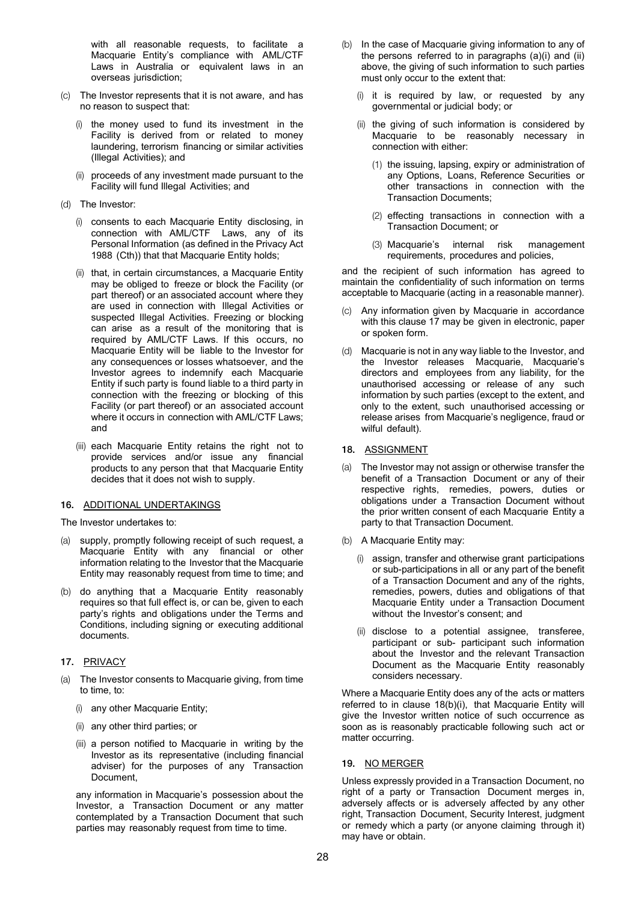with all reasonable requests, to facilitate a Macquarie Entity's compliance with AML/CTF Laws in Australia or equivalent laws in an overseas jurisdiction;

- (c) The Investor represents that it is not aware, and has no reason to suspect that:
	- (i) the money used to fund its investment in the Facility is derived from or related to money laundering, terrorism financing or similar activities (Illegal Activities); and
	- (ii) proceeds of any investment made pursuant to the Facility will fund Illegal Activities; and
- (d) The Investor:
	- (i) consents to each Macquarie Entity disclosing, in connection with AML/CTF Laws, any of its Personal Information (as defined in the Privacy Act 1988 (Cth)) that that Macquarie Entity holds;
	- (ii) that, in certain circumstances, a Macquarie Entity may be obliged to freeze or block the Facility (or part thereof) or an associated account where they are used in connection with Illegal Activities or suspected Illegal Activities. Freezing or blocking can arise as a result of the monitoring that is required by AML/CTF Laws. If this occurs, no Macquarie Entity will be liable to the Investor for any consequences or losses whatsoever, and the Investor agrees to indemnify each Macquarie Entity if such party is found liable to a third party in connection with the freezing or blocking of this Facility (or part thereof) or an associated account where it occurs in connection with AML/CTF Laws; and
	- (iii) each Macquarie Entity retains the right not to provide services and/or issue any financial products to any person that that Macquarie Entity decides that it does not wish to supply.

#### 16. ADDITIONAL UNDERTAKINGS

- The Investor undertakes to:
- (a) supply, promptly following receipt of such request, a Macquarie Entity with any financial or other information relating to the Investor that the Macquarie Entity may reasonably request from time to time; and
- (b) do anything that a Macquarie Entity reasonably requires so that full effect is, or can be, given to each party's rights and obligations under the Terms and Conditions, including signing or executing additional documents.

# 17. PRIVACY

- (a) The Investor consents to Macquarie giving, from time to time, to:
	- (i) any other Macquarie Entity;
	- (ii) any other third parties; or
	- (iii) a person notified to Macquarie in writing by the Investor as its representative (including financial adviser) for the purposes of any Transaction Document,

any information in Macquarie's possession about the Investor, a Transaction Document or any matter contemplated by a Transaction Document that such parties may reasonably request from time to time.

- (b) In the case of Macquarie giving information to any of the persons referred to in paragraphs (a)(i) and (ii) above, the giving of such information to such parties must only occur to the extent that:
	- (i) it is required by law, or requested by any governmental or judicial body; or
	- (ii) the giving of such information is considered by Macquarie to be reasonably necessary in connection with either:
		- (1) the issuing, lapsing, expiry or administration of any Options, Loans, Reference Securities or other transactions in connection with the Transaction Documents;
		- (2) effecting transactions in connection with a Transaction Document; or
		- (3) Macquarie's internal risk management requirements, procedures and policies,

and the recipient of such information has agreed to maintain the confidentiality of such information on terms acceptable to Macquarie (acting in a reasonable manner).

- (c) Any information given by Macquarie in accordance with this clause 17 may be given in electronic, paper or spoken form.
- (d) Macquarie is not in any way liable to the Investor, and the Investor releases Macquarie, Macquarie's directors and employees from any liability, for the unauthorised accessing or release of any such information by such parties (except to the extent, and only to the extent, such unauthorised accessing or release arises from Macquarie's negligence, fraud or wilful default).

# 18. ASSIGNMENT

- (a) The Investor may not assign or otherwise transfer the benefit of a Transaction Document or any of their respective rights, remedies, powers, duties or obligations under a Transaction Document without the prior written consent of each Macquarie Entity a party to that Transaction Document.
- (b) A Macquarie Entity may:
	- (i) assign, transfer and otherwise grant participations or sub-participations in all or any part of the benefit of a Transaction Document and any of the rights, remedies, powers, duties and obligations of that Macquarie Entity under a Transaction Document without the Investor's consent; and
	- (ii) disclose to a potential assignee, transferee, participant or sub- participant such information about the Investor and the relevant Transaction Document as the Macquarie Entity reasonably considers necessary.

Where a Macquarie Entity does any of the acts or matters referred to in clause 18(b)(i), that Macquarie Entity will give the Investor written notice of such occurrence as soon as is reasonably practicable following such act or matter occurring.

#### 19. NO MERGER

Unless expressly provided in a Transaction Document, no right of a party or Transaction Document merges in, adversely affects or is adversely affected by any other right, Transaction Document, Security Interest, judgment or remedy which a party (or anyone claiming through it) may have or obtain.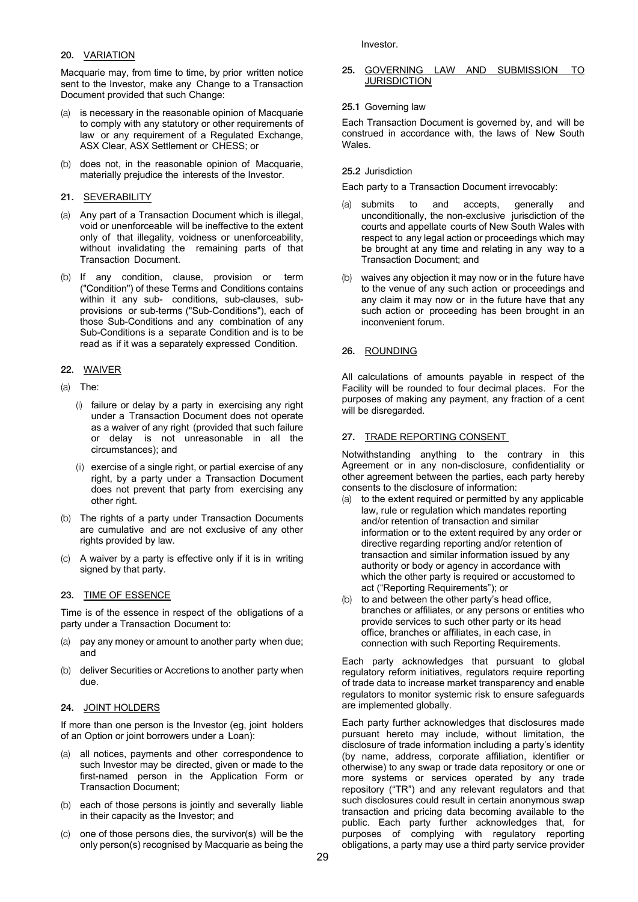### 20. VARIATION

Macquarie may, from time to time, by prior written notice sent to the Investor, make any Change to a Transaction Document provided that such Change:

- is necessary in the reasonable opinion of Macquarie to comply with any statutory or other requirements of law or any requirement of a Regulated Exchange, ASX Clear, ASX Settlement or CHESS; or
- (b) does not, in the reasonable opinion of Macquarie, materially prejudice the interests of the Investor.

### 21. SEVERABILITY

- (a) Any part of a Transaction Document which is illegal, void or unenforceable will be ineffective to the extent only of that illegality, voidness or unenforceability, without invalidating the remaining parts of that Transaction Document.
- (b) If any condition, clause, provision or term ("Condition") of these Terms and Conditions contains within it any sub- conditions, sub-clauses, subprovisions or sub-terms ("Sub-Conditions"), each of those Sub-Conditions and any combination of any Sub-Conditions is a separate Condition and is to be read as if it was a separately expressed Condition.

# 22. WAIVER

- (a) The:
	- (i) failure or delay by a party in exercising any right under a Transaction Document does not operate as a waiver of any right (provided that such failure or delay is not unreasonable in all the circumstances); and
	- (ii) exercise of a single right, or partial exercise of any right, by a party under a Transaction Document does not prevent that party from exercising any other right.
- (b) The rights of a party under Transaction Documents are cumulative and are not exclusive of any other rights provided by law.
- (c) A waiver by a party is effective only if it is in writing signed by that party.

#### 23. TIME OF ESSENCE

Time is of the essence in respect of the obligations of a party under a Transaction Document to:

- (a) pay any money or amount to another party when due; and
- (b) deliver Securities or Accretions to another party when due.

#### 24. JOINT HOLDERS

If more than one person is the Investor (eg, joint holders of an Option or joint borrowers under a Loan):

- all notices, payments and other correspondence to such Investor may be directed, given or made to the first-named person in the Application Form or Transaction Document;
- (b) each of those persons is jointly and severally liable in their capacity as the Investor; and
- (c) one of those persons dies, the survivor(s) will be the only person(s) recognised by Macquarie as being the

Investor.

#### 25. GOVERNING LAW AND SUBMISSION TO JURISDICTION

### 25.1 Governing law

Each Transaction Document is governed by, and will be construed in accordance with, the laws of New South Wales.

# 25.2 Jurisdiction

Each party to a Transaction Document irrevocably:

- (a) submits to and accepts, generally and unconditionally, the non-exclusive jurisdiction of the courts and appellate courts of New South Wales with respect to any legal action or proceedings which may be brought at any time and relating in any way to a Transaction Document; and
- (b) waives any objection it may now or in the future have to the venue of any such action or proceedings and any claim it may now or in the future have that any such action or proceeding has been brought in an inconvenient forum.

# 26. ROUNDING

All calculations of amounts payable in respect of the Facility will be rounded to four decimal places. For the purposes of making any payment, any fraction of a cent will be disregarded.

# 27. TRADE REPORTING CONSENT

Notwithstanding anything to the contrary in this Agreement or in any non-disclosure, confidentiality or other agreement between the parties, each party hereby consents to the disclosure of information:

- (a) to the extent required or permitted by any applicable law, rule or regulation which mandates reporting and/or retention of transaction and similar information or to the extent required by any order or directive regarding reporting and/or retention of transaction and similar information issued by any authority or body or agency in accordance with which the other party is required or accustomed to act ("Reporting Requirements"); or
- (b) to and between the other party's head office, branches or affiliates, or any persons or entities who provide services to such other party or its head office, branches or affiliates, in each case, in connection with such Reporting Requirements.

Each party acknowledges that pursuant to global regulatory reform initiatives, regulators require reporting of trade data to increase market transparency and enable regulators to monitor systemic risk to ensure safeguards are implemented globally.

Each party further acknowledges that disclosures made pursuant hereto may include, without limitation, the disclosure of trade information including a party's identity (by name, address, corporate affiliation, identifier or otherwise) to any swap or trade data repository or one or more systems or services operated by any trade repository ("TR") and any relevant regulators and that such disclosures could result in certain anonymous swap transaction and pricing data becoming available to the public. Each party further acknowledges that, for purposes of complying with regulatory reporting obligations, a party may use a third party service provider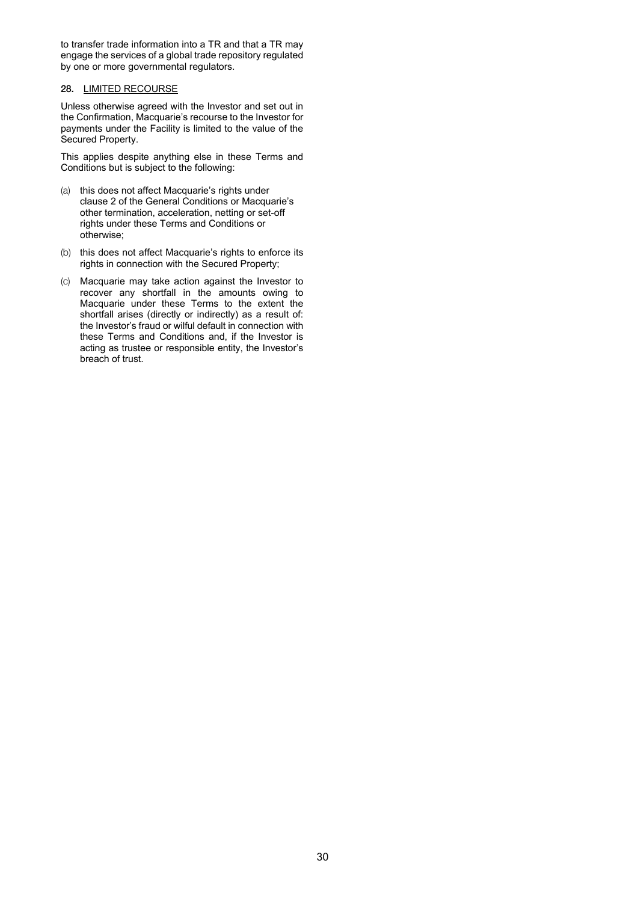to transfer trade information into a TR and that a TR may engage the services of a global trade repository regulated by one or more governmental regulators.

### 28. LIMITED RECOURSE

Unless otherwise agreed with the Investor and set out in the Confirmation, Macquarie's recourse to the Investor for payments under the Facility is limited to the value of the Secured Property.

This applies despite anything else in these Terms and Conditions but is subject to the following:

- (a) this does not affect Macquarie's rights under clause 2 of the General Conditions or Macquarie's other termination, acceleration, netting or set-off rights under these Terms and Conditions or otherwise;
- (b) this does not affect Macquarie's rights to enforce its rights in connection with the Secured Property;
- (c) Macquarie may take action against the Investor to recover any shortfall in the amounts owing to Macquarie under these Terms to the extent the shortfall arises (directly or indirectly) as a result of: the Investor's fraud or wilful default in connection with these Terms and Conditions and, if the Investor is acting as trustee or responsible entity, the Investor's breach of trust.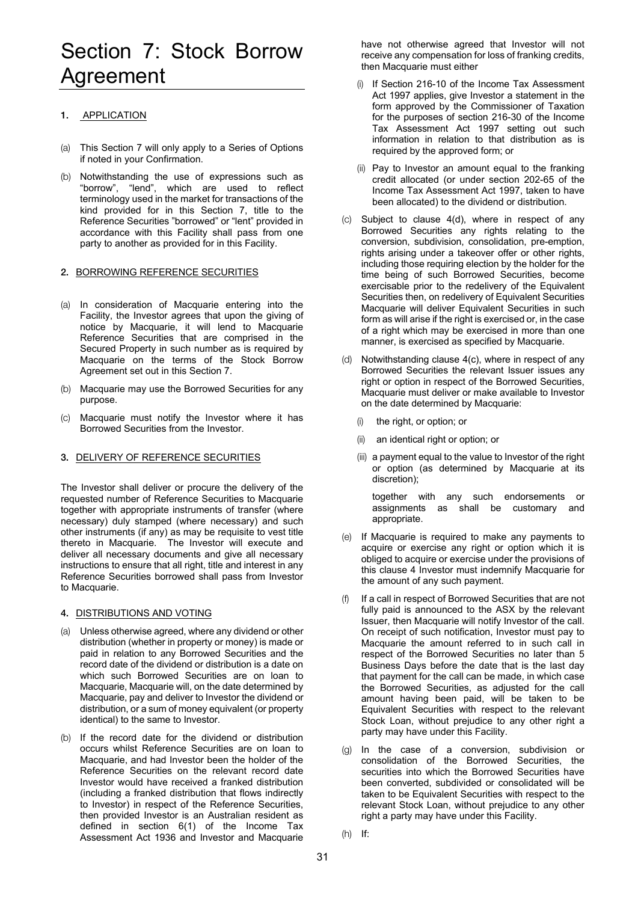# Section 7: Stock Borrow Agreement

# 1. APPLICATION

- (a) This Section 7 will only apply to a Series of Options if noted in your Confirmation.
- (b) Notwithstanding the use of expressions such as "borrow", "lend", which are used to reflect terminology used in the market for transactions of the kind provided for in this Section 7, title to the Reference Securities "borrowed" or "lent" provided in accordance with this Facility shall pass from one party to another as provided for in this Facility.

# 2. BORROWING REFERENCE SECURITIES

- (a) In consideration of Macquarie entering into the Facility, the Investor agrees that upon the giving of notice by Macquarie, it will lend to Macquarie Reference Securities that are comprised in the Secured Property in such number as is required by Macquarie on the terms of the Stock Borrow Agreement set out in this Section 7.
- (b) Macquarie may use the Borrowed Securities for any purpose.
- (c) Macquarie must notify the Investor where it has Borrowed Securities from the Investor.

# 3. DELIVERY OF REFERENCE SECURITIES

The Investor shall deliver or procure the delivery of the requested number of Reference Securities to Macquarie together with appropriate instruments of transfer (where necessary) duly stamped (where necessary) and such other instruments (if any) as may be requisite to vest title thereto in Macquarie. The Investor will execute and deliver all necessary documents and give all necessary instructions to ensure that all right, title and interest in any Reference Securities borrowed shall pass from Investor to Macquarie.

#### 4. DISTRIBUTIONS AND VOTING

- (a) Unless otherwise agreed, where any dividend or other distribution (whether in property or money) is made or paid in relation to any Borrowed Securities and the record date of the dividend or distribution is a date on which such Borrowed Securities are on loan to Macquarie, Macquarie will, on the date determined by Macquarie, pay and deliver to Investor the dividend or distribution, or a sum of money equivalent (or property identical) to the same to Investor.
- (b) If the record date for the dividend or distribution occurs whilst Reference Securities are on loan to Macquarie, and had Investor been the holder of the Reference Securities on the relevant record date Investor would have received a franked distribution (including a franked distribution that flows indirectly to Investor) in respect of the Reference Securities, then provided Investor is an Australian resident as defined in section 6(1) of the Income Tax Assessment Act 1936 and Investor and Macquarie

have not otherwise agreed that Investor will not receive any compensation for loss of franking credits, then Macquarie must either

- (i) If Section 216-10 of the Income Tax Assessment Act 1997 applies, give Investor a statement in the form approved by the Commissioner of Taxation for the purposes of section 216-30 of the Income Tax Assessment Act 1997 setting out such information in relation to that distribution as is required by the approved form; or
- (ii) Pay to Investor an amount equal to the franking credit allocated (or under section 202-65 of the Income Tax Assessment Act 1997, taken to have been allocated) to the dividend or distribution.
- (c) Subject to clause 4(d), where in respect of any Borrowed Securities any rights relating to the conversion, subdivision, consolidation, pre-emption, rights arising under a takeover offer or other rights, including those requiring election by the holder for the time being of such Borrowed Securities, become exercisable prior to the redelivery of the Equivalent Securities then, on redelivery of Equivalent Securities Macquarie will deliver Equivalent Securities in such form as will arise if the right is exercised or, in the case of a right which may be exercised in more than one manner, is exercised as specified by Macquarie.
- (d) Notwithstanding clause 4(c), where in respect of any Borrowed Securities the relevant Issuer issues any right or option in respect of the Borrowed Securities, Macquarie must deliver or make available to Investor on the date determined by Macquarie:
	- (i) the right, or option; or
	- (ii) an identical right or option; or
	- (iii) a payment equal to the value to Investor of the right or option (as determined by Macquarie at its discretion);

together with any such endorsements or assignments as shall be customary and appropriate.

- (e) If Macquarie is required to make any payments to acquire or exercise any right or option which it is obliged to acquire or exercise under the provisions of this clause 4 Investor must indemnify Macquarie for the amount of any such payment.
- (f) If a call in respect of Borrowed Securities that are not fully paid is announced to the ASX by the relevant Issuer, then Macquarie will notify Investor of the call. On receipt of such notification, Investor must pay to Macquarie the amount referred to in such call in respect of the Borrowed Securities no later than 5 Business Days before the date that is the last day that payment for the call can be made, in which case the Borrowed Securities, as adjusted for the call amount having been paid, will be taken to be Equivalent Securities with respect to the relevant Stock Loan, without prejudice to any other right a party may have under this Facility.
- (g) In the case of a conversion, subdivision or consolidation of the Borrowed Securities, the securities into which the Borrowed Securities have been converted, subdivided or consolidated will be taken to be Equivalent Securities with respect to the relevant Stock Loan, without prejudice to any other right a party may have under this Facility.
- (h) If: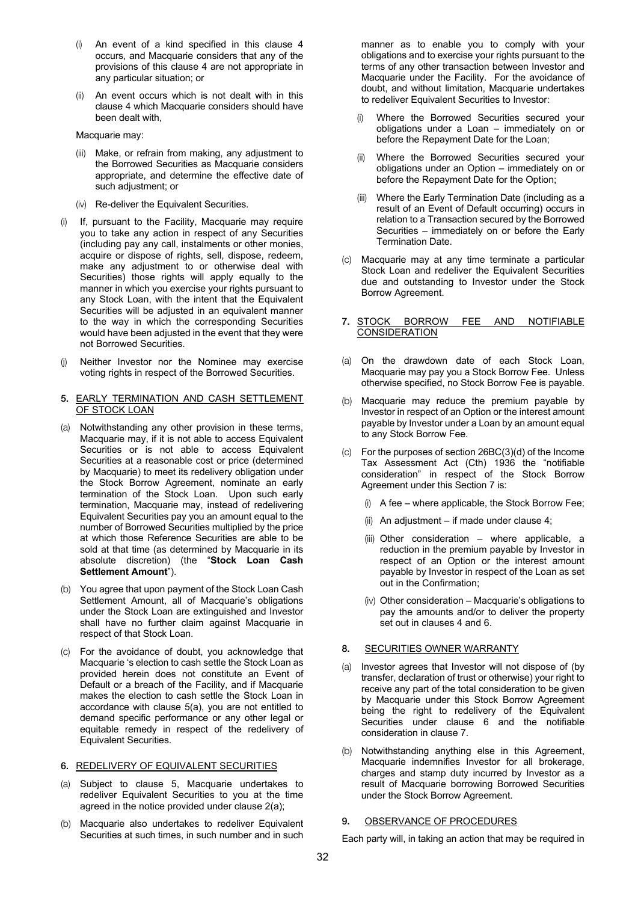- (i) An event of a kind specified in this clause 4 occurs, and Macquarie considers that any of the provisions of this clause 4 are not appropriate in any particular situation; or
- (ii) An event occurs which is not dealt with in this clause 4 which Macquarie considers should have been dealt with,

Macquarie may:

- (iii) Make, or refrain from making, any adjustment to the Borrowed Securities as Macquarie considers appropriate, and determine the effective date of such adjustment; or
- (iv) Re-deliver the Equivalent Securities.
- (i) If, pursuant to the Facility, Macquarie may require you to take any action in respect of any Securities (including pay any call, instalments or other monies, acquire or dispose of rights, sell, dispose, redeem, make any adjustment to or otherwise deal with Securities) those rights will apply equally to the manner in which you exercise your rights pursuant to any Stock Loan, with the intent that the Equivalent Securities will be adjusted in an equivalent manner to the way in which the corresponding Securities would have been adjusted in the event that they were not Borrowed Securities.
- (j) Neither Investor nor the Nominee may exercise voting rights in respect of the Borrowed Securities.
- 5. EARLY TERMINATION AND CASH SETTLEMENT OF STOCK LOAN
- (a) Notwithstanding any other provision in these terms, Macquarie may, if it is not able to access Equivalent Securities or is not able to access Equivalent Securities at a reasonable cost or price (determined by Macquarie) to meet its redelivery obligation under the Stock Borrow Agreement, nominate an early termination of the Stock Loan. Upon such early termination, Macquarie may, instead of redelivering Equivalent Securities pay you an amount equal to the number of Borrowed Securities multiplied by the price at which those Reference Securities are able to be sold at that time (as determined by Macquarie in its absolute discretion) (the "**Stock Loan Cash Settlement Amount**").
- (b) You agree that upon payment of the Stock Loan Cash Settlement Amount, all of Macquarie's obligations under the Stock Loan are extinguished and Investor shall have no further claim against Macquarie in respect of that Stock Loan.
- (c) For the avoidance of doubt, you acknowledge that Macquarie 's election to cash settle the Stock Loan as provided herein does not constitute an Event of Default or a breach of the Facility, and if Macquarie makes the election to cash settle the Stock Loan in accordance with clause 5(a), you are not entitled to demand specific performance or any other legal or equitable remedy in respect of the redelivery of Equivalent Securities.

#### 6. REDELIVERY OF EQUIVALENT SECURITIES

- (a) Subject to clause 5, Macquarie undertakes to redeliver Equivalent Securities to you at the time agreed in the notice provided under clause 2(a);
- (b) Macquarie also undertakes to redeliver Equivalent Securities at such times, in such number and in such

manner as to enable you to comply with your obligations and to exercise your rights pursuant to the terms of any other transaction between Investor and Macquarie under the Facility. For the avoidance of doubt, and without limitation, Macquarie undertakes to redeliver Equivalent Securities to Investor:

- (i) Where the Borrowed Securities secured your obligations under a Loan – immediately on or before the Repayment Date for the Loan;
- (ii) Where the Borrowed Securities secured your obligations under an Option – immediately on or before the Repayment Date for the Option;
- (iii) Where the Early Termination Date (including as a result of an Event of Default occurring) occurs in relation to a Transaction secured by the Borrowed Securities – immediately on or before the Early Termination Date.
- (c) Macquarie may at any time terminate a particular Stock Loan and redeliver the Equivalent Securities due and outstanding to Investor under the Stock Borrow Agreement.
- 7. STOCK BORROW FEE AND NOTIFIABLE **CONSIDERATION**
- (a) On the drawdown date of each Stock Loan, Macquarie may pay you a Stock Borrow Fee. Unless otherwise specified, no Stock Borrow Fee is payable.
- (b) Macquarie may reduce the premium payable by Investor in respect of an Option or the interest amount payable by Investor under a Loan by an amount equal to any Stock Borrow Fee.
- (c) For the purposes of section 26BC(3)(d) of the Income Tax Assessment Act (Cth) 1936 the "notifiable consideration" in respect of the Stock Borrow Agreement under this Section 7 is:
	- (i) A fee where applicable, the Stock Borrow Fee;
	- (ii) An adjustment if made under clause 4;
	- (iii) Other consideration where applicable, a reduction in the premium payable by Investor in respect of an Option or the interest amount payable by Investor in respect of the Loan as set out in the Confirmation;
	- (iv) Other consideration Macquarie's obligations to pay the amounts and/or to deliver the property set out in clauses 4 and 6.

#### 8. SECURITIES OWNER WARRANTY

- (a) Investor agrees that Investor will not dispose of (by transfer, declaration of trust or otherwise) your right to receive any part of the total consideration to be given by Macquarie under this Stock Borrow Agreement being the right to redelivery of the Equivalent Securities under clause 6 and the notifiable consideration in clause 7.
- (b) Notwithstanding anything else in this Agreement, Macquarie indemnifies Investor for all brokerage, charges and stamp duty incurred by Investor as a result of Macquarie borrowing Borrowed Securities under the Stock Borrow Agreement.

#### 9. OBSERVANCE OF PROCEDURES

Each party will, in taking an action that may be required in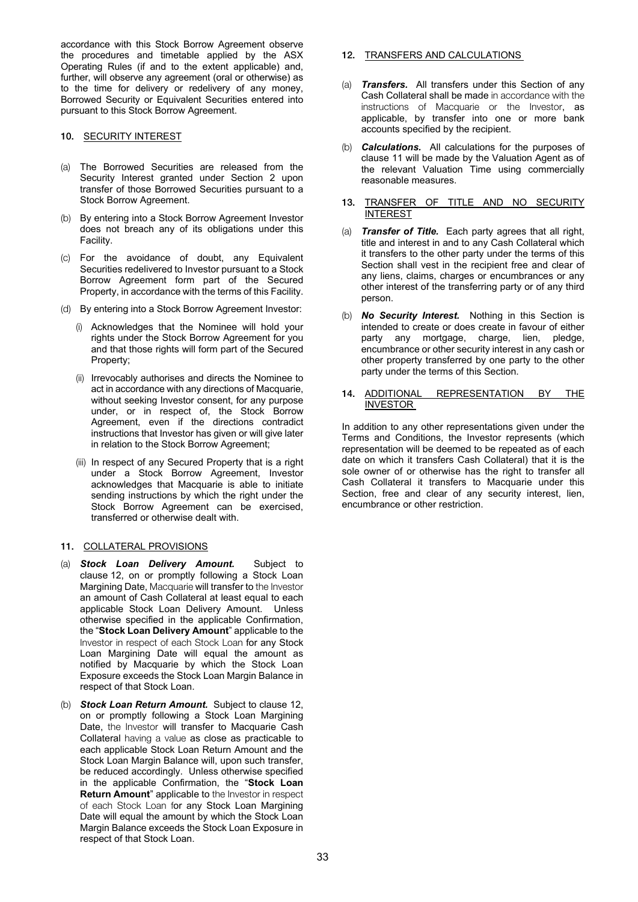accordance with this Stock Borrow Agreement observe the procedures and timetable applied by the ASX Operating Rules (if and to the extent applicable) and, further, will observe any agreement (oral or otherwise) as to the time for delivery or redelivery of any money, Borrowed Security or Equivalent Securities entered into pursuant to this Stock Borrow Agreement.

### 10. SECURITY INTEREST

- (a) The Borrowed Securities are released from the Security Interest granted under Section 2 upon transfer of those Borrowed Securities pursuant to a Stock Borrow Agreement.
- (b) By entering into a Stock Borrow Agreement Investor does not breach any of its obligations under this Facility.
- (c) For the avoidance of doubt, any Equivalent Securities redelivered to Investor pursuant to a Stock Borrow Agreement form part of the Secured Property, in accordance with the terms of this Facility.
- (d) By entering into a Stock Borrow Agreement Investor:
	- (i) Acknowledges that the Nominee will hold your rights under the Stock Borrow Agreement for you and that those rights will form part of the Secured Property;
	- (ii) Irrevocably authorises and directs the Nominee to act in accordance with any directions of Macquarie, without seeking Investor consent, for any purpose under, or in respect of, the Stock Borrow Agreement, even if the directions contradict instructions that Investor has given or will give later in relation to the Stock Borrow Agreement;
	- (iii) In respect of any Secured Property that is a right under a Stock Borrow Agreement, Investor acknowledges that Macquarie is able to initiate sending instructions by which the right under the Stock Borrow Agreement can be exercised, transferred or otherwise dealt with.

# 11. COLLATERAL PROVISIONS

- (a) *Stock Loan Delivery Amount.* Subject to clause 12, on or promptly following a Stock Loan Margining Date, Macquarie will transfer to the Investor an amount of Cash Collateral at least equal to each applicable Stock Loan Delivery Amount. Unless otherwise specified in the applicable Confirmation, the "**Stock Loan Delivery Amount**" applicable to the Investor in respect of each Stock Loan for any Stock Loan Margining Date will equal the amount as notified by Macquarie by which the Stock Loan Exposure exceeds the Stock Loan Margin Balance in respect of that Stock Loan.
- (b) *Stock Loan Return Amount.* Subject to clause 12, on or promptly following a Stock Loan Margining Date, the Investor will transfer to Macquarie Cash Collateral having a value as close as practicable to each applicable Stock Loan Return Amount and the Stock Loan Margin Balance will, upon such transfer, be reduced accordingly. Unless otherwise specified in the applicable Confirmation, the "**Stock Loan Return Amount**" applicable to the Investor in respect of each Stock Loan for any Stock Loan Margining Date will equal the amount by which the Stock Loan Margin Balance exceeds the Stock Loan Exposure in respect of that Stock Loan.
- 12. TRANSFERS AND CALCULATIONS
- (a) *Transfers.* All transfers under this Section of any Cash Collateral shall be made in accordance with the instructions of Macquarie or the Investor, as applicable, by transfer into one or more bank accounts specified by the recipient.
- (b) *Calculations.* All calculations for the purposes of clause 11 will be made by the Valuation Agent as of the relevant Valuation Time using commercially reasonable measures.
- 13. TRANSFER OF TITLE AND NO SECURITY INTEREST
- (a) *Transfer of Title.* Each party agrees that all right, title and interest in and to any Cash Collateral which it transfers to the other party under the terms of this Section shall vest in the recipient free and clear of any liens, claims, charges or encumbrances or any other interest of the transferring party or of any third person.
- (b) *No Security Interest.* Nothing in this Section is intended to create or does create in favour of either party any mortgage, charge, lien, pledge, encumbrance or other security interest in any cash or other property transferred by one party to the other party under the terms of this Section.
- 14. ADDITIONAL REPRESENTATION BY THE INVESTOR

In addition to any other representations given under the Terms and Conditions, the Investor represents (which representation will be deemed to be repeated as of each date on which it transfers Cash Collateral) that it is the sole owner of or otherwise has the right to transfer all Cash Collateral it transfers to Macquarie under this Section, free and clear of any security interest, lien, encumbrance or other restriction.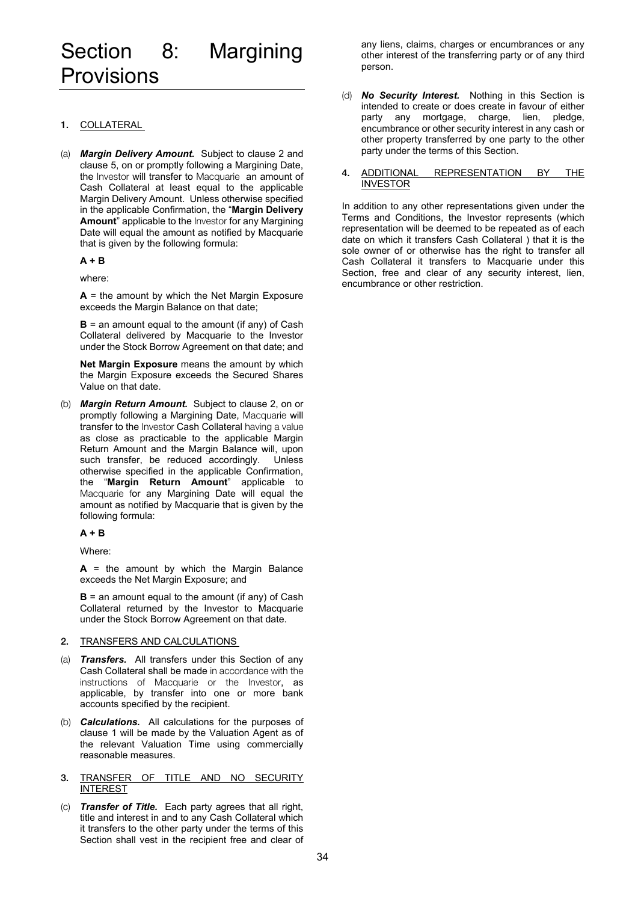# Section 8: Margining Provisions

# 1. COLLATERAL

(a) *Margin Delivery Amount.* Subject to clause 2 and clause 5, on or promptly following a Margining Date, the Investor will transfer to Macquarie an amount of Cash Collateral at least equal to the applicable Margin Delivery Amount. Unless otherwise specified in the applicable Confirmation, the "**Margin Delivery Amount**" applicable to the Investor for any Margining Date will equal the amount as notified by Macquarie that is given by the following formula:

**A + B** 

where:

**A** = the amount by which the Net Margin Exposure exceeds the Margin Balance on that date;

**B** = an amount equal to the amount (if any) of Cash Collateral delivered by Macquarie to the Investor under the Stock Borrow Agreement on that date; and

**Net Margin Exposure** means the amount by which the Margin Exposure exceeds the Secured Shares Value on that date.

(b) *Margin Return Amount.* Subject to clause 2, on or promptly following a Margining Date, Macquarie will transfer to the Investor Cash Collateral having a value as close as practicable to the applicable Margin Return Amount and the Margin Balance will, upon such transfer, be reduced accordingly. Unless otherwise specified in the applicable Confirmation, the "**Margin Return Amount**" applicable to Macquarie for any Margining Date will equal the amount as notified by Macquarie that is given by the following formula:

#### **A + B**

Where:

**A** = the amount by which the Margin Balance exceeds the Net Margin Exposure; and

**B** = an amount equal to the amount (if any) of Cash Collateral returned by the Investor to Macquarie under the Stock Borrow Agreement on that date.

#### 2. TRANSFERS AND CALCULATIONS

- (a) *Transfers.* All transfers under this Section of any Cash Collateral shall be made in accordance with the instructions of Macquarie or the Investor, as applicable, by transfer into one or more bank accounts specified by the recipient.
- (b) *Calculations.* All calculations for the purposes of clause 1 will be made by the Valuation Agent as of the relevant Valuation Time using commercially reasonable measures.
- 3. TRANSFER OF TITLE AND NO SECURITY INTEREST
- (c) *Transfer of Title.* Each party agrees that all right, title and interest in and to any Cash Collateral which it transfers to the other party under the terms of this Section shall vest in the recipient free and clear of

any liens, claims, charges or encumbrances or any other interest of the transferring party or of any third person.

- (d) *No Security Interest.* Nothing in this Section is intended to create or does create in favour of either party any mortgage, charge, lien, pledge, encumbrance or other security interest in any cash or other property transferred by one party to the other party under the terms of this Section.
- 4. ADDITIONAL REPRESENTATION BY THE INVESTOR

In addition to any other representations given under the Terms and Conditions, the Investor represents (which representation will be deemed to be repeated as of each date on which it transfers Cash Collateral ) that it is the sole owner of or otherwise has the right to transfer all Cash Collateral it transfers to Macquarie under this Section, free and clear of any security interest, lien, encumbrance or other restriction.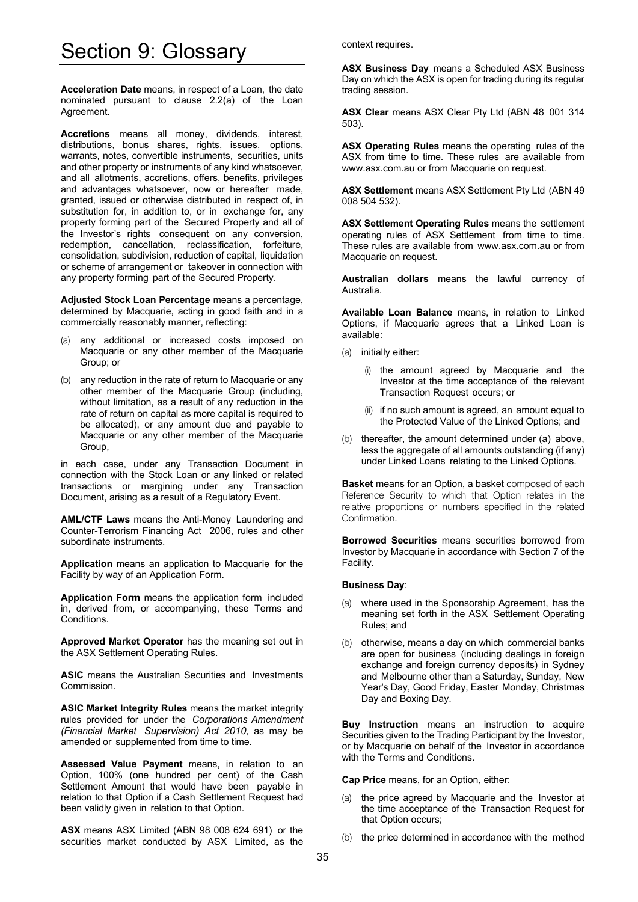# Section 9: Glossary

**Acceleration Date** means, in respect of a Loan, the date nominated pursuant to clause 2.2(a) of the Loan Agreement.

**Accretions** means all money, dividends, interest, distributions, bonus shares, rights, issues, options, warrants, notes, convertible instruments, securities, units and other property or instruments of any kind whatsoever, and all allotments, accretions, offers, benefits, privileges and advantages whatsoever, now or hereafter made, granted, issued or otherwise distributed in respect of, in substitution for, in addition to, or in exchange for, any property forming part of the Secured Property and all of the Investor's rights consequent on any conversion, redemption, cancellation, reclassification, forfeiture, consolidation, subdivision, reduction of capital, liquidation or scheme of arrangement or takeover in connection with any property forming part of the Secured Property.

**Adjusted Stock Loan Percentage** means a percentage, determined by Macquarie, acting in good faith and in a commercially reasonably manner, reflecting:

- (a) any additional or increased costs imposed on Macquarie or any other member of the Macquarie Group; or
- (b) any reduction in the rate of return to Macquarie or any other member of the Macquarie Group (including, without limitation, as a result of any reduction in the rate of return on capital as more capital is required to be allocated), or any amount due and payable to Macquarie or any other member of the Macquarie Group,

in each case, under any Transaction Document in connection with the Stock Loan or any linked or related transactions or margining under any Transaction Document, arising as a result of a Regulatory Event.

**AML/CTF Laws** means the Anti-Money Laundering and Counter-Terrorism Financing Act 2006, rules and other subordinate instruments.

**Application** means an application to Macquarie for the Facility by way of an Application Form.

**Application Form** means the application form included in, derived from, or accompanying, these Terms and Conditions.

**Approved Market Operator** has the meaning set out in the ASX Settlement Operating Rules.

**ASIC** means the Australian Securities and Investments Commission.

**ASIC Market Integrity Rules** means the market integrity rules provided for under the *Corporations Amendment (Financial Market Supervision) Act 2010*, as may be amended or supplemented from time to time.

**Assessed Value Payment** means, in relation to an Option, 100% (one hundred per cent) of the Cash Settlement Amount that would have been payable in relation to that Option if a Cash Settlement Request had been validly given in relation to that Option.

**ASX** means ASX Limited (ABN 98 008 624 691) or the securities market conducted by ASX Limited, as the context requires.

**ASX Business Day** means a Scheduled ASX Business Day on which the ASX is open for trading during its regular trading session.

**ASX Clear** means ASX Clear Pty Ltd (ABN 48 001 314 503).

**ASX Operating Rules** means the operating rules of the ASX from time to time. These rules are available from www.asx.com.au or from Macquarie on request.

**ASX Settlement** means ASX Settlement Pty Ltd (ABN 49 008 504 532).

**ASX Settlement Operating Rules** means the settlement operating rules of ASX Settlement from time to time. These rules are available from www.asx.com.au or from Macquarie on request.

**Australian dollars** means the lawful currency of Australia.

**Available Loan Balance** means, in relation to Linked Options, if Macquarie agrees that a Linked Loan is available:

- (a) initially either:
	- (i) the amount agreed by Macquarie and the Investor at the time acceptance of the relevant Transaction Request occurs; or
	- (ii) if no such amount is agreed, an amount equal to the Protected Value of the Linked Options; and
- (b) thereafter, the amount determined under (a) above, less the aggregate of all amounts outstanding (if any) under Linked Loans relating to the Linked Options.

**Basket** means for an Option, a basket composed of each Reference Security to which that Option relates in the relative proportions or numbers specified in the related Confirmation.

**Borrowed Securities** means securities borrowed from Investor by Macquarie in accordance with Section 7 of the Facility.

#### **Business Day**:

- (a) where used in the Sponsorship Agreement, has the meaning set forth in the ASX Settlement Operating Rules; and
- (b) otherwise, means a day on which commercial banks are open for business (including dealings in foreign exchange and foreign currency deposits) in Sydney and Melbourne other than a Saturday, Sunday, New Year's Day, Good Friday, Easter Monday, Christmas Day and Boxing Day.

**Buy Instruction** means an instruction to acquire Securities given to the Trading Participant by the Investor, or by Macquarie on behalf of the Investor in accordance with the Terms and Conditions.

**Cap Price** means, for an Option, either:

- (a) the price agreed by Macquarie and the Investor at the time acceptance of the Transaction Request for that Option occurs;
- (b) the price determined in accordance with the method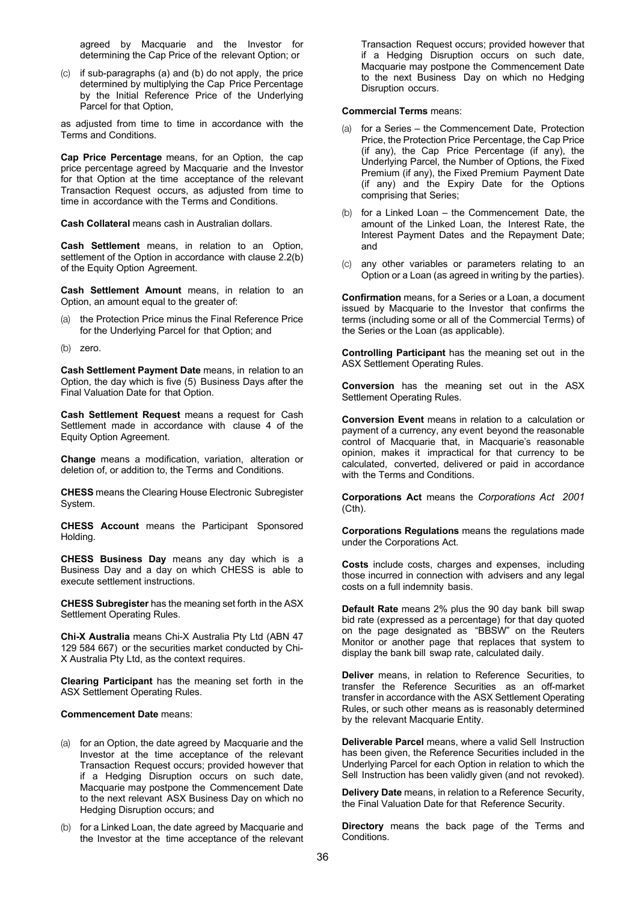agreed by Macquarie and the Investor for determining the Cap Price of the relevant Option; or

(c) if sub-paragraphs (a) and (b) do not apply, the price determined by multiplying the Cap Price Percentage by the Initial Reference Price of the Underlying Parcel for that Option,

as adjusted from time to time in accordance with the Terms and Conditions.

**Cap Price Percentage** means, for an Option, the cap price percentage agreed by Macquarie and the Investor for that Option at the time acceptance of the relevant Transaction Request occurs, as adjusted from time to time in accordance with the Terms and Conditions.

**Cash Collateral** means cash in Australian dollars.

**Cash Settlement** means, in relation to an Option, settlement of the Option in accordance with clause 2.2(b) of the Equity Option Agreement.

**Cash Settlement Amount** means, in relation to an Option, an amount equal to the greater of:

- (a) the Protection Price minus the Final Reference Price for the Underlying Parcel for that Option; and
- (b) zero.

**Cash Settlement Payment Date** means, in relation to an Option, the day which is five (5) Business Days after the Final Valuation Date for that Option.

**Cash Settlement Request** means a request for Cash Settlement made in accordance with clause 4 of the Equity Option Agreement.

**Change** means a modification, variation, alteration or deletion of, or addition to, the Terms and Conditions.

**CHESS** means the Clearing House Electronic Subregister System.

**CHESS Account** means the Participant Sponsored Holding.

**CHESS Business Day** means any day which is a Business Day and a day on which CHESS is able to execute settlement instructions.

**CHESS Subregister** has the meaning set forth in the ASX Settlement Operating Rules.

**Chi-X Australia** means Chi-X Australia Pty Ltd (ABN 47 129 584 667) or the securities market conducted by Chi-X Australia Pty Ltd, as the context requires.

**Clearing Participant** has the meaning set forth in the ASX Settlement Operating Rules.

#### **Commencement Date** means:

- (a) for an Option, the date agreed by Macquarie and the Investor at the time acceptance of the relevant Transaction Request occurs; provided however that if a Hedging Disruption occurs on such date, Macquarie may postpone the Commencement Date to the next relevant ASX Business Day on which no Hedging Disruption occurs; and
- (b) for a Linked Loan, the date agreed by Macquarie and the Investor at the time acceptance of the relevant

Transaction Request occurs; provided however that if a Hedging Disruption occurs on such date, Macquarie may postpone the Commencement Date to the next Business Day on which no Hedging Disruption occurs.

#### **Commercial Terms** means:

- for a Series the Commencement Date, Protection Price, the Protection Price Percentage, the Cap Price (if any), the Cap Price Percentage (if any), the Underlying Parcel, the Number of Options, the Fixed Premium (if any), the Fixed Premium Payment Date (if any) and the Expiry Date for the Options comprising that Series;
- (b) for a Linked Loan the Commencement Date, the amount of the Linked Loan, the Interest Rate, the Interest Payment Dates and the Repayment Date; and
- (c) any other variables or parameters relating to an Option or a Loan (as agreed in writing by the parties).

**Confirmation** means, for a Series or a Loan, a document issued by Macquarie to the Investor that confirms the terms (including some or all of the Commercial Terms) of the Series or the Loan (as applicable).

**Controlling Participant** has the meaning set out in the ASX Settlement Operating Rules.

**Conversion** has the meaning set out in the ASX Settlement Operating Rules.

**Conversion Event** means in relation to a calculation or payment of a currency, any event beyond the reasonable control of Macquarie that, in Macquarie's reasonable opinion, makes it impractical for that currency to be calculated, converted, delivered or paid in accordance with the Terms and Conditions.

**Corporations Act** means the *Corporations Act 2001*  (Cth).

**Corporations Regulations** means the regulations made under the Corporations Act.

**Costs** include costs, charges and expenses, including those incurred in connection with advisers and any legal costs on a full indemnity basis.

**Default Rate** means 2% plus the 90 day bank bill swap bid rate (expressed as a percentage) for that day quoted on the page designated as "BBSW" on the Reuters Monitor or another page that replaces that system to display the bank bill swap rate, calculated daily.

**Deliver** means, in relation to Reference Securities, to transfer the Reference Securities as an off-market transfer in accordance with the ASX Settlement Operating Rules, or such other means as is reasonably determined by the relevant Macquarie Entity.

**Deliverable Parcel** means, where a valid Sell Instruction has been given, the Reference Securities included in the Underlying Parcel for each Option in relation to which the Sell Instruction has been validly given (and not revoked).

**Delivery Date** means, in relation to a Reference Security, the Final Valuation Date for that Reference Security.

**Directory** means the back page of the Terms and Conditions.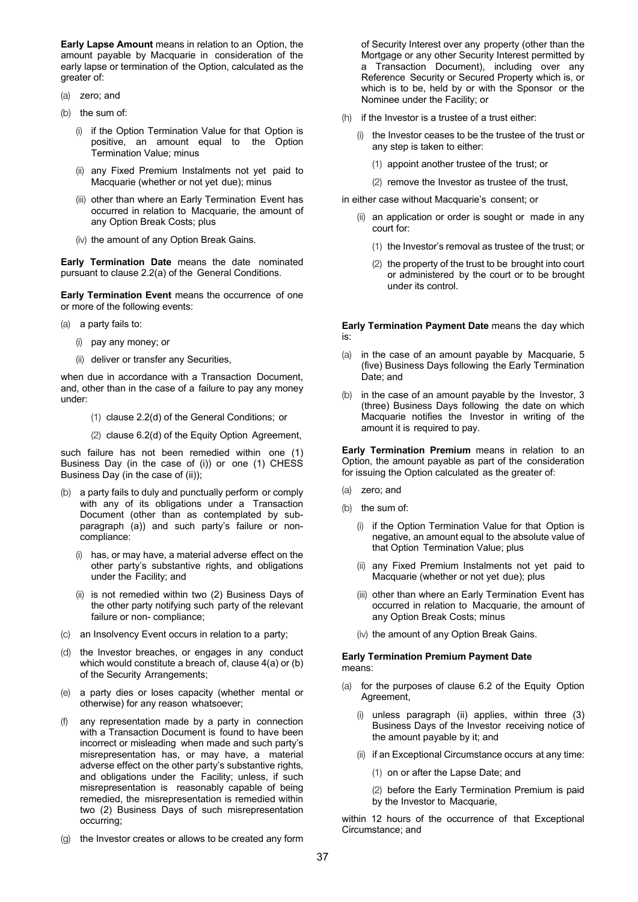**Early Lapse Amount** means in relation to an Option, the amount payable by Macquarie in consideration of the early lapse or termination of the Option, calculated as the greater of:

- (a) zero; and
- (b) the sum of:
	- (i) if the Option Termination Value for that Option is positive, an amount equal to the Option Termination Value; minus
	- (ii) any Fixed Premium Instalments not yet paid to Macquarie (whether or not yet due); minus
	- (iii) other than where an Early Termination Event has occurred in relation to Macquarie, the amount of any Option Break Costs; plus
	- (iv) the amount of any Option Break Gains.

**Early Termination Date** means the date nominated pursuant to clause 2.2(a) of the General Conditions.

**Early Termination Event** means the occurrence of one or more of the following events:

(a) a party fails to:

- (i) pay any money; or
- (ii) deliver or transfer any Securities,

when due in accordance with a Transaction Document, and, other than in the case of a failure to pay any money under:

- (1) clause 2.2(d) of the General Conditions; or
- (2) clause 6.2(d) of the Equity Option Agreement,

such failure has not been remedied within one (1) Business Day (in the case of (i)) or one (1) CHESS Business Day (in the case of (ii));

- (b) a party fails to duly and punctually perform or comply with any of its obligations under a Transaction Document (other than as contemplated by subparagraph (a)) and such party's failure or noncompliance:
	- has, or may have, a material adverse effect on the other party's substantive rights, and obligations under the Facility; and
	- (ii) is not remedied within two (2) Business Days of the other party notifying such party of the relevant failure or non- compliance;
- (c) an Insolvency Event occurs in relation to a party;
- (d) the Investor breaches, or engages in any conduct which would constitute a breach of, clause 4(a) or (b) of the Security Arrangements;
- (e) a party dies or loses capacity (whether mental or otherwise) for any reason whatsoever;
- (f) any representation made by a party in connection with a Transaction Document is found to have been incorrect or misleading when made and such party's misrepresentation has, or may have, a material adverse effect on the other party's substantive rights, and obligations under the Facility; unless, if such misrepresentation is reasonably capable of being remedied, the misrepresentation is remedied within two (2) Business Days of such misrepresentation occurring;
- (g) the Investor creates or allows to be created any form

of Security Interest over any property (other than the Mortgage or any other Security Interest permitted by a Transaction Document), including over any Reference Security or Secured Property which is, or which is to be, held by or with the Sponsor or the Nominee under the Facility; or

- (h) if the Investor is a trustee of a trust either:
	- (i) the Investor ceases to be the trustee of the trust or any step is taken to either:
		- (1) appoint another trustee of the trust; or
		- (2) remove the Investor as trustee of the trust,

in either case without Macquarie's consent; or

- (ii) an application or order is sought or made in any court for:
	- (1) the Investor's removal as trustee of the trust; or
	- (2) the property of the trust to be brought into court or administered by the court or to be brought under its control.

**Early Termination Payment Date** means the day which is:

- (a) in the case of an amount payable by Macquarie, 5 (five) Business Days following the Early Termination Date; and
- (b) in the case of an amount payable by the Investor, 3 (three) Business Days following the date on which Macquarie notifies the Investor in writing of the amount it is required to pay.

**Early Termination Premium** means in relation to an Option, the amount payable as part of the consideration for issuing the Option calculated as the greater of:

- (a) zero; and
- (b) the sum of:
	- (i) if the Option Termination Value for that Option is negative, an amount equal to the absolute value of that Option Termination Value; plus
	- (ii) any Fixed Premium Instalments not yet paid to Macquarie (whether or not yet due); plus
	- (iii) other than where an Early Termination Event has occurred in relation to Macquarie, the amount of any Option Break Costs; minus
	- (iv) the amount of any Option Break Gains.

#### **Early Termination Premium Payment Date**  means:

- (a) for the purposes of clause 6.2 of the Equity Option Agreement,
	- unless paragraph (ii) applies, within three (3) Business Days of the Investor receiving notice of the amount payable by it; and
	- (ii) if an Exceptional Circumstance occurs at any time:
		- (1) on or after the Lapse Date; and

(2) before the Early Termination Premium is paid by the Investor to Macquarie,

within 12 hours of the occurrence of that Exceptional Circumstance; and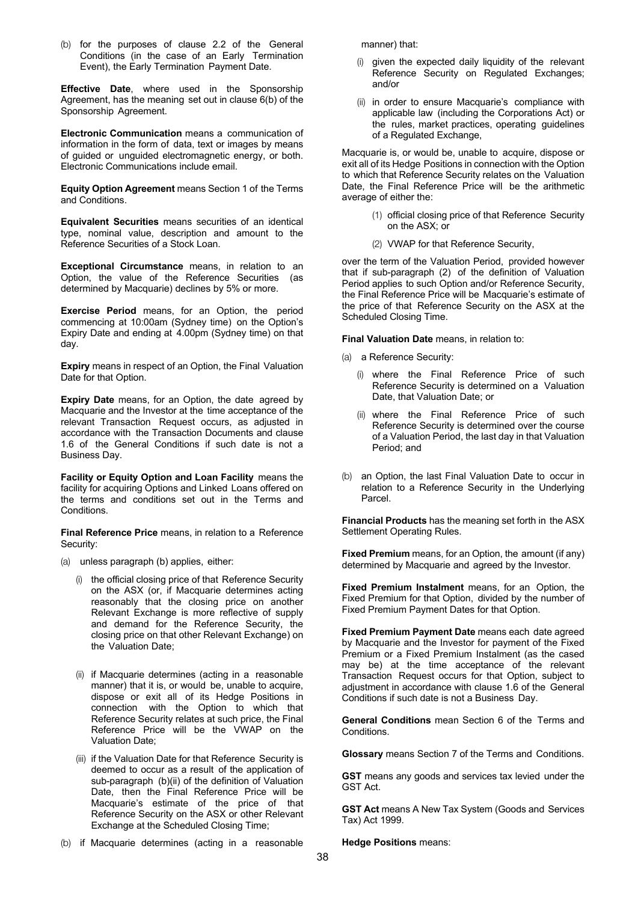(b) for the purposes of clause 2.2 of the General Conditions (in the case of an Early Termination Event), the Early Termination Payment Date.

**Effective Date**, where used in the Sponsorship Agreement, has the meaning set out in clause 6(b) of the Sponsorship Agreement.

**Electronic Communication** means a communication of information in the form of data, text or images by means of guided or unguided electromagnetic energy, or both. Electronic Communications include email.

**Equity Option Agreement** means Section 1 of the Terms and Conditions.

**Equivalent Securities** means securities of an identical type, nominal value, description and amount to the Reference Securities of a Stock Loan.

**Exceptional Circumstance** means, in relation to an Option, the value of the Reference Securities (as determined by Macquarie) declines by 5% or more.

**Exercise Period** means, for an Option, the period commencing at 10:00am (Sydney time) on the Option's Expiry Date and ending at 4.00pm (Sydney time) on that day.

**Expiry** means in respect of an Option, the Final Valuation Date for that Option.

**Expiry Date** means, for an Option, the date agreed by Macquarie and the Investor at the time acceptance of the relevant Transaction Request occurs, as adjusted in accordance with the Transaction Documents and clause 1.6 of the General Conditions if such date is not a Business Day.

**Facility or Equity Option and Loan Facility** means the facility for acquiring Options and Linked Loans offered on the terms and conditions set out in the Terms and **Conditions** 

**Final Reference Price** means, in relation to a Reference Security:

- (a) unless paragraph (b) applies, either:
	- (i) the official closing price of that Reference Security on the ASX (or, if Macquarie determines acting reasonably that the closing price on another Relevant Exchange is more reflective of supply and demand for the Reference Security, the closing price on that other Relevant Exchange) on the Valuation Date;
	- (ii) if Macquarie determines (acting in a reasonable manner) that it is, or would be, unable to acquire, dispose or exit all of its Hedge Positions in connection with the Option to which that Reference Security relates at such price, the Final Reference Price will be the VWAP on the Valuation Date;
	- (iii) if the Valuation Date for that Reference Security is deemed to occur as a result of the application of sub-paragraph (b)(ii) of the definition of Valuation Date, then the Final Reference Price will be Macquarie's estimate of the price of that Reference Security on the ASX or other Relevant Exchange at the Scheduled Closing Time;

(b) if Macquarie determines (acting in a reasonable

manner) that:

- (i) given the expected daily liquidity of the relevant Reference Security on Regulated Exchanges; and/or
- (ii) in order to ensure Macquarie's compliance with applicable law (including the Corporations Act) or the rules, market practices, operating guidelines of a Regulated Exchange,

Macquarie is, or would be, unable to acquire, dispose or exit all of its Hedge Positions in connection with the Option to which that Reference Security relates on the Valuation Date, the Final Reference Price will be the arithmetic average of either the:

- (1) official closing price of that Reference Security on the ASX; or
- (2) VWAP for that Reference Security,

over the term of the Valuation Period, provided however that if sub-paragraph (2) of the definition of Valuation Period applies to such Option and/or Reference Security, the Final Reference Price will be Macquarie's estimate of the price of that Reference Security on the ASX at the Scheduled Closing Time.

**Final Valuation Date** means, in relation to:

- (a) a Reference Security:
	- (i) where the Final Reference Price of such Reference Security is determined on a Valuation Date, that Valuation Date; or
	- (ii) where the Final Reference Price of such Reference Security is determined over the course of a Valuation Period, the last day in that Valuation Period; and
- (b) an Option, the last Final Valuation Date to occur in relation to a Reference Security in the Underlying Parcel.

**Financial Products** has the meaning set forth in the ASX Settlement Operating Rules.

**Fixed Premium** means, for an Option, the amount (if any) determined by Macquarie and agreed by the Investor.

**Fixed Premium Instalment** means, for an Option, the Fixed Premium for that Option, divided by the number of Fixed Premium Payment Dates for that Option.

**Fixed Premium Payment Date** means each date agreed by Macquarie and the Investor for payment of the Fixed Premium or a Fixed Premium Instalment (as the cased may be) at the time acceptance of the relevant Transaction Request occurs for that Option, subject to adjustment in accordance with clause 1.6 of the General Conditions if such date is not a Business Day.

**General Conditions** mean Section 6 of the Terms and Conditions.

**Glossary** means Section 7 of the Terms and Conditions.

**GST** means any goods and services tax levied under the GST Act.

**GST Act** means A New Tax System (Goods and Services Tax) Act 1999.

**Hedge Positions** means: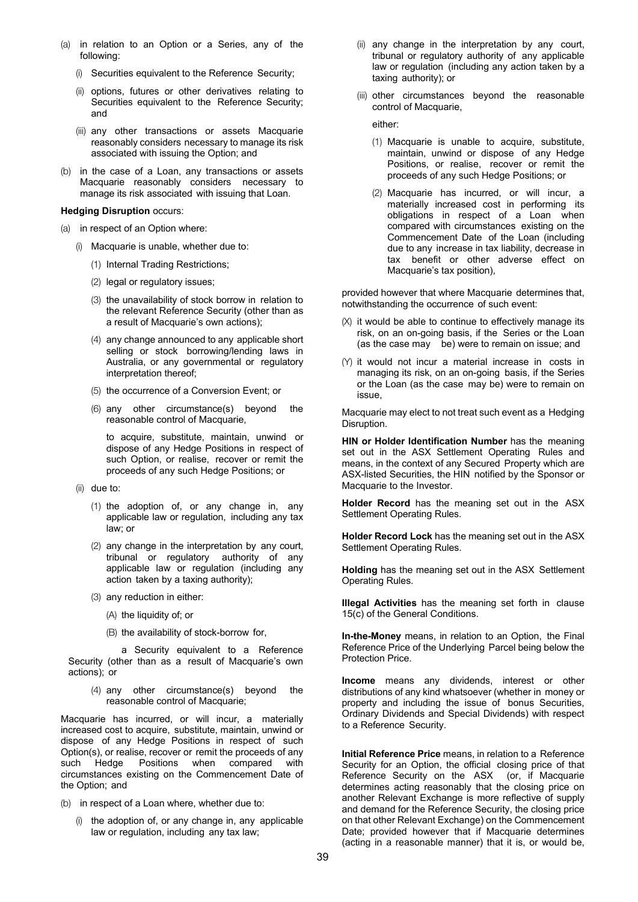- (a) in relation to an Option or a Series, any of the following:
	- (i) Securities equivalent to the Reference Security;
	- (ii) options, futures or other derivatives relating to Securities equivalent to the Reference Security; and
	- (iii) any other transactions or assets Macquarie reasonably considers necessary to manage its risk associated with issuing the Option; and
- (b) in the case of a Loan, any transactions or assets Macquarie reasonably considers necessary to manage its risk associated with issuing that Loan.

#### **Hedging Disruption** occurs:

- (a) in respect of an Option where:
	- (i) Macquarie is unable, whether due to:
		- (1) Internal Trading Restrictions;
		- (2) legal or regulatory issues;
		- (3) the unavailability of stock borrow in relation to the relevant Reference Security (other than as a result of Macquarie's own actions);
		- (4) any change announced to any applicable short selling or stock borrowing/lending laws in Australia, or any governmental or regulatory interpretation thereof;
		- (5) the occurrence of a Conversion Event; or
		- (6) any other circumstance(s) beyond the reasonable control of Macquarie,

to acquire, substitute, maintain, unwind or dispose of any Hedge Positions in respect of such Option, or realise, recover or remit the proceeds of any such Hedge Positions; or

- (ii) due to:
	- (1) the adoption of, or any change in, any applicable law or regulation, including any tax law; or
	- (2) any change in the interpretation by any court, tribunal or regulatory authority of any applicable law or regulation (including any action taken by a taxing authority);
	- (3) any reduction in either:
		- (A) the liquidity of; or
		- (B) the availability of stock-borrow for,

a Security equivalent to a Reference Security (other than as a result of Macquarie's own actions); or

(4) any other circumstance(s) beyond the reasonable control of Macquarie;

Macquarie has incurred, or will incur, a materially increased cost to acquire, substitute, maintain, unwind or dispose of any Hedge Positions in respect of such Option(s), or realise, recover or remit the proceeds of any such Hedge Positions when compared with circumstances existing on the Commencement Date of the Option; and

- (b) in respect of a Loan where, whether due to:
	- (i) the adoption of, or any change in, any applicable law or regulation, including any tax law;
- (ii) any change in the interpretation by any court, tribunal or regulatory authority of any applicable law or regulation (including any action taken by a taxing authority); or
- (iii) other circumstances beyond the reasonable control of Macquarie,

either:

- (1) Macquarie is unable to acquire, substitute, maintain, unwind or dispose of any Hedge Positions, or realise, recover or remit the proceeds of any such Hedge Positions; or
- (2) Macquarie has incurred, or will incur, a materially increased cost in performing its obligations in respect of a Loan when compared with circumstances existing on the Commencement Date of the Loan (including due to any increase in tax liability, decrease in tax benefit or other adverse effect on Macquarie's tax position),

provided however that where Macquarie determines that, notwithstanding the occurrence of such event:

- $(X)$  it would be able to continue to effectively manage its risk, on an on-going basis, if the Series or the Loan (as the case may be) were to remain on issue; and
- (Y) it would not incur a material increase in costs in managing its risk, on an on-going basis, if the Series or the Loan (as the case may be) were to remain on issue,

Macquarie may elect to not treat such event as a Hedging Disruption.

**HIN or Holder Identification Number** has the meaning set out in the ASX Settlement Operating Rules and means, in the context of any Secured Property which are ASX-listed Securities, the HIN notified by the Sponsor or Macquarie to the Investor.

**Holder Record** has the meaning set out in the ASX Settlement Operating Rules.

**Holder Record Lock** has the meaning set out in the ASX Settlement Operating Rules.

**Holding** has the meaning set out in the ASX Settlement Operating Rules.

**Illegal Activities** has the meaning set forth in clause 15(c) of the General Conditions.

**In-the-Money** means, in relation to an Option, the Final Reference Price of the Underlying Parcel being below the Protection Price.

**Income** means any dividends, interest or other distributions of any kind whatsoever (whether in money or property and including the issue of bonus Securities, Ordinary Dividends and Special Dividends) with respect to a Reference Security.

**Initial Reference Price** means, in relation to a Reference Security for an Option, the official closing price of that Reference Security on the ASX (or, if Macquarie determines acting reasonably that the closing price on another Relevant Exchange is more reflective of supply and demand for the Reference Security, the closing price on that other Relevant Exchange) on the Commencement Date; provided however that if Macquarie determines (acting in a reasonable manner) that it is, or would be,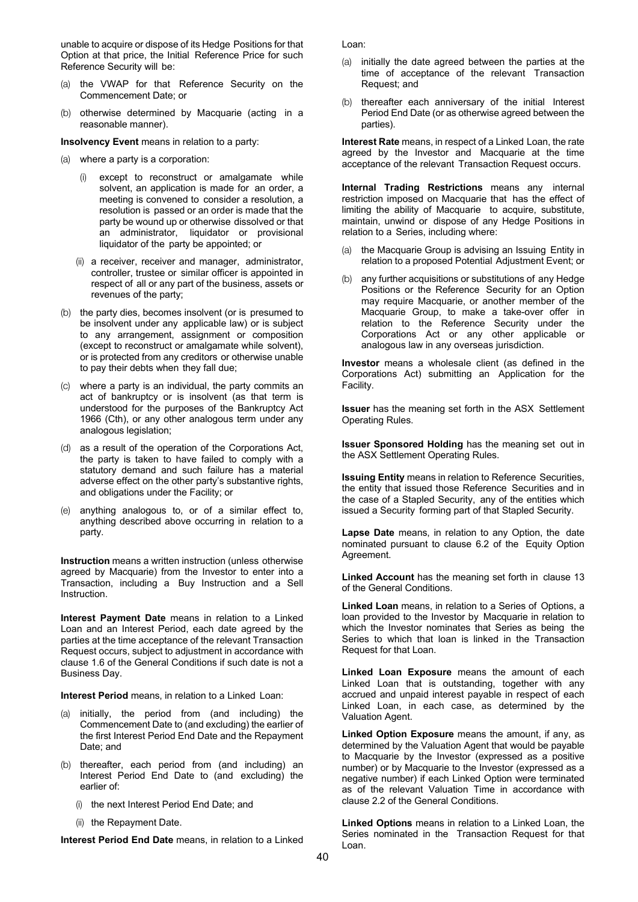unable to acquire or dispose of its Hedge Positions for that Option at that price, the Initial Reference Price for such Reference Security will be:

- (a) the VWAP for that Reference Security on the Commencement Date; or
- (b) otherwise determined by Macquarie (acting in a reasonable manner).

**Insolvency Event** means in relation to a party:

- (a) where a party is a corporation:
	- (i) except to reconstruct or amalgamate while solvent, an application is made for an order, a meeting is convened to consider a resolution, a resolution is passed or an order is made that the party be wound up or otherwise dissolved or that an administrator, liquidator or provisional liquidator of the party be appointed; or
	- (ii) a receiver, receiver and manager, administrator, controller, trustee or similar officer is appointed in respect of all or any part of the business, assets or revenues of the party;
- (b) the party dies, becomes insolvent (or is presumed to be insolvent under any applicable law) or is subject to any arrangement, assignment or composition (except to reconstruct or amalgamate while solvent), or is protected from any creditors or otherwise unable to pay their debts when they fall due;
- (c) where a party is an individual, the party commits an act of bankruptcy or is insolvent (as that term is understood for the purposes of the Bankruptcy Act 1966 (Cth), or any other analogous term under any analogous legislation;
- (d) as a result of the operation of the Corporations Act, the party is taken to have failed to comply with a statutory demand and such failure has a material adverse effect on the other party's substantive rights, and obligations under the Facility; or
- (e) anything analogous to, or of a similar effect to, anything described above occurring in relation to a party.

**Instruction** means a written instruction (unless otherwise agreed by Macquarie) from the Investor to enter into a Transaction, including a Buy Instruction and a Sell **Instruction** 

**Interest Payment Date** means in relation to a Linked Loan and an Interest Period, each date agreed by the parties at the time acceptance of the relevant Transaction Request occurs, subject to adjustment in accordance with clause 1.6 of the General Conditions if such date is not a Business Day.

**Interest Period** means, in relation to a Linked Loan:

- (a) initially, the period from (and including) the Commencement Date to (and excluding) the earlier of the first Interest Period End Date and the Repayment Date; and
- (b) thereafter, each period from (and including) an Interest Period End Date to (and excluding) the earlier of:
	- (i) the next Interest Period End Date; and
	- (ii) the Repayment Date.

**Interest Period End Date** means, in relation to a Linked

Loan:

- (a) initially the date agreed between the parties at the time of acceptance of the relevant Transaction Request; and
- (b) thereafter each anniversary of the initial Interest Period End Date (or as otherwise agreed between the parties).

**Interest Rate** means, in respect of a Linked Loan, the rate agreed by the Investor and Macquarie at the time acceptance of the relevant Transaction Request occurs.

**Internal Trading Restrictions** means any internal restriction imposed on Macquarie that has the effect of limiting the ability of Macquarie to acquire, substitute, maintain, unwind or dispose of any Hedge Positions in relation to a Series, including where:

- (a) the Macquarie Group is advising an Issuing Entity in relation to a proposed Potential Adjustment Event; or
- (b) any further acquisitions or substitutions of any Hedge Positions or the Reference Security for an Option may require Macquarie, or another member of the Macquarie Group, to make a take-over offer in relation to the Reference Security under the Corporations Act or any other applicable or analogous law in any overseas jurisdiction.

**Investor** means a wholesale client (as defined in the Corporations Act) submitting an Application for the Facility.

**Issuer** has the meaning set forth in the ASX Settlement Operating Rules.

**Issuer Sponsored Holding** has the meaning set out in the ASX Settlement Operating Rules.

**Issuing Entity** means in relation to Reference Securities, the entity that issued those Reference Securities and in the case of a Stapled Security, any of the entities which issued a Security forming part of that Stapled Security.

**Lapse Date** means, in relation to any Option, the date nominated pursuant to clause 6.2 of the Equity Option Agreement.

**Linked Account** has the meaning set forth in clause 13 of the General Conditions.

**Linked Loan** means, in relation to a Series of Options, a loan provided to the Investor by Macquarie in relation to which the Investor nominates that Series as being the Series to which that loan is linked in the Transaction Request for that Loan.

**Linked Loan Exposure** means the amount of each Linked Loan that is outstanding, together with any accrued and unpaid interest payable in respect of each Linked Loan, in each case, as determined by the Valuation Agent.

**Linked Option Exposure** means the amount, if any, as determined by the Valuation Agent that would be payable to Macquarie by the Investor (expressed as a positive number) or by Macquarie to the Investor (expressed as a negative number) if each Linked Option were terminated as of the relevant Valuation Time in accordance with clause 2.2 of the General Conditions.

**Linked Options** means in relation to a Linked Loan, the Series nominated in the Transaction Request for that Loan.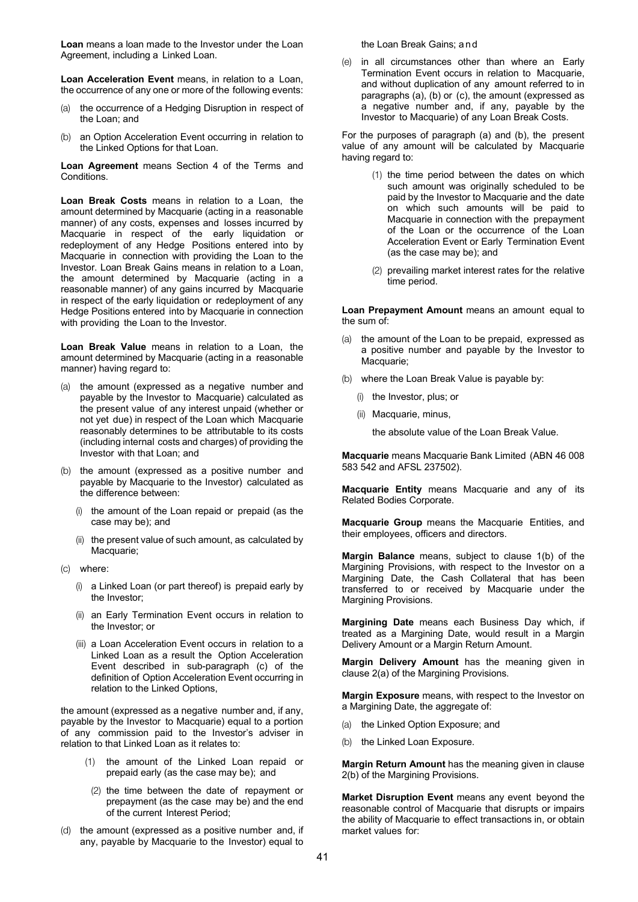**Loan** means a loan made to the Investor under the Loan Agreement, including a Linked Loan.

**Loan Acceleration Event** means, in relation to a Loan, the occurrence of any one or more of the following events:

- (a) the occurrence of a Hedging Disruption in respect of the Loan; and
- (b) an Option Acceleration Event occurring in relation to the Linked Options for that Loan.

**Loan Agreement** means Section 4 of the Terms and Conditions.

**Loan Break Costs** means in relation to a Loan, the amount determined by Macquarie (acting in a reasonable manner) of any costs, expenses and losses incurred by Macquarie in respect of the early liquidation or redeployment of any Hedge Positions entered into by Macquarie in connection with providing the Loan to the Investor. Loan Break Gains means in relation to a Loan, the amount determined by Macquarie (acting in a reasonable manner) of any gains incurred by Macquarie in respect of the early liquidation or redeployment of any Hedge Positions entered into by Macquarie in connection with providing the Loan to the Investor.

**Loan Break Value** means in relation to a Loan, the amount determined by Macquarie (acting in a reasonable manner) having regard to:

- (a) the amount (expressed as a negative number and payable by the Investor to Macquarie) calculated as the present value of any interest unpaid (whether or not yet due) in respect of the Loan which Macquarie reasonably determines to be attributable to its costs (including internal costs and charges) of providing the Investor with that Loan; and
- (b) the amount (expressed as a positive number and payable by Macquarie to the Investor) calculated as the difference between:
	- (i) the amount of the Loan repaid or prepaid (as the case may be); and
	- (ii) the present value of such amount, as calculated by Macquarie;
- (c) where:
	- (i) a Linked Loan (or part thereof) is prepaid early by the Investor;
	- (ii) an Early Termination Event occurs in relation to the Investor; or
	- (iii) a Loan Acceleration Event occurs in relation to a Linked Loan as a result the Option Acceleration Event described in sub-paragraph (c) of the definition of Option Acceleration Event occurring in relation to the Linked Options,

the amount (expressed as a negative number and, if any, payable by the Investor to Macquarie) equal to a portion of any commission paid to the Investor's adviser in relation to that Linked Loan as it relates to:

- (1) the amount of the Linked Loan repaid or prepaid early (as the case may be); and
- (2) the time between the date of repayment or prepayment (as the case may be) and the end of the current Interest Period;
- (d) the amount (expressed as a positive number and, if any, payable by Macquarie to the Investor) equal to

the Loan Break Gains; and

(e) in all circumstances other than where an Early Termination Event occurs in relation to Macquarie, and without duplication of any amount referred to in paragraphs (a), (b) or (c), the amount (expressed as a negative number and, if any, payable by the Investor to Macquarie) of any Loan Break Costs.

For the purposes of paragraph (a) and (b), the present value of any amount will be calculated by Macquarie having regard to:

- (1) the time period between the dates on which such amount was originally scheduled to be paid by the Investor to Macquarie and the date on which such amounts will be paid to Macquarie in connection with the prepayment of the Loan or the occurrence of the Loan Acceleration Event or Early Termination Event (as the case may be); and
- (2) prevailing market interest rates for the relative time period.

**Loan Prepayment Amount** means an amount equal to the sum of:

- (a) the amount of the Loan to be prepaid, expressed as a positive number and payable by the Investor to Macquarie;
- (b) where the Loan Break Value is payable by:
	- (i) the Investor, plus; or
	- (ii) Macquarie, minus,

the absolute value of the Loan Break Value.

**Macquarie** means Macquarie Bank Limited (ABN 46 008 583 542 and AFSL 237502).

**Macquarie Entity** means Macquarie and any of its Related Bodies Corporate.

**Macquarie Group** means the Macquarie Entities, and their employees, officers and directors.

**Margin Balance** means, subject to clause 1(b) of the Margining Provisions, with respect to the Investor on a Margining Date, the Cash Collateral that has been transferred to or received by Macquarie under the Margining Provisions.

**Margining Date** means each Business Day which, if treated as a Margining Date, would result in a Margin Delivery Amount or a Margin Return Amount.

**Margin Delivery Amount** has the meaning given in clause 2(a) of the Margining Provisions.

**Margin Exposure** means, with respect to the Investor on a Margining Date, the aggregate of:

- (a) the Linked Option Exposure; and
- (b) the Linked Loan Exposure.

**Margin Return Amount** has the meaning given in clause 2(b) of the Margining Provisions.

**Market Disruption Event** means any event beyond the reasonable control of Macquarie that disrupts or impairs the ability of Macquarie to effect transactions in, or obtain market values for: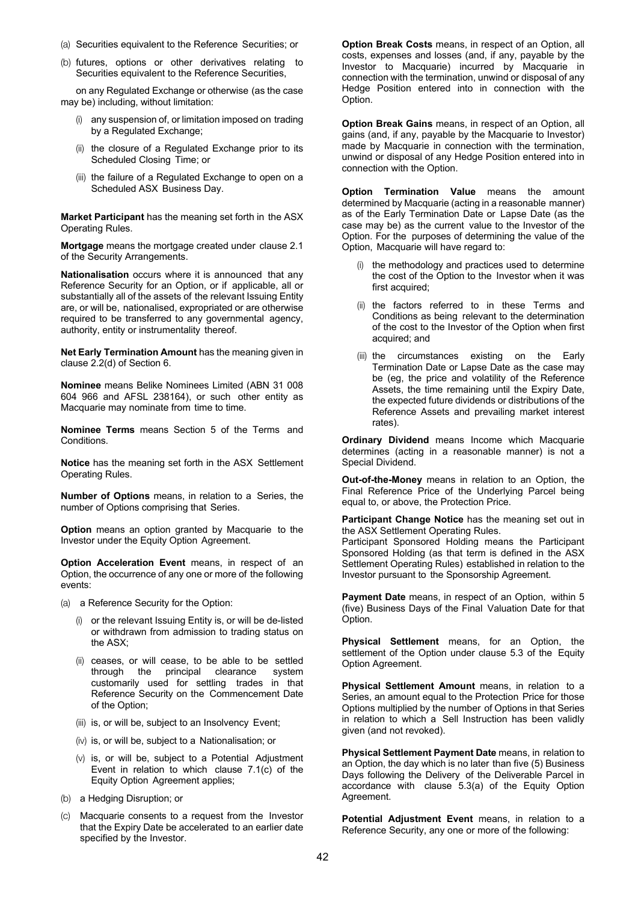- (a) Securities equivalent to the Reference Securities; or
- (b) futures, options or other derivatives relating to Securities equivalent to the Reference Securities,

on any Regulated Exchange or otherwise (as the case may be) including, without limitation:

- any suspension of, or limitation imposed on trading by a Regulated Exchange;
- (ii) the closure of a Regulated Exchange prior to its Scheduled Closing Time; or
- (iii) the failure of a Regulated Exchange to open on a Scheduled ASX Business Day.

**Market Participant** has the meaning set forth in the ASX Operating Rules.

**Mortgage** means the mortgage created under clause 2.1 of the Security Arrangements.

**Nationalisation** occurs where it is announced that any Reference Security for an Option, or if applicable, all or substantially all of the assets of the relevant Issuing Entity are, or will be, nationalised, expropriated or are otherwise required to be transferred to any governmental agency, authority, entity or instrumentality thereof.

**Net Early Termination Amount** has the meaning given in clause 2.2(d) of Section 6.

**Nominee** means Belike Nominees Limited (ABN 31 008 604 966 and AFSL 238164), or such other entity as Macquarie may nominate from time to time.

**Nominee Terms** means Section 5 of the Terms and Conditions.

**Notice** has the meaning set forth in the ASX Settlement Operating Rules.

**Number of Options** means, in relation to a Series, the number of Options comprising that Series.

**Option** means an option granted by Macquarie to the Investor under the Equity Option Agreement.

**Option Acceleration Event** means, in respect of an Option, the occurrence of any one or more of the following events:

(a) a Reference Security for the Option:

- (i) or the relevant Issuing Entity is, or will be de-listed or withdrawn from admission to trading status on the ASX;
- (ii) ceases, or will cease, to be able to be settled through the principal clearance system customarily used for settling trades in that Reference Security on the Commencement Date of the Option;
- (iii) is, or will be, subject to an Insolvency Event;
- (iv) is, or will be, subject to a Nationalisation; or
- (v) is, or will be, subject to a Potential Adjustment Event in relation to which clause 7.1(c) of the Equity Option Agreement applies;
- (b) a Hedging Disruption; or
- (c) Macquarie consents to a request from the Investor that the Expiry Date be accelerated to an earlier date specified by the Investor.

**Option Break Costs** means, in respect of an Option, all costs, expenses and losses (and, if any, payable by the Investor to Macquarie) incurred by Macquarie in connection with the termination, unwind or disposal of any Hedge Position entered into in connection with the Option.

**Option Break Gains** means, in respect of an Option, all gains (and, if any, payable by the Macquarie to Investor) made by Macquarie in connection with the termination, unwind or disposal of any Hedge Position entered into in connection with the Option.

**Option Termination Value** means the amount determined by Macquarie (acting in a reasonable manner) as of the Early Termination Date or Lapse Date (as the case may be) as the current value to the Investor of the Option. For the purposes of determining the value of the Option, Macquarie will have regard to:

- (i) the methodology and practices used to determine the cost of the Option to the Investor when it was first acquired;
- (ii) the factors referred to in these Terms and Conditions as being relevant to the determination of the cost to the Investor of the Option when first acquired; and
- (iii) the circumstances existing on the Early Termination Date or Lapse Date as the case may be (eg, the price and volatility of the Reference Assets, the time remaining until the Expiry Date, the expected future dividends or distributions of the Reference Assets and prevailing market interest rates).

**Ordinary Dividend** means Income which Macquarie determines (acting in a reasonable manner) is not a Special Dividend.

**Out-of-the-Money** means in relation to an Option, the Final Reference Price of the Underlying Parcel being equal to, or above, the Protection Price.

**Participant Change Notice** has the meaning set out in the ASX Settlement Operating Rules.

Participant Sponsored Holding means the Participant Sponsored Holding (as that term is defined in the ASX Settlement Operating Rules) established in relation to the Investor pursuant to the Sponsorship Agreement.

**Payment Date** means, in respect of an Option, within 5 (five) Business Days of the Final Valuation Date for that Option.

**Physical Settlement** means, for an Option, the settlement of the Option under clause 5.3 of the Equity Option Agreement.

**Physical Settlement Amount** means, in relation to a Series, an amount equal to the Protection Price for those Options multiplied by the number of Options in that Series in relation to which a Sell Instruction has been validly given (and not revoked).

**Physical Settlement Payment Date** means, in relation to an Option, the day which is no later than five (5) Business Days following the Delivery of the Deliverable Parcel in accordance with clause 5.3(a) of the Equity Option Agreement.

**Potential Adjustment Event** means, in relation to a Reference Security, any one or more of the following: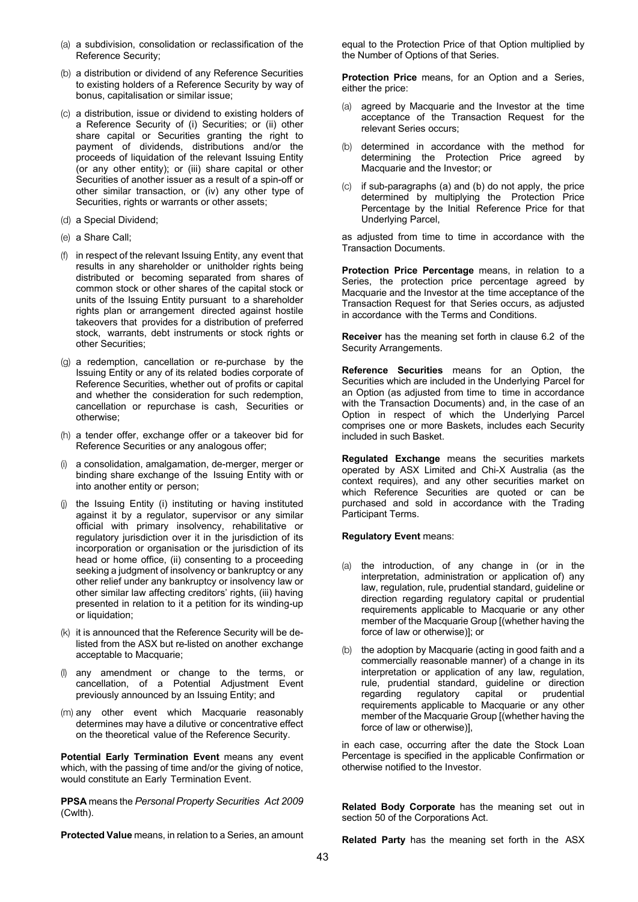- (a) a subdivision, consolidation or reclassification of the Reference Security;
- (b) a distribution or dividend of any Reference Securities to existing holders of a Reference Security by way of bonus, capitalisation or similar issue;
- (c) a distribution, issue or dividend to existing holders of a Reference Security of (i) Securities; or (ii) other share capital or Securities granting the right to payment of dividends, distributions and/or the proceeds of liquidation of the relevant Issuing Entity (or any other entity); or (iii) share capital or other Securities of another issuer as a result of a spin-off or other similar transaction, or (iv) any other type of Securities, rights or warrants or other assets;
- (d) a Special Dividend;
- (e) a Share Call;
- (f) in respect of the relevant Issuing Entity, any event that results in any shareholder or unitholder rights being distributed or becoming separated from shares of common stock or other shares of the capital stock or units of the Issuing Entity pursuant to a shareholder rights plan or arrangement directed against hostile takeovers that provides for a distribution of preferred stock, warrants, debt instruments or stock rights or other Securities;
- (g) a redemption, cancellation or re-purchase by the Issuing Entity or any of its related bodies corporate of Reference Securities, whether out of profits or capital and whether the consideration for such redemption, cancellation or repurchase is cash, Securities or otherwise;
- (h) a tender offer, exchange offer or a takeover bid for Reference Securities or any analogous offer;
- a consolidation, amalgamation, de-merger, merger or binding share exchange of the Issuing Entity with or into another entity or person;
- (j) the Issuing Entity (i) instituting or having instituted against it by a regulator, supervisor or any similar official with primary insolvency, rehabilitative or regulatory jurisdiction over it in the jurisdiction of its incorporation or organisation or the jurisdiction of its head or home office, (ii) consenting to a proceeding seeking a judgment of insolvency or bankruptcy or any other relief under any bankruptcy or insolvency law or other similar law affecting creditors' rights, (iii) having presented in relation to it a petition for its winding-up or liquidation;
- (k) it is announced that the Reference Security will be delisted from the ASX but re-listed on another exchange acceptable to Macquarie;
- (l) any amendment or change to the terms, or cancellation, of a Potential Adjustment Event previously announced by an Issuing Entity; and
- (m) any other event which Macquarie reasonably determines may have a dilutive or concentrative effect on the theoretical value of the Reference Security.

**Potential Early Termination Event** means any event which, with the passing of time and/or the giving of notice, would constitute an Early Termination Event.

**PPSA** means the *Personal Property Securities Act 2009*  (Cwlth).

**Protected Value** means, in relation to a Series, an amount

equal to the Protection Price of that Option multiplied by the Number of Options of that Series.

**Protection Price** means, for an Option and a Series, either the price:

- (a) agreed by Macquarie and the Investor at the time acceptance of the Transaction Request for the relevant Series occurs;
- (b) determined in accordance with the method for determining the Protection Price agreed by Macquarie and the Investor; or
- (c) if sub-paragraphs (a) and (b) do not apply, the price determined by multiplying the Protection Price Percentage by the Initial Reference Price for that Underlying Parcel,

as adjusted from time to time in accordance with the Transaction Documents.

**Protection Price Percentage** means, in relation to a Series, the protection price percentage agreed by Macquarie and the Investor at the time acceptance of the Transaction Request for that Series occurs, as adjusted in accordance with the Terms and Conditions.

**Receiver** has the meaning set forth in clause 6.2 of the Security Arrangements.

**Reference Securities** means for an Option, the Securities which are included in the Underlying Parcel for an Option (as adjusted from time to time in accordance with the Transaction Documents) and, in the case of an Option in respect of which the Underlying Parcel comprises one or more Baskets, includes each Security included in such Basket.

**Regulated Exchange** means the securities markets operated by ASX Limited and Chi-X Australia (as the context requires), and any other securities market on which Reference Securities are quoted or can be purchased and sold in accordance with the Trading Participant Terms.

#### **Regulatory Event** means:

- (a) the introduction, of any change in (or in the interpretation, administration or application of) any law, regulation, rule, prudential standard, guideline or direction regarding regulatory capital or prudential requirements applicable to Macquarie or any other member of the Macquarie Group [(whether having the force of law or otherwise)]; or
- (b) the adoption by Macquarie (acting in good faith and a commercially reasonable manner) of a change in its interpretation or application of any law, regulation, rule, prudential standard, guideline or direction regarding regulatory capital or prudential requirements applicable to Macquarie or any other member of the Macquarie Group [(whether having the force of law or otherwise)],

in each case, occurring after the date the Stock Loan Percentage is specified in the applicable Confirmation or otherwise notified to the Investor.

**Related Body Corporate** has the meaning set out in section 50 of the Corporations Act.

**Related Party** has the meaning set forth in the ASX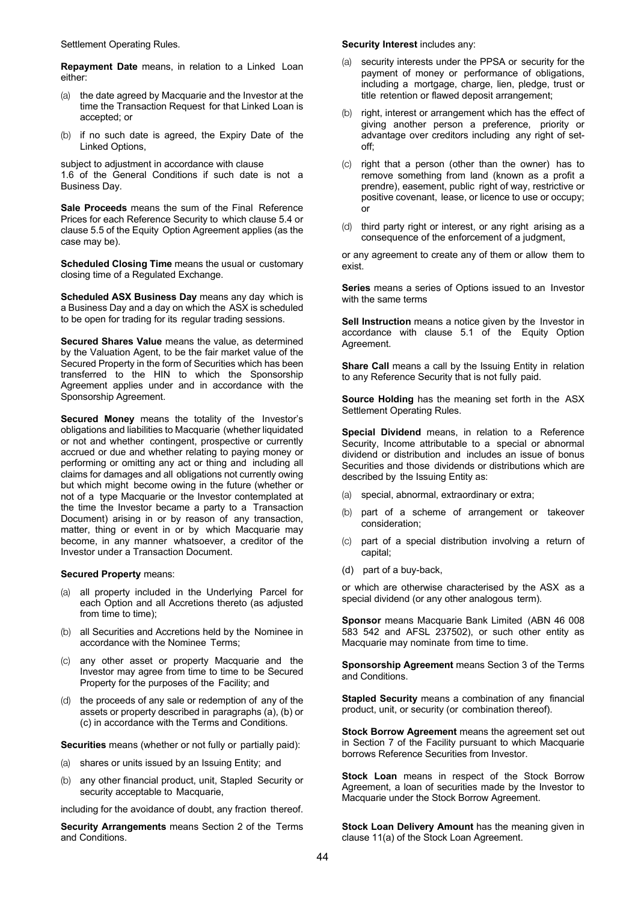Settlement Operating Rules.

**Repayment Date** means, in relation to a Linked Loan either:

- (a) the date agreed by Macquarie and the Investor at the time the Transaction Request for that Linked Loan is accepted; or
- (b) if no such date is agreed, the Expiry Date of the Linked Options,

subject to adjustment in accordance with clause 1.6 of the General Conditions if such date is not a Business Day.

**Sale Proceeds** means the sum of the Final Reference Prices for each Reference Security to which clause 5.4 or clause 5.5 of the Equity Option Agreement applies (as the case may be).

**Scheduled Closing Time** means the usual or customary closing time of a Regulated Exchange.

**Scheduled ASX Business Day** means any day which is a Business Day and a day on which the ASX is scheduled to be open for trading for its regular trading sessions.

**Secured Shares Value** means the value, as determined by the Valuation Agent, to be the fair market value of the Secured Property in the form of Securities which has been transferred to the HIN to which the Sponsorship Agreement applies under and in accordance with the Sponsorship Agreement.

**Secured Money** means the totality of the Investor's obligations and liabilities to Macquarie (whether liquidated or not and whether contingent, prospective or currently accrued or due and whether relating to paying money or performing or omitting any act or thing and including all claims for damages and all obligations not currently owing but which might become owing in the future (whether or not of a type Macquarie or the Investor contemplated at the time the Investor became a party to a Transaction Document) arising in or by reason of any transaction, matter, thing or event in or by which Macquarie may become, in any manner whatsoever, a creditor of the Investor under a Transaction Document.

#### **Secured Property** means:

- (a) all property included in the Underlying Parcel for each Option and all Accretions thereto (as adjusted from time to time);
- (b) all Securities and Accretions held by the Nominee in accordance with the Nominee Terms;
- (c) any other asset or property Macquarie and the Investor may agree from time to time to be Secured Property for the purposes of the Facility; and
- (d) the proceeds of any sale or redemption of any of the assets or property described in paragraphs (a), (b) or (c) in accordance with the Terms and Conditions.

**Securities** means (whether or not fully or partially paid):

- (a) shares or units issued by an Issuing Entity; and
- (b) any other financial product, unit, Stapled Security or security acceptable to Macquarie,

including for the avoidance of doubt, any fraction thereof.

**Security Arrangements** means Section 2 of the Terms and Conditions.

#### **Security Interest** includes any:

- security interests under the PPSA or security for the payment of money or performance of obligations, including a mortgage, charge, lien, pledge, trust or title retention or flawed deposit arrangement;
- (b) right, interest or arrangement which has the effect of giving another person a preference, priority or advantage over creditors including any right of setoff;
- (c) right that a person (other than the owner) has to remove something from land (known as a profit a prendre), easement, public right of way, restrictive or positive covenant, lease, or licence to use or occupy; or
- (d) third party right or interest, or any right arising as a consequence of the enforcement of a judgment,

or any agreement to create any of them or allow them to exist.

**Series** means a series of Options issued to an Investor with the same terms

**Sell Instruction** means a notice given by the Investor in accordance with clause 5.1 of the Equity Option Agreement.

**Share Call** means a call by the Issuing Entity in relation to any Reference Security that is not fully paid.

**Source Holding** has the meaning set forth in the ASX Settlement Operating Rules.

**Special Dividend** means, in relation to a Reference Security, Income attributable to a special or abnormal dividend or distribution and includes an issue of bonus Securities and those dividends or distributions which are described by the Issuing Entity as:

- (a) special, abnormal, extraordinary or extra;
- (b) part of a scheme of arrangement or takeover consideration;
- (c) part of a special distribution involving a return of capital;
- (d) part of a buy-back,

or which are otherwise characterised by the ASX as a special dividend (or any other analogous term).

**Sponsor** means Macquarie Bank Limited (ABN 46 008 583 542 and AFSL 237502), or such other entity as Macquarie may nominate from time to time.

**Sponsorship Agreement** means Section 3 of the Terms and Conditions.

**Stapled Security** means a combination of any financial product, unit, or security (or combination thereof).

**Stock Borrow Agreement** means the agreement set out in Section 7 of the Facility pursuant to which Macquarie borrows Reference Securities from Investor.

**Stock Loan** means in respect of the Stock Borrow Agreement, a loan of securities made by the Investor to Macquarie under the Stock Borrow Agreement.

**Stock Loan Delivery Amount** has the meaning given in clause 11(a) of the Stock Loan Agreement.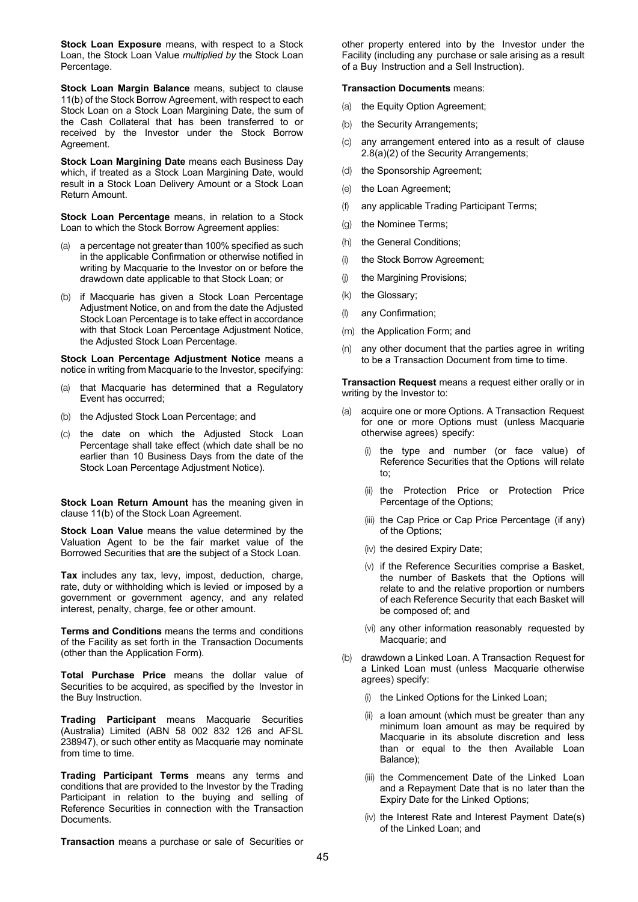**Stock Loan Exposure** means, with respect to a Stock Loan, the Stock Loan Value *multiplied by* the Stock Loan Percentage.

**Stock Loan Margin Balance** means, subject to clause 11(b) of the Stock Borrow Agreement, with respect to each Stock Loan on a Stock Loan Margining Date, the sum of the Cash Collateral that has been transferred to or received by the Investor under the Stock Borrow Agreement.

**Stock Loan Margining Date** means each Business Day which, if treated as a Stock Loan Margining Date, would result in a Stock Loan Delivery Amount or a Stock Loan Return Amount.

**Stock Loan Percentage** means, in relation to a Stock Loan to which the Stock Borrow Agreement applies:

- (a) a percentage not greater than 100% specified as such in the applicable Confirmation or otherwise notified in writing by Macquarie to the Investor on or before the drawdown date applicable to that Stock Loan; or
- (b) if Macquarie has given a Stock Loan Percentage Adjustment Notice, on and from the date the Adjusted Stock Loan Percentage is to take effect in accordance with that Stock Loan Percentage Adjustment Notice, the Adjusted Stock Loan Percentage.

**Stock Loan Percentage Adjustment Notice** means a notice in writing from Macquarie to the Investor, specifying:

- (a) that Macquarie has determined that a Regulatory Event has occurred;
- (b) the Adjusted Stock Loan Percentage; and
- (c) the date on which the Adjusted Stock Loan Percentage shall take effect (which date shall be no earlier than 10 Business Days from the date of the Stock Loan Percentage Adjustment Notice).

**Stock Loan Return Amount** has the meaning given in clause 11(b) of the Stock Loan Agreement.

**Stock Loan Value** means the value determined by the Valuation Agent to be the fair market value of the Borrowed Securities that are the subject of a Stock Loan.

**Tax** includes any tax, levy, impost, deduction, charge, rate, duty or withholding which is levied or imposed by a government or government agency, and any related interest, penalty, charge, fee or other amount.

**Terms and Conditions** means the terms and conditions of the Facility as set forth in the Transaction Documents (other than the Application Form).

**Total Purchase Price** means the dollar value of Securities to be acquired, as specified by the Investor in the Buy Instruction.

**Trading Participant** means Macquarie Securities (Australia) Limited (ABN 58 002 832 126 and AFSL 238947), or such other entity as Macquarie may nominate from time to time.

**Trading Participant Terms** means any terms and conditions that are provided to the Investor by the Trading Participant in relation to the buying and selling of Reference Securities in connection with the Transaction **Documents** 

**Transaction** means a purchase or sale of Securities or

other property entered into by the Investor under the Facility (including any purchase or sale arising as a result of a Buy Instruction and a Sell Instruction).

#### **Transaction Documents** means:

- (a) the Equity Option Agreement;
- (b) the Security Arrangements;
- (c) any arrangement entered into as a result of clause 2.8(a)(2) of the Security Arrangements;
- (d) the Sponsorship Agreement;
- (e) the Loan Agreement;
- (f) any applicable Trading Participant Terms;
- (g) the Nominee Terms;
- (h) the General Conditions;
- (i) the Stock Borrow Agreement;
- (j) the Margining Provisions;
- (k) the Glossary;
- (l) any Confirmation;
- (m) the Application Form; and
- (n) any other document that the parties agree in writing to be a Transaction Document from time to time.

**Transaction Request** means a request either orally or in writing by the Investor to:

- acquire one or more Options. A Transaction Request for one or more Options must (unless Macquarie otherwise agrees) specify:
	- (i) the type and number (or face value) of Reference Securities that the Options will relate to;
	- (ii) the Protection Price or Protection Price Percentage of the Options;
	- (iii) the Cap Price or Cap Price Percentage (if any) of the Options;
	- (iv) the desired Expiry Date;
	- (v) if the Reference Securities comprise a Basket, the number of Baskets that the Options will relate to and the relative proportion or numbers of each Reference Security that each Basket will be composed of; and
	- (vi) any other information reasonably requested by Macquarie; and
- (b) drawdown a Linked Loan. A Transaction Request for a Linked Loan must (unless Macquarie otherwise agrees) specify:
	- (i) the Linked Options for the Linked Loan;
	- (ii) a loan amount (which must be greater than any minimum loan amount as may be required by Macquarie in its absolute discretion and less than or equal to the then Available Loan Balance);
	- (iii) the Commencement Date of the Linked Loan and a Repayment Date that is no later than the Expiry Date for the Linked Options;
	- (iv) the Interest Rate and Interest Payment Date(s) of the Linked Loan; and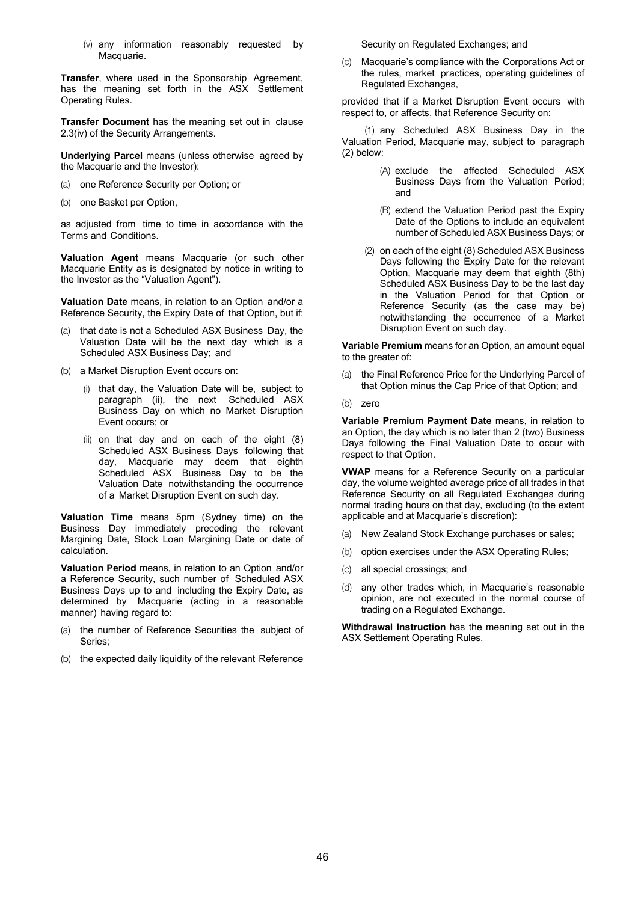(v) any information reasonably requested by Macquarie.

**Transfer**, where used in the Sponsorship Agreement, has the meaning set forth in the ASX Settlement Operating Rules.

**Transfer Document** has the meaning set out in clause 2.3(iv) of the Security Arrangements.

**Underlying Parcel** means (unless otherwise agreed by the Macquarie and the Investor):

- (a) one Reference Security per Option; or
- (b) one Basket per Option,

as adjusted from time to time in accordance with the Terms and Conditions.

**Valuation Agent** means Macquarie (or such other Macquarie Entity as is designated by notice in writing to the Investor as the "Valuation Agent").

**Valuation Date** means, in relation to an Option and/or a Reference Security, the Expiry Date of that Option, but if:

- (a) that date is not a Scheduled ASX Business Day, the Valuation Date will be the next day which is a Scheduled ASX Business Day; and
- (b) a Market Disruption Event occurs on:
	- (i) that day, the Valuation Date will be, subject to paragraph (ii), the next Scheduled ASX Business Day on which no Market Disruption Event occurs; or
	- (ii) on that day and on each of the eight (8) Scheduled ASX Business Days following that day, Macquarie may deem that eighth Scheduled ASX Business Day to be the Valuation Date notwithstanding the occurrence of a Market Disruption Event on such day.

**Valuation Time** means 5pm (Sydney time) on the Business Day immediately preceding the relevant Margining Date, Stock Loan Margining Date or date of calculation.

**Valuation Period** means, in relation to an Option and/or a Reference Security, such number of Scheduled ASX Business Days up to and including the Expiry Date, as determined by Macquarie (acting in a reasonable manner) having regard to:

- (a) the number of Reference Securities the subject of Series;
- (b) the expected daily liquidity of the relevant Reference

Security on Regulated Exchanges; and

(c) Macquarie's compliance with the Corporations Act or the rules, market practices, operating guidelines of Regulated Exchanges,

provided that if a Market Disruption Event occurs with respect to, or affects, that Reference Security on:

(1) any Scheduled ASX Business Day in the Valuation Period, Macquarie may, subject to paragraph (2) below:

- (A) exclude the affected Scheduled ASX Business Days from the Valuation Period; and
- (B) extend the Valuation Period past the Expiry Date of the Options to include an equivalent number of Scheduled ASX Business Days; or
- (2) on each of the eight (8) Scheduled ASX Business Days following the Expiry Date for the relevant Option, Macquarie may deem that eighth (8th) Scheduled ASX Business Day to be the last day in the Valuation Period for that Option or Reference Security (as the case may be) notwithstanding the occurrence of a Market Disruption Event on such day.

**Variable Premium** means for an Option, an amount equal to the greater of:

- (a) the Final Reference Price for the Underlying Parcel of that Option minus the Cap Price of that Option; and
- (b) zero

**Variable Premium Payment Date** means, in relation to an Option, the day which is no later than 2 (two) Business Days following the Final Valuation Date to occur with respect to that Option.

**VWAP** means for a Reference Security on a particular day, the volume weighted average price of all trades in that Reference Security on all Regulated Exchanges during normal trading hours on that day, excluding (to the extent applicable and at Macquarie's discretion):

- (a) New Zealand Stock Exchange purchases or sales;
- (b) option exercises under the ASX Operating Rules;
- (c) all special crossings; and
- (d) any other trades which, in Macquarie's reasonable opinion, are not executed in the normal course of trading on a Regulated Exchange.

**Withdrawal Instruction** has the meaning set out in the ASX Settlement Operating Rules.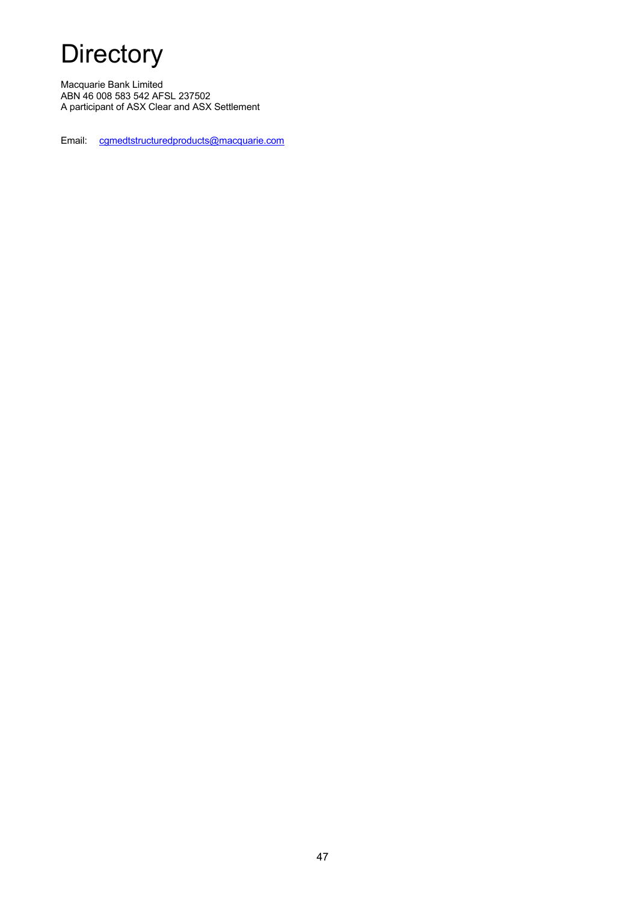# **Directory**

Macquarie Bank Limited ABN 46 008 583 542 AFSL 237502 A participant of ASX Clear and ASX Settlement

Email: cgmedtstructuredproducts@macquarie.com